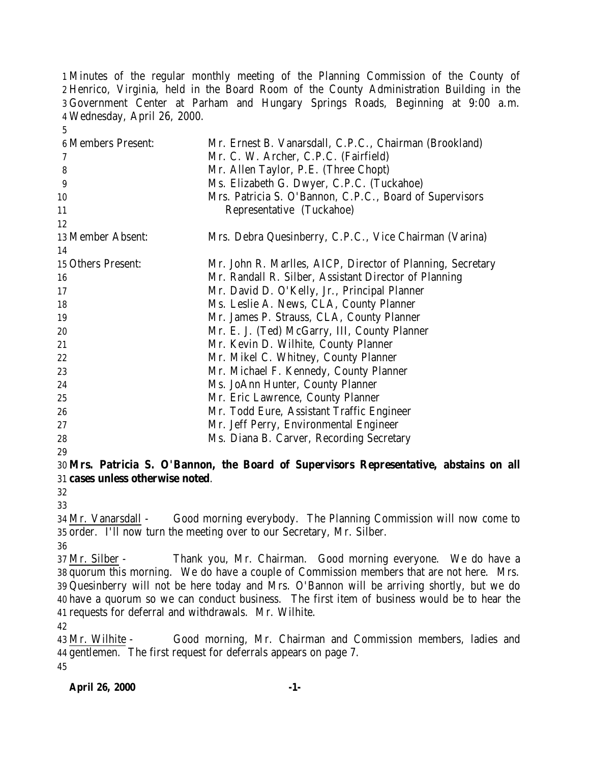Minutes of the regular monthly meeting of the Planning Commission of the County of Henrico, Virginia, held in the Board Room of the County Administration Building in the Government Center at Parham and Hungary Springs Roads, Beginning at 9:00 a.m. Wednesday, April 26, 2000.

| <b>6 Members Present:</b> | Mr. Ernest B. Vanarsdall, C.P.C., Chairman (Brookland)     |
|---------------------------|------------------------------------------------------------|
| 7                         | Mr. C. W. Archer, C.P.C. (Fairfield)                       |
| 8                         | Mr. Allen Taylor, P.E. (Three Chopt)                       |
| 9                         | Ms. Elizabeth G. Dwyer, C.P.C. (Tuckahoe)                  |
| 10                        | Mrs. Patricia S. O'Bannon, C.P.C., Board of Supervisors    |
| 11                        | Representative (Tuckahoe)                                  |
| 12                        |                                                            |
| 13 Member Absent:         | Mrs. Debra Quesinberry, C.P.C., Vice Chairman (Varina)     |
| 14                        |                                                            |
| 15 Others Present:        | Mr. John R. Marlles, AICP, Director of Planning, Secretary |
| 16                        | Mr. Randall R. Silber, Assistant Director of Planning      |
| 17                        | Mr. David D. O'Kelly, Jr., Principal Planner               |
| 18                        | Ms. Leslie A. News, CLA, County Planner                    |
| 19                        | Mr. James P. Strauss, CLA, County Planner                  |
| 20                        | Mr. E. J. (Ted) McGarry, III, County Planner               |
| 21                        | Mr. Kevin D. Wilhite, County Planner                       |
| 22                        | Mr. Mikel C. Whitney, County Planner                       |
| 23                        | Mr. Michael F. Kennedy, County Planner                     |
| 24                        | Ms. JoAnn Hunter, County Planner                           |
| 25                        | Mr. Eric Lawrence, County Planner                          |
| 26                        | Mr. Todd Eure, Assistant Traffic Engineer                  |
| 27                        | Mr. Jeff Perry, Environmental Engineer                     |
| 28                        | Ms. Diana B. Carver, Recording Secretary                   |
| 29                        |                                                            |

# **Mrs. Patricia S. O'Bannon, the Board of Supervisors Representative, abstains on all cases unless otherwise noted**.

 Mr. Vanarsdall - Good morning everybody. The Planning Commission will now come to order. I'll now turn the meeting over to our Secretary, Mr. Silber.

 Mr. Silber - Thank you, Mr. Chairman. Good morning everyone. We do have a quorum this morning. We do have a couple of Commission members that are not here. Mrs. Quesinberry will not be here today and Mrs. O'Bannon will be arriving shortly, but we do have a quorum so we can conduct business. The first item of business would be to hear the requests for deferral and withdrawals. Mr. Wilhite.

 Mr. Wilhite - Good morning, Mr. Chairman and Commission members, ladies and gentlemen. The first request for deferrals appears on page 7.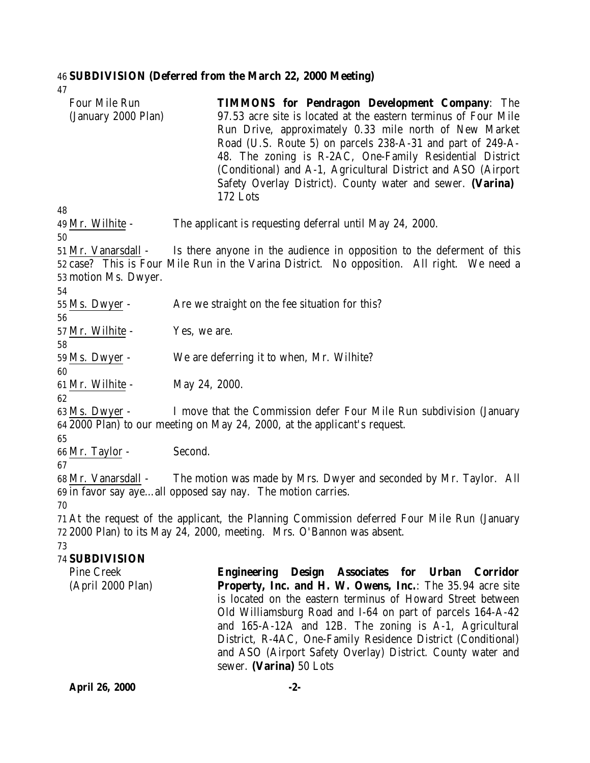# 46 **SUBDIVISION (Deferred from the March 22, 2000 Meeting)**

47

| Four Mile Run<br>(January 2000 Plan)                                                                                                                                     | <b>TIMMONS for Pendragon Development Company:</b> The<br>97.53 acre site is located at the eastern terminus of Four Mile<br>Run Drive, approximately 0.33 mile north of New Market<br>Road (U.S. Route 5) on parcels 238-A-31 and part of 249-A-<br>48. The zoning is R-2AC, One-Family Residential District<br>(Conditional) and A-1, Agricultural District and ASO (Airport<br>Safety Overlay District). County water and sewer. (Varina)<br>172 Lots        |  |
|--------------------------------------------------------------------------------------------------------------------------------------------------------------------------|----------------------------------------------------------------------------------------------------------------------------------------------------------------------------------------------------------------------------------------------------------------------------------------------------------------------------------------------------------------------------------------------------------------------------------------------------------------|--|
| 48                                                                                                                                                                       |                                                                                                                                                                                                                                                                                                                                                                                                                                                                |  |
| 49 Mr. Wilhite -<br>50                                                                                                                                                   | The applicant is requesting deferral until May 24, 2000.                                                                                                                                                                                                                                                                                                                                                                                                       |  |
| 51 Mr. Vanarsdall -<br>53 motion Ms. Dwyer.<br>54                                                                                                                        | Is there anyone in the audience in opposition to the deferment of this<br>52 case? This is Four Mile Run in the Varina District. No opposition. All right. We need a                                                                                                                                                                                                                                                                                           |  |
| $55$ Ms. Dwyer -<br>56                                                                                                                                                   | Are we straight on the fee situation for this?                                                                                                                                                                                                                                                                                                                                                                                                                 |  |
| 57 Mr. Wilhite -                                                                                                                                                         | Yes, we are.                                                                                                                                                                                                                                                                                                                                                                                                                                                   |  |
| 58<br>$59$ Ms. Dwyer -                                                                                                                                                   | We are deferring it to when, Mr. Wilhite?                                                                                                                                                                                                                                                                                                                                                                                                                      |  |
| 60<br>61 Mr. Wilhite -<br>62                                                                                                                                             | May 24, 2000.                                                                                                                                                                                                                                                                                                                                                                                                                                                  |  |
| 63 Ms. Dwyer -<br>I move that the Commission defer Four Mile Run subdivision (January<br>64 2000 Plan) to our meeting on May 24, 2000, at the applicant's request.<br>65 |                                                                                                                                                                                                                                                                                                                                                                                                                                                                |  |
| 66 Mr. Taylor -<br>67                                                                                                                                                    | Second.                                                                                                                                                                                                                                                                                                                                                                                                                                                        |  |
| 68 Mr. Vanarsdall -<br>70                                                                                                                                                | The motion was made by Mrs. Dwyer and seconded by Mr. Taylor. All<br>69 in favor say ayeall opposed say nay. The motion carries.                                                                                                                                                                                                                                                                                                                               |  |
| 73                                                                                                                                                                       | 71 At the request of the applicant, the Planning Commission deferred Four Mile Run (January<br>72 2000 Plan) to its May 24, 2000, meeting. Mrs. O'Bannon was absent.                                                                                                                                                                                                                                                                                           |  |
| 74 SUBDIVISION                                                                                                                                                           |                                                                                                                                                                                                                                                                                                                                                                                                                                                                |  |
| <b>Pine Creek</b><br>(April 2000 Plan)                                                                                                                                   | Engineering Design Associates for Urban Corridor<br>Property, Inc. and H. W. Owens, Inc.: The 35.94 acre site<br>is located on the eastern terminus of Howard Street between<br>Old Williamsburg Road and I-64 on part of parcels 164-A-42<br>and 165-A-12A and 12B. The zoning is A-1, Agricultural<br>District, R-4AC, One-Family Residence District (Conditional)<br>and ASO (Airport Safety Overlay) District. County water and<br>sewer. (Varina) 50 Lots |  |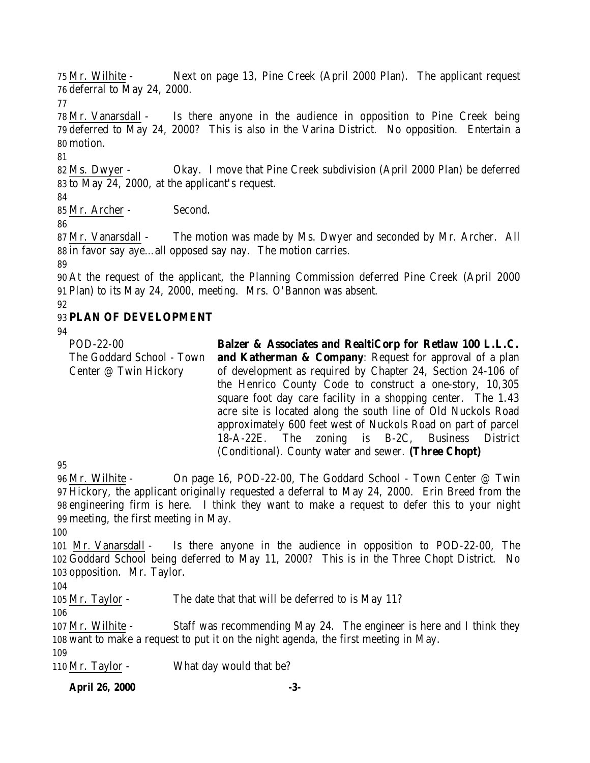Mr. Wilhite - Next on page 13, Pine Creek (April 2000 Plan). The applicant request deferral to May 24, 2000.

 Mr. Vanarsdall - Is there anyone in the audience in opposition to Pine Creek being deferred to May 24, 2000? This is also in the Varina District. No opposition. Entertain a motion.

 Ms. Dwyer - Okay. I move that Pine Creek subdivision (April 2000 Plan) be deferred to May 24, 2000, at the applicant's request.

Mr. Archer - Second.

 Mr. Vanarsdall - The motion was made by Ms. Dwyer and seconded by Mr. Archer. All in favor say aye…all opposed say nay. The motion carries.

 At the request of the applicant, the Planning Commission deferred Pine Creek (April 2000 Plan) to its May 24, 2000, meeting. Mrs. O'Bannon was absent.

# **PLAN OF DEVELOPMENT**

POD-22-00 The Goddard School - Town Center @ Twin Hickory **Balzer & Associates and RealtiCorp for Retlaw 100 L.L.C. and Katherman & Company**: Request for approval of a plan of development as required by Chapter 24, Section 24-106 of the Henrico County Code to construct a one-story, 10,305 square foot day care facility in a shopping center. The 1.43 acre site is located along the south line of Old Nuckols Road approximately 600 feet west of Nuckols Road on part of parcel 18-A-22E. The zoning is B-2C, Business District (Conditional). County water and sewer. **(Three Chopt)**

 Mr. Wilhite - On page 16, POD-22-00, The Goddard School - Town Center @ Twin Hickory, the applicant originally requested a deferral to May 24, 2000. Erin Breed from the engineering firm is here. I think they want to make a request to defer this to your night meeting, the first meeting in May.

 Mr. Vanarsdall - Is there anyone in the audience in opposition to POD-22-00, The Goddard School being deferred to May 11, 2000? This is in the Three Chopt District. No opposition. Mr. Taylor.

Mr. Taylor - The date that that will be deferred to is May 11?

 Mr. Wilhite - Staff was recommending May 24. The engineer is here and I think they want to make a request to put it on the night agenda, the first meeting in May.

Mr. Taylor - What day would that be?

**April 26, 2000 -3-**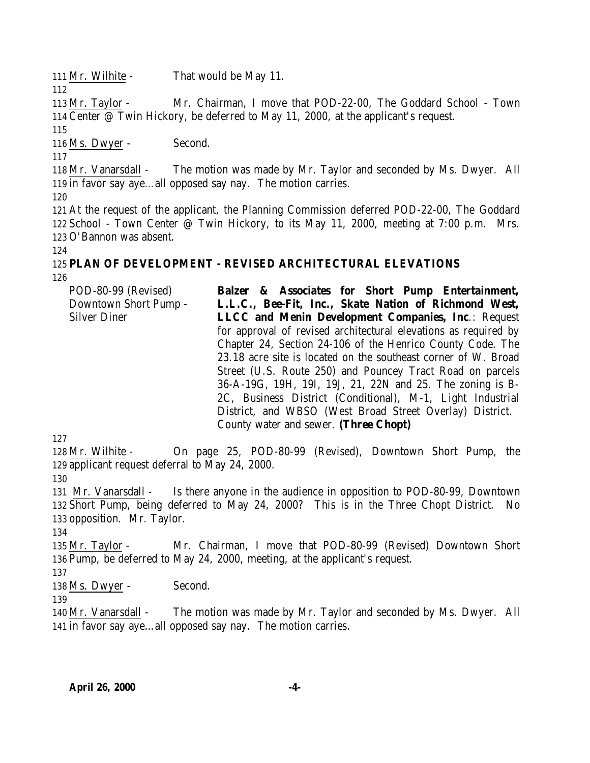Mr. Wilhite - That would be May 11.

 Mr. Taylor - Mr. Chairman, I move that POD-22-00, The Goddard School - Town Center @ Twin Hickory, be deferred to May 11, 2000, at the applicant's request.

Ms. Dwyer - Second.

 Mr. Vanarsdall - The motion was made by Mr. Taylor and seconded by Ms. Dwyer. All in favor say aye…all opposed say nay. The motion carries.

 At the request of the applicant, the Planning Commission deferred POD-22-00, The Goddard School - Town Center @ Twin Hickory, to its May 11, 2000, meeting at 7:00 p.m. Mrs. O'Bannon was absent.

# **PLAN OF DEVELOPMENT - REVISED ARCHITECTURAL ELEVATIONS**

POD-80-99 (Revised) Downtown Short Pump - Silver Diner **Balzer & Associates for Short Pump Entertainment, L.L.C., Bee-Fit, Inc., Skate Nation of Richmond West, LLCC and Menin Development Companies, Inc**.: Request for approval of revised architectural elevations as required by Chapter 24, Section 24-106 of the Henrico County Code. The 23.18 acre site is located on the southeast corner of W. Broad Street (U.S. Route 250) and Pouncey Tract Road on parcels 36-A-19G, 19H, 19I, 19J, 21, 22N and 25. The zoning is B-2C, Business District (Conditional), M-1, Light Industrial District, and WBSO (West Broad Street Overlay) District. County water and sewer. **(Three Chopt)**

 Mr. Wilhite - On page 25, POD-80-99 (Revised), Downtown Short Pump, the applicant request deferral to May 24, 2000.

 Mr. Vanarsdall - Is there anyone in the audience in opposition to POD-80-99, Downtown Short Pump, being deferred to May 24, 2000? This is in the Three Chopt District. No opposition. Mr. Taylor.

 Mr. Taylor - Mr. Chairman, I move that POD-80-99 (Revised) Downtown Short Pump, be deferred to May 24, 2000, meeting, at the applicant's request.

 138 Ms. Dwyer - Second.

 Mr. Vanarsdall - The motion was made by Mr. Taylor and seconded by Ms. Dwyer. All in favor say aye…all opposed say nay. The motion carries.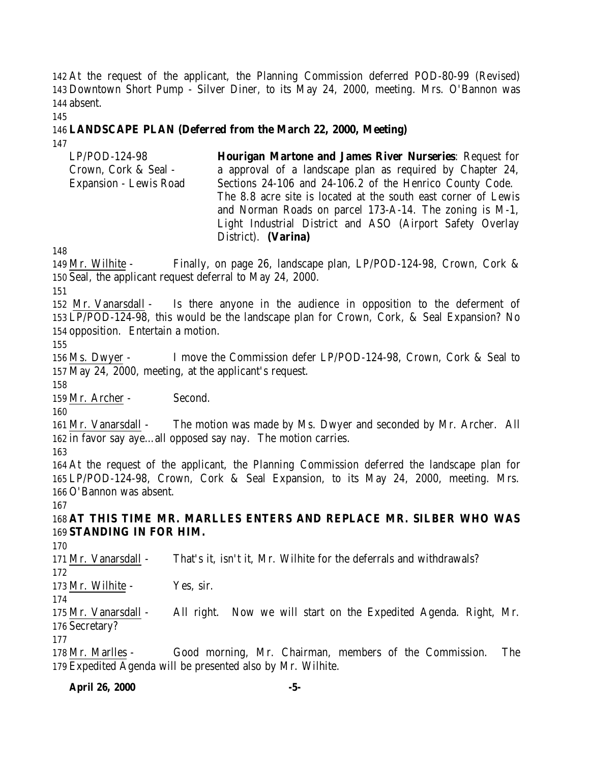At the request of the applicant, the Planning Commission deferred POD-80-99 (Revised) Downtown Short Pump - Silver Diner, to its May 24, 2000, meeting. Mrs. O'Bannon was absent.

# **LANDSCAPE PLAN (Deferred from the March 22, 2000, Meeting)**

| $LP/POD-124-98$        | <b>Hourigan Martone and James River Nurseries: Request for</b> |
|------------------------|----------------------------------------------------------------|
| Crown, Cork & Seal -   | a approval of a landscape plan as required by Chapter 24,      |
| Expansion - Lewis Road | Sections 24-106 and 24-106.2 of the Henrico County Code.       |
|                        | The 8.8 acre site is located at the south east corner of Lewis |
|                        | and Norman Roads on parcel 173-A-14. The zoning is M-1,        |
|                        | Light Industrial District and ASO (Airport Safety Overlay      |
|                        | District). (Varina)                                            |

 Mr. Wilhite - Finally, on page 26, landscape plan, LP/POD-124-98, Crown, Cork & Seal, the applicant request deferral to May 24, 2000.

 Mr. Vanarsdall - Is there anyone in the audience in opposition to the deferment of LP/POD-124-98, this would be the landscape plan for Crown, Cork, & Seal Expansion? No opposition. Entertain a motion.

 Ms. Dwyer - I move the Commission defer LP/POD-124-98, Crown, Cork & Seal to May 24, 2000, meeting, at the applicant's request.

Mr. Archer - Second.

 Mr. Vanarsdall - The motion was made by Ms. Dwyer and seconded by Mr. Archer. All in favor say aye…all opposed say nay. The motion carries.

 At the request of the applicant, the Planning Commission deferred the landscape plan for LP/POD-124-98, Crown, Cork & Seal Expansion, to its May 24, 2000, meeting. Mrs. O'Bannon was absent.

 **AT THIS TIME MR. MARLLES ENTERS AND REPLACE MR. SILBER WHO WAS STANDING IN FOR HIM.**

Mr. Vanarsdall - That's it, isn't it, Mr. Wilhite for the deferrals and withdrawals?

173 Mr. Wilhite - Yes, sir.

 Mr. Vanarsdall - All right. Now we will start on the Expedited Agenda. Right, Mr. Secretary?

 Mr. Marlles - Good morning, Mr. Chairman, members of the Commission. The Expedited Agenda will be presented also by Mr. Wilhite.

**April 26, 2000 -5-**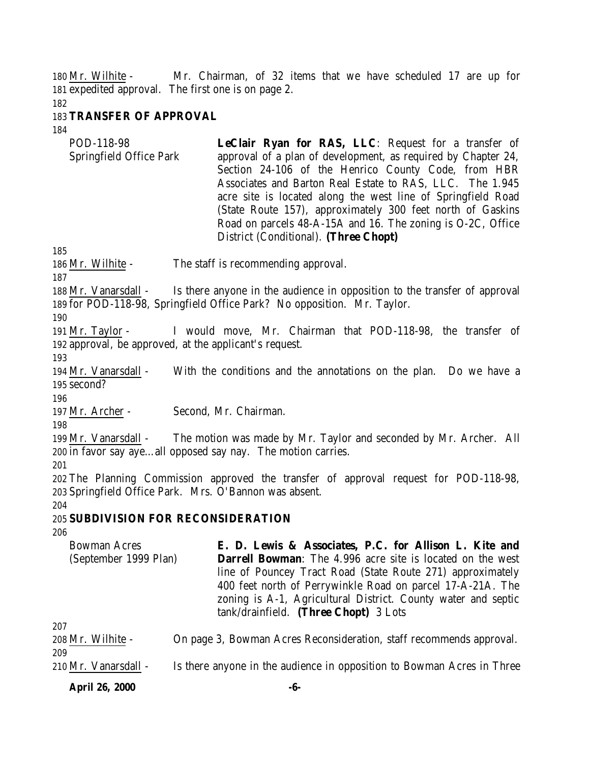Mr. Wilhite - Mr. Chairman, of 32 items that we have scheduled 17 are up for expedited approval. The first one is on page 2.

#### **TRANSFER OF APPROVAL**

| POD-118-98              | <b>LeClair Ryan for RAS, LLC:</b> Request for a transfer of   |
|-------------------------|---------------------------------------------------------------|
| Springfield Office Park | approval of a plan of development, as required by Chapter 24, |
|                         | Section 24-106 of the Henrico County Code, from HBR           |
|                         | Associates and Barton Real Estate to RAS, LLC. The 1.945      |
|                         | acre site is located along the west line of Springfield Road  |
|                         | (State Route 157), approximately 300 feet north of Gaskins    |
|                         | Road on parcels 48-A-15A and 16. The zoning is O-2C, Office   |
|                         | District (Conditional). (Three Chopt)                         |

Mr. Wilhite - The staff is recommending approval.

 Mr. Vanarsdall - Is there anyone in the audience in opposition to the transfer of approval for POD-118-98, Springfield Office Park? No opposition. Mr. Taylor.

 Mr. Taylor - I would move, Mr. Chairman that POD-118-98, the transfer of approval, be approved, at the applicant's request.

 Mr. Vanarsdall - With the conditions and the annotations on the plan. Do we have a second?

Mr. Archer - Second, Mr. Chairman.

 Mr. Vanarsdall - The motion was made by Mr. Taylor and seconded by Mr. Archer. All in favor say aye…all opposed say nay. The motion carries.

 The Planning Commission approved the transfer of approval request for POD-118-98, Springfield Office Park. Mrs. O'Bannon was absent.

#### 

# **SUBDIVISION FOR RECONSIDERATION**

| <b>Bowman Acres</b>   | E. D. Lewis & Associates, P.C. for Allison L. Kite and                 |
|-----------------------|------------------------------------------------------------------------|
| (September 1999 Plan) | <b>Darrell Bowman:</b> The 4.996 acre site is located on the west      |
|                       | line of Pouncey Tract Road (State Route 271) approximately             |
|                       | 400 feet north of Perrywinkle Road on parcel 17-A-21A. The             |
|                       | zoning is A-1, Agricultural District. County water and septic          |
|                       | tank/drainfield. (Three Chopt) 3 Lots                                  |
| 207                   |                                                                        |
| 208 Mr. Wilhite -     | On page 3, Bowman Acres Reconsideration, staff recommends approval.    |
| 209                   |                                                                        |
| 210 Mr. Vanarsdall -  | Is there anyone in the audience in opposition to Bowman Acres in Three |

**April 26, 2000 -6-**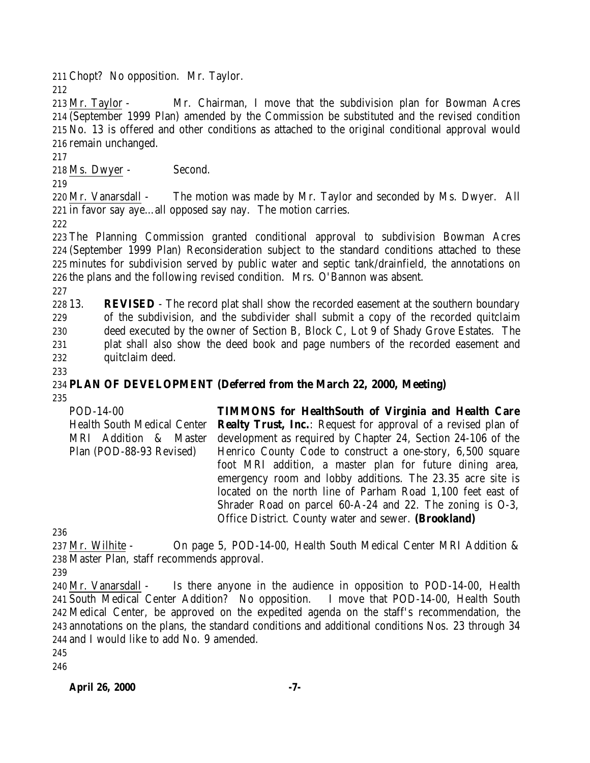Chopt? No opposition. Mr. Taylor.

 Mr. Taylor - Mr. Chairman, I move that the subdivision plan for Bowman Acres (September 1999 Plan) amended by the Commission be substituted and the revised condition No. 13 is offered and other conditions as attached to the original conditional approval would remain unchanged.

Ms. Dwyer - Second.

 Mr. Vanarsdall - The motion was made by Mr. Taylor and seconded by Ms. Dwyer. All in favor say aye…all opposed say nay. The motion carries.

 The Planning Commission granted conditional approval to subdivision Bowman Acres (September 1999 Plan) Reconsideration subject to the standard conditions attached to these minutes for subdivision served by public water and septic tank/drainfield, the annotations on the plans and the following revised condition. Mrs. O'Bannon was absent.

 13. **REVISED** - The record plat shall show the recorded easement at the southern boundary of the subdivision, and the subdivider shall submit a copy of the recorded quitclaim deed executed by the owner of Section B, Block C, Lot 9 of Shady Grove Estates. The plat shall also show the deed book and page numbers of the recorded easement and quitclaim deed.

#### **PLAN OF DEVELOPMENT (Deferred from the March 22, 2000, Meeting)**

POD-14-00 Health South Medical Center MRI Addition & Master Plan (POD-88-93 Revised) **TIMMONS for HealthSouth of Virginia and Health Care Realty Trust, Inc.:** Request for approval of a revised plan of development as required by Chapter 24, Section 24-106 of the Henrico County Code to construct a one-story, 6,500 square foot MRI addition, a master plan for future dining area, emergency room and lobby additions. The 23.35 acre site is located on the north line of Parham Road 1,100 feet east of Shrader Road on parcel 60-A-24 and 22. The zoning is O-3, Office District. County water and sewer. **(Brookland)**

 Mr. Wilhite - On page 5, POD-14-00, Health South Medical Center MRI Addition & Master Plan, staff recommends approval.

 Mr. Vanarsdall - Is there anyone in the audience in opposition to POD-14-00, Health South Medical Center Addition? No opposition. I move that POD-14-00, Health South Medical Center, be approved on the expedited agenda on the staff's recommendation, the annotations on the plans, the standard conditions and additional conditions Nos. 23 through 34 and I would like to add No. 9 amended.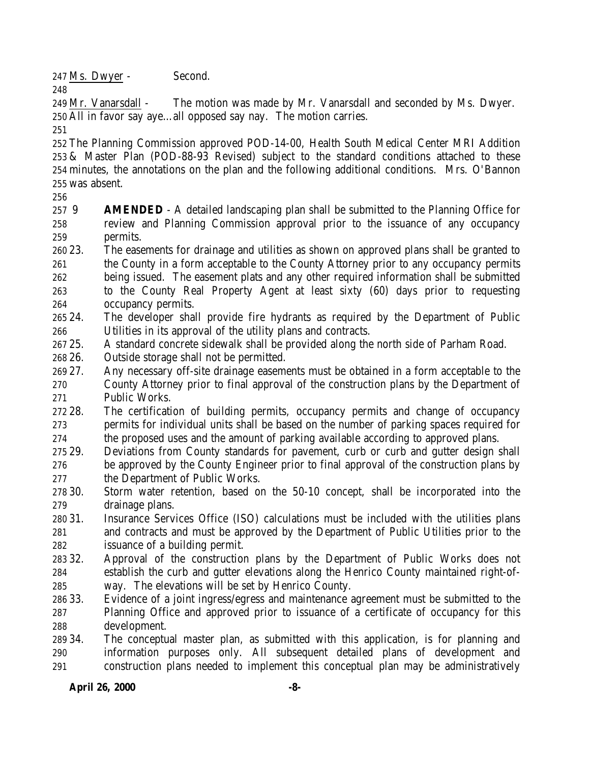Ms. Dwyer - Second.

 Mr. Vanarsdall - The motion was made by Mr. Vanarsdall and seconded by Ms. Dwyer. All in favor say aye…all opposed say nay. The motion carries.

 The Planning Commission approved POD-14-00, Health South Medical Center MRI Addition & Master Plan (POD-88-93 Revised) subject to the standard conditions attached to these minutes, the annotations on the plan and the following additional conditions. Mrs. O'Bannon was absent.

 9 **AMENDED** - A detailed landscaping plan shall be submitted to the Planning Office for review and Planning Commission approval prior to the issuance of any occupancy permits.

- 23. The easements for drainage and utilities as shown on approved plans shall be granted to the County in a form acceptable to the County Attorney prior to any occupancy permits being issued. The easement plats and any other required information shall be submitted to the County Real Property Agent at least sixty (60) days prior to requesting occupancy permits.
- 24. The developer shall provide fire hydrants as required by the Department of Public Utilities in its approval of the utility plans and contracts.
- 25. A standard concrete sidewalk shall be provided along the north side of Parham Road.
- 26. Outside storage shall not be permitted.
- 27. Any necessary off-site drainage easements must be obtained in a form acceptable to the County Attorney prior to final approval of the construction plans by the Department of Public Works.

 28. The certification of building permits, occupancy permits and change of occupancy permits for individual units shall be based on the number of parking spaces required for the proposed uses and the amount of parking available according to approved plans.

- 29. Deviations from County standards for pavement, curb or curb and gutter design shall be approved by the County Engineer prior to final approval of the construction plans by the Department of Public Works.
- 30. Storm water retention, based on the 50-10 concept, shall be incorporated into the drainage plans.
- 31. Insurance Services Office (ISO) calculations must be included with the utilities plans and contracts and must be approved by the Department of Public Utilities prior to the issuance of a building permit.
- 32. Approval of the construction plans by the Department of Public Works does not establish the curb and gutter elevations along the Henrico County maintained right-of-way. The elevations will be set by Henrico County.
- 33. Evidence of a joint ingress/egress and maintenance agreement must be submitted to the Planning Office and approved prior to issuance of a certificate of occupancy for this development.
- 34. The conceptual master plan, as submitted with this application, is for planning and information purposes only. All subsequent detailed plans of development and construction plans needed to implement this conceptual plan may be administratively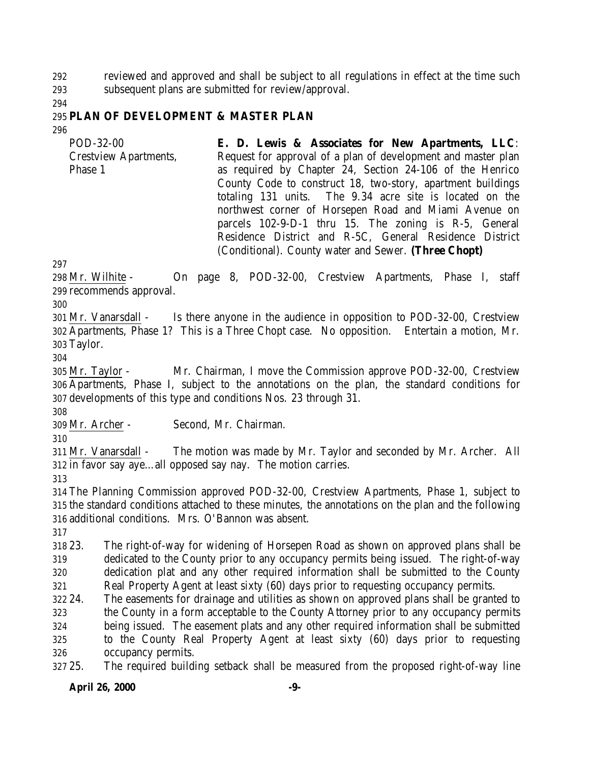reviewed and approved and shall be subject to all regulations in effect at the time such subsequent plans are submitted for review/approval.

# **PLAN OF DEVELOPMENT & MASTER PLAN**

| POD-32-00<br><b>Crestview Apartments,</b> | E. D. Lewis & Associates for New Apartments, LLC:<br>Request for approval of a plan of development and master plan |
|-------------------------------------------|--------------------------------------------------------------------------------------------------------------------|
| Phase 1                                   | as required by Chapter 24, Section 24-106 of the Henrico                                                           |
|                                           | County Code to construct 18, two-story, apartment buildings                                                        |
|                                           | totaling 131 units. The 9.34 acre site is located on the                                                           |
|                                           | northwest corner of Horsepen Road and Miami Avenue on                                                              |
|                                           | parcels 102-9-D-1 thru 15. The zoning is R-5, General                                                              |
|                                           | Residence District and R-5C, General Residence District                                                            |
|                                           | (Conditional). County water and Sewer. (Three Chopt)                                                               |

 Mr. Wilhite - On page 8, POD-32-00, Crestview Apartments, Phase I, staff recommends approval.

 Mr. Vanarsdall - Is there anyone in the audience in opposition to POD-32-00, Crestview Apartments, Phase 1? This is a Three Chopt case. No opposition. Entertain a motion, Mr. Taylor.

 Mr. Taylor - Mr. Chairman, I move the Commission approve POD-32-00, Crestview Apartments, Phase I, subject to the annotations on the plan, the standard conditions for developments of this type and conditions Nos. 23 through 31.

Mr. Archer - Second, Mr. Chairman.

 Mr. Vanarsdall - The motion was made by Mr. Taylor and seconded by Mr. Archer. All in favor say aye…all opposed say nay. The motion carries.

 The Planning Commission approved POD-32-00, Crestview Apartments, Phase 1, subject to the standard conditions attached to these minutes, the annotations on the plan and the following additional conditions. Mrs. O'Bannon was absent.

 23. The right-of-way for widening of Horsepen Road as shown on approved plans shall be dedicated to the County prior to any occupancy permits being issued. The right-of-way dedication plat and any other required information shall be submitted to the County Real Property Agent at least sixty (60) days prior to requesting occupancy permits.

24. The easements for drainage and utilities as shown on approved plans shall be granted to

 the County in a form acceptable to the County Attorney prior to any occupancy permits being issued. The easement plats and any other required information shall be submitted to the County Real Property Agent at least sixty (60) days prior to requesting occupancy permits.

25. The required building setback shall be measured from the proposed right-of-way line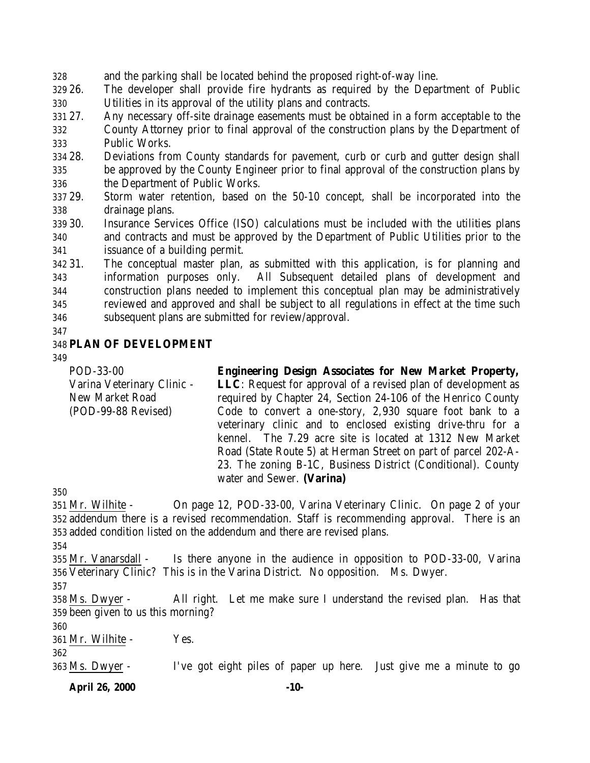and the parking shall be located behind the proposed right-of-way line.

 26. The developer shall provide fire hydrants as required by the Department of Public Utilities in its approval of the utility plans and contracts.

27. Any necessary off-site drainage easements must be obtained in a form acceptable to the

 County Attorney prior to final approval of the construction plans by the Department of Public Works.

 28. Deviations from County standards for pavement, curb or curb and gutter design shall be approved by the County Engineer prior to final approval of the construction plans by the Department of Public Works.

 29. Storm water retention, based on the 50-10 concept, shall be incorporated into the drainage plans.

 30. Insurance Services Office (ISO) calculations must be included with the utilities plans and contracts and must be approved by the Department of Public Utilities prior to the issuance of a building permit.

 31. The conceptual master plan, as submitted with this application, is for planning and information purposes only. All Subsequent detailed plans of development and construction plans needed to implement this conceptual plan may be administratively reviewed and approved and shall be subject to all regulations in effect at the time such subsequent plans are submitted for review/approval.

### **PLAN OF DEVELOPMENT**

POD-33-00 Varina Veterinary Clinic - New Market Road (POD-99-88 Revised) **Engineering Design Associates for New Market Property, LLC**: Request for approval of a revised plan of development as required by Chapter 24, Section 24-106 of the Henrico County Code to convert a one-story, 2,930 square foot bank to a veterinary clinic and to enclosed existing drive-thru for a kennel. The 7.29 acre site is located at 1312 New Market Road (State Route 5) at Herman Street on part of parcel 202-A-23. The zoning B-1C, Business District (Conditional). County water and Sewer. **(Varina)**

 Mr. Wilhite - On page 12, POD-33-00, Varina Veterinary Clinic. On page 2 of your addendum there is a revised recommendation. Staff is recommending approval. There is an added condition listed on the addendum and there are revised plans.

 Mr. Vanarsdall - Is there anyone in the audience in opposition to POD-33-00, Varina Veterinary Clinic? This is in the Varina District. No opposition. Ms. Dwyer.

 Ms. Dwyer - All right. Let me make sure I understand the revised plan. Has that been given to us this morning?

Mr. Wilhite - Yes.

Ms. Dwyer - I've got eight piles of paper up here. Just give me a minute to go

**April 26, 2000 -10-**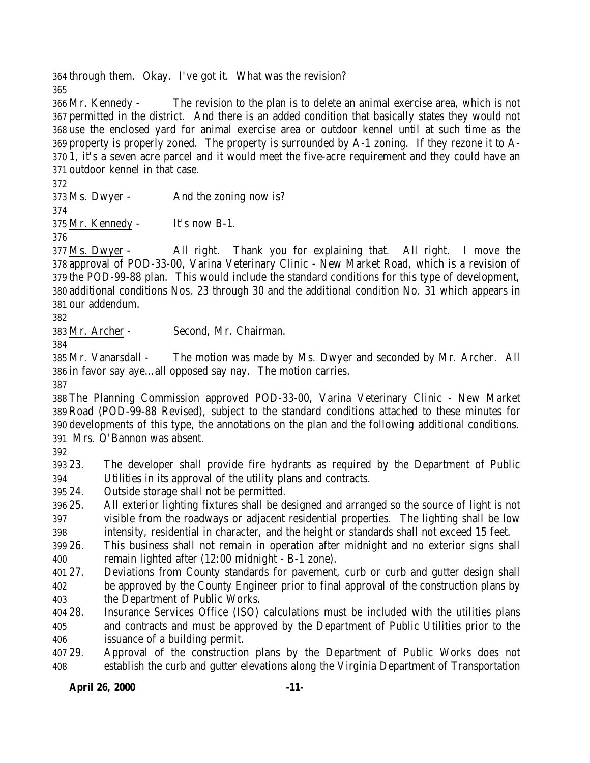through them. Okay. I've got it. What was the revision? 

 Mr. Kennedy - The revision to the plan is to delete an animal exercise area, which is not permitted in the district. And there is an added condition that basically states they would not use the enclosed yard for animal exercise area or outdoor kennel until at such time as the property is properly zoned. The property is surrounded by A-1 zoning. If they rezone it to A- 1, it's a seven acre parcel and it would meet the five-acre requirement and they could have an outdoor kennel in that case.

Ms. Dwyer - And the zoning now is?

Mr. Kennedy - It's now B-1.

 Ms. Dwyer - All right. Thank you for explaining that. All right. I move the approval of POD-33-00, Varina Veterinary Clinic - New Market Road, which is a revision of the POD-99-88 plan. This would include the standard conditions for this type of development, additional conditions Nos. 23 through 30 and the additional condition No. 31 which appears in our addendum.

Mr. Archer - Second, Mr. Chairman.

 Mr. Vanarsdall - The motion was made by Ms. Dwyer and seconded by Mr. Archer. All in favor say aye…all opposed say nay. The motion carries.

 The Planning Commission approved POD-33-00, Varina Veterinary Clinic - New Market Road (POD-99-88 Revised), subject to the standard conditions attached to these minutes for developments of this type, the annotations on the plan and the following additional conditions. Mrs. O'Bannon was absent.

 23. The developer shall provide fire hydrants as required by the Department of Public Utilities in its approval of the utility plans and contracts.

24. Outside storage shall not be permitted.

 25. All exterior lighting fixtures shall be designed and arranged so the source of light is not visible from the roadways or adjacent residential properties. The lighting shall be low intensity, residential in character, and the height or standards shall not exceed 15 feet.

 26. This business shall not remain in operation after midnight and no exterior signs shall remain lighted after (12:00 midnight - B-1 zone).

 27. Deviations from County standards for pavement, curb or curb and gutter design shall be approved by the County Engineer prior to final approval of the construction plans by the Department of Public Works.

 28. Insurance Services Office (ISO) calculations must be included with the utilities plans and contracts and must be approved by the Department of Public Utilities prior to the issuance of a building permit.

 29. Approval of the construction plans by the Department of Public Works does not establish the curb and gutter elevations along the Virginia Department of Transportation

# **April 26, 2000 -11-**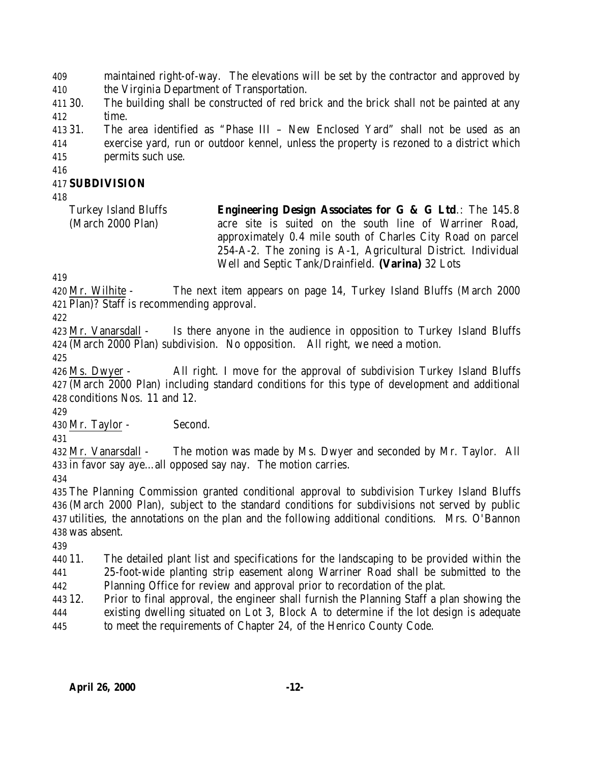maintained right-of-way. The elevations will be set by the contractor and approved by the Virginia Department of Transportation.

 30. The building shall be constructed of red brick and the brick shall not be painted at any time.

 31. The area identified as "Phase III – New Enclosed Yard" shall not be used as an exercise yard, run or outdoor kennel, unless the property is rezoned to a district which permits such use.

### **SUBDIVISION**

Turkey Island Bluffs (March 2000 Plan) **Engineering Design Associates for G & G Ltd**.: The 145.8 acre site is suited on the south line of Warriner Road, approximately 0.4 mile south of Charles City Road on parcel 254-A-2. The zoning is A-1, Agricultural District. Individual Well and Septic Tank/Drainfield. **(Varina)** 32 Lots

 Mr. Wilhite - The next item appears on page 14, Turkey Island Bluffs (March 2000 Plan)? Staff is recommending approval.

 Mr. Vanarsdall - Is there anyone in the audience in opposition to Turkey Island Bluffs (March 2000 Plan) subdivision. No opposition. All right, we need a motion.

 Ms. Dwyer - All right. I move for the approval of subdivision Turkey Island Bluffs (March 2000 Plan) including standard conditions for this type of development and additional conditions Nos. 11 and 12.

Mr. Taylor - Second.

 Mr. Vanarsdall - The motion was made by Ms. Dwyer and seconded by Mr. Taylor. All in favor say aye…all opposed say nay. The motion carries.

 The Planning Commission granted conditional approval to subdivision Turkey Island Bluffs (March 2000 Plan), subject to the standard conditions for subdivisions not served by public utilities, the annotations on the plan and the following additional conditions. Mrs. O'Bannon was absent.

 11. The detailed plant list and specifications for the landscaping to be provided within the 25-foot-wide planting strip easement along Warriner Road shall be submitted to the Planning Office for review and approval prior to recordation of the plat.

- 12. Prior to final approval, the engineer shall furnish the Planning Staff a plan showing the existing dwelling situated on Lot 3, Block A to determine if the lot design is adequate
- to meet the requirements of Chapter 24, of the Henrico County Code.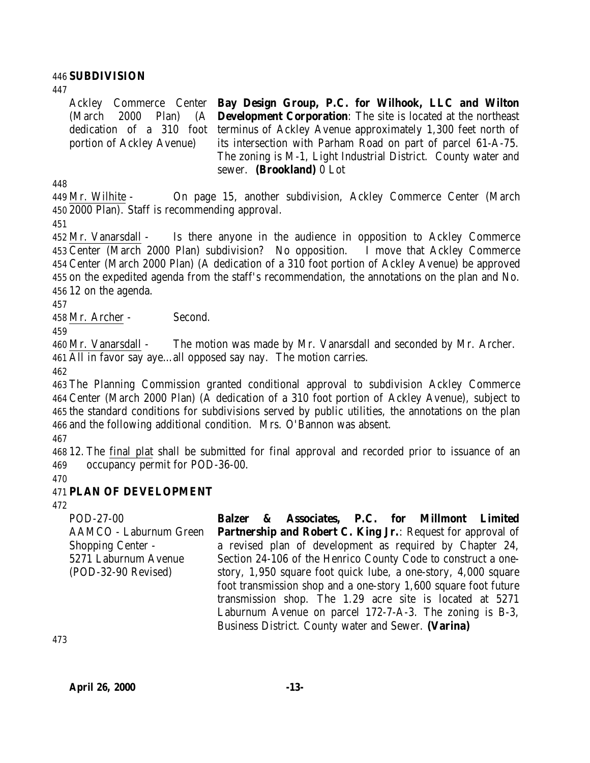#### 446 **SUBDIVISION**

Ackley Commerce Center **Bay Design Group, P.C. for Wilhook, LLC and Wilton** (March 2000 Plan) (A dedication of a 310 foot terminus of Ackley Avenue approximately 1,300 feet north of portion of Ackley Avenue) **Development Corporation**: The site is located at the northeast its intersection with Parham Road on part of parcel 61-A-75. The zoning is M-1, Light Industrial District. County water and sewer. **(Brookland)** 0 Lot

448

449 Mr. Wilhite - On page 15, another subdivision, Ackley Commerce Center (March 450 2000 Plan). Staff is recommending approval.

451

 Mr. Vanarsdall - Is there anyone in the audience in opposition to Ackley Commerce Center (March 2000 Plan) subdivision? No opposition. I move that Ackley Commerce Center (March 2000 Plan) (A dedication of a 310 foot portion of Ackley Avenue) be approved on the expedited agenda from the staff's recommendation, the annotations on the plan and No. 12 on the agenda.

457

458 Mr. Archer - Second.

459

460 Mr. Vanarsdall - The motion was made by Mr. Vanarsdall and seconded by Mr. Archer. 461 All in favor say aye…all opposed say nay. The motion carries.

462

 The Planning Commission granted conditional approval to subdivision Ackley Commerce Center (March 2000 Plan) (A dedication of a 310 foot portion of Ackley Avenue), subject to the standard conditions for subdivisions served by public utilities, the annotations on the plan and the following additional condition. Mrs. O'Bannon was absent.

467

468 12. The final plat shall be submitted for final approval and recorded prior to issuance of an 469 occupancy permit for POD-36-00.

470

# 471 **PLAN OF DEVELOPMENT**

472

POD-27-00 AAMCO - Laburnum Green Shopping Center - 5271 Laburnum Avenue (POD-32-90 Revised) **Balzer & Associates, P.C. for Millmont Limited Partnership and Robert C. King Jr.: Request for approval of** a revised plan of development as required by Chapter 24, Section 24-106 of the Henrico County Code to construct a onestory, 1,950 square foot quick lube, a one-story, 4,000 square foot transmission shop and a one-story 1,600 square foot future transmission shop. The 1.29 acre site is located at 5271 Laburnum Avenue on parcel 172-7-A-3. The zoning is B-3, Business District. County water and Sewer. **(Varina)**

473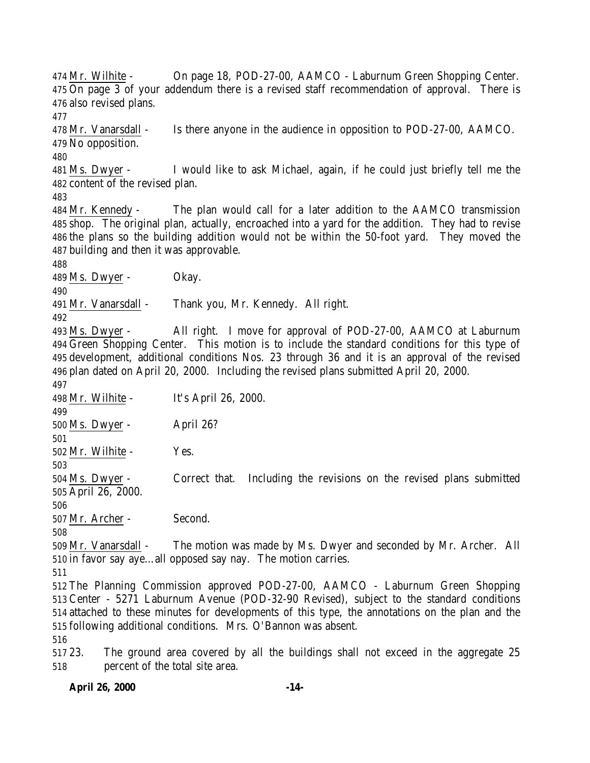Mr. Wilhite - On page 18, POD-27-00, AAMCO - Laburnum Green Shopping Center. On page 3 of your addendum there is a revised staff recommendation of approval. There is also revised plans.

 Mr. Vanarsdall - Is there anyone in the audience in opposition to POD-27-00, AAMCO. No opposition.

 Ms. Dwyer - I would like to ask Michael, again, if he could just briefly tell me the content of the revised plan.

 Mr. Kennedy - The plan would call for a later addition to the AAMCO transmission shop. The original plan, actually, encroached into a yard for the addition. They had to revise the plans so the building addition would not be within the 50-foot yard. They moved the building and then it was approvable.

Ms. Dwyer - Okay.

Mr. Vanarsdall - Thank you, Mr. Kennedy. All right.

 Ms. Dwyer - All right. I move for approval of POD-27-00, AAMCO at Laburnum Green Shopping Center. This motion is to include the standard conditions for this type of development, additional conditions Nos. 23 through 36 and it is an approval of the revised plan dated on April 20, 2000. Including the revised plans submitted April 20, 2000.

 Mr. Wilhite - It's April 26, 2000. Ms. Dwyer - April 26? Mr. Wilhite - Yes. Ms. Dwyer - Correct that. Including the revisions on the revised plans submitted April 26, 2000. Mr. Archer - Second. 

 Mr. Vanarsdall - The motion was made by Ms. Dwyer and seconded by Mr. Archer. All in favor say aye…all opposed say nay. The motion carries.

 The Planning Commission approved POD-27-00, AAMCO - Laburnum Green Shopping Center - 5271 Laburnum Avenue (POD-32-90 Revised), subject to the standard conditions attached to these minutes for developments of this type, the annotations on the plan and the following additional conditions. Mrs. O'Bannon was absent.

 23. The ground area covered by all the buildings shall not exceed in the aggregate 25 percent of the total site area.

# **April 26, 2000 -14-**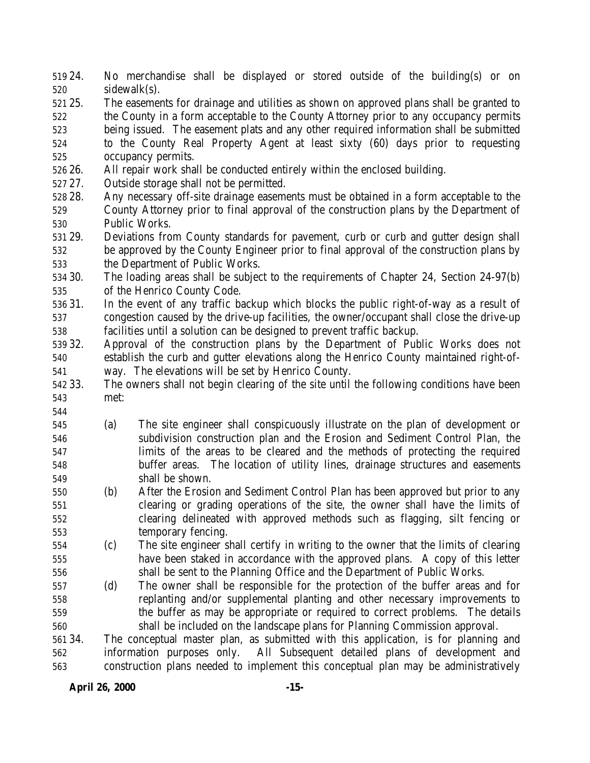24. No merchandise shall be displayed or stored outside of the building(s) or on sidewalk(s).

- 25. The easements for drainage and utilities as shown on approved plans shall be granted to the County in a form acceptable to the County Attorney prior to any occupancy permits being issued. The easement plats and any other required information shall be submitted to the County Real Property Agent at least sixty (60) days prior to requesting occupancy permits.
- 26. All repair work shall be conducted entirely within the enclosed building.
- 27. Outside storage shall not be permitted.
- 28. Any necessary off-site drainage easements must be obtained in a form acceptable to the County Attorney prior to final approval of the construction plans by the Department of Public Works.
- 29. Deviations from County standards for pavement, curb or curb and gutter design shall be approved by the County Engineer prior to final approval of the construction plans by the Department of Public Works.
- 30. The loading areas shall be subject to the requirements of Chapter 24, Section 24-97(b) of the Henrico County Code.
- 31. In the event of any traffic backup which blocks the public right-of-way as a result of congestion caused by the drive-up facilities, the owner/occupant shall close the drive-up facilities until a solution can be designed to prevent traffic backup.
- 32. Approval of the construction plans by the Department of Public Works does not establish the curb and gutter elevations along the Henrico County maintained right-of-way. The elevations will be set by Henrico County.
- 33. The owners shall not begin clearing of the site until the following conditions have been met:
- (a) The site engineer shall conspicuously illustrate on the plan of development or subdivision construction plan and the Erosion and Sediment Control Plan, the limits of the areas to be cleared and the methods of protecting the required buffer areas. The location of utility lines, drainage structures and easements shall be shown.
- (b) After the Erosion and Sediment Control Plan has been approved but prior to any clearing or grading operations of the site, the owner shall have the limits of clearing delineated with approved methods such as flagging, silt fencing or temporary fencing.
- (c) The site engineer shall certify in writing to the owner that the limits of clearing have been staked in accordance with the approved plans. A copy of this letter shall be sent to the Planning Office and the Department of Public Works.
- (d) The owner shall be responsible for the protection of the buffer areas and for replanting and/or supplemental planting and other necessary improvements to the buffer as may be appropriate or required to correct problems. The details shall be included on the landscape plans for Planning Commission approval.
- 34. The conceptual master plan, as submitted with this application, is for planning and information purposes only. All Subsequent detailed plans of development and construction plans needed to implement this conceptual plan may be administratively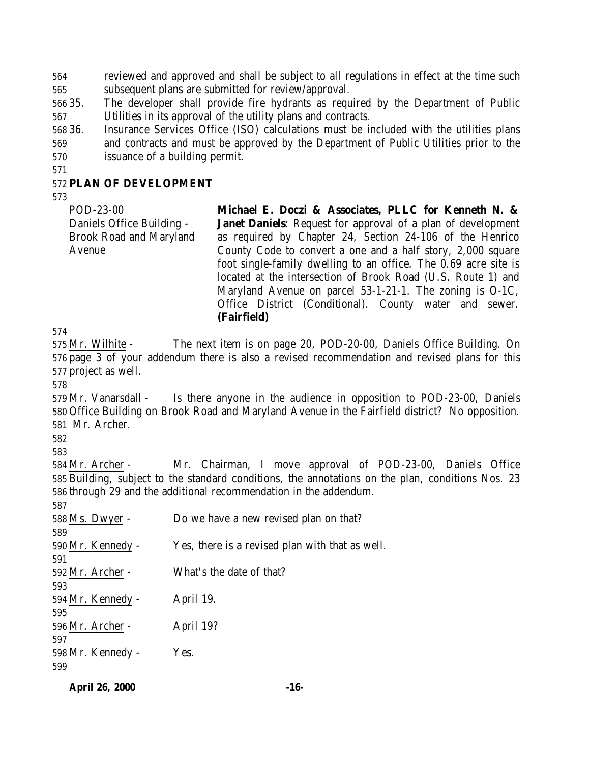reviewed and approved and shall be subject to all regulations in effect at the time such subsequent plans are submitted for review/approval.

- 35. The developer shall provide fire hydrants as required by the Department of Public Utilities in its approval of the utility plans and contracts.
- 36. Insurance Services Office (ISO) calculations must be included with the utilities plans and contracts and must be approved by the Department of Public Utilities prior to the issuance of a building permit.
- 

#### **PLAN OF DEVELOPMENT**

POD-23-00 Daniels Office Building - Brook Road and Maryland Avenue

**Michael E. Doczi & Associates, PLLC for Kenneth N. & Janet Daniels**: Request for approval of a plan of development as required by Chapter 24, Section 24-106 of the Henrico County Code to convert a one and a half story, 2,000 square foot single-family dwelling to an office. The 0.69 acre site is located at the intersection of Brook Road (U.S. Route 1) and Maryland Avenue on parcel 53-1-21-1. The zoning is O-1C, Office District (Conditional). County water and sewer. **(Fairfield)**

 Mr. Wilhite - The next item is on page 20, POD-20-00, Daniels Office Building. On page 3 of your addendum there is also a revised recommendation and revised plans for this project as well.

 Mr. Vanarsdall - Is there anyone in the audience in opposition to POD-23-00, Daniels Office Building on Brook Road and Maryland Avenue in the Fairfield district? No opposition. Mr. Archer.

 Mr. Archer - Mr. Chairman, I move approval of POD-23-00, Daniels Office Building, subject to the standard conditions, the annotations on the plan, conditions Nos. 23 through 29 and the additional recommendation in the addendum.

| 587               |                                                 |
|-------------------|-------------------------------------------------|
| 588 Ms. Dwyer -   | Do we have a new revised plan on that?          |
| 589               |                                                 |
| 590 Mr. Kennedy - | Yes, there is a revised plan with that as well. |
| 591               |                                                 |
| 592 Mr. Archer -  | What's the date of that?                        |
| 593               |                                                 |
| 594 Mr. Kennedy - | April 19.                                       |
| 595               |                                                 |
| 596 Mr. Archer -  | April 19?                                       |
| 597               |                                                 |
| 598 Mr. Kennedy - | Yes.                                            |
| 599               |                                                 |

**April 26, 2000 -16-**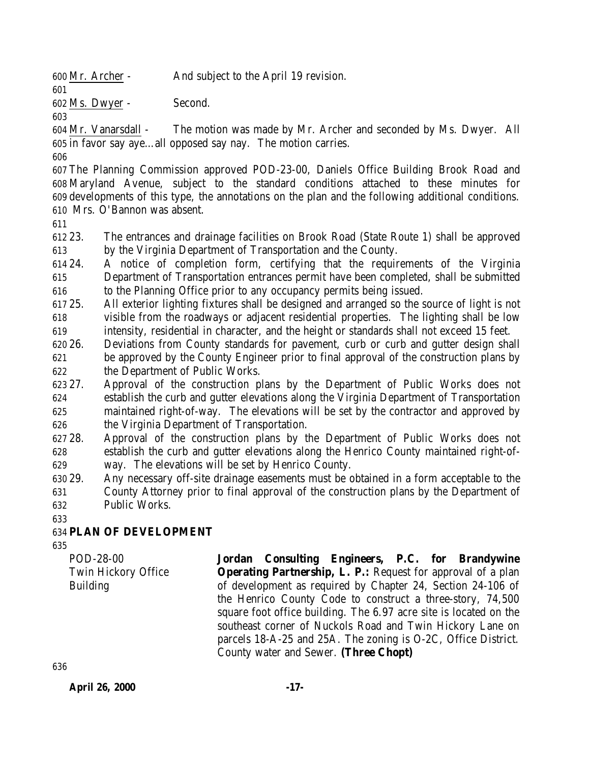Mr. Archer - And subject to the April 19 revision.

Ms. Dwyer - Second.

 Mr. Vanarsdall - The motion was made by Mr. Archer and seconded by Ms. Dwyer. All in favor say aye…all opposed say nay. The motion carries.

 The Planning Commission approved POD-23-00, Daniels Office Building Brook Road and Maryland Avenue, subject to the standard conditions attached to these minutes for developments of this type, the annotations on the plan and the following additional conditions. Mrs. O'Bannon was absent.

 23. The entrances and drainage facilities on Brook Road (State Route 1) shall be approved by the Virginia Department of Transportation and the County.

 24. A notice of completion form, certifying that the requirements of the Virginia Department of Transportation entrances permit have been completed, shall be submitted to the Planning Office prior to any occupancy permits being issued.

 25. All exterior lighting fixtures shall be designed and arranged so the source of light is not visible from the roadways or adjacent residential properties. The lighting shall be low intensity, residential in character, and the height or standards shall not exceed 15 feet.

- 26. Deviations from County standards for pavement, curb or curb and gutter design shall
- be approved by the County Engineer prior to final approval of the construction plans by the Department of Public Works.

 27. Approval of the construction plans by the Department of Public Works does not establish the curb and gutter elevations along the Virginia Department of Transportation maintained right-of-way. The elevations will be set by the contractor and approved by the Virginia Department of Transportation.

 28. Approval of the construction plans by the Department of Public Works does not establish the curb and gutter elevations along the Henrico County maintained right-of-way. The elevations will be set by Henrico County.

- 29. Any necessary off-site drainage easements must be obtained in a form acceptable to the County Attorney prior to final approval of the construction plans by the Department of Public Works.
- 

# **PLAN OF DEVELOPMENT**

POD-28-00 Twin Hickory Office Building

**Jordan Consulting Engineers, P.C. for Brandywine Operating Partnership, L. P.:** Request for approval of a plan of development as required by Chapter 24, Section 24-106 of the Henrico County Code to construct a three-story, 74,500 square foot office building. The 6.97 acre site is located on the southeast corner of Nuckols Road and Twin Hickory Lane on parcels 18-A-25 and 25A. The zoning is O-2C, Office District. County water and Sewer. **(Three Chopt)**

**April 26, 2000 -17-**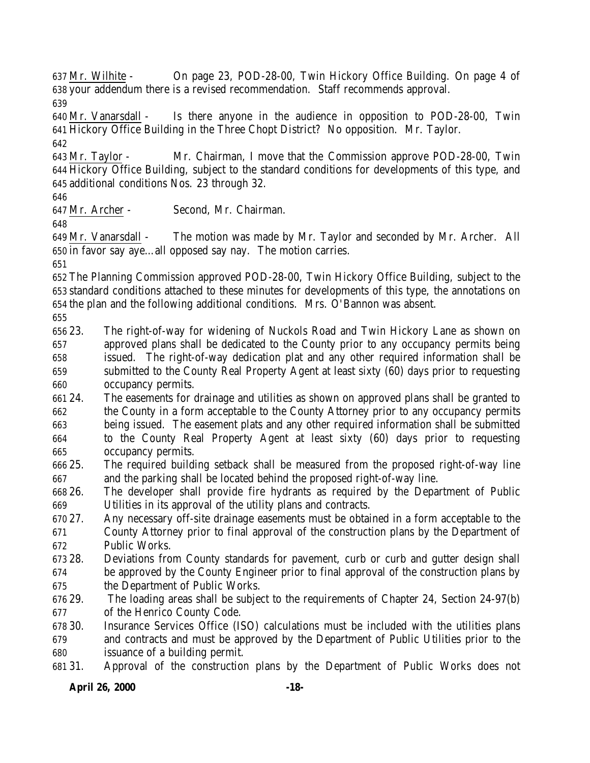Mr. Wilhite - On page 23, POD-28-00, Twin Hickory Office Building. On page 4 of your addendum there is a revised recommendation. Staff recommends approval. 

 Mr. Vanarsdall - Is there anyone in the audience in opposition to POD-28-00, Twin Hickory Office Building in the Three Chopt District? No opposition. Mr. Taylor. 

 Mr. Taylor - Mr. Chairman, I move that the Commission approve POD-28-00, Twin Hickory Office Building, subject to the standard conditions for developments of this type, and additional conditions Nos. 23 through 32.

Mr. Archer - Second, Mr. Chairman.

 Mr. Vanarsdall - The motion was made by Mr. Taylor and seconded by Mr. Archer. All in favor say aye…all opposed say nay. The motion carries.

 The Planning Commission approved POD-28-00, Twin Hickory Office Building, subject to the standard conditions attached to these minutes for developments of this type, the annotations on the plan and the following additional conditions. Mrs. O'Bannon was absent.

 23. The right-of-way for widening of Nuckols Road and Twin Hickory Lane as shown on approved plans shall be dedicated to the County prior to any occupancy permits being issued. The right-of-way dedication plat and any other required information shall be submitted to the County Real Property Agent at least sixty (60) days prior to requesting occupancy permits.

 24. The easements for drainage and utilities as shown on approved plans shall be granted to the County in a form acceptable to the County Attorney prior to any occupancy permits being issued. The easement plats and any other required information shall be submitted to the County Real Property Agent at least sixty (60) days prior to requesting occupancy permits.

 25. The required building setback shall be measured from the proposed right-of-way line and the parking shall be located behind the proposed right-of-way line.

 26. The developer shall provide fire hydrants as required by the Department of Public Utilities in its approval of the utility plans and contracts.

 27. Any necessary off-site drainage easements must be obtained in a form acceptable to the County Attorney prior to final approval of the construction plans by the Department of Public Works.

 28. Deviations from County standards for pavement, curb or curb and gutter design shall be approved by the County Engineer prior to final approval of the construction plans by the Department of Public Works.

 29. The loading areas shall be subject to the requirements of Chapter 24, Section 24-97(b) of the Henrico County Code.

 30. Insurance Services Office (ISO) calculations must be included with the utilities plans and contracts and must be approved by the Department of Public Utilities prior to the issuance of a building permit.

31. Approval of the construction plans by the Department of Public Works does not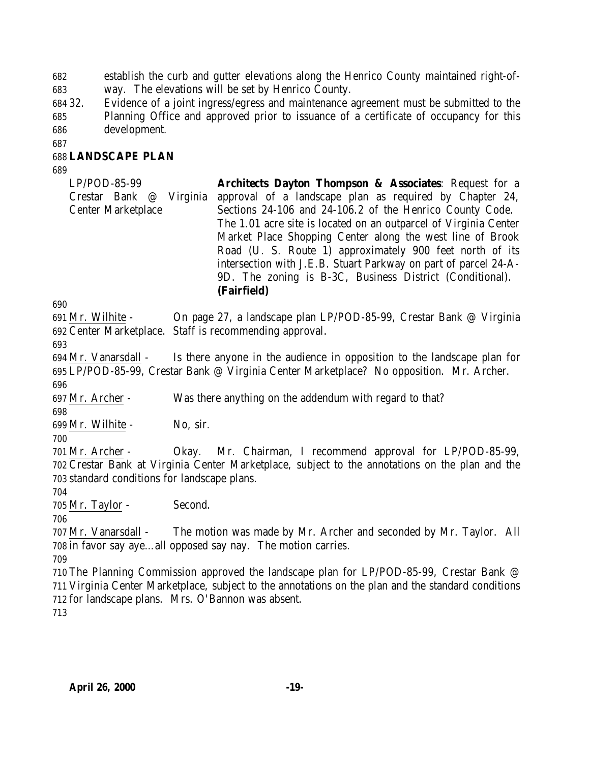establish the curb and gutter elevations along the Henrico County maintained right-of-way. The elevations will be set by Henrico County.

 32. Evidence of a joint ingress/egress and maintenance agreement must be submitted to the Planning Office and approved prior to issuance of a certificate of occupancy for this development.

#### **LANDSCAPE PLAN**

LP/POD-85-99 Crestar Bank @ Virginia Center Marketplace **Architects Dayton Thompson & Associates**: Request for a approval of a landscape plan as required by Chapter 24, Sections 24-106 and 24-106.2 of the Henrico County Code. The 1.01 acre site is located on an outparcel of Virginia Center Market Place Shopping Center along the west line of Brook Road (U. S. Route 1) approximately 900 feet north of its intersection with J.E.B. Stuart Parkway on part of parcel 24-A-9D. The zoning is B-3C, Business District (Conditional). **(Fairfield)**

 Mr. Wilhite - On page 27, a landscape plan LP/POD-85-99, Crestar Bank @ Virginia Center Marketplace. Staff is recommending approval.

 Mr. Vanarsdall - Is there anyone in the audience in opposition to the landscape plan for LP/POD-85-99, Crestar Bank @ Virginia Center Marketplace? No opposition. Mr. Archer. 

Mr. Archer - Was there anything on the addendum with regard to that?

 Mr. Wilhite - No, sir.

Mr. Archer - Okay. Mr. Chairman, I recommend approval for LP/POD-85-99,

 Crestar Bank at Virginia Center Marketplace, subject to the annotations on the plan and the standard conditions for landscape plans.

Mr. Taylor - Second.

 Mr. Vanarsdall - The motion was made by Mr. Archer and seconded by Mr. Taylor. All in favor say aye…all opposed say nay. The motion carries.

 The Planning Commission approved the landscape plan for LP/POD-85-99, Crestar Bank @ Virginia Center Marketplace, subject to the annotations on the plan and the standard conditions for landscape plans. Mrs. O'Bannon was absent.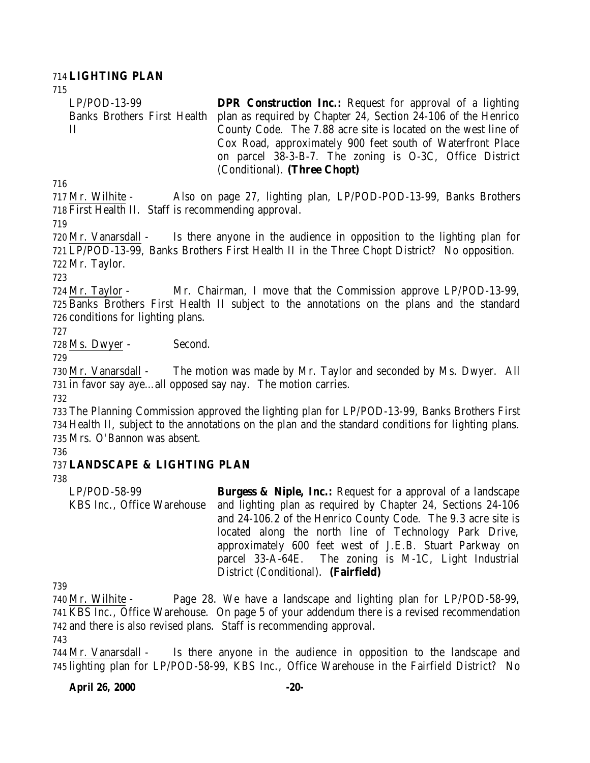#### **LIGHTING PLAN**

LP/POD-13-99 Banks Brothers First Health II **DPR Construction Inc.:** Request for approval of a lighting plan as required by Chapter 24, Section 24-106 of the Henrico County Code. The 7.88 acre site is located on the west line of Cox Road, approximately 900 feet south of Waterfront Place on parcel 38-3-B-7. The zoning is O-3C, Office District (Conditional). **(Three Chopt)**

 Mr. Wilhite - Also on page 27, lighting plan, LP/POD-POD-13-99, Banks Brothers First Health II. Staff is recommending approval.

 Mr. Vanarsdall - Is there anyone in the audience in opposition to the lighting plan for LP/POD-13-99, Banks Brothers First Health II in the Three Chopt District? No opposition. Mr. Taylor.

 Mr. Taylor - Mr. Chairman, I move that the Commission approve LP/POD-13-99, Banks Brothers First Health II subject to the annotations on the plans and the standard conditions for lighting plans.

Ms. Dwyer - Second.

 Mr. Vanarsdall - The motion was made by Mr. Taylor and seconded by Ms. Dwyer. All in favor say aye…all opposed say nay. The motion carries.

 The Planning Commission approved the lighting plan for LP/POD-13-99, Banks Brothers First Health II, subject to the annotations on the plan and the standard conditions for lighting plans. Mrs. O'Bannon was absent.

# **LANDSCAPE & LIGHTING PLAN**

LP/POD-58-99 KBS Inc., Office Warehouse **Burgess & Niple, Inc.:** Request for a approval of a landscape and lighting plan as required by Chapter 24, Sections 24-106 and 24-106.2 of the Henrico County Code. The 9.3 acre site is located along the north line of Technology Park Drive, approximately 600 feet west of J.E.B. Stuart Parkway on parcel 33-A-64E. The zoning is M-1C, Light Industrial District (Conditional). **(Fairfield)**

 Mr. Wilhite - Page 28. We have a landscape and lighting plan for LP/POD-58-99, KBS Inc., Office Warehouse. On page 5 of your addendum there is a revised recommendation and there is also revised plans. Staff is recommending approval.

 Mr. Vanarsdall - Is there anyone in the audience in opposition to the landscape and lighting plan for LP/POD-58-99, KBS Inc., Office Warehouse in the Fairfield District? No

#### **April 26, 2000 -20-**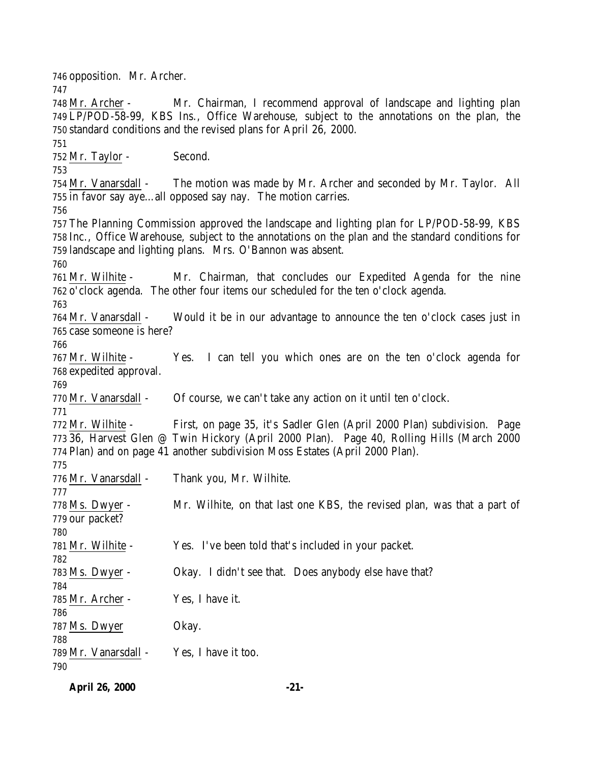opposition. Mr. Archer. Mr. Archer - Mr. Chairman, I recommend approval of landscape and lighting plan LP/POD-58-99, KBS Ins., Office Warehouse, subject to the annotations on the plan, the standard conditions and the revised plans for April 26, 2000. Mr. Taylor - Second. Mr. Vanarsdall - The motion was made by Mr. Archer and seconded by Mr. Taylor. All in favor say aye…all opposed say nay. The motion carries. The Planning Commission approved the landscape and lighting plan for LP/POD-58-99, KBS Inc., Office Warehouse, subject to the annotations on the plan and the standard conditions for landscape and lighting plans. Mrs. O'Bannon was absent. Mr. Wilhite - Mr. Chairman, that concludes our Expedited Agenda for the nine o'clock agenda. The other four items our scheduled for the ten o'clock agenda. Mr. Vanarsdall - Would it be in our advantage to announce the ten o'clock cases just in case someone is here? Mr. Wilhite - Yes. I can tell you which ones are on the ten o'clock agenda for expedited approval. Mr. Vanarsdall - Of course, we can't take any action on it until ten o'clock. Mr. Wilhite - First, on page 35, it's Sadler Glen (April 2000 Plan) subdivision. Page 36, Harvest Glen @ Twin Hickory (April 2000 Plan). Page 40, Rolling Hills (March 2000 Plan) and on page 41 another subdivision Moss Estates (April 2000 Plan). Mr. Vanarsdall - Thank you, Mr. Wilhite. Ms. Dwyer - Mr. Wilhite, on that last one KBS, the revised plan, was that a part of our packet? Mr. Wilhite - Yes. I've been told that's included in your packet. Ms. Dwyer - Okay. I didn't see that. Does anybody else have that? Mr. Archer - Yes, I have it. Ms. Dwyer Okay. Mr. Vanarsdall - Yes, I have it too. 

**April 26, 2000 -21-**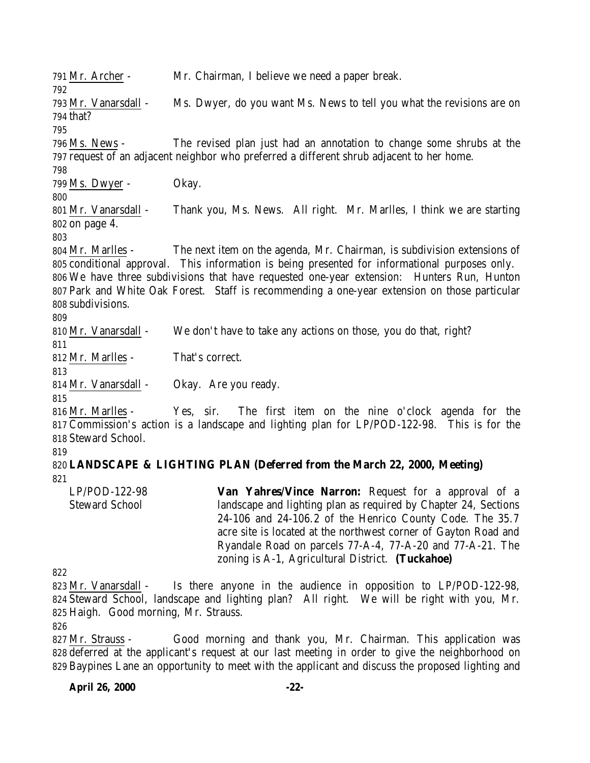Mr. Archer - Mr. Chairman, I believe we need a paper break. Mr. Vanarsdall - Ms. Dwyer, do you want Ms. News to tell you what the revisions are on that? Ms. News - The revised plan just had an annotation to change some shrubs at the request of an adjacent neighbor who preferred a different shrub adjacent to her home. Ms. Dwyer - Okay. Mr. Vanarsdall - Thank you, Ms. News. All right. Mr. Marlles, I think we are starting on page 4. Mr. Marlles - The next item on the agenda, Mr. Chairman, is subdivision extensions of conditional approval. This information is being presented for informational purposes only. We have three subdivisions that have requested one-year extension: Hunters Run, Hunton Park and White Oak Forest. Staff is recommending a one-year extension on those particular subdivisions. Mr. Vanarsdall - We don't have to take any actions on those, you do that, right? Mr. Marlles - That's correct. Mr. Vanarsdall - Okay. Are you ready. Mr. Marlles - Yes, sir. The first item on the nine o'clock agenda for the Commission's action is a landscape and lighting plan for LP/POD-122-98. This is for the Steward School. **LANDSCAPE & LIGHTING PLAN (Deferred from the March 22, 2000, Meeting)** LP/POD-122-98 Steward School **Van Yahres/Vince Narron:** Request for a approval of a landscape and lighting plan as required by Chapter 24, Sections 24-106 and 24-106.2 of the Henrico County Code. The 35.7 acre site is located at the northwest corner of Gayton Road and Ryandale Road on parcels 77-A-4, 77-A-20 and 77-A-21. The zoning is A-1, Agricultural District. **(Tuckahoe)** 

 Mr. Vanarsdall - Is there anyone in the audience in opposition to LP/POD-122-98, Steward School, landscape and lighting plan? All right. We will be right with you, Mr. Haigh. Good morning, Mr. Strauss.

 Mr. Strauss - Good morning and thank you, Mr. Chairman. This application was deferred at the applicant's request at our last meeting in order to give the neighborhood on Baypines Lane an opportunity to meet with the applicant and discuss the proposed lighting and

#### **April 26, 2000 -22-**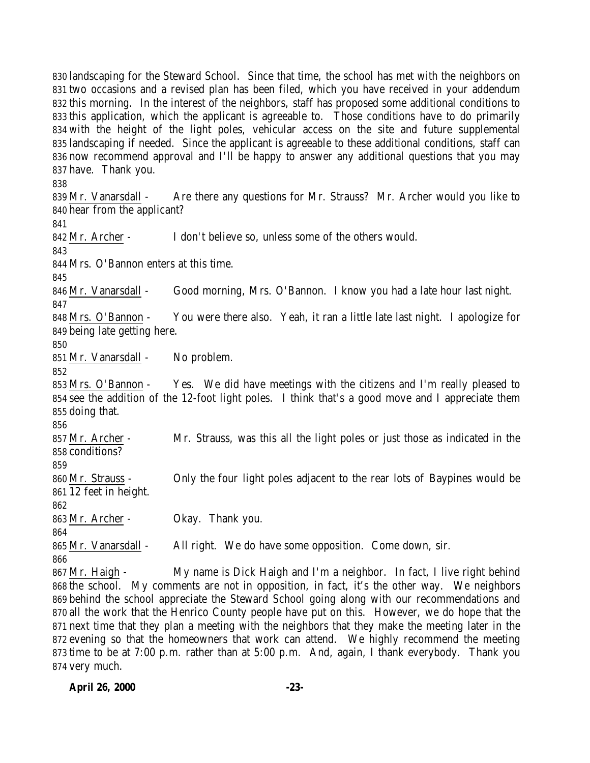landscaping for the Steward School. Since that time, the school has met with the neighbors on two occasions and a revised plan has been filed, which you have received in your addendum this morning. In the interest of the neighbors, staff has proposed some additional conditions to this application, which the applicant is agreeable to. Those conditions have to do primarily with the height of the light poles, vehicular access on the site and future supplemental landscaping if needed. Since the applicant is agreeable to these additional conditions, staff can now recommend approval and I'll be happy to answer any additional questions that you may have. Thank you. 839 Mr. Vanarsdall - Are there any questions for Mr. Strauss? Mr. Archer would you like to hear from the applicant? Mr. Archer - I don't believe so, unless some of the others would. Mrs. O'Bannon enters at this time. Mr. Vanarsdall - Good morning, Mrs. O'Bannon. I know you had a late hour last night. Mrs. O'Bannon - You were there also. Yeah, it ran a little late last night. I apologize for being late getting here. Mr. Vanarsdall - No problem. Mrs. O'Bannon - Yes. We did have meetings with the citizens and I'm really pleased to see the addition of the 12-foot light poles. I think that's a good move and I appreciate them doing that. Mr. Archer - Mr. Strauss, was this all the light poles or just those as indicated in the conditions? Mr. Strauss - Only the four light poles adjacent to the rear lots of Baypines would be 12 feet in height. Mr. Archer - Okay. Thank you. Mr. Vanarsdall - All right. We do have some opposition. Come down, sir. Mr. Haigh - My name is Dick Haigh and I'm a neighbor. In fact, I live right behind the school. My comments are not in opposition, in fact, it's the other way. We neighbors behind the school appreciate the Steward School going along with our recommendations and all the work that the Henrico County people have put on this. However, we do hope that the next time that they plan a meeting with the neighbors that they make the meeting later in the evening so that the homeowners that work can attend. We highly recommend the meeting

 time to be at 7:00 p.m. rather than at 5:00 p.m. And, again, I thank everybody. Thank you very much.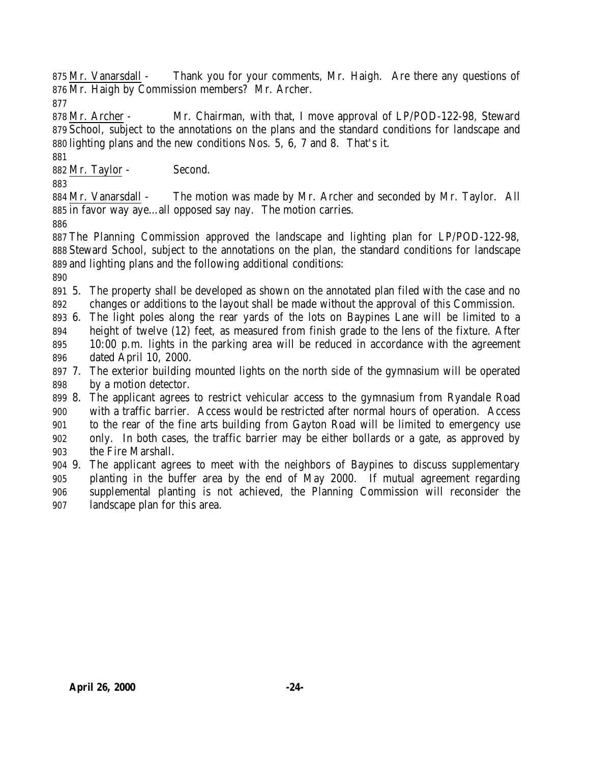875 Mr. Vanarsdall - Thank you for your comments, Mr. Haigh. Are there any questions of Mr. Haigh by Commission members? Mr. Archer.

 Mr. Archer - Mr. Chairman, with that, I move approval of LP/POD-122-98, Steward School, subject to the annotations on the plans and the standard conditions for landscape and lighting plans and the new conditions Nos. 5, 6, 7 and 8. That's it.

Mr. Taylor - Second.

 Mr. Vanarsdall - The motion was made by Mr. Archer and seconded by Mr. Taylor. All in favor way aye…all opposed say nay. The motion carries.

 The Planning Commission approved the landscape and lighting plan for LP/POD-122-98, Steward School, subject to the annotations on the plan, the standard conditions for landscape and lighting plans and the following additional conditions:

- 5. The property shall be developed as shown on the annotated plan filed with the case and no changes or additions to the layout shall be made without the approval of this Commission.
- 6. The light poles along the rear yards of the lots on Baypines Lane will be limited to a height of twelve (12) feet, as measured from finish grade to the lens of the fixture. After 10:00 p.m. lights in the parking area will be reduced in accordance with the agreement dated April 10, 2000.
- 7. The exterior building mounted lights on the north side of the gymnasium will be operated by a motion detector.
- 8. The applicant agrees to restrict vehicular access to the gymnasium from Ryandale Road with a traffic barrier. Access would be restricted after normal hours of operation. Access to the rear of the fine arts building from Gayton Road will be limited to emergency use only. In both cases, the traffic barrier may be either bollards or a gate, as approved by the Fire Marshall.
- 9. The applicant agrees to meet with the neighbors of Baypines to discuss supplementary planting in the buffer area by the end of May 2000. If mutual agreement regarding supplemental planting is not achieved, the Planning Commission will reconsider the landscape plan for this area.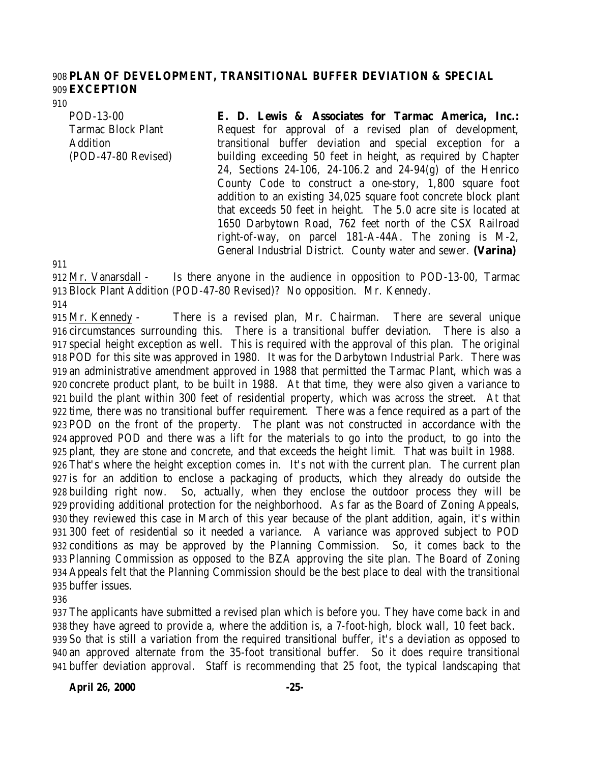#### **PLAN OF DEVELOPMENT, TRANSITIONAL BUFFER DEVIATION & SPECIAL EXCEPTION**

POD-13-00 Tarmac Block Plant Addition (POD-47-80 Revised) **E. D. Lewis & Associates for Tarmac America, Inc.:** Request for approval of a revised plan of development, transitional buffer deviation and special exception for a building exceeding 50 feet in height, as required by Chapter 24, Sections 24-106, 24-106.2 and 24-94(g) of the Henrico County Code to construct a one-story, 1,800 square foot addition to an existing 34,025 square foot concrete block plant that exceeds 50 feet in height. The 5.0 acre site is located at 1650 Darbytown Road, 762 feet north of the CSX Railroad right-of-way, on parcel 181-A-44A. The zoning is M-2, General Industrial District. County water and sewer. **(Varina)**

 Mr. Vanarsdall - Is there anyone in the audience in opposition to POD-13-00, Tarmac Block Plant Addition (POD-47-80 Revised)? No opposition. Mr. Kennedy.

 Mr. Kennedy - There is a revised plan, Mr. Chairman. There are several unique circumstances surrounding this. There is a transitional buffer deviation. There is also a special height exception as well. This is required with the approval of this plan. The original POD for this site was approved in 1980. It was for the Darbytown Industrial Park. There was an administrative amendment approved in 1988 that permitted the Tarmac Plant, which was a concrete product plant, to be built in 1988. At that time, they were also given a variance to build the plant within 300 feet of residential property, which was across the street. At that time, there was no transitional buffer requirement. There was a fence required as a part of the POD on the front of the property. The plant was not constructed in accordance with the approved POD and there was a lift for the materials to go into the product, to go into the plant, they are stone and concrete, and that exceeds the height limit. That was built in 1988. That's where the height exception comes in. It's not with the current plan. The current plan is for an addition to enclose a packaging of products, which they already do outside the building right now. So, actually, when they enclose the outdoor process they will be providing additional protection for the neighborhood. As far as the Board of Zoning Appeals, they reviewed this case in March of this year because of the plant addition, again, it's within 300 feet of residential so it needed a variance. A variance was approved subject to POD conditions as may be approved by the Planning Commission. So, it comes back to the Planning Commission as opposed to the BZA approving the site plan. The Board of Zoning Appeals felt that the Planning Commission should be the best place to deal with the transitional buffer issues.

 The applicants have submitted a revised plan which is before you. They have come back in and they have agreed to provide a, where the addition is, a 7-foot-high, block wall, 10 feet back. So that is still a variation from the required transitional buffer, it's a deviation as opposed to an approved alternate from the 35-foot transitional buffer. So it does require transitional buffer deviation approval. Staff is recommending that 25 foot, the typical landscaping that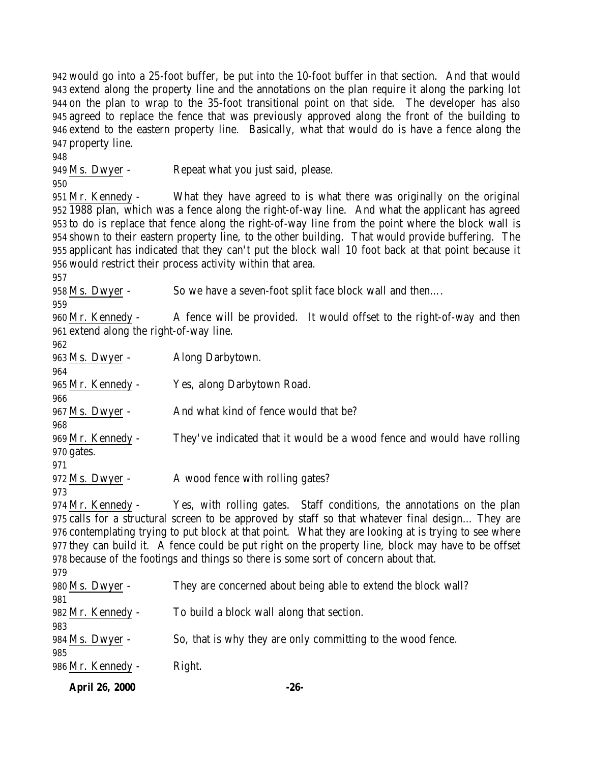would go into a 25-foot buffer, be put into the 10-foot buffer in that section. And that would extend along the property line and the annotations on the plan require it along the parking lot on the plan to wrap to the 35-foot transitional point on that side. The developer has also agreed to replace the fence that was previously approved along the front of the building to extend to the eastern property line. Basically, what that would do is have a fence along the property line.

Ms. Dwyer - Repeat what you just said, please.

 Mr. Kennedy - What they have agreed to is what there was originally on the original 1988 plan, which was a fence along the right-of-way line. And what the applicant has agreed to do is replace that fence along the right-of-way line from the point where the block wall is shown to their eastern property line, to the other building. That would provide buffering. The applicant has indicated that they can't put the block wall 10 foot back at that point because it would restrict their process activity within that area.

Ms. Dwyer - So we have a seven-foot split face block wall and then….

 Mr. Kennedy - A fence will be provided. It would offset to the right-of-way and then extend along the right-of-way line.

 Ms. Dwyer - Along Darbytown. Mr. Kennedy - Yes, along Darbytown Road. Ms. Dwyer - And what kind of fence would that be? Mr. Kennedy - They've indicated that it would be a wood fence and would have rolling gates. 972 Ms. Dwyer - A wood fence with rolling gates? Mr. Kennedy - Yes, with rolling gates. Staff conditions, the annotations on the plan calls for a structural screen to be approved by staff so that whatever final design… They are contemplating trying to put block at that point. What they are looking at is trying to see where they can build it. A fence could be put right on the property line, block may have to be offset because of the footings and things so there is some sort of concern about that. Ms. Dwyer - They are concerned about being able to extend the block wall?

Mr. Kennedy - To build a block wall along that section.

984 Ms. Dwyer - So, that is why they are only committing to the wood fence.

Mr. Kennedy - Right.

**April 26, 2000 -26-**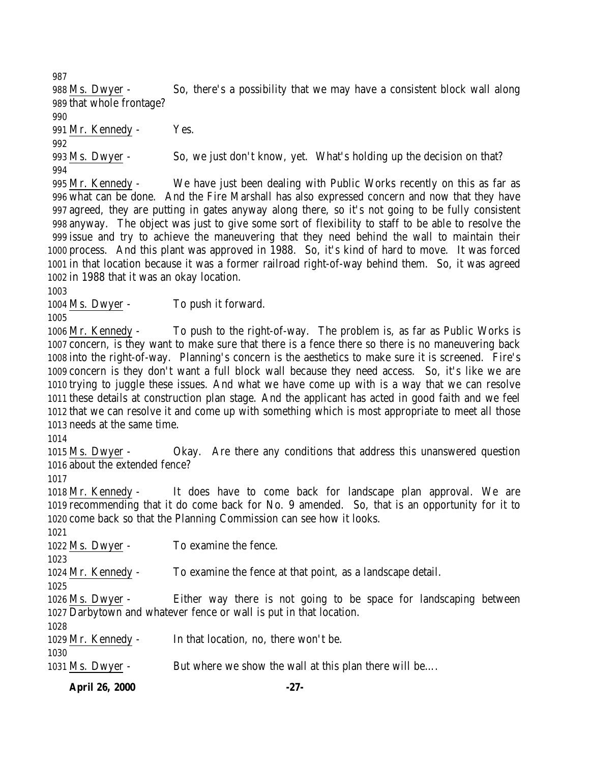Ms. Dwyer - So, there's a possibility that we may have a consistent block wall along that whole frontage?

Mr. Kennedy - Yes.

 Ms. Dwyer - So, we just don't know, yet. What's holding up the decision on that? 

 Mr. Kennedy - We have just been dealing with Public Works recently on this as far as what can be done. And the Fire Marshall has also expressed concern and now that they have agreed, they are putting in gates anyway along there, so it's not going to be fully consistent anyway. The object was just to give some sort of flexibility to staff to be able to resolve the issue and try to achieve the maneuvering that they need behind the wall to maintain their process. And this plant was approved in 1988. So, it's kind of hard to move. It was forced in that location because it was a former railroad right-of-way behind them. So, it was agreed in 1988 that it was an okay location.

Ms. Dwyer - To push it forward.

 Mr. Kennedy - To push to the right-of-way. The problem is, as far as Public Works is concern, is they want to make sure that there is a fence there so there is no maneuvering back into the right-of-way. Planning's concern is the aesthetics to make sure it is screened. Fire's concern is they don't want a full block wall because they need access. So, it's like we are trying to juggle these issues. And what we have come up with is a way that we can resolve these details at construction plan stage. And the applicant has acted in good faith and we feel that we can resolve it and come up with something which is most appropriate to meet all those needs at the same time.

 Ms. Dwyer - Okay. Are there any conditions that address this unanswered question about the extended fence?

 Mr. Kennedy - It does have to come back for landscape plan approval. We are recommending that it do come back for No. 9 amended. So, that is an opportunity for it to come back so that the Planning Commission can see how it looks.

1022 Ms. Dwyer - To examine the fence.

Mr. Kennedy - To examine the fence at that point, as a landscape detail.

 Ms. Dwyer - Either way there is not going to be space for landscaping between Darbytown and whatever fence or wall is put in that location.

Mr. Kennedy - In that location, no, there won't be.

1031 Ms. Dwyer - But where we show the wall at this plan there will be....

**April 26, 2000 -27-**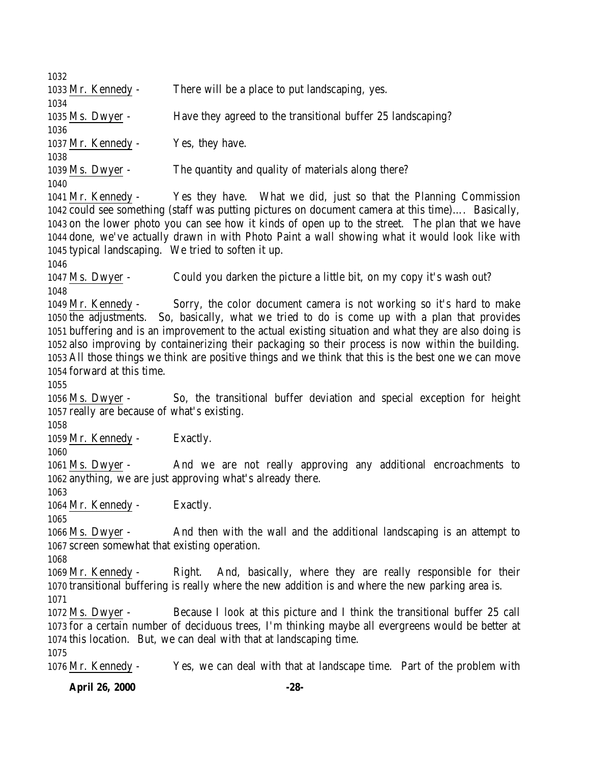Mr. Kennedy - There will be a place to put landscaping, yes. Ms. Dwyer - Have they agreed to the transitional buffer 25 landscaping? 1037 Mr. Kennedy - Yes, they have. Ms. Dwyer - The quantity and quality of materials along there? Mr. Kennedy - Yes they have. What we did, just so that the Planning Commission could see something (staff was putting pictures on document camera at this time)…. Basically, on the lower photo you can see how it kinds of open up to the street. The plan that we have done, we've actually drawn in with Photo Paint a wall showing what it would look like with typical landscaping. We tried to soften it up. Ms. Dwyer - Could you darken the picture a little bit, on my copy it's wash out? Mr. Kennedy - Sorry, the color document camera is not working so it's hard to make the adjustments. So, basically, what we tried to do is come up with a plan that provides buffering and is an improvement to the actual existing situation and what they are also doing is also improving by containerizing their packaging so their process is now within the building. All those things we think are positive things and we think that this is the best one we can move forward at this time. Ms. Dwyer - So, the transitional buffer deviation and special exception for height really are because of what's existing. 1059 Mr. Kennedy - Exactly. Ms. Dwyer - And we are not really approving any additional encroachments to anything, we are just approving what's already there. Mr. Kennedy - Exactly. Ms. Dwyer - And then with the wall and the additional landscaping is an attempt to screen somewhat that existing operation. Mr. Kennedy - Right. And, basically, where they are really responsible for their transitional buffering is really where the new addition is and where the new parking area is. Ms. Dwyer - Because I look at this picture and I think the transitional buffer 25 call for a certain number of deciduous trees, I'm thinking maybe all evergreens would be better at this location. But, we can deal with that at landscaping time. Mr. Kennedy - Yes, we can deal with that at landscape time. Part of the problem with

**April 26, 2000 -28-**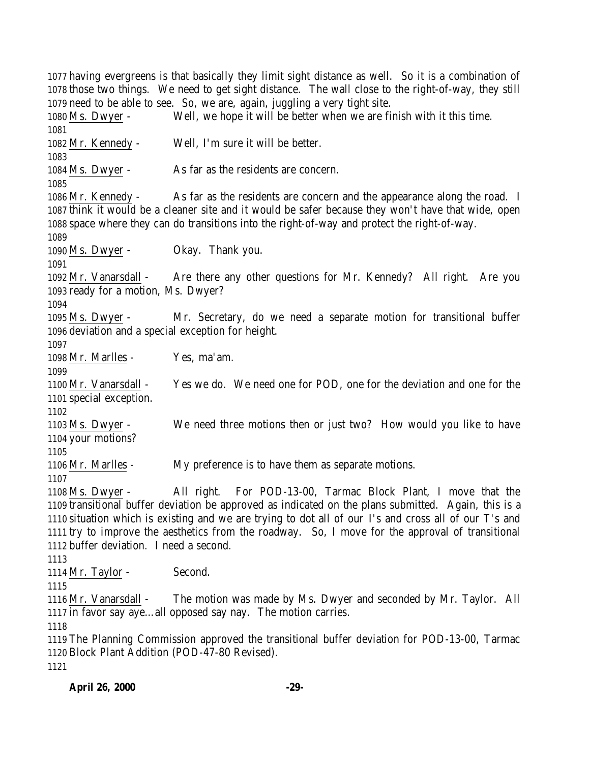having evergreens is that basically they limit sight distance as well. So it is a combination of those two things. We need to get sight distance. The wall close to the right-of-way, they still need to be able to see. So, we are, again, juggling a very tight site. Ms. Dwyer - Well, we hope it will be better when we are finish with it this time. Mr. Kennedy - Well, I'm sure it will be better. Ms. Dwyer - As far as the residents are concern. Mr. Kennedy - As far as the residents are concern and the appearance along the road. I think it would be a cleaner site and it would be safer because they won't have that wide, open space where they can do transitions into the right-of-way and protect the right-of-way. Ms. Dwyer - Okay. Thank you. Mr. Vanarsdall - Are there any other questions for Mr. Kennedy? All right. Are you ready for a motion, Ms. Dwyer? Ms. Dwyer - Mr. Secretary, do we need a separate motion for transitional buffer deviation and a special exception for height. Mr. Marlles - Yes, ma'am. Mr. Vanarsdall - Yes we do. We need one for POD, one for the deviation and one for the special exception. Ms. Dwyer - We need three motions then or just two? How would you like to have your motions? Mr. Marlles - My preference is to have them as separate motions. Ms. Dwyer - All right. For POD-13-00, Tarmac Block Plant, I move that the transitional buffer deviation be approved as indicated on the plans submitted. Again, this is a situation which is existing and we are trying to dot all of our I's and cross all of our T's and try to improve the aesthetics from the roadway. So, I move for the approval of transitional buffer deviation. I need a second. 1114 Mr. Taylor - Second. Mr. Vanarsdall - The motion was made by Ms. Dwyer and seconded by Mr. Taylor. All in favor say aye…all opposed say nay. The motion carries. The Planning Commission approved the transitional buffer deviation for POD-13-00, Tarmac Block Plant Addition (POD-47-80 Revised).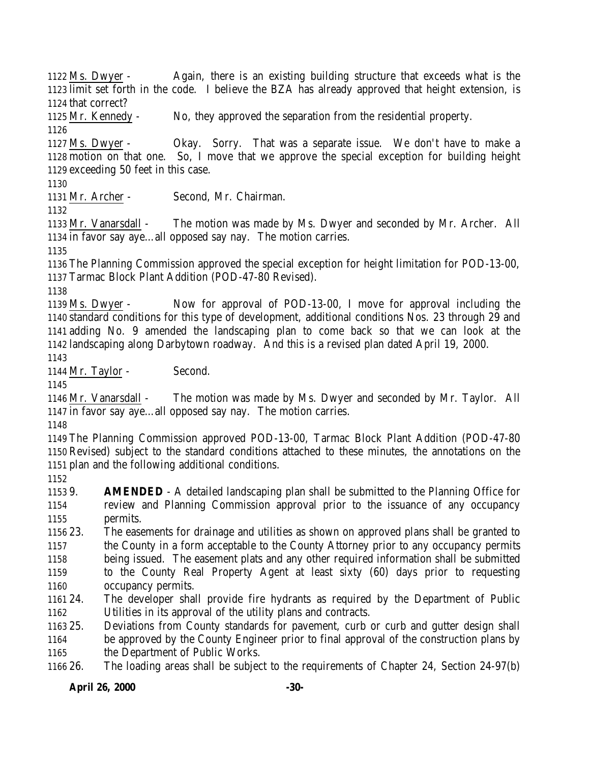**April 26, 2000 -30-** Ms. Dwyer - Again, there is an existing building structure that exceeds what is the limit set forth in the code. I believe the BZA has already approved that height extension, is that correct? Mr. Kennedy - No, they approved the separation from the residential property. Ms. Dwyer - Okay. Sorry. That was a separate issue. We don't have to make a motion on that one. So, I move that we approve the special exception for building height exceeding 50 feet in this case. Mr. Archer - Second, Mr. Chairman. Mr. Vanarsdall - The motion was made by Ms. Dwyer and seconded by Mr. Archer. All in favor say aye…all opposed say nay. The motion carries. The Planning Commission approved the special exception for height limitation for POD-13-00, Tarmac Block Plant Addition (POD-47-80 Revised). Ms. Dwyer - Now for approval of POD-13-00, I move for approval including the standard conditions for this type of development, additional conditions Nos. 23 through 29 and adding No. 9 amended the landscaping plan to come back so that we can look at the landscaping along Darbytown roadway. And this is a revised plan dated April 19, 2000. 1144 Mr. Taylor - Second. Mr. Vanarsdall - The motion was made by Ms. Dwyer and seconded by Mr. Taylor. All in favor say aye…all opposed say nay. The motion carries. The Planning Commission approved POD-13-00, Tarmac Block Plant Addition (POD-47-80 Revised) subject to the standard conditions attached to these minutes, the annotations on the plan and the following additional conditions. 9. **AMENDED** - A detailed landscaping plan shall be submitted to the Planning Office for review and Planning Commission approval prior to the issuance of any occupancy permits. 23. The easements for drainage and utilities as shown on approved plans shall be granted to the County in a form acceptable to the County Attorney prior to any occupancy permits being issued. The easement plats and any other required information shall be submitted to the County Real Property Agent at least sixty (60) days prior to requesting occupancy permits. 24. The developer shall provide fire hydrants as required by the Department of Public Utilities in its approval of the utility plans and contracts. 25. Deviations from County standards for pavement, curb or curb and gutter design shall be approved by the County Engineer prior to final approval of the construction plans by 1165 the Department of Public Works. 26. The loading areas shall be subject to the requirements of Chapter 24, Section 24-97(b)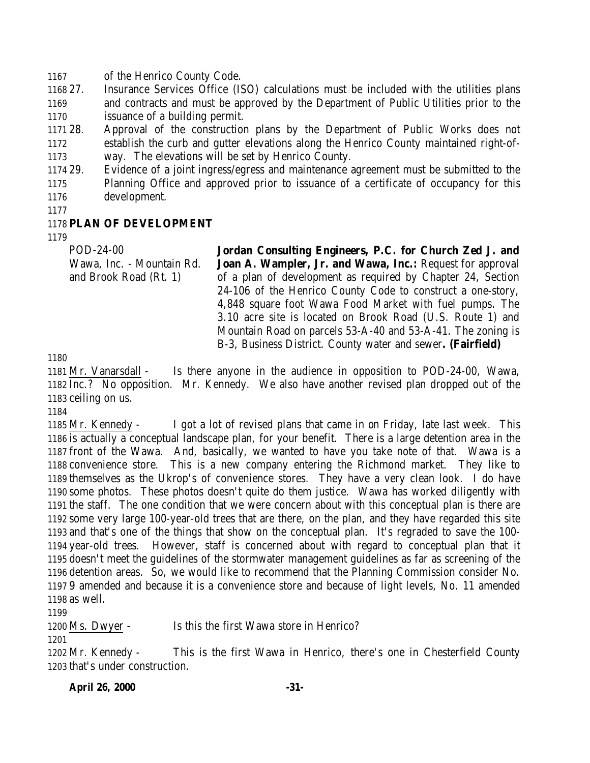of the Henrico County Code.

 27. Insurance Services Office (ISO) calculations must be included with the utilities plans and contracts and must be approved by the Department of Public Utilities prior to the issuance of a building permit.

 28. Approval of the construction plans by the Department of Public Works does not establish the curb and gutter elevations along the Henrico County maintained right-of-way. The elevations will be set by Henrico County.

 29. Evidence of a joint ingress/egress and maintenance agreement must be submitted to the Planning Office and approved prior to issuance of a certificate of occupancy for this development.

#### **PLAN OF DEVELOPMENT**

POD-24-00

Wawa, Inc. - Mountain Rd. and Brook Road (Rt. 1) **Jordan Consulting Engineers, P.C. for Church Zed J. and Joan A. Wampler, Jr. and Wawa, Inc.:** Request for approval of a plan of development as required by Chapter 24, Section 24-106 of the Henrico County Code to construct a one-story, 4,848 square foot Wawa Food Market with fuel pumps. The 3.10 acre site is located on Brook Road (U.S. Route 1) and Mountain Road on parcels 53-A-40 and 53-A-41. The zoning is B-3, Business District. County water and sewer**. (Fairfield)**

 Mr. Vanarsdall - Is there anyone in the audience in opposition to POD-24-00, Wawa, Inc.? No opposition. Mr. Kennedy. We also have another revised plan dropped out of the ceiling on us.

 Mr. Kennedy - I got a lot of revised plans that came in on Friday, late last week. This is actually a conceptual landscape plan, for your benefit. There is a large detention area in the front of the Wawa. And, basically, we wanted to have you take note of that. Wawa is a convenience store. This is a new company entering the Richmond market. They like to themselves as the Ukrop's of convenience stores. They have a very clean look. I do have some photos. These photos doesn't quite do them justice. Wawa has worked diligently with the staff. The one condition that we were concern about with this conceptual plan is there are some very large 100-year-old trees that are there, on the plan, and they have regarded this site and that's one of the things that show on the conceptual plan. It's regraded to save the 100- year-old trees. However, staff is concerned about with regard to conceptual plan that it doesn't meet the guidelines of the stormwater management guidelines as far as screening of the detention areas. So, we would like to recommend that the Planning Commission consider No. 9 amended and because it is a convenience store and because of light levels, No. 11 amended as well.

Ms. Dwyer - Is this the first Wawa store in Henrico?

 Mr. Kennedy - This is the first Wawa in Henrico, there's one in Chesterfield County that's under construction.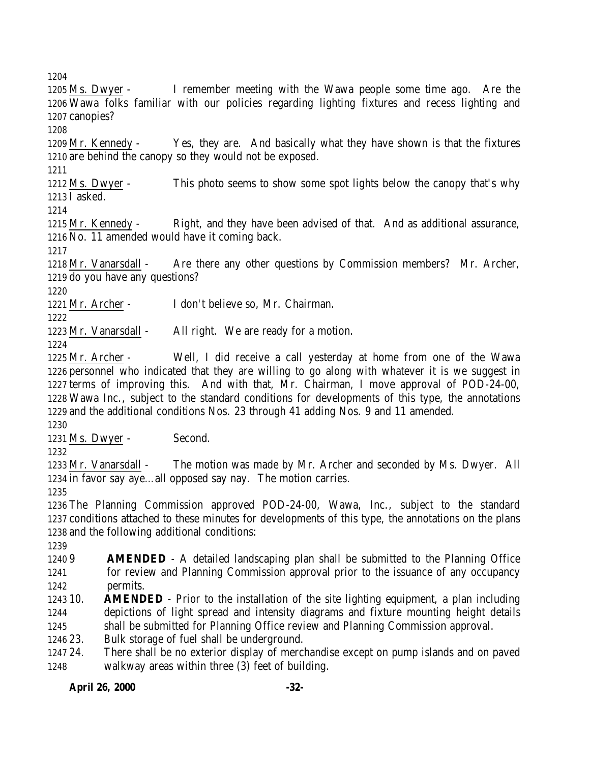Ms. Dwyer - I remember meeting with the Wawa people some time ago. Are the Wawa folks familiar with our policies regarding lighting fixtures and recess lighting and canopies?

 Mr. Kennedy - Yes, they are. And basically what they have shown is that the fixtures are behind the canopy so they would not be exposed.

 Ms. Dwyer - This photo seems to show some spot lights below the canopy that's why I asked.

 Mr. Kennedy - Right, and they have been advised of that. And as additional assurance, No. 11 amended would have it coming back.

 Mr. Vanarsdall - Are there any other questions by Commission members? Mr. Archer, do you have any questions?

Mr. Archer - I don't believe so, Mr. Chairman.

1223 Mr. Vanarsdall - All right. We are ready for a motion.

 Mr. Archer - Well, I did receive a call yesterday at home from one of the Wawa personnel who indicated that they are willing to go along with whatever it is we suggest in terms of improving this. And with that, Mr. Chairman, I move approval of POD-24-00, Wawa Inc., subject to the standard conditions for developments of this type, the annotations and the additional conditions Nos. 23 through 41 adding Nos. 9 and 11 amended.

Ms. Dwyer - Second.

 Mr. Vanarsdall - The motion was made by Mr. Archer and seconded by Ms. Dwyer. All in favor say aye…all opposed say nay. The motion carries.

 The Planning Commission approved POD-24-00, Wawa, Inc., subject to the standard conditions attached to these minutes for developments of this type, the annotations on the plans and the following additional conditions:

 9 **AMENDED** - A detailed landscaping plan shall be submitted to the Planning Office for review and Planning Commission approval prior to the issuance of any occupancy permits.

 10. **AMENDED** - Prior to the installation of the site lighting equipment, a plan including depictions of light spread and intensity diagrams and fixture mounting height details shall be submitted for Planning Office review and Planning Commission approval.

23. Bulk storage of fuel shall be underground.

 24. There shall be no exterior display of merchandise except on pump islands and on paved walkway areas within three (3) feet of building.

**April 26, 2000 -32-**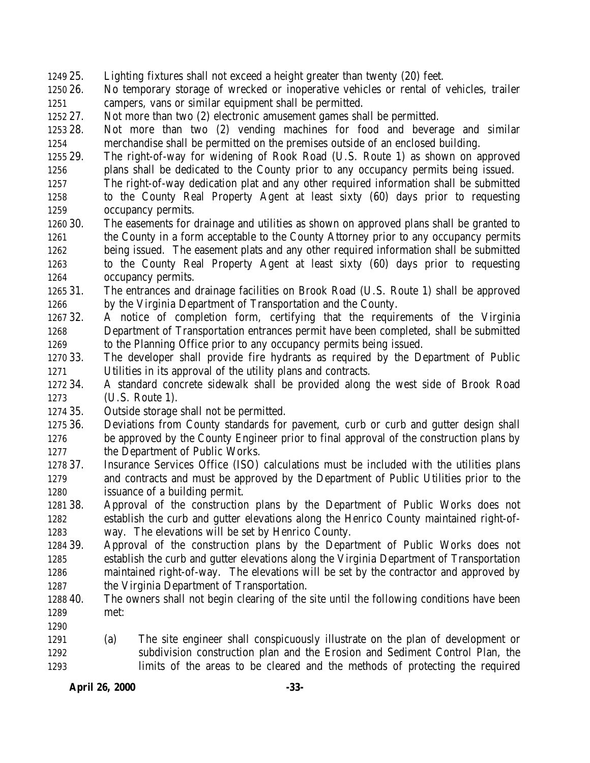- 25. Lighting fixtures shall not exceed a height greater than twenty (20) feet.
- 26. No temporary storage of wrecked or inoperative vehicles or rental of vehicles, trailer campers, vans or similar equipment shall be permitted.
- 27. Not more than two (2) electronic amusement games shall be permitted.
- 28. Not more than two (2) vending machines for food and beverage and similar merchandise shall be permitted on the premises outside of an enclosed building.
- 29. The right-of-way for widening of Rook Road (U.S. Route 1) as shown on approved plans shall be dedicated to the County prior to any occupancy permits being issued.
- The right-of-way dedication plat and any other required information shall be submitted to the County Real Property Agent at least sixty (60) days prior to requesting occupancy permits.
- 30. The easements for drainage and utilities as shown on approved plans shall be granted to the County in a form acceptable to the County Attorney prior to any occupancy permits being issued. The easement plats and any other required information shall be submitted to the County Real Property Agent at least sixty (60) days prior to requesting occupancy permits.
- 31. The entrances and drainage facilities on Brook Road (U.S. Route 1) shall be approved by the Virginia Department of Transportation and the County.
- 32. A notice of completion form, certifying that the requirements of the Virginia Department of Transportation entrances permit have been completed, shall be submitted to the Planning Office prior to any occupancy permits being issued.
- 33. The developer shall provide fire hydrants as required by the Department of Public Utilities in its approval of the utility plans and contracts.
- 34. A standard concrete sidewalk shall be provided along the west side of Brook Road (U.S. Route 1).
- 35. Outside storage shall not be permitted.
- 36. Deviations from County standards for pavement, curb or curb and gutter design shall be approved by the County Engineer prior to final approval of the construction plans by the Department of Public Works.
- 37. Insurance Services Office (ISO) calculations must be included with the utilities plans and contracts and must be approved by the Department of Public Utilities prior to the issuance of a building permit.
- 38. Approval of the construction plans by the Department of Public Works does not establish the curb and gutter elevations along the Henrico County maintained right-of-way. The elevations will be set by Henrico County.
- 39. Approval of the construction plans by the Department of Public Works does not establish the curb and gutter elevations along the Virginia Department of Transportation maintained right-of-way. The elevations will be set by the contractor and approved by the Virginia Department of Transportation.
- 40. The owners shall not begin clearing of the site until the following conditions have been met:
- (a) The site engineer shall conspicuously illustrate on the plan of development or subdivision construction plan and the Erosion and Sediment Control Plan, the limits of the areas to be cleared and the methods of protecting the required

**April 26, 2000 -33-**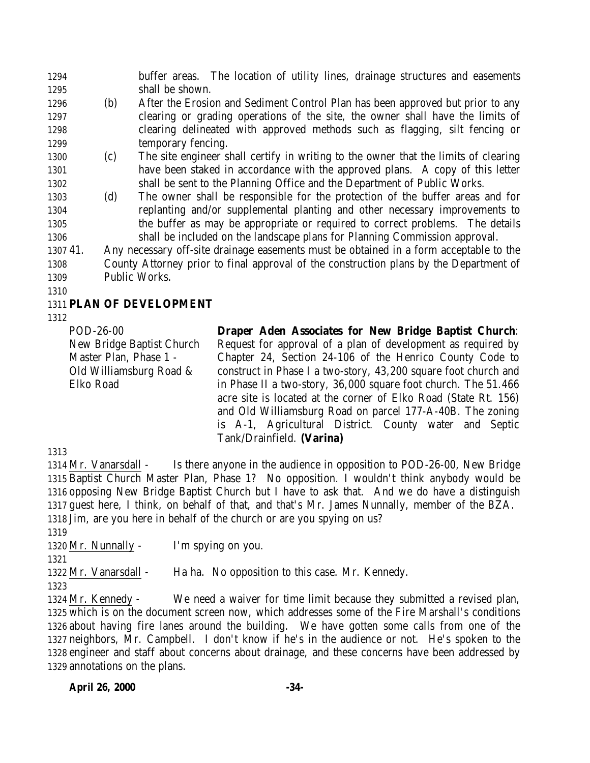buffer areas. The location of utility lines, drainage structures and easements shall be shown.

- (b) After the Erosion and Sediment Control Plan has been approved but prior to any clearing or grading operations of the site, the owner shall have the limits of clearing delineated with approved methods such as flagging, silt fencing or 1299 temporary fencing.
- (c) The site engineer shall certify in writing to the owner that the limits of clearing have been staked in accordance with the approved plans. A copy of this letter shall be sent to the Planning Office and the Department of Public Works.
- (d) The owner shall be responsible for the protection of the buffer areas and for replanting and/or supplemental planting and other necessary improvements to the buffer as may be appropriate or required to correct problems. The details shall be included on the landscape plans for Planning Commission approval.

 41. Any necessary off-site drainage easements must be obtained in a form acceptable to the County Attorney prior to final approval of the construction plans by the Department of Public Works.

# **PLAN OF DEVELOPMENT**

POD-26-00 New Bridge Baptist Church Master Plan, Phase 1 - Old Williamsburg Road & Elko Road

**Draper Aden Associates for New Bridge Baptist Church**: Request for approval of a plan of development as required by Chapter 24, Section 24-106 of the Henrico County Code to construct in Phase I a two-story, 43,200 square foot church and in Phase II a two-story, 36,000 square foot church. The 51.466 acre site is located at the corner of Elko Road (State Rt. 156) and Old Williamsburg Road on parcel 177-A-40B. The zoning is A-1, Agricultural District. County water and Septic Tank/Drainfield. **(Varina)**

 Mr. Vanarsdall - Is there anyone in the audience in opposition to POD-26-00, New Bridge Baptist Church Master Plan, Phase 1? No opposition. I wouldn't think anybody would be opposing New Bridge Baptist Church but I have to ask that. And we do have a distinguish guest here, I think, on behalf of that, and that's Mr. James Nunnally, member of the BZA. Jim, are you here in behalf of the church or are you spying on us?

Mr. Nunnally - I'm spying on you.

1322 Mr. Vanarsdall - Ha ha. No opposition to this case. Mr. Kennedy.

 Mr. Kennedy - We need a waiver for time limit because they submitted a revised plan, which is on the document screen now, which addresses some of the Fire Marshall's conditions about having fire lanes around the building. We have gotten some calls from one of the neighbors, Mr. Campbell. I don't know if he's in the audience or not. He's spoken to the engineer and staff about concerns about drainage, and these concerns have been addressed by annotations on the plans.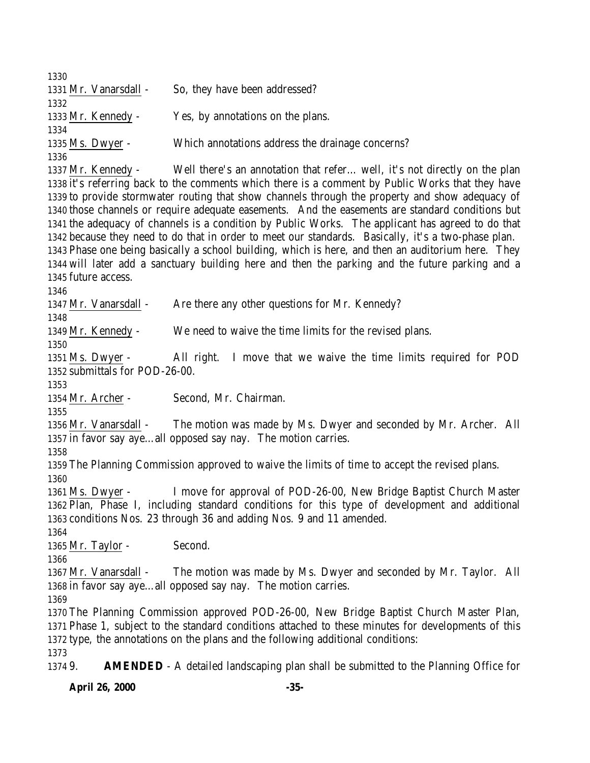**April 26, 2000 -35-** 1331 Mr. Vanarsdall - So, they have been addressed? Mr. Kennedy - Yes, by annotations on the plans. Ms. Dwyer - Which annotations address the drainage concerns? Mr. Kennedy - Well there's an annotation that refer… well, it's not directly on the plan it's referring back to the comments which there is a comment by Public Works that they have to provide stormwater routing that show channels through the property and show adequacy of those channels or require adequate easements. And the easements are standard conditions but the adequacy of channels is a condition by Public Works. The applicant has agreed to do that because they need to do that in order to meet our standards. Basically, it's a two-phase plan. Phase one being basically a school building, which is here, and then an auditorium here. They will later add a sanctuary building here and then the parking and the future parking and a future access. 1347 Mr. Vanarsdall - Are there any other questions for Mr. Kennedy? Mr. Kennedy - We need to waive the time limits for the revised plans. Ms. Dwyer - All right. I move that we waive the time limits required for POD submittals for POD-26-00. Mr. Archer - Second, Mr. Chairman. Mr. Vanarsdall - The motion was made by Ms. Dwyer and seconded by Mr. Archer. All in favor say aye…all opposed say nay. The motion carries. The Planning Commission approved to waive the limits of time to accept the revised plans. Ms. Dwyer - I move for approval of POD-26-00, New Bridge Baptist Church Master Plan, Phase I, including standard conditions for this type of development and additional conditions Nos. 23 through 36 and adding Nos. 9 and 11 amended. 1365 Mr. Taylor - Second. Mr. Vanarsdall - The motion was made by Ms. Dwyer and seconded by Mr. Taylor. All in favor say aye…all opposed say nay. The motion carries. The Planning Commission approved POD-26-00, New Bridge Baptist Church Master Plan, Phase 1, subject to the standard conditions attached to these minutes for developments of this type, the annotations on the plans and the following additional conditions: 9. **AMENDED** - A detailed landscaping plan shall be submitted to the Planning Office for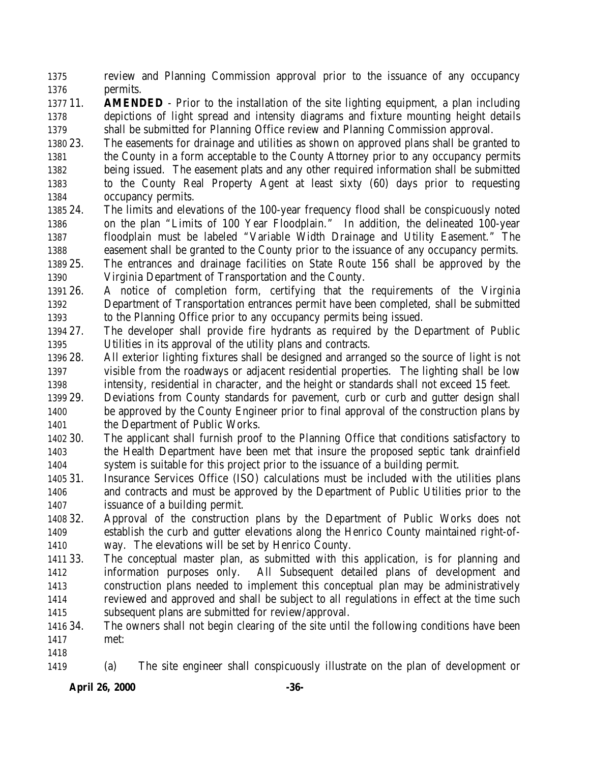review and Planning Commission approval prior to the issuance of any occupancy permits.

- 11. **AMENDED** Prior to the installation of the site lighting equipment, a plan including depictions of light spread and intensity diagrams and fixture mounting height details shall be submitted for Planning Office review and Planning Commission approval.
- 23. The easements for drainage and utilities as shown on approved plans shall be granted to the County in a form acceptable to the County Attorney prior to any occupancy permits being issued. The easement plats and any other required information shall be submitted to the County Real Property Agent at least sixty (60) days prior to requesting occupancy permits.
- 24. The limits and elevations of the 100-year frequency flood shall be conspicuously noted on the plan "Limits of 100 Year Floodplain." In addition, the delineated 100-year floodplain must be labeled "Variable Width Drainage and Utility Easement." The easement shall be granted to the County prior to the issuance of any occupancy permits.
- 25. The entrances and drainage facilities on State Route 156 shall be approved by the Virginia Department of Transportation and the County.
- 26. A notice of completion form, certifying that the requirements of the Virginia Department of Transportation entrances permit have been completed, shall be submitted to the Planning Office prior to any occupancy permits being issued.
- 27. The developer shall provide fire hydrants as required by the Department of Public Utilities in its approval of the utility plans and contracts.
- 28. All exterior lighting fixtures shall be designed and arranged so the source of light is not visible from the roadways or adjacent residential properties. The lighting shall be low intensity, residential in character, and the height or standards shall not exceed 15 feet.
- 29. Deviations from County standards for pavement, curb or curb and gutter design shall be approved by the County Engineer prior to final approval of the construction plans by 1401 the Department of Public Works.
- 30. The applicant shall furnish proof to the Planning Office that conditions satisfactory to the Health Department have been met that insure the proposed septic tank drainfield system is suitable for this project prior to the issuance of a building permit.
- 31. Insurance Services Office (ISO) calculations must be included with the utilities plans and contracts and must be approved by the Department of Public Utilities prior to the issuance of a building permit.
- 32. Approval of the construction plans by the Department of Public Works does not establish the curb and gutter elevations along the Henrico County maintained right-of-way. The elevations will be set by Henrico County.
- 33. The conceptual master plan, as submitted with this application, is for planning and information purposes only. All Subsequent detailed plans of development and construction plans needed to implement this conceptual plan may be administratively reviewed and approved and shall be subject to all regulations in effect at the time such subsequent plans are submitted for review/approval.
- 34. The owners shall not begin clearing of the site until the following conditions have been met:
- (a) The site engineer shall conspicuously illustrate on the plan of development or

**April 26, 2000 -36-**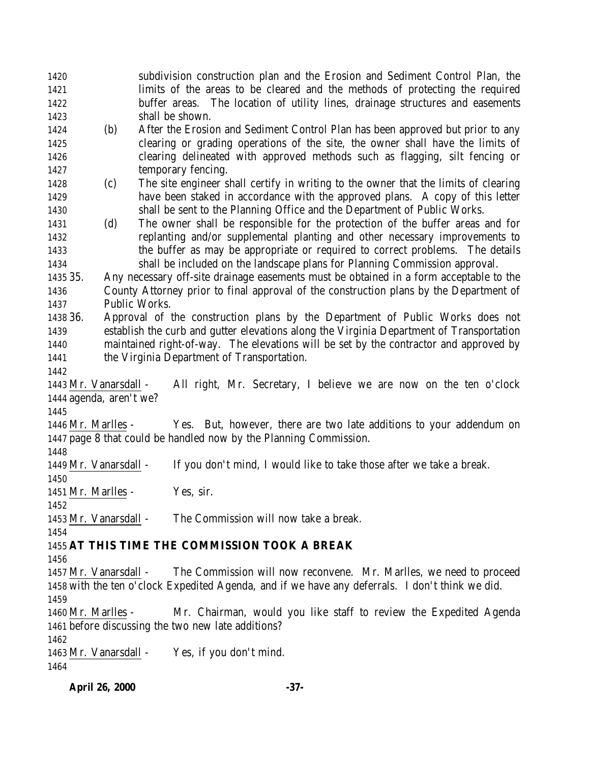|              | <b>April 26, 2000</b>   | $-37-$                                                                                                                                   |
|--------------|-------------------------|------------------------------------------------------------------------------------------------------------------------------------------|
| 1464         |                         |                                                                                                                                          |
|              | 1463 Mr. Vanarsdall -   | Yes, if you don't mind.                                                                                                                  |
| 1462         |                         |                                                                                                                                          |
|              |                         | 1461 before discussing the two new late additions?                                                                                       |
|              | 1460 Mr. Marlles -      | Mr. Chairman, would you like staff to review the Expedited Agenda                                                                        |
| 1459         |                         |                                                                                                                                          |
|              |                         | 1458 with the ten o'clock Expedited Agenda, and if we have any deferrals. I don't think we did.                                          |
|              | 1457 Mr. Vanarsdall -   | The Commission will now reconvene. Mr. Marlles, we need to proceed                                                                       |
| 1456         |                         |                                                                                                                                          |
| 1454         |                         | 1455 AT THIS TIME THE COMMISSION TOOK A BREAK                                                                                            |
|              |                         |                                                                                                                                          |
|              | 1453 Mr. Vanarsdall -   | The Commission will now take a break.                                                                                                    |
| 1452         |                         |                                                                                                                                          |
|              | 1451 Mr. Marlles -      | Yes, sir.                                                                                                                                |
| 1450         |                         |                                                                                                                                          |
|              | 1449 Mr. Vanarsdall -   | If you don't mind, I would like to take those after we take a break.                                                                     |
| 1448         |                         |                                                                                                                                          |
|              |                         | Yes. But, however, there are two late additions to your addendum on<br>1447 page 8 that could be handled now by the Planning Commission. |
|              | 1446 Mr. Marlles -      |                                                                                                                                          |
| 1445         |                         |                                                                                                                                          |
|              | 1444 agenda, aren't we? |                                                                                                                                          |
|              | 1443 Mr. Vanarsdall -   | All right, Mr. Secretary, I believe we are now on the ten o'clock                                                                        |
| 1442         |                         |                                                                                                                                          |
| 1441         |                         | the Virginia Department of Transportation.                                                                                               |
| 1440         |                         | maintained right-of-way. The elevations will be set by the contractor and approved by                                                    |
| 1439         |                         | establish the curb and gutter elevations along the Virginia Department of Transportation                                                 |
| 1438 36.     |                         | Approval of the construction plans by the Department of Public Works does not                                                            |
| 1437         | Public Works.           |                                                                                                                                          |
| 1436         |                         | County Attorney prior to final approval of the construction plans by the Department of                                                   |
| 1435 35.     |                         | Any necessary off-site drainage easements must be obtained in a form acceptable to the                                                   |
| 1434         |                         | shall be included on the landscape plans for Planning Commission approval.                                                               |
| 1433         |                         | the buffer as may be appropriate or required to correct problems. The details                                                            |
| 1432         |                         | replanting and/or supplemental planting and other necessary improvements to                                                              |
| 1431         | (d)                     | The owner shall be responsible for the protection of the buffer areas and for                                                            |
| 1430         |                         | shall be sent to the Planning Office and the Department of Public Works.                                                                 |
| 1429         |                         | have been staked in accordance with the approved plans. A copy of this letter                                                            |
| 1428         | (c)                     | The site engineer shall certify in writing to the owner that the limits of clearing                                                      |
| 1427         |                         | temporary fencing.                                                                                                                       |
| 1426         |                         | clearing delineated with approved methods such as flagging, silt fencing or                                                              |
| 1425         |                         | clearing or grading operations of the site, the owner shall have the limits of                                                           |
| 1423<br>1424 | (b)                     | After the Erosion and Sediment Control Plan has been approved but prior to any                                                           |
| 1422         |                         | buffer areas. The location of utility lines, drainage structures and easements<br>shall be shown.                                        |
| 1421         |                         | limits of the areas to be cleared and the methods of protecting the required                                                             |
| 1420         |                         | subdivision construction plan and the Erosion and Sediment Control Plan, the                                                             |
|              |                         |                                                                                                                                          |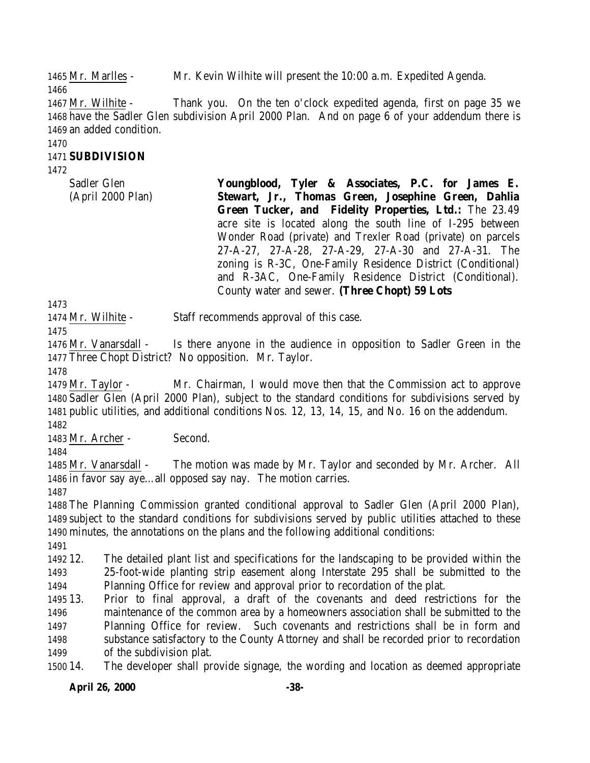Mr. Marlles - Mr. Kevin Wilhite will present the 10:00 a.m. Expedited Agenda.

 Mr. Wilhite - Thank you. On the ten o'clock expedited agenda, first on page 35 we have the Sadler Glen subdivision April 2000 Plan. And on page 6 of your addendum there is an added condition.

#### 

### **SUBDIVISION**

Sadler Glen (April 2000 Plan)

**Youngblood, Tyler & Associates, P.C. for James E. Stewart, Jr., Thomas Green, Josephine Green, Dahlia Green Tucker, and Fidelity Properties, Ltd.:** The 23.49 acre site is located along the south line of I-295 between Wonder Road (private) and Trexler Road (private) on parcels 27-A-27, 27-A-28, 27-A-29, 27-A-30 and 27-A-31. The zoning is R-3C, One-Family Residence District (Conditional) and R-3AC, One-Family Residence District (Conditional). County water and sewer. **(Three Chopt) 59 Lots**

Mr. Wilhite - Staff recommends approval of this case.

 Mr. Vanarsdall - Is there anyone in the audience in opposition to Sadler Green in the Three Chopt District? No opposition. Mr. Taylor. 

 Mr. Taylor - Mr. Chairman, I would move then that the Commission act to approve Sadler Glen (April 2000 Plan), subject to the standard conditions for subdivisions served by public utilities, and additional conditions Nos. 12, 13, 14, 15, and No. 16 on the addendum.

Mr. Archer - Second.

 Mr. Vanarsdall - The motion was made by Mr. Taylor and seconded by Mr. Archer. All in favor say aye…all opposed say nay. The motion carries.

 The Planning Commission granted conditional approval to Sadler Glen (April 2000 Plan), subject to the standard conditions for subdivisions served by public utilities attached to these minutes, the annotations on the plans and the following additional conditions:

 12. The detailed plant list and specifications for the landscaping to be provided within the 25-foot-wide planting strip easement along Interstate 295 shall be submitted to the Planning Office for review and approval prior to recordation of the plat.

 13. Prior to final approval, a draft of the covenants and deed restrictions for the maintenance of the common area by a homeowners association shall be submitted to the Planning Office for review. Such covenants and restrictions shall be in form and substance satisfactory to the County Attorney and shall be recorded prior to recordation of the subdivision plat.

14. The developer shall provide signage, the wording and location as deemed appropriate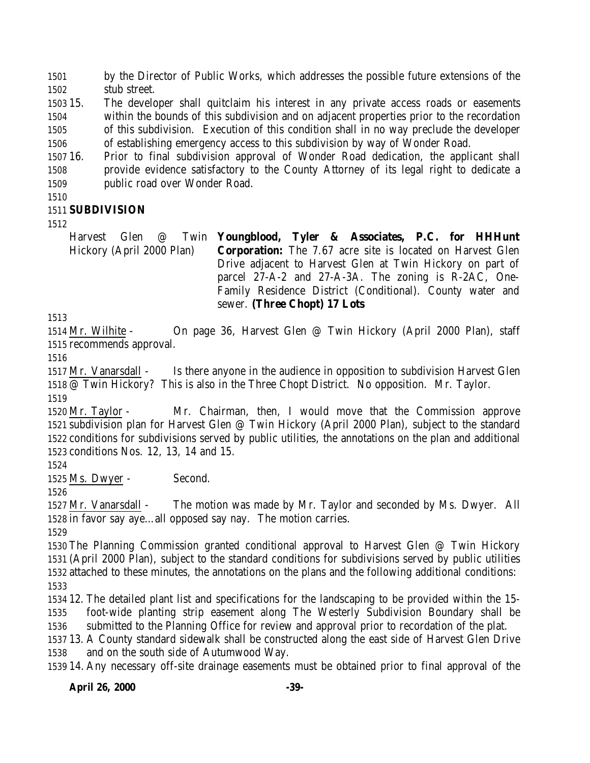by the Director of Public Works, which addresses the possible future extensions of the stub street.

 15. The developer shall quitclaim his interest in any private access roads or easements within the bounds of this subdivision and on adjacent properties prior to the recordation of this subdivision. Execution of this condition shall in no way preclude the developer of establishing emergency access to this subdivision by way of Wonder Road.

 16. Prior to final subdivision approval of Wonder Road dedication, the applicant shall provide evidence satisfactory to the County Attorney of its legal right to dedicate a public road over Wonder Road.

## **SUBDIVISION**

Harvest Glen @ Twin Hickory (April 2000 Plan) **Youngblood, Tyler & Associates, P.C. for HHHunt Corporation:** The 7.67 acre site is located on Harvest Glen Drive adjacent to Harvest Glen at Twin Hickory on part of parcel 27-A-2 and 27-A-3A. The zoning is R-2AC, One-Family Residence District (Conditional). County water and sewer. **(Three Chopt) 17 Lots**

 Mr. Wilhite - On page 36, Harvest Glen @ Twin Hickory (April 2000 Plan), staff recommends approval.

 Mr. Vanarsdall - Is there anyone in the audience in opposition to subdivision Harvest Glen @ Twin Hickory? This is also in the Three Chopt District. No opposition. Mr. Taylor. 

 Mr. Taylor - Mr. Chairman, then, I would move that the Commission approve subdivision plan for Harvest Glen @ Twin Hickory (April 2000 Plan), subject to the standard conditions for subdivisions served by public utilities, the annotations on the plan and additional conditions Nos. 12, 13, 14 and 15.

Ms. Dwyer - Second.

 Mr. Vanarsdall - The motion was made by Mr. Taylor and seconded by Ms. Dwyer. All in favor say aye…all opposed say nay. The motion carries.

 The Planning Commission granted conditional approval to Harvest Glen @ Twin Hickory (April 2000 Plan), subject to the standard conditions for subdivisions served by public utilities attached to these minutes, the annotations on the plans and the following additional conditions: 

 12. The detailed plant list and specifications for the landscaping to be provided within the 15- foot-wide planting strip easement along The Westerly Subdivision Boundary shall be submitted to the Planning Office for review and approval prior to recordation of the plat.

 13. A County standard sidewalk shall be constructed along the east side of Harvest Glen Drive and on the south side of Autumwood Way.

14. Any necessary off-site drainage easements must be obtained prior to final approval of the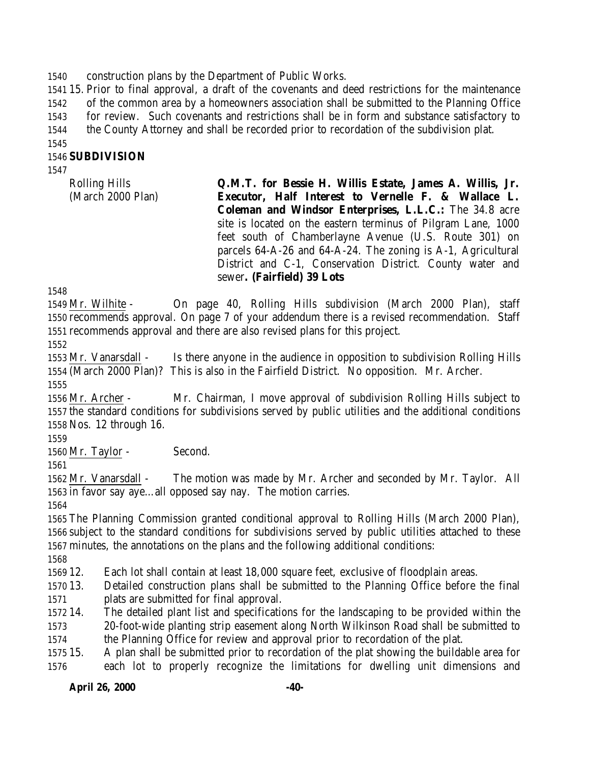construction plans by the Department of Public Works.

 15. Prior to final approval, a draft of the covenants and deed restrictions for the maintenance of the common area by a homeowners association shall be submitted to the Planning Office for review. Such covenants and restrictions shall be in form and substance satisfactory to

the County Attorney and shall be recorded prior to recordation of the subdivision plat.

### **SUBDIVISION**

Rolling Hills (March 2000 Plan) **Q.M.T. for Bessie H. Willis Estate, James A. Willis, Jr. Executor, Half Interest to Vernelle F. & Wallace L. Coleman and Windsor Enterprises, L.L.C.:** The 34.8 acre site is located on the eastern terminus of Pilgram Lane, 1000 feet south of Chamberlayne Avenue (U.S. Route 301) on parcels 64-A-26 and 64-A-24. The zoning is A-1, Agricultural District and C-1, Conservation District. County water and sewer**. (Fairfield) 39 Lots**

 Mr. Wilhite - On page 40, Rolling Hills subdivision (March 2000 Plan), staff recommends approval. On page 7 of your addendum there is a revised recommendation. Staff recommends approval and there are also revised plans for this project.

 Mr. Vanarsdall - Is there anyone in the audience in opposition to subdivision Rolling Hills (March 2000 Plan)? This is also in the Fairfield District. No opposition. Mr. Archer.

 Mr. Archer - Mr. Chairman, I move approval of subdivision Rolling Hills subject to the standard conditions for subdivisions served by public utilities and the additional conditions Nos. 12 through 16.

1560 Mr. Taylor - Second.

 Mr. Vanarsdall - The motion was made by Mr. Archer and seconded by Mr. Taylor. All in favor say aye…all opposed say nay. The motion carries.

 The Planning Commission granted conditional approval to Rolling Hills (March 2000 Plan), subject to the standard conditions for subdivisions served by public utilities attached to these minutes, the annotations on the plans and the following additional conditions:

12. Each lot shall contain at least 18,000 square feet, exclusive of floodplain areas.

 13. Detailed construction plans shall be submitted to the Planning Office before the final plats are submitted for final approval.

 14. The detailed plant list and specifications for the landscaping to be provided within the 20-foot-wide planting strip easement along North Wilkinson Road shall be submitted to the Planning Office for review and approval prior to recordation of the plat.

 15. A plan shall be submitted prior to recordation of the plat showing the buildable area for each lot to properly recognize the limitations for dwelling unit dimensions and

### **April 26, 2000 -40-**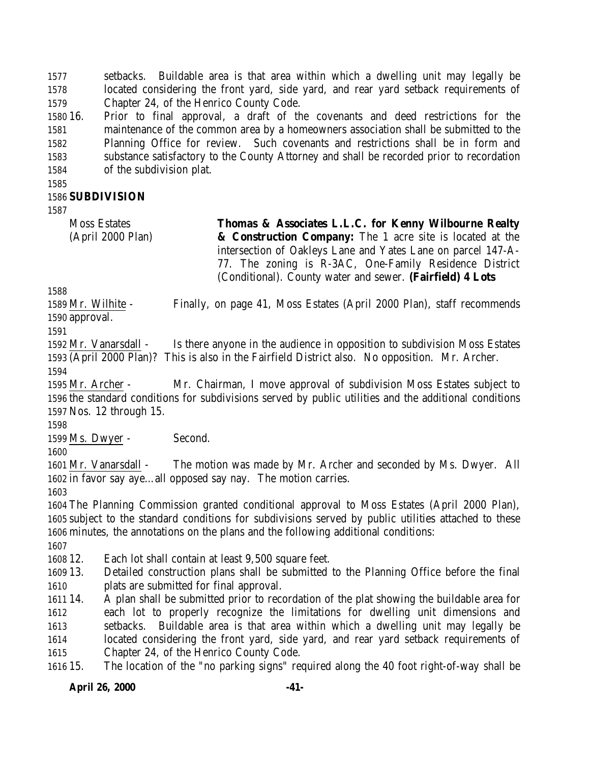setbacks. Buildable area is that area within which a dwelling unit may legally be located considering the front yard, side yard, and rear yard setback requirements of Chapter 24, of the Henrico County Code.

 16. Prior to final approval, a draft of the covenants and deed restrictions for the maintenance of the common area by a homeowners association shall be submitted to the Planning Office for review. Such covenants and restrictions shall be in form and substance satisfactory to the County Attorney and shall be recorded prior to recordation of the subdivision plat.

### **SUBDIVISION**

Moss Estates (April 2000 Plan) **Thomas & Associates L.L.C. for Kenny Wilbourne Realty & Construction Company:** The 1 acre site is located at the intersection of Oakleys Lane and Yates Lane on parcel 147-A-77. The zoning is R-3AC, One-Family Residence District (Conditional). County water and sewer. **(Fairfield) 4 Lots**

 Mr. Wilhite - Finally, on page 41, Moss Estates (April 2000 Plan), staff recommends approval.

 Mr. Vanarsdall - Is there anyone in the audience in opposition to subdivision Moss Estates (April 2000 Plan)? This is also in the Fairfield District also. No opposition. Mr. Archer. 

 Mr. Archer - Mr. Chairman, I move approval of subdivision Moss Estates subject to the standard conditions for subdivisions served by public utilities and the additional conditions Nos. 12 through 15.

1599 Ms. Dwyer - Second.

 Mr. Vanarsdall - The motion was made by Mr. Archer and seconded by Ms. Dwyer. All in favor say aye…all opposed say nay. The motion carries.

 The Planning Commission granted conditional approval to Moss Estates (April 2000 Plan), subject to the standard conditions for subdivisions served by public utilities attached to these minutes, the annotations on the plans and the following additional conditions:

12. Each lot shall contain at least 9,500 square feet.

 13. Detailed construction plans shall be submitted to the Planning Office before the final plats are submitted for final approval.

 14. A plan shall be submitted prior to recordation of the plat showing the buildable area for each lot to properly recognize the limitations for dwelling unit dimensions and setbacks. Buildable area is that area within which a dwelling unit may legally be located considering the front yard, side yard, and rear yard setback requirements of Chapter 24, of the Henrico County Code.

15. The location of the "no parking signs" required along the 40 foot right-of-way shall be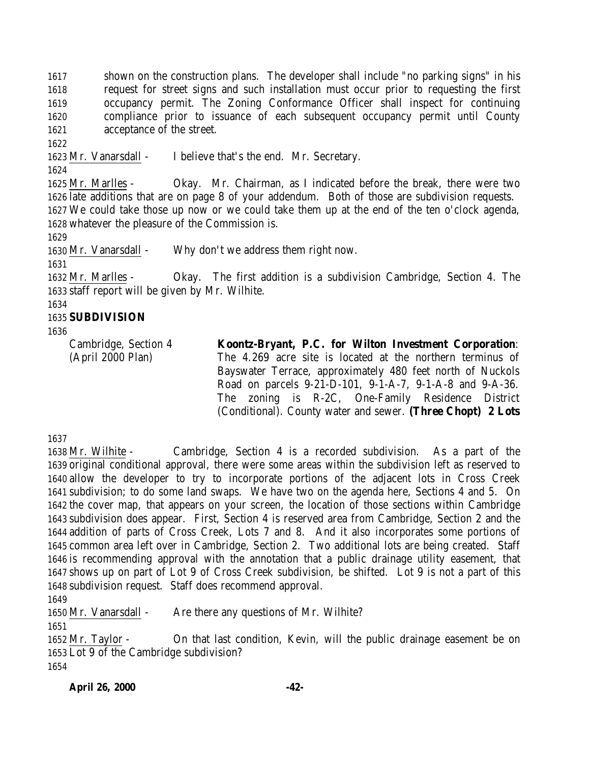shown on the construction plans. The developer shall include "no parking signs" in his request for street signs and such installation must occur prior to requesting the first occupancy permit. The Zoning Conformance Officer shall inspect for continuing compliance prior to issuance of each subsequent occupancy permit until County acceptance of the street.

Mr. Vanarsdall - I believe that's the end. Mr. Secretary.

 Mr. Marlles - Okay. Mr. Chairman, as I indicated before the break, there were two late additions that are on page 8 of your addendum. Both of those are subdivision requests. We could take those up now or we could take them up at the end of the ten o'clock agenda, whatever the pleasure of the Commission is.

Mr. Vanarsdall - Why don't we address them right now.

 Mr. Marlles - Okay. The first addition is a subdivision Cambridge, Section 4. The staff report will be given by Mr. Wilhite.

# **SUBDIVISION**

Cambridge, Section 4 (April 2000 Plan) **Koontz-Bryant, P.C. for Wilton Investment Corporation**: The 4.269 acre site is located at the northern terminus of Bayswater Terrace, approximately 480 feet north of Nuckols Road on parcels 9-21-D-101, 9-1-A-7, 9-1-A-8 and 9-A-36. The zoning is R-2C, One-Family Residence District (Conditional). County water and sewer. **(Three Chopt) 2 Lots**

 Mr. Wilhite - Cambridge, Section 4 is a recorded subdivision. As a part of the original conditional approval, there were some areas within the subdivision left as reserved to allow the developer to try to incorporate portions of the adjacent lots in Cross Creek subdivision; to do some land swaps. We have two on the agenda here, Sections 4 and 5. On the cover map, that appears on your screen, the location of those sections within Cambridge subdivision does appear. First, Section 4 is reserved area from Cambridge, Section 2 and the addition of parts of Cross Creek, Lots 7 and 8. And it also incorporates some portions of common area left over in Cambridge, Section 2. Two additional lots are being created. Staff is recommending approval with the annotation that a public drainage utility easement, that shows up on part of Lot 9 of Cross Creek subdivision, be shifted. Lot 9 is not a part of this subdivision request. Staff does recommend approval.

Mr. Vanarsdall - Are there any questions of Mr. Wilhite?

 Mr. Taylor - On that last condition, Kevin, will the public drainage easement be on Lot 9 of the Cambridge subdivision?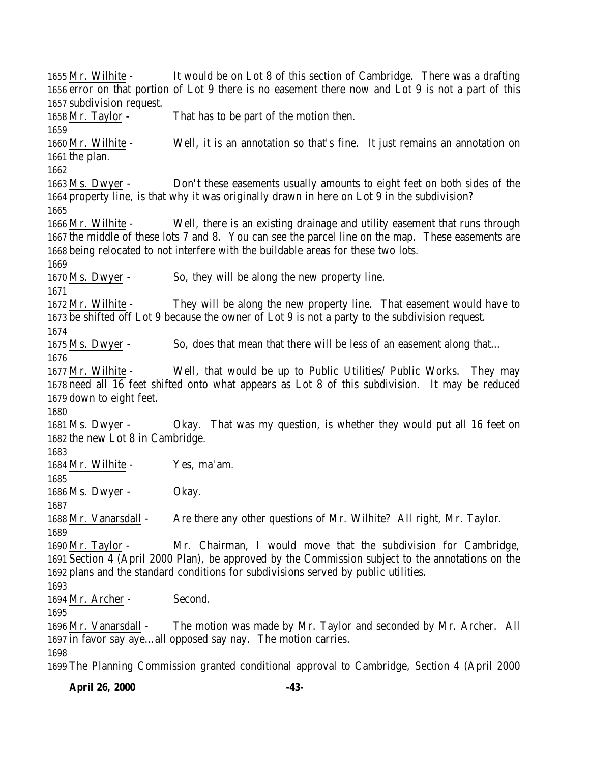Mr. Wilhite - It would be on Lot 8 of this section of Cambridge. There was a drafting error on that portion of Lot 9 there is no easement there now and Lot 9 is not a part of this subdivision request. Mr. Taylor - That has to be part of the motion then. Mr. Wilhite - Well, it is an annotation so that's fine. It just remains an annotation on the plan. Ms. Dwyer - Don't these easements usually amounts to eight feet on both sides of the property line, is that why it was originally drawn in here on Lot 9 in the subdivision? Mr. Wilhite - Well, there is an existing drainage and utility easement that runs through the middle of these lots 7 and 8. You can see the parcel line on the map. These easements are being relocated to not interfere with the buildable areas for these two lots. Ms. Dwyer - So, they will be along the new property line. Mr. Wilhite - They will be along the new property line. That easement would have to be shifted off Lot 9 because the owner of Lot 9 is not a party to the subdivision request. Ms. Dwyer - So, does that mean that there will be less of an easement along that… Mr. Wilhite - Well, that would be up to Public Utilities/ Public Works. They may need all 16 feet shifted onto what appears as Lot 8 of this subdivision. It may be reduced down to eight feet. Ms. Dwyer - Okay. That was my question, is whether they would put all 16 feet on the new Lot 8 in Cambridge. Mr. Wilhite - Yes, ma'am. 1686 Ms. Dwyer - Okay. Mr. Vanarsdall - Are there any other questions of Mr. Wilhite? All right, Mr. Taylor. Mr. Taylor - Mr. Chairman, I would move that the subdivision for Cambridge, Section 4 (April 2000 Plan), be approved by the Commission subject to the annotations on the plans and the standard conditions for subdivisions served by public utilities. Mr. Archer - Second. Mr. Vanarsdall - The motion was made by Mr. Taylor and seconded by Mr. Archer. All in favor say aye…all opposed say nay. The motion carries. 

The Planning Commission granted conditional approval to Cambridge, Section 4 (April 2000

**April 26, 2000 -43-**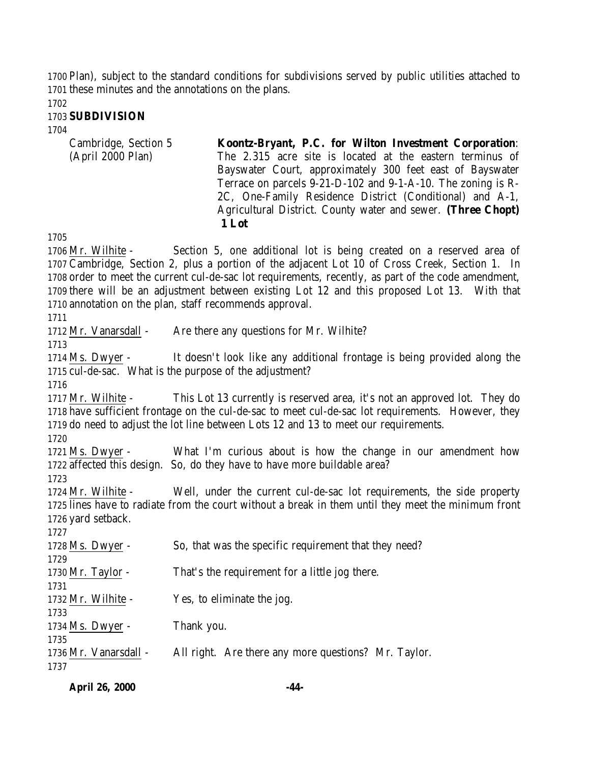Plan), subject to the standard conditions for subdivisions served by public utilities attached to these minutes and the annotations on the plans.

#### **SUBDIVISION**

| Koontz-Bryant, P.C. for Wilton Investment Corporation:       |
|--------------------------------------------------------------|
| The 2.315 acre site is located at the eastern terminus of    |
| Bayswater Court, approximately 300 feet east of Bayswater    |
| Terrace on parcels 9-21-D-102 and 9-1-A-10. The zoning is R- |
| 2C, One-Family Residence District (Conditional) and A-1,     |
| Agricultural District. County water and sewer. (Three Chopt) |
| 1 Lot                                                        |
|                                                              |

 Mr. Wilhite - Section 5, one additional lot is being created on a reserved area of Cambridge, Section 2, plus a portion of the adjacent Lot 10 of Cross Creek, Section 1. In order to meet the current cul-de-sac lot requirements, recently, as part of the code amendment, there will be an adjustment between existing Lot 12 and this proposed Lot 13. With that annotation on the plan, staff recommends approval.

1712 Mr. Vanarsdall - Are there any questions for Mr. Wilhite?

 Ms. Dwyer - It doesn't look like any additional frontage is being provided along the cul-de-sac. What is the purpose of the adjustment?

 Mr. Wilhite - This Lot 13 currently is reserved area, it's not an approved lot. They do have sufficient frontage on the cul-de-sac to meet cul-de-sac lot requirements. However, they do need to adjust the lot line between Lots 12 and 13 to meet our requirements.

 Ms. Dwyer - What I'm curious about is how the change in our amendment how affected this design. So, do they have to have more buildable area?

 Mr. Wilhite - Well, under the current cul-de-sac lot requirements, the side property lines have to radiate from the court without a break in them until they meet the minimum front yard setback.

| 11L1                  |                                                       |
|-----------------------|-------------------------------------------------------|
| 1728 Ms. Dwyer -      | So, that was the specific requirement that they need? |
| 1729                  |                                                       |
| 1730 Mr. Taylor -     | That's the requirement for a little jog there.        |
| 1731                  |                                                       |
| 1732 Mr. Wilhite -    | Yes, to eliminate the jog.                            |
| 1733                  |                                                       |
| 1734 Ms. Dwyer -      | Thank you.                                            |
| 1735                  |                                                       |
| 1736 Mr. Vanarsdall - | All right. Are there any more questions? Mr. Taylor.  |
| 1737                  |                                                       |
|                       |                                                       |

| <b>April 26, 2000</b> | -44- |
|-----------------------|------|
|                       |      |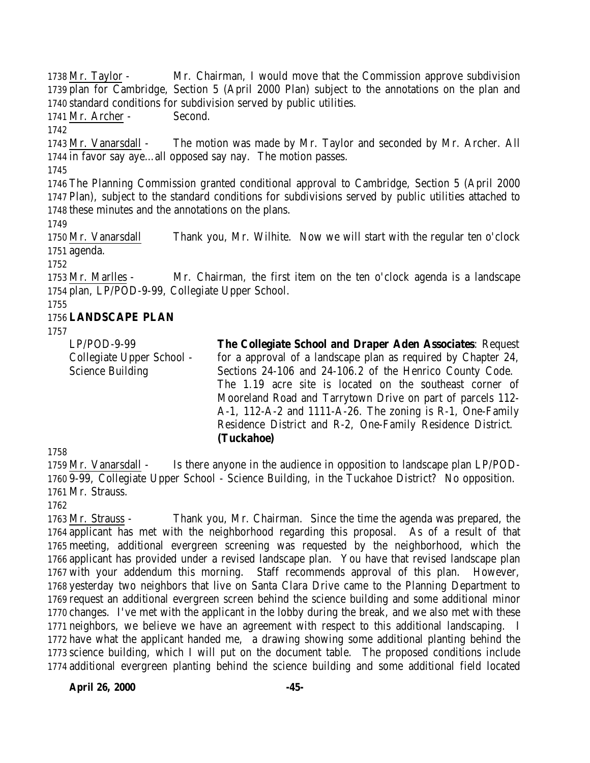Mr. Taylor - Mr. Chairman, I would move that the Commission approve subdivision plan for Cambridge, Section 5 (April 2000 Plan) subject to the annotations on the plan and standard conditions for subdivision served by public utilities.

Mr. Archer - Second.

 Mr. Vanarsdall - The motion was made by Mr. Taylor and seconded by Mr. Archer. All in favor say aye…all opposed say nay. The motion passes.

 The Planning Commission granted conditional approval to Cambridge, Section 5 (April 2000 Plan), subject to the standard conditions for subdivisions served by public utilities attached to these minutes and the annotations on the plans.

 Mr. Vanarsdall Thank you, Mr. Wilhite. Now we will start with the regular ten o'clock agenda.

 Mr. Marlles - Mr. Chairman, the first item on the ten o'clock agenda is a landscape plan, LP/POD-9-99, Collegiate Upper School.

### **LANDSCAPE PLAN**

LP/POD-9-99 Collegiate Upper School - Science Building **The Collegiate School and Draper Aden Associates**: Request for a approval of a landscape plan as required by Chapter 24, Sections 24-106 and 24-106.2 of the Henrico County Code. The 1.19 acre site is located on the southeast corner of Mooreland Road and Tarrytown Drive on part of parcels 112- A-1, 112-A-2 and 1111-A-26. The zoning is R-1, One-Family Residence District and R-2, One-Family Residence District. **(Tuckahoe)**

 Mr. Vanarsdall - Is there anyone in the audience in opposition to landscape plan LP/POD- 9-99, Collegiate Upper School - Science Building, in the Tuckahoe District? No opposition. Mr. Strauss.

 Mr. Strauss - Thank you, Mr. Chairman. Since the time the agenda was prepared, the applicant has met with the neighborhood regarding this proposal. As of a result of that meeting, additional evergreen screening was requested by the neighborhood, which the applicant has provided under a revised landscape plan. You have that revised landscape plan with your addendum this morning. Staff recommends approval of this plan. However, yesterday two neighbors that live on Santa Clara Drive came to the Planning Department to request an additional evergreen screen behind the science building and some additional minor changes. I've met with the applicant in the lobby during the break, and we also met with these neighbors, we believe we have an agreement with respect to this additional landscaping. I have what the applicant handed me, a drawing showing some additional planting behind the science building, which I will put on the document table. The proposed conditions include additional evergreen planting behind the science building and some additional field located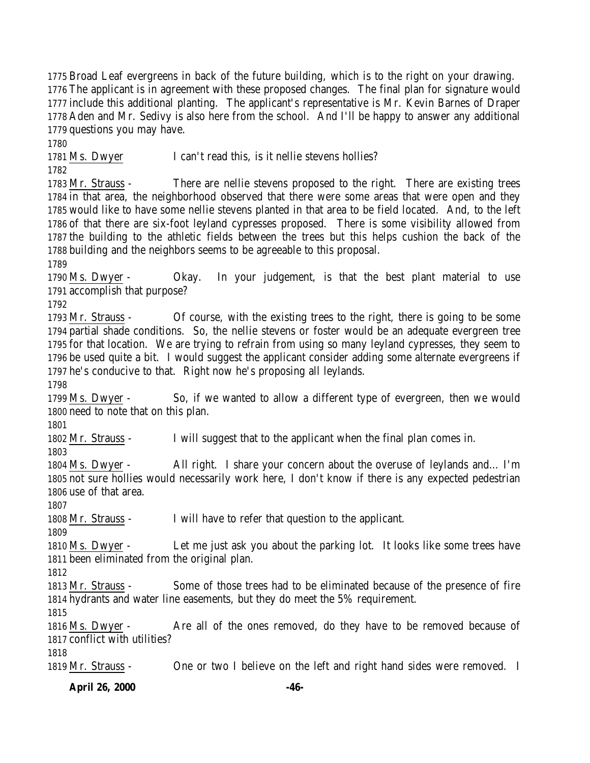Broad Leaf evergreens in back of the future building, which is to the right on your drawing. The applicant is in agreement with these proposed changes. The final plan for signature would include this additional planting. The applicant's representative is Mr. Kevin Barnes of Draper Aden and Mr. Sedivy is also here from the school. And I'll be happy to answer any additional questions you may have.

1781 Ms. Dwyer I can't read this, is it nellie stevens hollies?

 Mr. Strauss - There are nellie stevens proposed to the right. There are existing trees in that area, the neighborhood observed that there were some areas that were open and they would like to have some nellie stevens planted in that area to be field located. And, to the left of that there are six-foot leyland cypresses proposed. There is some visibility allowed from the building to the athletic fields between the trees but this helps cushion the back of the

 building and the neighbors seems to be agreeable to this proposal. 

 Ms. Dwyer - Okay. In your judgement, is that the best plant material to use accomplish that purpose?

 Mr. Strauss - Of course, with the existing trees to the right, there is going to be some partial shade conditions. So, the nellie stevens or foster would be an adequate evergreen tree for that location. We are trying to refrain from using so many leyland cypresses, they seem to be used quite a bit. I would suggest the applicant consider adding some alternate evergreens if he's conducive to that. Right now he's proposing all leylands.

 Ms. Dwyer - So, if we wanted to allow a different type of evergreen, then we would need to note that on this plan.

Mr. Strauss - I will suggest that to the applicant when the final plan comes in.

 Ms. Dwyer - All right. I share your concern about the overuse of leylands and… I'm not sure hollies would necessarily work here, I don't know if there is any expected pedestrian use of that area.

Mr. Strauss - I will have to refer that question to the applicant.

 Ms. Dwyer - Let me just ask you about the parking lot. It looks like some trees have been eliminated from the original plan.

 Mr. Strauss - Some of those trees had to be eliminated because of the presence of fire hydrants and water line easements, but they do meet the 5% requirement.

 Ms. Dwyer - Are all of the ones removed, do they have to be removed because of conflict with utilities?

Mr. Strauss - One or two I believe on the left and right hand sides were removed. I

**April 26, 2000 -46-**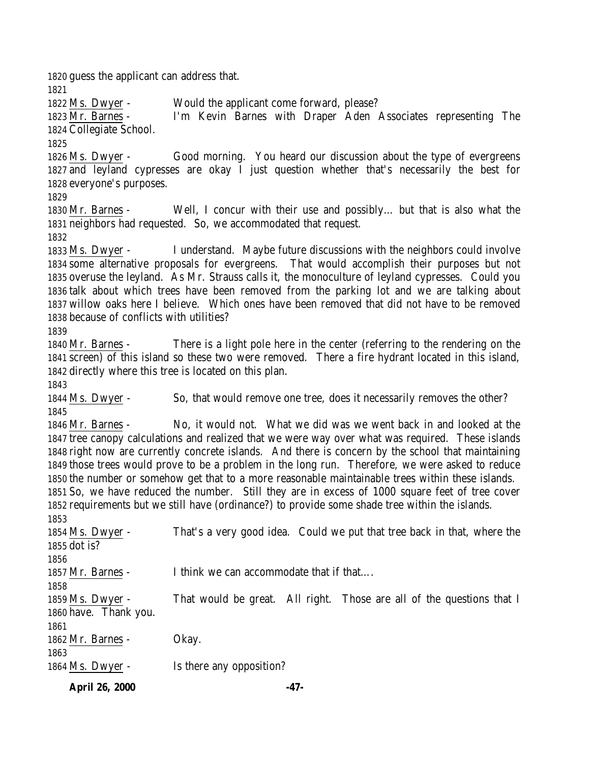guess the applicant can address that. Ms. Dwyer - Would the applicant come forward, please? Mr. Barnes - I'm Kevin Barnes with Draper Aden Associates representing The Collegiate School. Ms. Dwyer - Good morning. You heard our discussion about the type of evergreens and leyland cypresses are okay I just question whether that's necessarily the best for everyone's purposes. Mr. Barnes - Well, I concur with their use and possibly… but that is also what the neighbors had requested. So, we accommodated that request. Ms. Dwyer - I understand. Maybe future discussions with the neighbors could involve some alternative proposals for evergreens. That would accomplish their purposes but not overuse the leyland. As Mr. Strauss calls it, the monoculture of leyland cypresses. Could you talk about which trees have been removed from the parking lot and we are talking about willow oaks here I believe. Which ones have been removed that did not have to be removed because of conflicts with utilities? Mr. Barnes - There is a light pole here in the center (referring to the rendering on the screen) of this island so these two were removed. There a fire hydrant located in this island, directly where this tree is located on this plan. Ms. Dwyer - So, that would remove one tree, does it necessarily removes the other? Mr. Barnes - No, it would not. What we did was we went back in and looked at the tree canopy calculations and realized that we were way over what was required. These islands right now are currently concrete islands. And there is concern by the school that maintaining those trees would prove to be a problem in the long run. Therefore, we were asked to reduce the number or somehow get that to a more reasonable maintainable trees within these islands. So, we have reduced the number. Still they are in excess of 1000 square feet of tree cover requirements but we still have (ordinance?) to provide some shade tree within the islands. Ms. Dwyer - That's a very good idea. Could we put that tree back in that, where the dot is? 1857 Mr. Barnes - I think we can accommodate that if that.... Ms. Dwyer - That would be great. All right. Those are all of the questions that I have. Thank you. Mr. Barnes - Okay. 1864 Ms. Dwyer - Is there any opposition?

**April 26, 2000 -47-**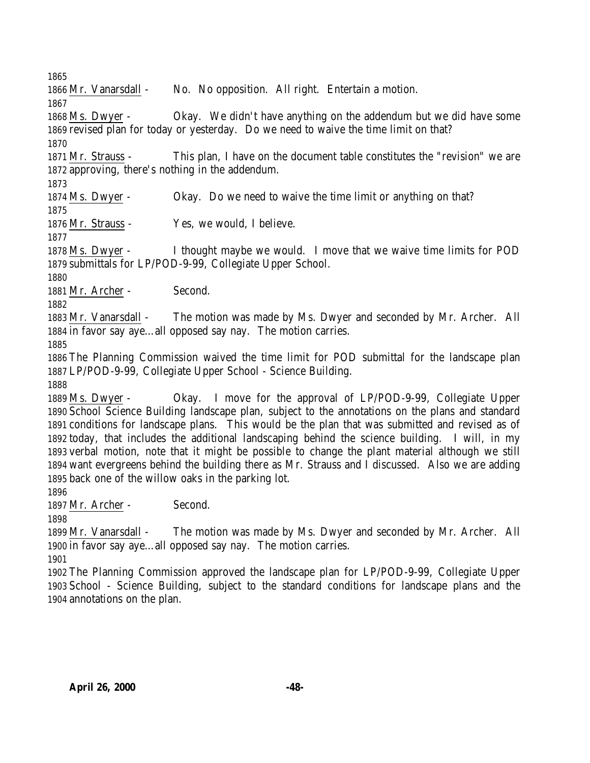Mr. Vanarsdall - No. No opposition. All right. Entertain a motion.

 Ms. Dwyer - Okay. We didn't have anything on the addendum but we did have some revised plan for today or yesterday. Do we need to waive the time limit on that? 

 Mr. Strauss - This plan, I have on the document table constitutes the "revision" we are approving, there's nothing in the addendum.

Ms. Dwyer - Okay. Do we need to waive the time limit or anything on that?

Mr. Strauss - Yes, we would, I believe.

 Ms. Dwyer - I thought maybe we would. I move that we waive time limits for POD submittals for LP/POD-9-99, Collegiate Upper School.

1881 Mr. Archer - Second.

 Mr. Vanarsdall - The motion was made by Ms. Dwyer and seconded by Mr. Archer. All in favor say aye…all opposed say nay. The motion carries.

 The Planning Commission waived the time limit for POD submittal for the landscape plan LP/POD-9-99, Collegiate Upper School - Science Building.

 Ms. Dwyer - Okay. I move for the approval of LP/POD-9-99, Collegiate Upper School Science Building landscape plan, subject to the annotations on the plans and standard conditions for landscape plans. This would be the plan that was submitted and revised as of today, that includes the additional landscaping behind the science building. I will, in my verbal motion, note that it might be possible to change the plant material although we still want evergreens behind the building there as Mr. Strauss and I discussed. Also we are adding back one of the willow oaks in the parking lot.

Mr. Archer - Second.

 Mr. Vanarsdall - The motion was made by Ms. Dwyer and seconded by Mr. Archer. All in favor say aye…all opposed say nay. The motion carries.

 The Planning Commission approved the landscape plan for LP/POD-9-99, Collegiate Upper School - Science Building, subject to the standard conditions for landscape plans and the annotations on the plan.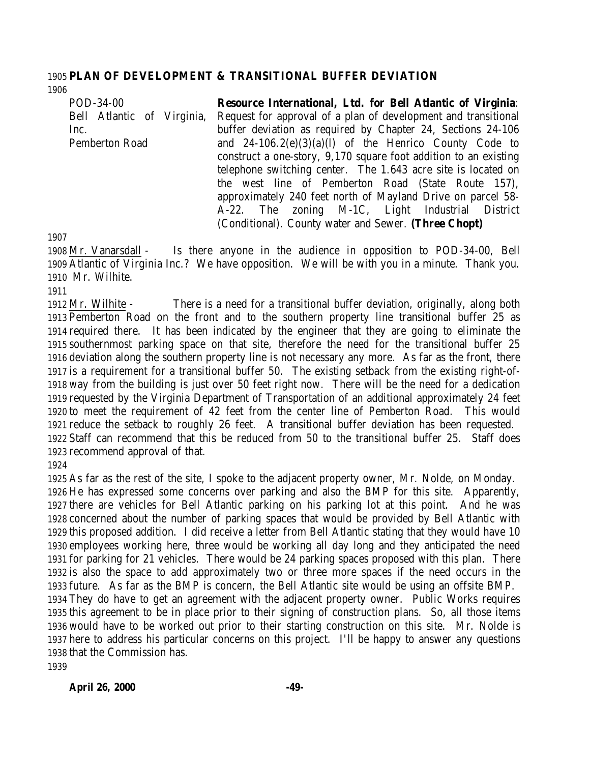#### **PLAN OF DEVELOPMENT & TRANSITIONAL BUFFER DEVIATION**

POD-34-00 Bell Atlantic of Virginia, Inc. Pemberton Road **Resource International, Ltd. for Bell Atlantic of Virginia**: Request for approval of a plan of development and transitional buffer deviation as required by Chapter 24, Sections 24-106 and  $24-106.2(e)(3)(a)(l)$  of the Henrico County Code to construct a one-story, 9,170 square foot addition to an existing telephone switching center. The 1.643 acre site is located on the west line of Pemberton Road (State Route 157), approximately 240 feet north of Mayland Drive on parcel 58- A-22. The zoning M-1C, Light Industrial District

(Conditional). County water and Sewer. **(Three Chopt)**

 Mr. Vanarsdall - Is there anyone in the audience in opposition to POD-34-00, Bell Atlantic of Virginia Inc.? We have opposition. We will be with you in a minute. Thank you. Mr. Wilhite.

 Mr. Wilhite - There is a need for a transitional buffer deviation, originally, along both Pemberton Road on the front and to the southern property line transitional buffer 25 as required there. It has been indicated by the engineer that they are going to eliminate the southernmost parking space on that site, therefore the need for the transitional buffer 25 deviation along the southern property line is not necessary any more. As far as the front, there is a requirement for a transitional buffer 50. The existing setback from the existing right-of- way from the building is just over 50 feet right now. There will be the need for a dedication requested by the Virginia Department of Transportation of an additional approximately 24 feet to meet the requirement of 42 feet from the center line of Pemberton Road. This would reduce the setback to roughly 26 feet. A transitional buffer deviation has been requested. Staff can recommend that this be reduced from 50 to the transitional buffer 25. Staff does recommend approval of that.

 As far as the rest of the site, I spoke to the adjacent property owner, Mr. Nolde, on Monday. He has expressed some concerns over parking and also the BMP for this site. Apparently, there are vehicles for Bell Atlantic parking on his parking lot at this point. And he was concerned about the number of parking spaces that would be provided by Bell Atlantic with this proposed addition. I did receive a letter from Bell Atlantic stating that they would have 10 employees working here, three would be working all day long and they anticipated the need for parking for 21 vehicles. There would be 24 parking spaces proposed with this plan. There is also the space to add approximately two or three more spaces if the need occurs in the future. As far as the BMP is concern, the Bell Atlantic site would be using an offsite BMP. They do have to get an agreement with the adjacent property owner. Public Works requires this agreement to be in place prior to their signing of construction plans. So, all those items would have to be worked out prior to their starting construction on this site. Mr. Nolde is here to address his particular concerns on this project. I'll be happy to answer any questions that the Commission has.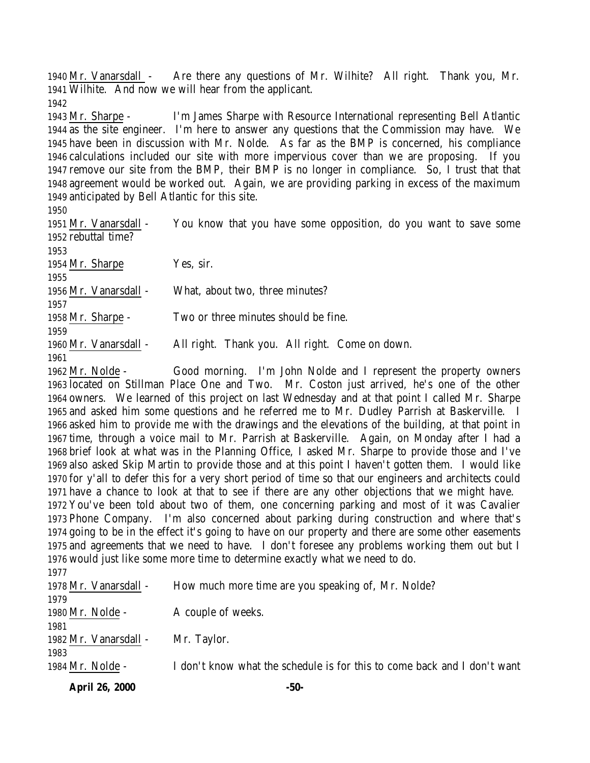Mr. Vanarsdall - Are there any questions of Mr. Wilhite? All right. Thank you, Mr. Wilhite. And now we will hear from the applicant.

 Mr. Sharpe - I'm James Sharpe with Resource International representing Bell Atlantic as the site engineer. I'm here to answer any questions that the Commission may have. We have been in discussion with Mr. Nolde. As far as the BMP is concerned, his compliance calculations included our site with more impervious cover than we are proposing. If you remove our site from the BMP, their BMP is no longer in compliance. So, I trust that that agreement would be worked out. Again, we are providing parking in excess of the maximum anticipated by Bell Atlantic for this site.

| 1951 Mr. Vanarsdall - | You know that you have some opposition, do you want to save some |
|-----------------------|------------------------------------------------------------------|
| 1952 rebuttal time?   |                                                                  |
| 1953                  |                                                                  |
| 1954 Mr. Sharpe       | Yes, sir.                                                        |
| 1955                  |                                                                  |
| 1956 Mr. Vanarsdall - | What, about two, three minutes?                                  |
| 1957                  |                                                                  |
| 1958 Mr. Sharpe -     | Two or three minutes should be fine.                             |
| 1959                  |                                                                  |
| 1960 Mr. Vanarsdall - | All right. Thank you. All right. Come on down.                   |
| 1961                  |                                                                  |

 Mr. Nolde - Good morning. I'm John Nolde and I represent the property owners located on Stillman Place One and Two. Mr. Coston just arrived, he's one of the other owners. We learned of this project on last Wednesday and at that point I called Mr. Sharpe and asked him some questions and he referred me to Mr. Dudley Parrish at Baskerville. I asked him to provide me with the drawings and the elevations of the building, at that point in time, through a voice mail to Mr. Parrish at Baskerville. Again, on Monday after I had a brief look at what was in the Planning Office, I asked Mr. Sharpe to provide those and I've also asked Skip Martin to provide those and at this point I haven't gotten them. I would like for y'all to defer this for a very short period of time so that our engineers and architects could have a chance to look at that to see if there are any other objections that we might have. You've been told about two of them, one concerning parking and most of it was Cavalier Phone Company. I'm also concerned about parking during construction and where that's going to be in the effect it's going to have on our property and there are some other easements and agreements that we need to have. I don't foresee any problems working them out but I would just like some more time to determine exactly what we need to do. 

| 1 <i>011</i>          |                                                                          |
|-----------------------|--------------------------------------------------------------------------|
| 1978 Mr. Vanarsdall - | How much more time are you speaking of, Mr. Nolde?                       |
| 1979                  |                                                                          |
| 1980 Mr. Nolde -      | A couple of weeks.                                                       |
| 1981                  |                                                                          |
| 1982 Mr. Vanarsdall - | Mr. Taylor.                                                              |
| 1983                  |                                                                          |
| 1984 Mr. Nolde -      | I don't know what the schedule is for this to come back and I don't want |
|                       |                                                                          |

**April 26, 2000 -50-**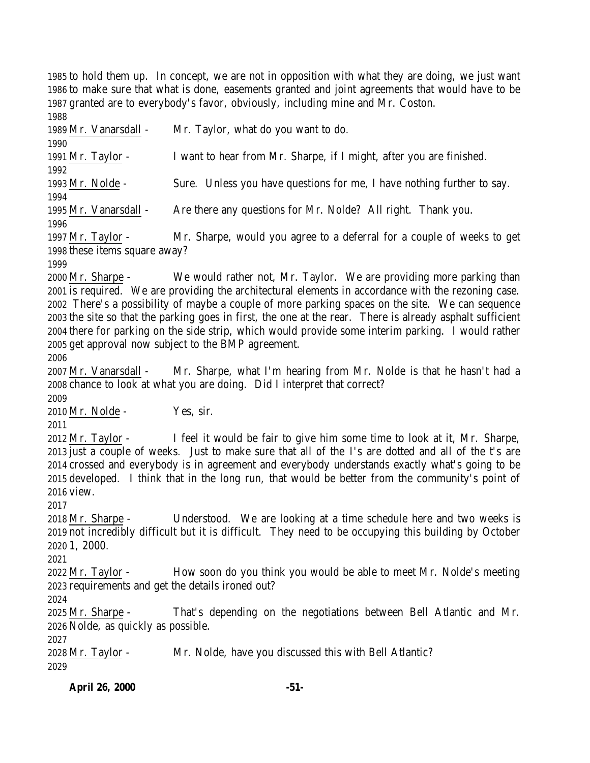to hold them up. In concept, we are not in opposition with what they are doing, we just want to make sure that what is done, easements granted and joint agreements that would have to be granted are to everybody's favor, obviously, including mine and Mr. Coston. 

 Mr. Vanarsdall - Mr. Taylor, what do you want to do. Mr. Taylor - I want to hear from Mr. Sharpe, if I might, after you are finished. Mr. Nolde - Sure. Unless you have questions for me, I have nothing further to say. Mr. Vanarsdall - Are there any questions for Mr. Nolde? All right. Thank you. Mr. Taylor - Mr. Sharpe, would you agree to a deferral for a couple of weeks to get these items square away? 

 Mr. Sharpe - We would rather not, Mr. Taylor. We are providing more parking than is required. We are providing the architectural elements in accordance with the rezoning case. There's a possibility of maybe a couple of more parking spaces on the site. We can sequence the site so that the parking goes in first, the one at the rear. There is already asphalt sufficient there for parking on the side strip, which would provide some interim parking. I would rather get approval now subject to the BMP agreement.

 Mr. Vanarsdall - Mr. Sharpe, what I'm hearing from Mr. Nolde is that he hasn't had a chance to look at what you are doing. Did I interpret that correct?

Mr. Nolde - Yes, sir.

 Mr. Taylor - I feel it would be fair to give him some time to look at it, Mr. Sharpe, just a couple of weeks. Just to make sure that all of the I's are dotted and all of the t's are crossed and everybody is in agreement and everybody understands exactly what's going to be developed. I think that in the long run, that would be better from the community's point of view.

 Mr. Sharpe - Understood. We are looking at a time schedule here and two weeks is not incredibly difficult but it is difficult. They need to be occupying this building by October 1, 2000.

 Mr. Taylor - How soon do you think you would be able to meet Mr. Nolde's meeting requirements and get the details ironed out?

 Mr. Sharpe - That's depending on the negotiations between Bell Atlantic and Mr. Nolde, as quickly as possible.

 Mr. Taylor - Mr. Nolde, have you discussed this with Bell Atlantic?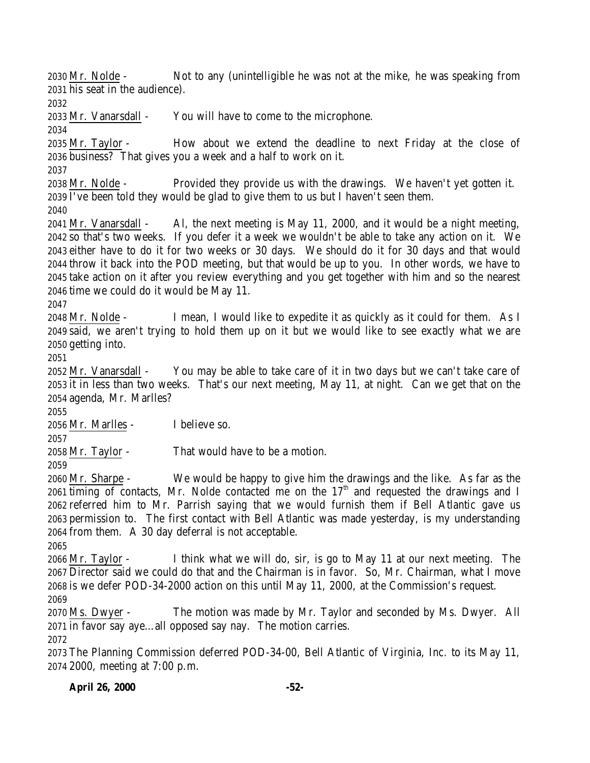Mr. Nolde - Not to any (unintelligible he was not at the mike, he was speaking from his seat in the audience).

Mr. Vanarsdall - You will have to come to the microphone.

 Mr. Taylor - How about we extend the deadline to next Friday at the close of business? That gives you a week and a half to work on it.

 Mr. Nolde - Provided they provide us with the drawings. We haven't yet gotten it. I've been told they would be glad to give them to us but I haven't seen them.

 Mr. Vanarsdall - Al, the next meeting is May 11, 2000, and it would be a night meeting, so that's two weeks. If you defer it a week we wouldn't be able to take any action on it. We either have to do it for two weeks or 30 days. We should do it for 30 days and that would throw it back into the POD meeting, but that would be up to you. In other words, we have to take action on it after you review everything and you get together with him and so the nearest time we could do it would be May 11.

 Mr. Nolde - I mean, I would like to expedite it as quickly as it could for them. As I said, we aren't trying to hold them up on it but we would like to see exactly what we are getting into.

 Mr. Vanarsdall - You may be able to take care of it in two days but we can't take care of it in less than two weeks. That's our next meeting, May 11, at night. Can we get that on the agenda, Mr. Marlles?

Mr. Marlles - I believe so.

Mr. Taylor - That would have to be a motion.

 Mr. Sharpe - We would be happy to give him the drawings and the like. As far as the timing of contacts, Mr. Nolde contacted me on the  $17<sup>th</sup>$  and requested the drawings and I referred him to Mr. Parrish saying that we would furnish them if Bell Atlantic gave us permission to. The first contact with Bell Atlantic was made yesterday, is my understanding from them. A 30 day deferral is not acceptable.

 Mr. Taylor - I think what we will do, sir, is go to May 11 at our next meeting. The Director said we could do that and the Chairman is in favor. So, Mr. Chairman, what I move is we defer POD-34-2000 action on this until May 11, 2000, at the Commission's request. 

 Ms. Dwyer - The motion was made by Mr. Taylor and seconded by Ms. Dwyer. All in favor say aye…all opposed say nay. The motion carries.

 The Planning Commission deferred POD-34-00, Bell Atlantic of Virginia, Inc. to its May 11, 2000, meeting at 7:00 p.m.

**April 26, 2000 -52-**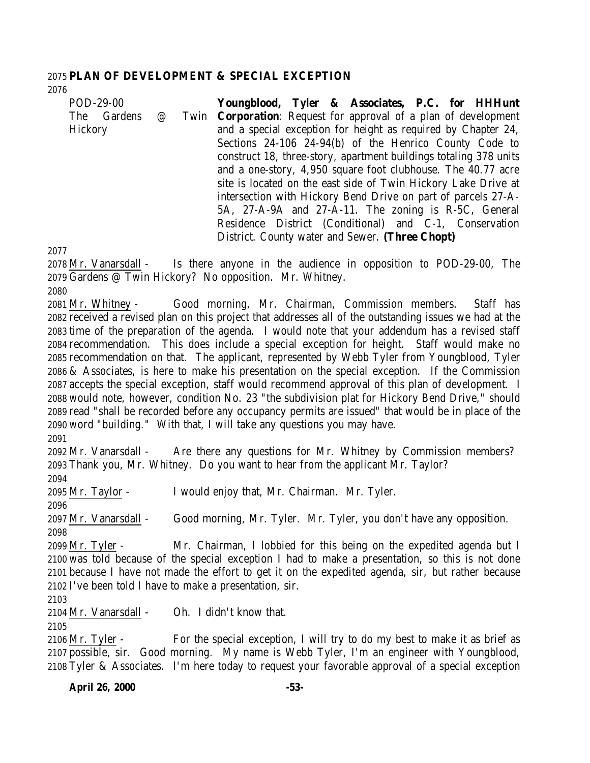#### **PLAN OF DEVELOPMENT & SPECIAL EXCEPTION**

| POD-29-00   |          | Youngblood, Tyler & Associates, P.C. for HHHunt                         |
|-------------|----------|-------------------------------------------------------------------------|
| The Gardens | $\omega$ | Twin <b>Corporation</b> : Request for approval of a plan of development |
| Hickory     |          | and a special exception for height as required by Chapter 24,           |
|             |          | Sections 24-106 24-94(b) of the Henrico County Code to                  |
|             |          | construct 18, three-story, apartment buildings totaling 378 units       |
|             |          | and a one-story, 4,950 square foot clubhouse. The 40.77 acre            |
|             |          | site is located on the east side of Twin Hickory Lake Drive at          |
|             |          | intersection with Hickory Bend Drive on part of parcels 27-A-           |
|             |          | 5A, 27-A-9A and 27-A-11. The zoning is R-5C, General                    |
|             |          | Residence District (Conditional) and C-1, Conservation                  |
|             |          | District. County water and Sewer. (Three Chopt)                         |

 Mr. Vanarsdall - Is there anyone in the audience in opposition to POD-29-00, The Gardens @ Twin Hickory? No opposition. Mr. Whitney.

 Mr. Whitney - Good morning, Mr. Chairman, Commission members. Staff has received a revised plan on this project that addresses all of the outstanding issues we had at the time of the preparation of the agenda. I would note that your addendum has a revised staff recommendation. This does include a special exception for height. Staff would make no recommendation on that. The applicant, represented by Webb Tyler from Youngblood, Tyler & Associates, is here to make his presentation on the special exception. If the Commission accepts the special exception, staff would recommend approval of this plan of development. I would note, however, condition No. 23 "the subdivision plat for Hickory Bend Drive," should read "shall be recorded before any occupancy permits are issued" that would be in place of the word "building." With that, I will take any questions you may have.

 Mr. Vanarsdall - Are there any questions for Mr. Whitney by Commission members? Thank you, Mr. Whitney. Do you want to hear from the applicant Mr. Taylor? Mr. Taylor - I would enjoy that, Mr. Chairman. Mr. Tyler. Mr. Vanarsdall - Good morning, Mr. Tyler. Mr. Tyler, you don't have any opposition. Mr. Tyler - Mr. Chairman, I lobbied for this being on the expedited agenda but I was told because of the special exception I had to make a presentation, so this is not done because I have not made the effort to get it on the expedited agenda, sir, but rather because I've been told I have to make a presentation, sir. Mr. Vanarsdall - Oh. I didn't know that. 

 Mr. Tyler - For the special exception, I will try to do my best to make it as brief as possible, sir. Good morning. My name is Webb Tyler, I'm an engineer with Youngblood, Tyler & Associates. I'm here today to request your favorable approval of a special exception

**April 26, 2000 -53-**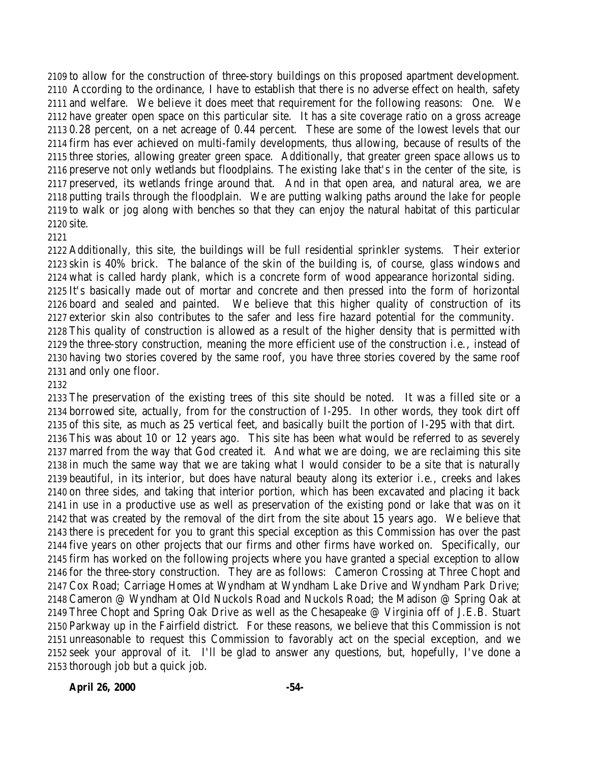to allow for the construction of three-story buildings on this proposed apartment development. According to the ordinance, I have to establish that there is no adverse effect on health, safety and welfare. We believe it does meet that requirement for the following reasons: One. We have greater open space on this particular site. It has a site coverage ratio on a gross acreage 0.28 percent, on a net acreage of 0.44 percent. These are some of the lowest levels that our firm has ever achieved on multi-family developments, thus allowing, because of results of the three stories, allowing greater green space. Additionally, that greater green space allows us to preserve not only wetlands but floodplains. The existing lake that's in the center of the site, is preserved, its wetlands fringe around that. And in that open area, and natural area, we are putting trails through the floodplain. We are putting walking paths around the lake for people to walk or jog along with benches so that they can enjoy the natural habitat of this particular site.

#### 

 Additionally, this site, the buildings will be full residential sprinkler systems. Their exterior skin is 40% brick. The balance of the skin of the building is, of course, glass windows and what is called hardy plank, which is a concrete form of wood appearance horizontal siding. It's basically made out of mortar and concrete and then pressed into the form of horizontal board and sealed and painted. We believe that this higher quality of construction of its exterior skin also contributes to the safer and less fire hazard potential for the community. This quality of construction is allowed as a result of the higher density that is permitted with the three-story construction, meaning the more efficient use of the construction i.e., instead of having two stories covered by the same roof, you have three stories covered by the same roof and only one floor.

 The preservation of the existing trees of this site should be noted. It was a filled site or a borrowed site, actually, from for the construction of I-295. In other words, they took dirt off of this site, as much as 25 vertical feet, and basically built the portion of I-295 with that dirt. This was about 10 or 12 years ago. This site has been what would be referred to as severely marred from the way that God created it. And what we are doing, we are reclaiming this site in much the same way that we are taking what I would consider to be a site that is naturally beautiful, in its interior, but does have natural beauty along its exterior i.e., creeks and lakes on three sides, and taking that interior portion, which has been excavated and placing it back in use in a productive use as well as preservation of the existing pond or lake that was on it that was created by the removal of the dirt from the site about 15 years ago. We believe that there is precedent for you to grant this special exception as this Commission has over the past five years on other projects that our firms and other firms have worked on. Specifically, our firm has worked on the following projects where you have granted a special exception to allow for the three-story construction. They are as follows: Cameron Crossing at Three Chopt and Cox Road; Carriage Homes at Wyndham at Wyndham Lake Drive and Wyndham Park Drive; Cameron @ Wyndham at Old Nuckols Road and Nuckols Road; the Madison @ Spring Oak at Three Chopt and Spring Oak Drive as well as the Chesapeake @ Virginia off of J.E.B. Stuart Parkway up in the Fairfield district. For these reasons, we believe that this Commission is not unreasonable to request this Commission to favorably act on the special exception, and we seek your approval of it. I'll be glad to answer any questions, but, hopefully, I've done a thorough job but a quick job.

**April 26, 2000 -54-**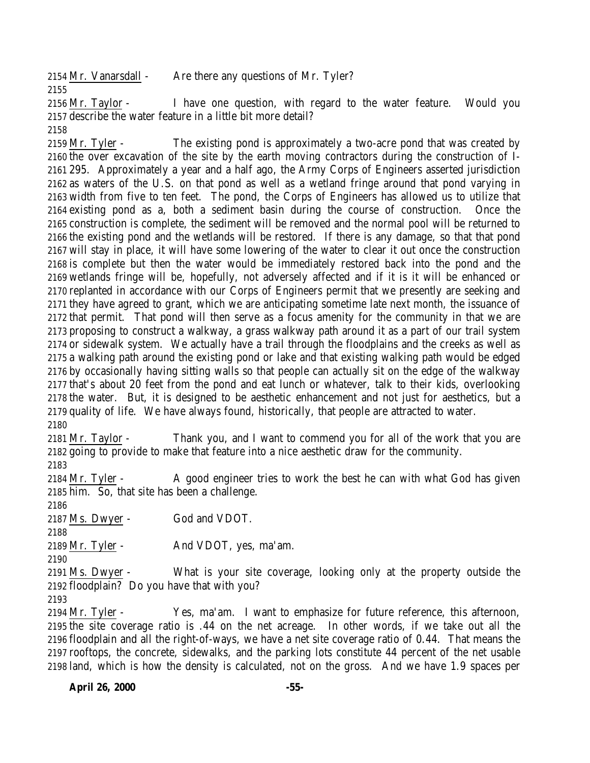2154 Mr. Vanarsdall - Are there any questions of Mr. Tyler? 

 Mr. Taylor - I have one question, with regard to the water feature. Would you describe the water feature in a little bit more detail?

2159 Mr. Tyler - The existing pond is approximately a two-acre pond that was created by the over excavation of the site by the earth moving contractors during the construction of I- 295. Approximately a year and a half ago, the Army Corps of Engineers asserted jurisdiction as waters of the U.S. on that pond as well as a wetland fringe around that pond varying in width from five to ten feet. The pond, the Corps of Engineers has allowed us to utilize that existing pond as a, both a sediment basin during the course of construction. Once the construction is complete, the sediment will be removed and the normal pool will be returned to the existing pond and the wetlands will be restored. If there is any damage, so that that pond will stay in place, it will have some lowering of the water to clear it out once the construction is complete but then the water would be immediately restored back into the pond and the wetlands fringe will be, hopefully, not adversely affected and if it is it will be enhanced or replanted in accordance with our Corps of Engineers permit that we presently are seeking and they have agreed to grant, which we are anticipating sometime late next month, the issuance of that permit. That pond will then serve as a focus amenity for the community in that we are proposing to construct a walkway, a grass walkway path around it as a part of our trail system or sidewalk system. We actually have a trail through the floodplains and the creeks as well as a walking path around the existing pond or lake and that existing walking path would be edged by occasionally having sitting walls so that people can actually sit on the edge of the walkway that's about 20 feet from the pond and eat lunch or whatever, talk to their kids, overlooking the water. But, it is designed to be aesthetic enhancement and not just for aesthetics, but a quality of life. We have always found, historically, that people are attracted to water.

 Mr. Taylor - Thank you, and I want to commend you for all of the work that you are going to provide to make that feature into a nice aesthetic draw for the community.

2184 Mr. Tyler - A good engineer tries to work the best he can with what God has given him. So, that site has been a challenge.

Ms. Dwyer - God and VDOT.

Mr. Tyler - And VDOT, yes, ma'am.

 Ms. Dwyer - What is your site coverage, looking only at the property outside the floodplain? Do you have that with you?

 Mr. Tyler - Yes, ma'am. I want to emphasize for future reference, this afternoon, the site coverage ratio is .44 on the net acreage. In other words, if we take out all the floodplain and all the right-of-ways, we have a net site coverage ratio of 0.44. That means the rooftops, the concrete, sidewalks, and the parking lots constitute 44 percent of the net usable land, which is how the density is calculated, not on the gross. And we have 1.9 spaces per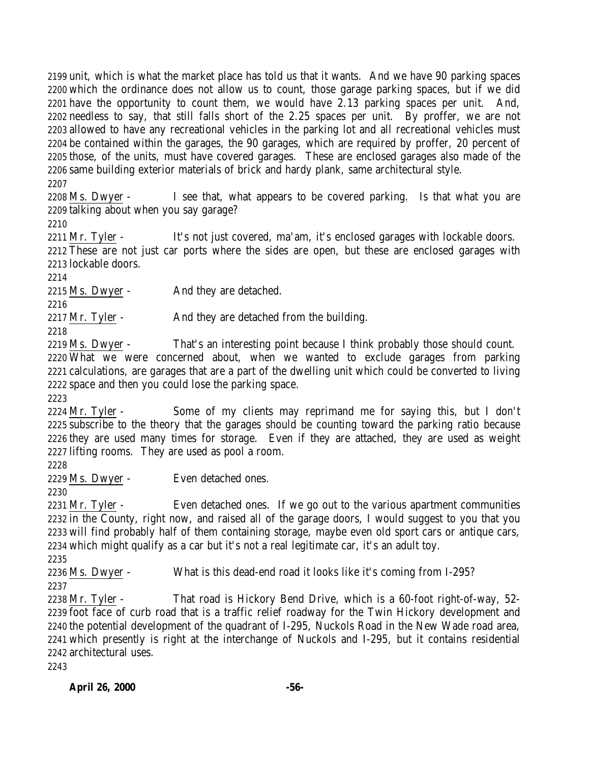unit, which is what the market place has told us that it wants. And we have 90 parking spaces which the ordinance does not allow us to count, those garage parking spaces, but if we did have the opportunity to count them, we would have 2.13 parking spaces per unit. And, needless to say, that still falls short of the 2.25 spaces per unit. By proffer, we are not allowed to have any recreational vehicles in the parking lot and all recreational vehicles must be contained within the garages, the 90 garages, which are required by proffer, 20 percent of those, of the units, must have covered garages. These are enclosed garages also made of the same building exterior materials of brick and hardy plank, same architectural style. 

 Ms. Dwyer - I see that, what appears to be covered parking. Is that what you are talking about when you say garage?

2211 Mr. Tyler - It's not just covered, ma'am, it's enclosed garages with lockable doors. These are not just car ports where the sides are open, but these are enclosed garages with lockable doors.

Ms. Dwyer - And they are detached.

2217 Mr. Tyler - And they are detached from the building.

 Ms. Dwyer - That's an interesting point because I think probably those should count. What we were concerned about, when we wanted to exclude garages from parking calculations, are garages that are a part of the dwelling unit which could be converted to living space and then you could lose the parking space.

 Mr. Tyler - Some of my clients may reprimand me for saying this, but I don't subscribe to the theory that the garages should be counting toward the parking ratio because they are used many times for storage. Even if they are attached, they are used as weight lifting rooms. They are used as pool a room.

Ms. Dwyer - Even detached ones.

2231 Mr. Tyler - Even detached ones. If we go out to the various apartment communities in the County, right now, and raised all of the garage doors, I would suggest to you that you will find probably half of them containing storage, maybe even old sport cars or antique cars, which might qualify as a car but it's not a real legitimate car, it's an adult toy.

 Ms. Dwyer - What is this dead-end road it looks like it's coming from I-295? 

2238 Mr. Tyler - That road is Hickory Bend Drive, which is a 60-foot right-of-way, 52- foot face of curb road that is a traffic relief roadway for the Twin Hickory development and the potential development of the quadrant of I-295, Nuckols Road in the New Wade road area, which presently is right at the interchange of Nuckols and I-295, but it contains residential architectural uses.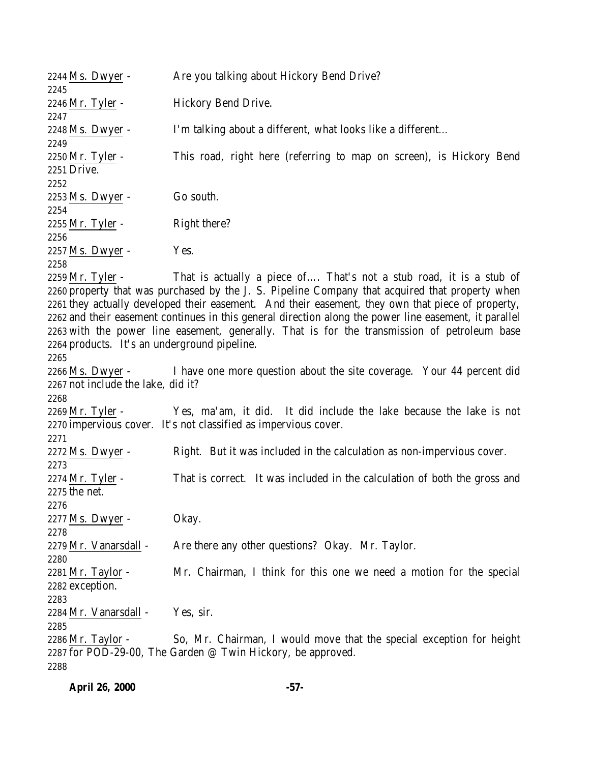| 2244 Ms. Dwyer -                             | Are you talking about Hickory Bend Drive?                                                                                                                              |
|----------------------------------------------|------------------------------------------------------------------------------------------------------------------------------------------------------------------------|
| 2245<br>2246 Mr. Tyler -                     | Hickory Bend Drive.                                                                                                                                                    |
| 2247                                         |                                                                                                                                                                        |
| 2248 Ms. Dwyer -                             | I'm talking about a different, what looks like a different                                                                                                             |
| 2249                                         |                                                                                                                                                                        |
| 2250 Mr. Tyler -<br>2251 Drive.              | This road, right here (referring to map on screen), is Hickory Bend                                                                                                    |
| 2252                                         |                                                                                                                                                                        |
| 2253 Ms. Dwyer -                             | Go south.                                                                                                                                                              |
| 2254                                         |                                                                                                                                                                        |
| 2255 <u>Mr. Tyler</u> -                      | Right there?                                                                                                                                                           |
| 2256                                         |                                                                                                                                                                        |
| 2257 Ms. Dwyer -                             | Yes.                                                                                                                                                                   |
| 2258                                         |                                                                                                                                                                        |
| 2259 Mr. Tyler -                             | That is actually a piece of That's not a stub road, it is a stub of<br>2260 property that was purchased by the J. S. Pipeline Company that acquired that property when |
|                                              | 2261 they actually developed their easement. And their easement, they own that piece of property,                                                                      |
|                                              | 2262 and their easement continues in this general direction along the power line easement, it parallel                                                                 |
|                                              | 2263 with the power line easement, generally. That is for the transmission of petroleum base                                                                           |
| 2264 products. It's an underground pipeline. |                                                                                                                                                                        |
| 2265                                         |                                                                                                                                                                        |
| 2266 Ms. Dwyer -                             | I have one more question about the site coverage. Your 44 percent did                                                                                                  |
| 2267 not include the lake, did it?           |                                                                                                                                                                        |
| 2268                                         |                                                                                                                                                                        |
| 2269 Mr. Tyler -                             | Yes, ma'am, it did. It did include the lake because the lake is not                                                                                                    |
|                                              | 2270 impervious cover. It's not classified as impervious cover.                                                                                                        |
| 2271<br>2272 Ms. Dwyer -                     |                                                                                                                                                                        |
| 2273                                         | Right. But it was included in the calculation as non-impervious cover.                                                                                                 |
| 2274 Mr. Tyler -                             | That is correct. It was included in the calculation of both the gross and                                                                                              |
| 2275 the net.                                |                                                                                                                                                                        |
| 2276                                         |                                                                                                                                                                        |
| 2277 Ms. Dwyer -                             | Okay.                                                                                                                                                                  |
| 2278                                         |                                                                                                                                                                        |
| 2279 Mr. Vanarsdall -                        | Are there any other questions? Okay. Mr. Taylor.                                                                                                                       |
| 2280                                         |                                                                                                                                                                        |
| 2281 Mr. Taylor -                            | Mr. Chairman, I think for this one we need a motion for the special                                                                                                    |
| 2282 exception.                              |                                                                                                                                                                        |
| 2283                                         |                                                                                                                                                                        |
| 2284 Mr. Vanarsdall -<br>2285                | Yes, sir.                                                                                                                                                              |
| $2286$ Mr. Taylor -                          | So, Mr. Chairman, I would move that the special exception for height                                                                                                   |
|                                              | 2287 for POD-29-00, The Garden @ Twin Hickory, be approved.                                                                                                            |
| 2288                                         |                                                                                                                                                                        |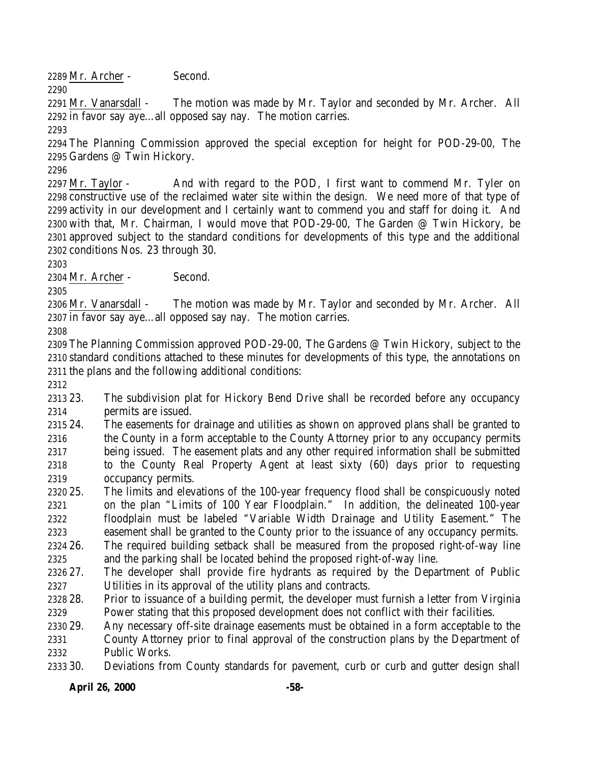Mr. Archer - Second.

 Mr. Vanarsdall - The motion was made by Mr. Taylor and seconded by Mr. Archer. All in favor say aye…all opposed say nay. The motion carries.

 The Planning Commission approved the special exception for height for POD-29-00, The Gardens @ Twin Hickory.

2297 Mr. Taylor - And with regard to the POD, I first want to commend Mr. Tyler on constructive use of the reclaimed water site within the design. We need more of that type of activity in our development and I certainly want to commend you and staff for doing it. And with that, Mr. Chairman, I would move that POD-29-00, The Garden @ Twin Hickory, be approved subject to the standard conditions for developments of this type and the additional conditions Nos. 23 through 30.

Mr. Archer - Second.

 Mr. Vanarsdall - The motion was made by Mr. Taylor and seconded by Mr. Archer. All in favor say aye…all opposed say nay. The motion carries.

 The Planning Commission approved POD-29-00, The Gardens @ Twin Hickory, subject to the standard conditions attached to these minutes for developments of this type, the annotations on the plans and the following additional conditions:

 23. The subdivision plat for Hickory Bend Drive shall be recorded before any occupancy permits are issued.

 24. The easements for drainage and utilities as shown on approved plans shall be granted to the County in a form acceptable to the County Attorney prior to any occupancy permits being issued. The easement plats and any other required information shall be submitted to the County Real Property Agent at least sixty (60) days prior to requesting occupancy permits.

- 25. The limits and elevations of the 100-year frequency flood shall be conspicuously noted on the plan "Limits of 100 Year Floodplain." In addition, the delineated 100-year floodplain must be labeled "Variable Width Drainage and Utility Easement." The easement shall be granted to the County prior to the issuance of any occupancy permits.
- 26. The required building setback shall be measured from the proposed right-of-way line and the parking shall be located behind the proposed right-of-way line.

 27. The developer shall provide fire hydrants as required by the Department of Public Utilities in its approval of the utility plans and contracts.

 28. Prior to issuance of a building permit, the developer must furnish a letter from Virginia Power stating that this proposed development does not conflict with their facilities.

 29. Any necessary off-site drainage easements must be obtained in a form acceptable to the County Attorney prior to final approval of the construction plans by the Department of Public Works.

30. Deviations from County standards for pavement, curb or curb and gutter design shall

**April 26, 2000 -58-**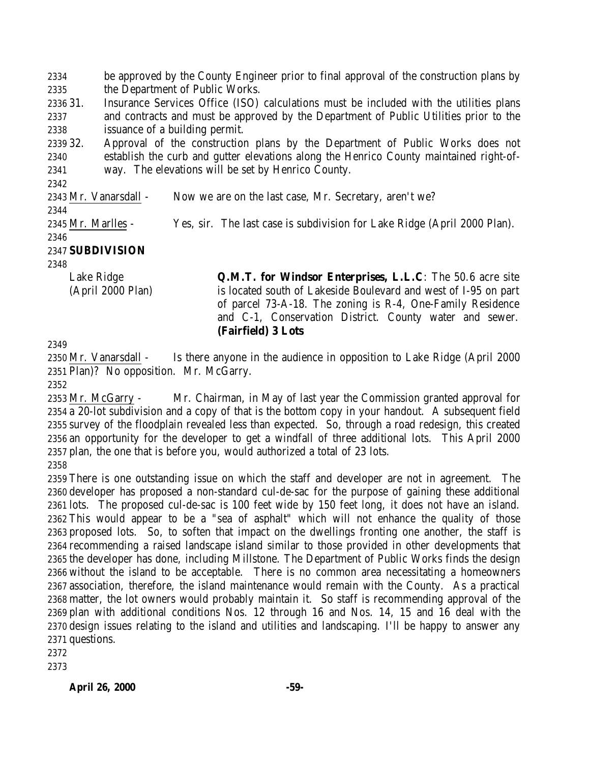be approved by the County Engineer prior to final approval of the construction plans by the Department of Public Works.

 31. Insurance Services Office (ISO) calculations must be included with the utilities plans and contracts and must be approved by the Department of Public Utilities prior to the issuance of a building permit.

 32. Approval of the construction plans by the Department of Public Works does not establish the curb and gutter elevations along the Henrico County maintained right-of-way. The elevations will be set by Henrico County.

Mr. Vanarsdall - Now we are on the last case, Mr. Secretary, aren't we?

Mr. Marlles - Yes, sir. The last case is subdivision for Lake Ridge (April 2000 Plan).

#### 

### **SUBDIVISION**

Lake Ridge (April 2000 Plan) **Q.M.T. for Windsor Enterprises, L.L.C**: The 50.6 acre site is located south of Lakeside Boulevard and west of I-95 on part of parcel 73-A-18. The zoning is R-4, One-Family Residence and C-1, Conservation District. County water and sewer. **(Fairfield) 3 Lots**

 Mr. Vanarsdall - Is there anyone in the audience in opposition to Lake Ridge (April 2000 Plan)? No opposition. Mr. McGarry.

 Mr. McGarry - Mr. Chairman, in May of last year the Commission granted approval for a 20-lot subdivision and a copy of that is the bottom copy in your handout. A subsequent field survey of the floodplain revealed less than expected. So, through a road redesign, this created an opportunity for the developer to get a windfall of three additional lots. This April 2000 plan, the one that is before you, would authorized a total of 23 lots. 

 There is one outstanding issue on which the staff and developer are not in agreement. The developer has proposed a non-standard cul-de-sac for the purpose of gaining these additional lots. The proposed cul-de-sac is 100 feet wide by 150 feet long, it does not have an island. This would appear to be a "sea of asphalt" which will not enhance the quality of those proposed lots. So, to soften that impact on the dwellings fronting one another, the staff is recommending a raised landscape island similar to those provided in other developments that the developer has done, including Millstone. The Department of Public Works finds the design without the island to be acceptable. There is no common area necessitating a homeowners association, therefore, the island maintenance would remain with the County. As a practical matter, the lot owners would probably maintain it. So staff is recommending approval of the plan with additional conditions Nos. 12 through 16 and Nos. 14, 15 and 16 deal with the design issues relating to the island and utilities and landscaping. I'll be happy to answer any questions.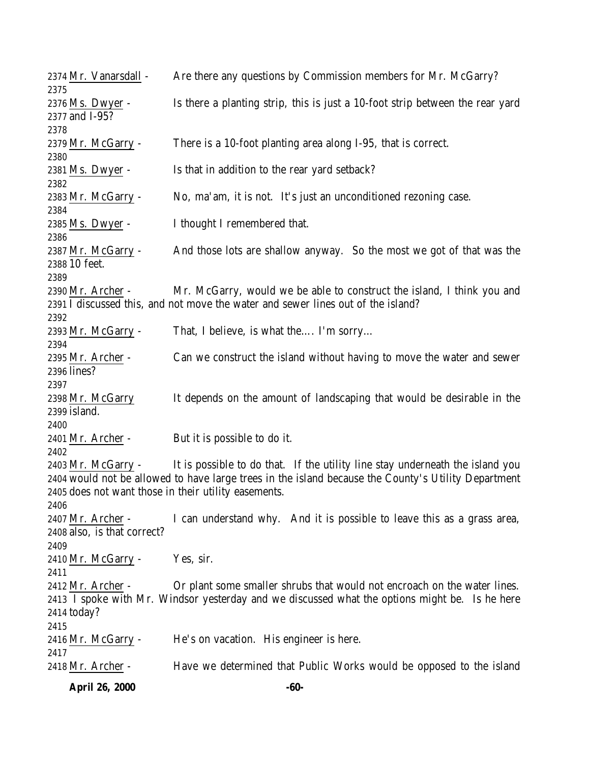|              | <b>April 26, 2000</b>       | $-60-$                                                                                              |
|--------------|-----------------------------|-----------------------------------------------------------------------------------------------------|
|              | 2418 Mr. Archer -           | Have we determined that Public Works would be opposed to the island                                 |
| 2417         |                             |                                                                                                     |
|              | 2416 Mr. McGarry -          | He's on vacation. His engineer is here.                                                             |
| 2415         |                             |                                                                                                     |
| 2414 today?  |                             |                                                                                                     |
|              |                             | 2413 I spoke with Mr. Windsor yesterday and we discussed what the options might be. Is he here      |
|              | 2412 Mr. Archer -           | Or plant some smaller shrubs that would not encroach on the water lines.                            |
| 2411         |                             |                                                                                                     |
|              | 2410 Mr. McGarry -          | Yes, sir.                                                                                           |
| 2409         |                             |                                                                                                     |
|              | 2408 also, is that correct? |                                                                                                     |
|              | 2407 Mr. Archer -           | I can understand why. And it is possible to leave this as a grass area,                             |
| 2406         |                             |                                                                                                     |
|              |                             | 2405 does not want those in their utility easements.                                                |
|              |                             | 2404 would not be allowed to have large trees in the island because the County's Utility Department |
|              | 2403 Mr. McGarry -          | It is possible to do that. If the utility line stay underneath the island you                       |
| 2402         |                             |                                                                                                     |
|              | 2401 Mr. Archer -           | But it is possible to do it.                                                                        |
| 2400         |                             |                                                                                                     |
| 2399 island. |                             |                                                                                                     |
|              | 2398 Mr. McGarry            | It depends on the amount of landscaping that would be desirable in the                              |
| 2397         |                             |                                                                                                     |
| 2396 lines?  |                             |                                                                                                     |
|              | 2395 Mr. Archer -           | Can we construct the island without having to move the water and sewer                              |
| 2394         |                             |                                                                                                     |
|              | 2393 Mr. McGarry -          | That, I believe, is what the I'm sorry                                                              |
| 2392         |                             |                                                                                                     |
|              |                             | 2391 I discussed this, and not move the water and sewer lines out of the island?                    |
|              | 2390 Mr. Archer -           | Mr. McGarry, would we be able to construct the island, I think you and                              |
| 2389         |                             |                                                                                                     |
|              | 2388 10 feet.               |                                                                                                     |
|              | 2387 Mr. McGarry -          | And those lots are shallow anyway. So the most we got of that was the                               |
| 2386         |                             |                                                                                                     |
|              | 2385 Ms. Dwyer -            | I thought I remembered that.                                                                        |
| 2384         |                             | No, ma'am, it is not. It's just an unconditioned rezoning case.                                     |
|              | 2383 Mr. McGarry -          |                                                                                                     |
| 2382         | 2381 Ms. Dwyer -            | Is that in addition to the rear yard setback?                                                       |
|              |                             |                                                                                                     |
| 2380         | 2379 Mr. McGarry -          | There is a 10-foot planting area along I-95, that is correct.                                       |
| 2378         |                             |                                                                                                     |
|              | 2377 and I-95?              |                                                                                                     |
|              | 2376 Ms. Dwyer -            | Is there a planting strip, this is just a 10-foot strip between the rear yard                       |
| 2375         |                             |                                                                                                     |
|              | 2374 Mr. Vanarsdall -       | Are there any questions by Commission members for Mr. McGarry?                                      |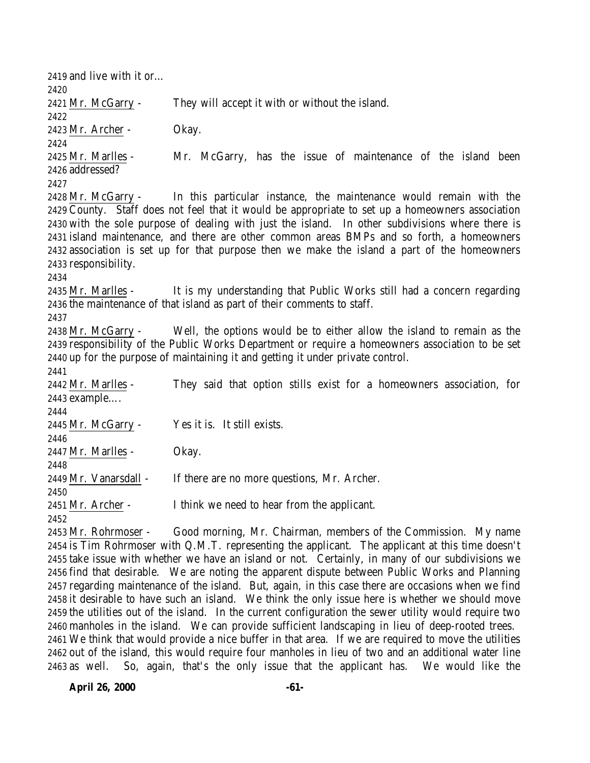and live with it or… Mr. McGarry - They will accept it with or without the island. Mr. Archer - Okay. Mr. Marlles - Mr. McGarry, has the issue of maintenance of the island been addressed? Mr. McGarry - In this particular instance, the maintenance would remain with the County. Staff does not feel that it would be appropriate to set up a homeowners association with the sole purpose of dealing with just the island. In other subdivisions where there is island maintenance, and there are other common areas BMPs and so forth, a homeowners association is set up for that purpose then we make the island a part of the homeowners responsibility. Mr. Marlles - It is my understanding that Public Works still had a concern regarding the maintenance of that island as part of their comments to staff. Mr. McGarry - Well, the options would be to either allow the island to remain as the responsibility of the Public Works Department or require a homeowners association to be set up for the purpose of maintaining it and getting it under private control. Mr. Marlles - They said that option stills exist for a homeowners association, for example…. Mr. McGarry - Yes it is. It still exists. Mr. Marlles - Okay. Mr. Vanarsdall - If there are no more questions, Mr. Archer. Mr. Archer - I think we need to hear from the applicant. Mr. Rohrmoser - Good morning, Mr. Chairman, members of the Commission. My name is Tim Rohrmoser with Q.M.T. representing the applicant. The applicant at this time doesn't take issue with whether we have an island or not. Certainly, in many of our subdivisions we find that desirable. We are noting the apparent dispute between Public Works and Planning regarding maintenance of the island. But, again, in this case there are occasions when we find

 it desirable to have such an island. We think the only issue here is whether we should move the utilities out of the island. In the current configuration the sewer utility would require two manholes in the island. We can provide sufficient landscaping in lieu of deep-rooted trees. We think that would provide a nice buffer in that area. If we are required to move the utilities out of the island, this would require four manholes in lieu of two and an additional water line as well. So, again, that's the only issue that the applicant has. We would like the

**April 26, 2000 -61-**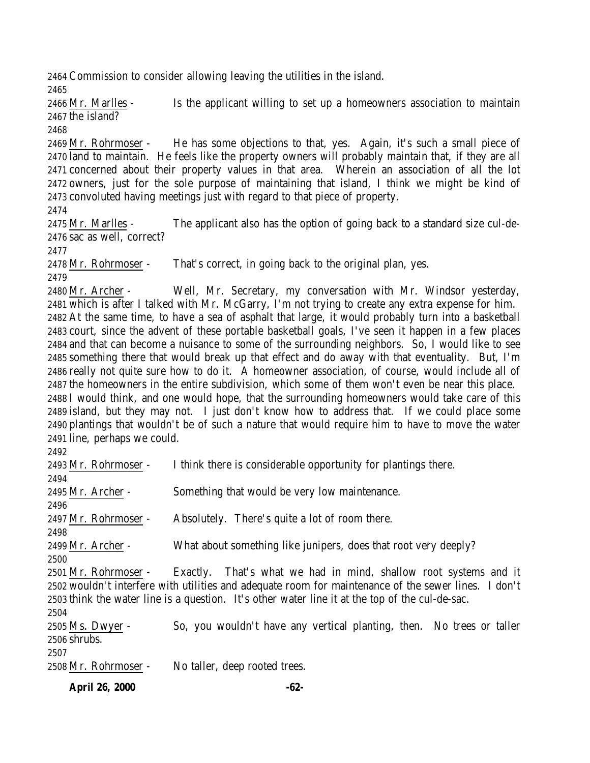Commission to consider allowing leaving the utilities in the island.

 Mr. Marlles - Is the applicant willing to set up a homeowners association to maintain the island?

 Mr. Rohrmoser - He has some objections to that, yes. Again, it's such a small piece of land to maintain. He feels like the property owners will probably maintain that, if they are all concerned about their property values in that area. Wherein an association of all the lot owners, just for the sole purpose of maintaining that island, I think we might be kind of convoluted having meetings just with regard to that piece of property.

 Mr. Marlles - The applicant also has the option of going back to a standard size cul-de-sac as well, correct?

Mr. Rohrmoser - That's correct, in going back to the original plan, yes.

 Mr. Archer - Well, Mr. Secretary, my conversation with Mr. Windsor yesterday, which is after I talked with Mr. McGarry, I'm not trying to create any extra expense for him. At the same time, to have a sea of asphalt that large, it would probably turn into a basketball court, since the advent of these portable basketball goals, I've seen it happen in a few places and that can become a nuisance to some of the surrounding neighbors. So, I would like to see something there that would break up that effect and do away with that eventuality. But, I'm really not quite sure how to do it. A homeowner association, of course, would include all of the homeowners in the entire subdivision, which some of them won't even be near this place. I would think, and one would hope, that the surrounding homeowners would take care of this island, but they may not. I just don't know how to address that. If we could place some plantings that wouldn't be of such a nature that would require him to have to move the water line, perhaps we could.

| I think there is considerable opportunity for plantings there.                                       |
|------------------------------------------------------------------------------------------------------|
|                                                                                                      |
| Something that would be very low maintenance.                                                        |
|                                                                                                      |
| Absolutely. There's quite a lot of room there.                                                       |
|                                                                                                      |
| What about something like junipers, does that root very deeply?                                      |
|                                                                                                      |
| Exactly. That's what we had in mind, shallow root systems and it                                     |
| 2502 wouldn't interfere with utilities and adequate room for maintenance of the sewer lines. I don't |
| 2503 think the water line is a question. It's other water line it at the top of the cul-de-sac.      |
|                                                                                                      |
| So, you wouldn't have any vertical planting, then. No trees or taller                                |
|                                                                                                      |
|                                                                                                      |
| No taller, deep rooted trees.                                                                        |
|                                                                                                      |

**April 26, 2000 -62-**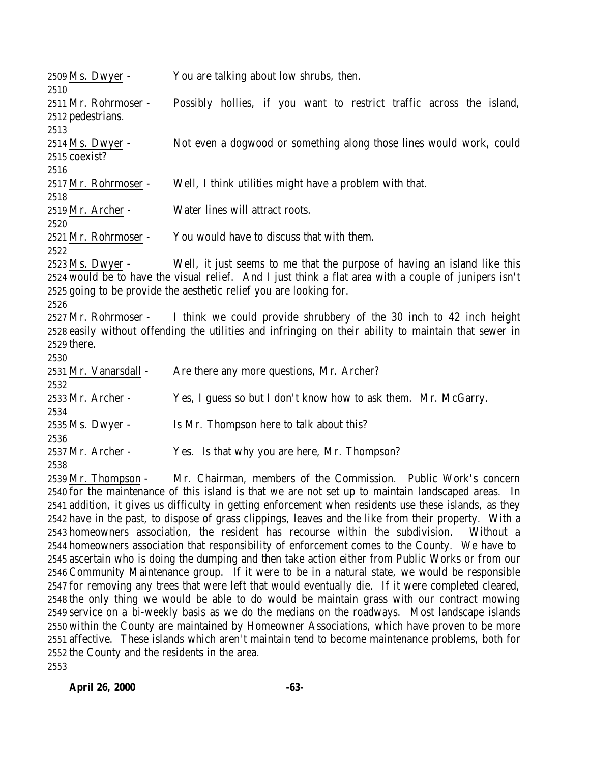| 2509 Ms. Dwyer -      | You are talking about low shrubs, then.                                                               |
|-----------------------|-------------------------------------------------------------------------------------------------------|
| 2510                  |                                                                                                       |
| 2511 Mr. Rohrmoser -  | Possibly hollies, if you want to restrict traffic across the island,                                  |
| 2512 pedestrians.     |                                                                                                       |
| 2513                  |                                                                                                       |
| 2514 Ms. Dwyer -      | Not even a dogwood or something along those lines would work, could                                   |
| 2515 coexist?         |                                                                                                       |
| 2516                  |                                                                                                       |
| 2517 Mr. Rohrmoser -  | Well, I think utilities might have a problem with that.                                               |
| 2518                  |                                                                                                       |
| 2519 Mr. Archer -     | Water lines will attract roots.                                                                       |
| 2520                  |                                                                                                       |
| 2521 Mr. Rohrmoser -  | You would have to discuss that with them.                                                             |
| 2522                  |                                                                                                       |
| 2523 Ms. Dwyer -      | Well, it just seems to me that the purpose of having an island like this                              |
|                       | 2524 would be to have the visual relief. And I just think a flat area with a couple of junipers isn't |
|                       | 2525 going to be provide the aesthetic relief you are looking for.                                    |
| 2526                  |                                                                                                       |
|                       | 2527 Mr. Rohrmoser - I think we could provide shrubbery of the 30 inch to 42 inch height              |
|                       | 2528 easily without offending the utilities and infringing on their ability to maintain that sewer in |
| 2529 there.           |                                                                                                       |
| 2530                  |                                                                                                       |
| 2531 Mr. Vanarsdall - | Are there any more questions, Mr. Archer?                                                             |
| 2532                  |                                                                                                       |
| 2533 Mr. Archer -     | Yes, I guess so but I don't know how to ask them. Mr. McGarry.                                        |
| 2534                  |                                                                                                       |
| 2535 Ms. Dwyer -      | Is Mr. Thompson here to talk about this?                                                              |
| 2536                  |                                                                                                       |
| 2537 Mr. Archer -     | Yes. Is that why you are here, Mr. Thompson?                                                          |
| 2538                  |                                                                                                       |
| 2539 Mr. Thompson -   | Mr. Chairman, members of the Commission. Public Work's concern                                        |

 for the maintenance of this island is that we are not set up to maintain landscaped areas. In addition, it gives us difficulty in getting enforcement when residents use these islands, as they have in the past, to dispose of grass clippings, leaves and the like from their property. With a homeowners association, the resident has recourse within the subdivision. Without a homeowners association that responsibility of enforcement comes to the County. We have to ascertain who is doing the dumping and then take action either from Public Works or from our Community Maintenance group. If it were to be in a natural state, we would be responsible for removing any trees that were left that would eventually die. If it were completed cleared, the only thing we would be able to do would be maintain grass with our contract mowing service on a bi-weekly basis as we do the medians on the roadways. Most landscape islands within the County are maintained by Homeowner Associations, which have proven to be more affective. These islands which aren't maintain tend to become maintenance problems, both for the County and the residents in the area.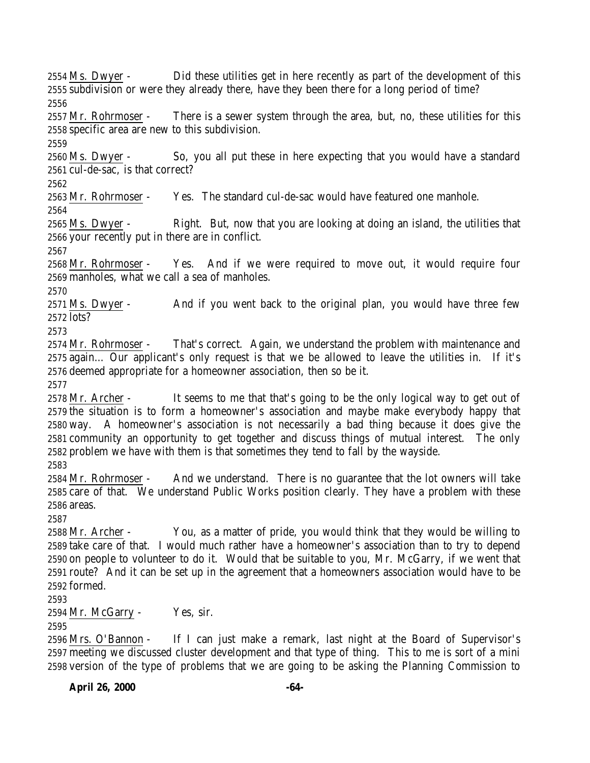Ms. Dwyer - Did these utilities get in here recently as part of the development of this subdivision or were they already there, have they been there for a long period of time? 

 Mr. Rohrmoser - There is a sewer system through the area, but, no, these utilities for this specific area are new to this subdivision.

 Ms. Dwyer - So, you all put these in here expecting that you would have a standard cul-de-sac, is that correct?

Mr. Rohrmoser - Yes. The standard cul-de-sac would have featured one manhole.

2565 Ms. Dwyer - Right. But, now that you are looking at doing an island, the utilities that your recently put in there are in conflict.

 Mr. Rohrmoser - Yes. And if we were required to move out, it would require four manholes, what we call a sea of manholes.

 Ms. Dwyer - And if you went back to the original plan, you would have three few lots?

 Mr. Rohrmoser - That's correct. Again, we understand the problem with maintenance and again… Our applicant's only request is that we be allowed to leave the utilities in. If it's deemed appropriate for a homeowner association, then so be it.

 Mr. Archer - It seems to me that that's going to be the only logical way to get out of the situation is to form a homeowner's association and maybe make everybody happy that way. A homeowner's association is not necessarily a bad thing because it does give the community an opportunity to get together and discuss things of mutual interest. The only problem we have with them is that sometimes they tend to fall by the wayside.

 Mr. Rohrmoser - And we understand. There is no guarantee that the lot owners will take care of that. We understand Public Works position clearly. They have a problem with these areas.

 Mr. Archer - You, as a matter of pride, you would think that they would be willing to take care of that. I would much rather have a homeowner's association than to try to depend on people to volunteer to do it. Would that be suitable to you, Mr. McGarry, if we went that route? And it can be set up in the agreement that a homeowners association would have to be formed.

Mr. McGarry - Yes, sir.

 Mrs. O'Bannon - If I can just make a remark, last night at the Board of Supervisor's meeting we discussed cluster development and that type of thing. This to me is sort of a mini version of the type of problems that we are going to be asking the Planning Commission to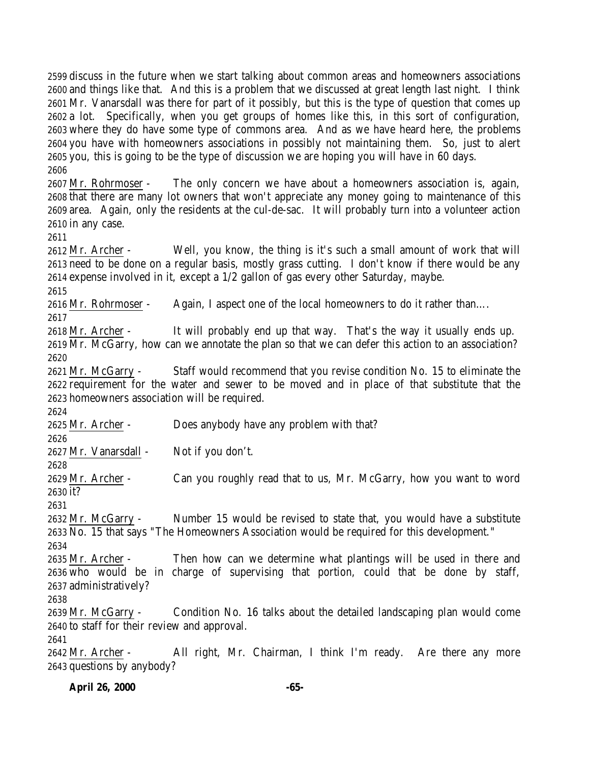discuss in the future when we start talking about common areas and homeowners associations and things like that. And this is a problem that we discussed at great length last night. I think Mr. Vanarsdall was there for part of it possibly, but this is the type of question that comes up a lot. Specifically, when you get groups of homes like this, in this sort of configuration, where they do have some type of commons area. And as we have heard here, the problems you have with homeowners associations in possibly not maintaining them. So, just to alert you, this is going to be the type of discussion we are hoping you will have in 60 days. 

 Mr. Rohrmoser - The only concern we have about a homeowners association is, again, that there are many lot owners that won't appreciate any money going to maintenance of this area. Again, only the residents at the cul-de-sac. It will probably turn into a volunteer action in any case.

 Mr. Archer - Well, you know, the thing is it's such a small amount of work that will need to be done on a regular basis, mostly grass cutting. I don't know if there would be any expense involved in it, except a 1/2 gallon of gas every other Saturday, maybe.

Mr. Rohrmoser - Again, I aspect one of the local homeowners to do it rather than….

 Mr. Archer - It will probably end up that way. That's the way it usually ends up. Mr. McGarry, how can we annotate the plan so that we can defer this action to an association? 

 Mr. McGarry - Staff would recommend that you revise condition No. 15 to eliminate the requirement for the water and sewer to be moved and in place of that substitute that the homeowners association will be required.

Mr. Archer - Does anybody have any problem with that?

Mr. Vanarsdall - Not if you don't.

 Mr. Archer - Can you roughly read that to us, Mr. McGarry, how you want to word it?

 Mr. McGarry - Number 15 would be revised to state that, you would have a substitute No. 15 that says "The Homeowners Association would be required for this development." 

 Mr. Archer - Then how can we determine what plantings will be used in there and who would be in charge of supervising that portion, could that be done by staff, administratively?

 Mr. McGarry - Condition No. 16 talks about the detailed landscaping plan would come to staff for their review and approval.

 Mr. Archer - All right, Mr. Chairman, I think I'm ready. Are there any more questions by anybody?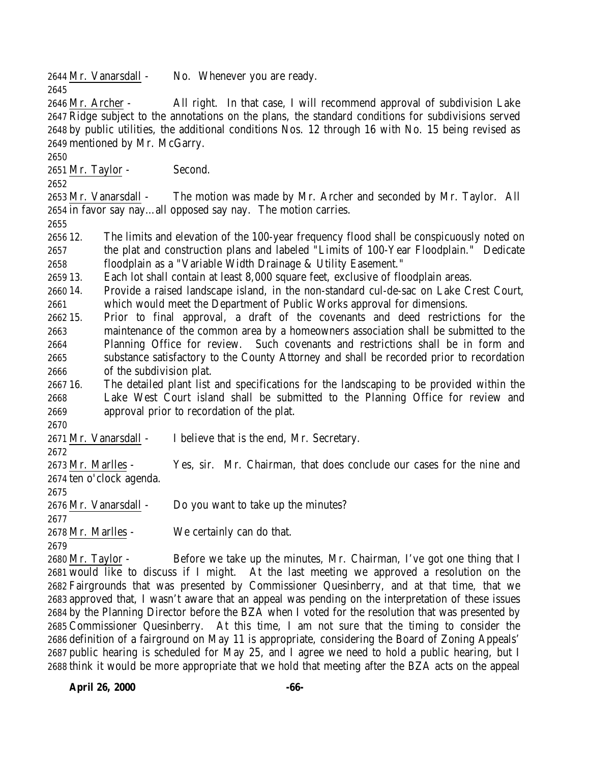Mr. Vanarsdall - No. Whenever you are ready.

 Mr. Archer - All right. In that case, I will recommend approval of subdivision Lake Ridge subject to the annotations on the plans, the standard conditions for subdivisions served by public utilities, the additional conditions Nos. 12 through 16 with No. 15 being revised as mentioned by Mr. McGarry.

Mr. Taylor - Second.

 Mr. Vanarsdall - The motion was made by Mr. Archer and seconded by Mr. Taylor. All in favor say nay…all opposed say nay. The motion carries.

 12. The limits and elevation of the 100-year frequency flood shall be conspicuously noted on the plat and construction plans and labeled "Limits of 100-Year Floodplain." Dedicate floodplain as a "Variable Width Drainage & Utility Easement."

13. Each lot shall contain at least 8,000 square feet, exclusive of floodplain areas.

 14. Provide a raised landscape island, in the non-standard cul-de-sac on Lake Crest Court, which would meet the Department of Public Works approval for dimensions.

 15. Prior to final approval, a draft of the covenants and deed restrictions for the maintenance of the common area by a homeowners association shall be submitted to the Planning Office for review. Such covenants and restrictions shall be in form and substance satisfactory to the County Attorney and shall be recorded prior to recordation of the subdivision plat.

 16. The detailed plant list and specifications for the landscaping to be provided within the Lake West Court island shall be submitted to the Planning Office for review and approval prior to recordation of the plat.

Mr. Vanarsdall - I believe that is the end, Mr. Secretary.

 Mr. Marlles - Yes, sir. Mr. Chairman, that does conclude our cases for the nine and ten o'clock agenda.

Mr. Vanarsdall - Do you want to take up the minutes?

Mr. Marlles - We certainly can do that.

 Mr. Taylor - Before we take up the minutes, Mr. Chairman, I've got one thing that I would like to discuss if I might. At the last meeting we approved a resolution on the Fairgrounds that was presented by Commissioner Quesinberry, and at that time, that we approved that, I wasn't aware that an appeal was pending on the interpretation of these issues by the Planning Director before the BZA when I voted for the resolution that was presented by Commissioner Quesinberry. At this time, I am not sure that the timing to consider the definition of a fairground on May 11 is appropriate, considering the Board of Zoning Appeals' public hearing is scheduled for May 25, and I agree we need to hold a public hearing, but I think it would be more appropriate that we hold that meeting after the BZA acts on the appeal

**April 26, 2000 -66-**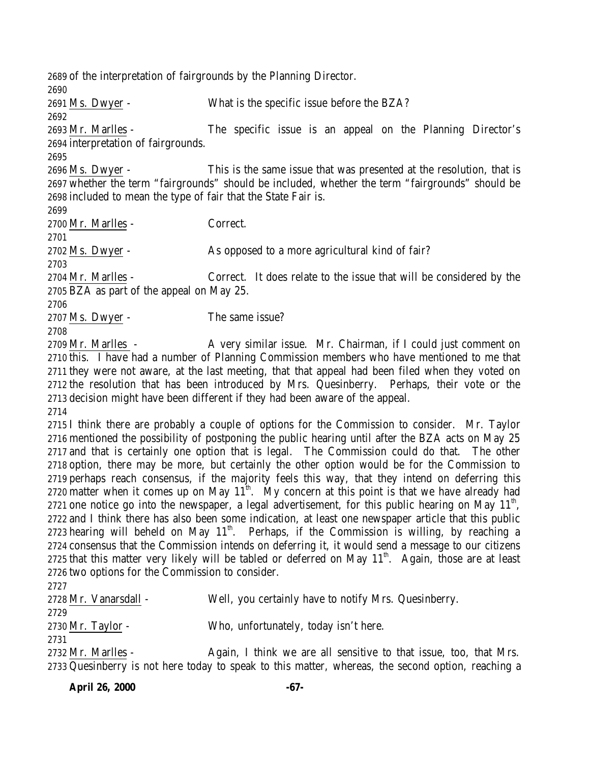of the interpretation of fairgrounds by the Planning Director. Ms. Dwyer - What is the specific issue before the BZA? Mr. Marlles - The specific issue is an appeal on the Planning Director's interpretation of fairgrounds. Ms. Dwyer - This is the same issue that was presented at the resolution, that is whether the term "fairgrounds" should be included, whether the term "fairgrounds" should be included to mean the type of fair that the State Fair is. Mr. Marlles - Correct. Ms. Dwyer - As opposed to a more agricultural kind of fair? Mr. Marlles - Correct. It does relate to the issue that will be considered by the BZA as part of the appeal on May 25. Ms. Dwyer - The same issue? 2709 Mr. Marlles - A very similar issue. Mr. Chairman, if I could just comment on this. I have had a number of Planning Commission members who have mentioned to me that they were not aware, at the last meeting, that that appeal had been filed when they voted on the resolution that has been introduced by Mrs. Quesinberry. Perhaps, their vote or the decision might have been different if they had been aware of the appeal. I think there are probably a couple of options for the Commission to consider. Mr. Taylor mentioned the possibility of postponing the public hearing until after the BZA acts on May 25 and that is certainly one option that is legal. The Commission could do that. The other option, there may be more, but certainly the other option would be for the Commission to perhaps reach consensus, if the majority feels this way, that they intend on deferring this 2720 matter when it comes up on May  $11^{th}$ . My concern at this point is that we have already had 2721 one notice go into the newspaper, a legal advertisement, for this public hearing on May  $11<sup>th</sup>$ , and I think there has also been some indication, at least one newspaper article that this public 2723 hearing will beheld on May  $11<sup>th</sup>$ . Perhaps, if the Commission is willing, by reaching a consensus that the Commission intends on deferring it, it would send a message to our citizens 2725 that this matter very likely will be tabled or deferred on May  $11<sup>th</sup>$ . Again, those are at least two options for the Commission to consider. Mr. Vanarsdall - Well, you certainly have to notify Mrs. Quesinberry. Mr. Taylor - Who, unfortunately, today isn't here. Mr. Marlles - Again, I think we are all sensitive to that issue, too, that Mrs. Quesinberry is not here today to speak to this matter, whereas, the second option, reaching a

**April 26, 2000 -67-**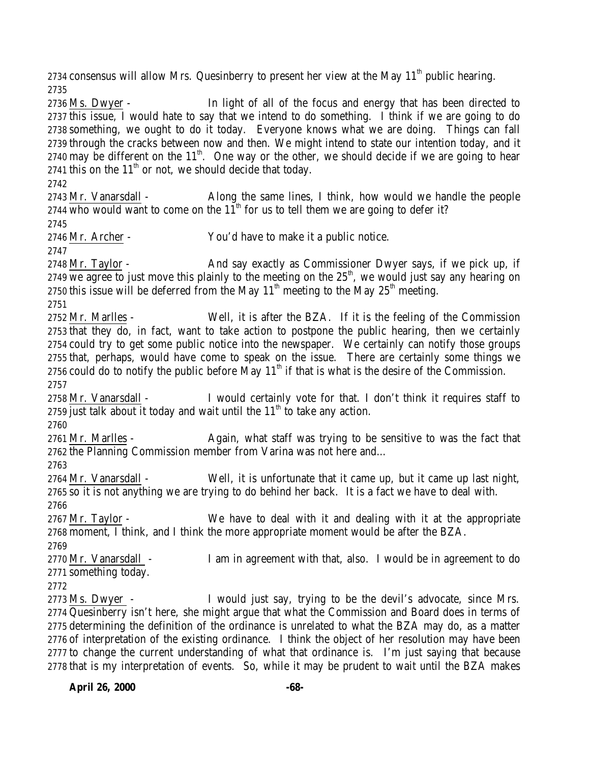2734 consensus will allow Mrs. Quesinberry to present her view at the May  $11<sup>th</sup>$  public hearing. 

 Ms. Dwyer - In light of all of the focus and energy that has been directed to this issue, I would hate to say that we intend to do something. I think if we are going to do something, we ought to do it today. Everyone knows what we are doing. Things can fall through the cracks between now and then. We might intend to state our intention today, and it 2740 may be different on the  $11<sup>th</sup>$ . One way or the other, we should decide if we are going to hear 2741 this on the  $11<sup>th</sup>$  or not, we should decide that today.

 Mr. Vanarsdall - Along the same lines, I think, how would we handle the people who would want to come on the  $11<sup>th</sup>$  for us to tell them we are going to defer it?

Mr. Archer - You'd have to make it a public notice.

2748 Mr. Taylor - And say exactly as Commissioner Dwyer says, if we pick up, if we agree to just move this plainly to the meeting on the  $25<sup>th</sup>$ , we would just say any hearing on 2750 this issue will be deferred from the May  $11<sup>th</sup>$  meeting to the May  $25<sup>th</sup>$  meeting.

 Mr. Marlles - Well, it is after the BZA. If it is the feeling of the Commission that they do, in fact, want to take action to postpone the public hearing, then we certainly could try to get some public notice into the newspaper. We certainly can notify those groups that, perhaps, would have come to speak on the issue. There are certainly some things we 2756 could do to notify the public before May  $11<sup>th</sup>$  if that is what is the desire of the Commission. 

2758 Mr. Vanarsdall - I would certainly vote for that. I don't think it requires staff to 2759 just talk about it today and wait until the  $11<sup>th</sup>$  to take any action.

2761 Mr. Marlles - Again, what staff was trying to be sensitive to was the fact that the Planning Commission member from Varina was not here and… 

 Mr. Vanarsdall - Well, it is unfortunate that it came up, but it came up last night, so it is not anything we are trying to do behind her back. It is a fact we have to deal with. 

 Mr. Taylor - We have to deal with it and dealing with it at the appropriate moment, I think, and I think the more appropriate moment would be after the BZA. 

2770 Mr. Vanarsdall - I am in agreement with that, also. I would be in agreement to do something today.

 Ms. Dwyer - I would just say, trying to be the devil's advocate, since Mrs. Quesinberry isn't here, she might argue that what the Commission and Board does in terms of determining the definition of the ordinance is unrelated to what the BZA may do, as a matter of interpretation of the existing ordinance. I think the object of her resolution may have been to change the current understanding of what that ordinance is. I'm just saying that because that is my interpretation of events. So, while it may be prudent to wait until the BZA makes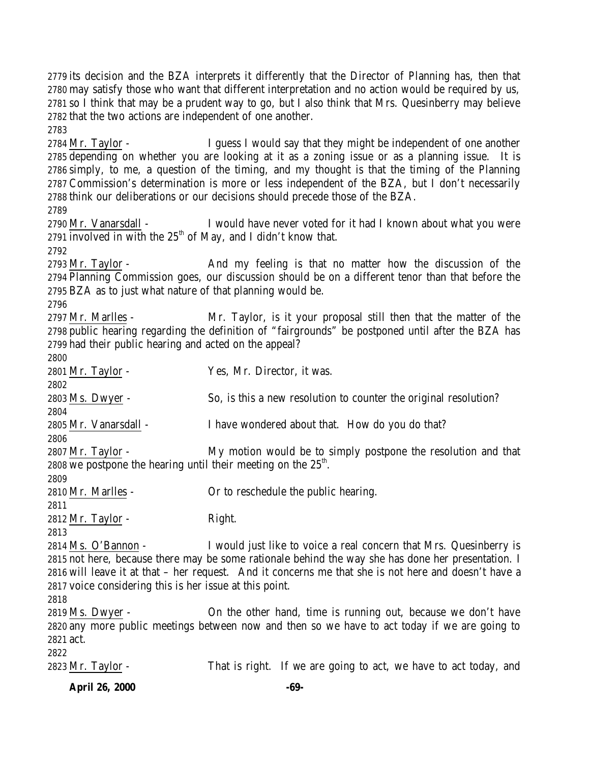**April 26, 2000 -69-** its decision and the BZA interprets it differently that the Director of Planning has, then that may satisfy those who want that different interpretation and no action would be required by us, so I think that may be a prudent way to go, but I also think that Mrs. Quesinberry may believe that the two actions are independent of one another. 2784 Mr. Taylor - I guess I would say that they might be independent of one another depending on whether you are looking at it as a zoning issue or as a planning issue. It is simply, to me, a question of the timing, and my thought is that the timing of the Planning Commission's determination is more or less independent of the BZA, but I don't necessarily think our deliberations or our decisions should precede those of the BZA. Mr. Vanarsdall - I would have never voted for it had I known about what you were 2791 involved in with the  $25<sup>th</sup>$  of May, and I didn't know that. 2793 Mr. Taylor - And my feeling is that no matter how the discussion of the Planning Commission goes, our discussion should be on a different tenor than that before the BZA as to just what nature of that planning would be. Mr. Marlles - Mr. Taylor, is it your proposal still then that the matter of the public hearing regarding the definition of "fairgrounds" be postponed until after the BZA has had their public hearing and acted on the appeal? Mr. Taylor - Yes, Mr. Director, it was. Ms. Dwyer - So, is this a new resolution to counter the original resolution? Mr. Vanarsdall - I have wondered about that. How do you do that? 2807 Mr. Taylor - My motion would be to simply postpone the resolution and that 2808 we postpone the hearing until their meeting on the  $25<sup>th</sup>$ . Mr. Marlles - Or to reschedule the public hearing. 2812 Mr. Taylor - Right. Ms. O'Bannon - I would just like to voice a real concern that Mrs. Quesinberry is not here, because there may be some rationale behind the way she has done her presentation. I will leave it at that – her request. And it concerns me that she is not here and doesn't have a voice considering this is her issue at this point. Ms. Dwyer - On the other hand, time is running out, because we don't have any more public meetings between now and then so we have to act today if we are going to act. Mr. Taylor - That is right. If we are going to act, we have to act today, and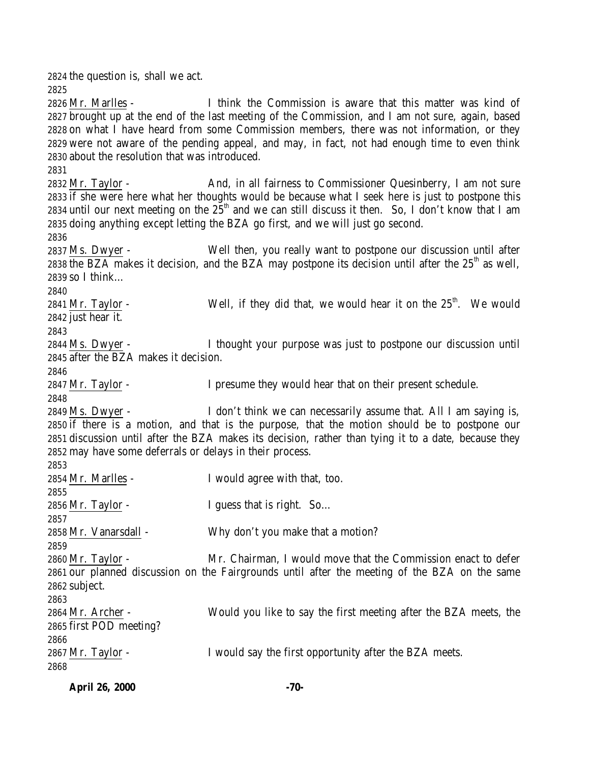the question is, shall we act. Mr. Marlles - I think the Commission is aware that this matter was kind of brought up at the end of the last meeting of the Commission, and I am not sure, again, based on what I have heard from some Commission members, there was not information, or they were not aware of the pending appeal, and may, in fact, not had enough time to even think about the resolution that was introduced. 2832 Mr. Taylor - And, in all fairness to Commissioner Quesinberry, I am not sure if she were here what her thoughts would be because what I seek here is just to postpone this 2834 until our next meeting on the  $25<sup>th</sup>$  and we can still discuss it then. So, I don't know that I am doing anything except letting the BZA go first, and we will just go second. Ms. Dwyer - Well then, you really want to postpone our discussion until after 2838 the BZA makes it decision, and the BZA may postpone its decision until after the  $25<sup>th</sup>$  as well, so I think… 2841 Mr. Taylor - Well, if they did that, we would hear it on the  $25<sup>th</sup>$ . We would just hear it. Ms. Dwyer - I thought your purpose was just to postpone our discussion until after the BZA makes it decision. 2847 Mr. Taylor - I presume they would hear that on their present schedule. Ms. Dwyer - I don't think we can necessarily assume that. All I am saying is, if there is a motion, and that is the purpose, that the motion should be to postpone our discussion until after the BZA makes its decision, rather than tying it to a date, because they may have some deferrals or delays in their process. Mr. Marlles - I would agree with that, too. 2856 Mr. Taylor - I guess that is right. So... Mr. Vanarsdall - Why don't you make that a motion? Mr. Taylor - Mr. Chairman, I would move that the Commission enact to defer our planned discussion on the Fairgrounds until after the meeting of the BZA on the same subject. Mr. Archer - Would you like to say the first meeting after the BZA meets, the first POD meeting? Mr. Taylor - I would say the first opportunity after the BZA meets. 

| <b>April 26, 2000</b> | -70- |
|-----------------------|------|
|                       |      |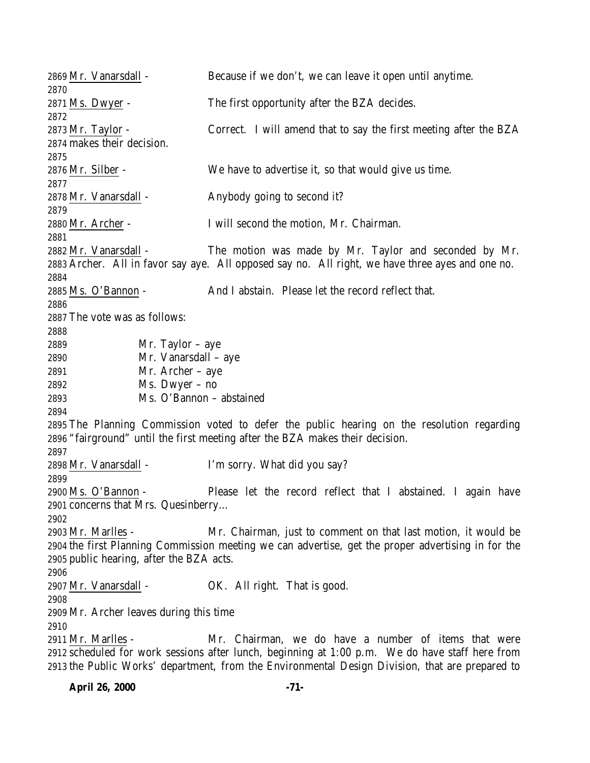Mr. Vanarsdall - Because if we don't, we can leave it open until anytime. Ms. Dwyer - The first opportunity after the BZA decides. Mr. Taylor - Correct. I will amend that to say the first meeting after the BZA makes their decision. Mr. Silber - We have to advertise it, so that would give us time. Mr. Vanarsdall - Anybody going to second it? Mr. Archer - I will second the motion, Mr. Chairman. Mr. Vanarsdall - The motion was made by Mr. Taylor and seconded by Mr. Archer. All in favor say aye. All opposed say no. All right, we have three ayes and one no. Ms. O'Bannon - And I abstain. Please let the record reflect that. The vote was as follows: Mr. Taylor – aye Mr. Vanarsdall – aye Mr. Archer – aye Ms. Dwyer – no Ms. O'Bannon – abstained The Planning Commission voted to defer the public hearing on the resolution regarding "fairground" until the first meeting after the BZA makes their decision. Mr. Vanarsdall - I'm sorry. What did you say? Ms. O'Bannon - Please let the record reflect that I abstained. I again have concerns that Mrs. Quesinberry… Mr. Marlles - Mr. Chairman, just to comment on that last motion, it would be the first Planning Commission meeting we can advertise, get the proper advertising in for the public hearing, after the BZA acts. Mr. Vanarsdall - OK. All right. That is good. Mr. Archer leaves during this time Mr. Marlles - Mr. Chairman, we do have a number of items that were scheduled for work sessions after lunch, beginning at 1:00 p.m. We do have staff here from the Public Works' department, from the Environmental Design Division, that are prepared to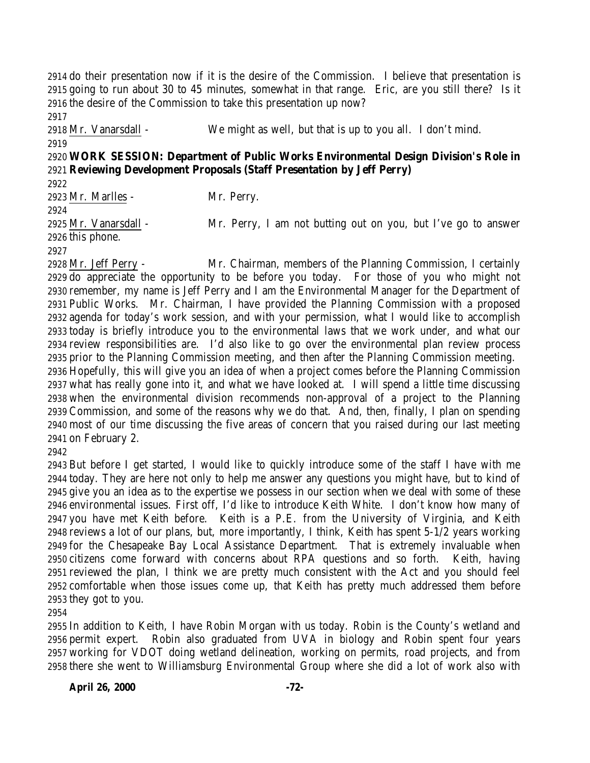do their presentation now if it is the desire of the Commission. I believe that presentation is going to run about 30 to 45 minutes, somewhat in that range. Eric, are you still there? Is it the desire of the Commission to take this presentation up now? 

 Mr. Vanarsdall - We might as well, but that is up to you all. I don't mind. 

# **WORK SESSION: Department of Public Works Environmental Design Division's Role in Reviewing Development Proposals (Staff Presentation by Jeff Perry)**

Mr. Marlles - Mr. Perry.

Mr. Vanarsdall - Mr. Perry, I am not butting out on you, but I've go to answer

this phone.

 Mr. Jeff Perry - Mr. Chairman, members of the Planning Commission, I certainly do appreciate the opportunity to be before you today. For those of you who might not remember, my name is Jeff Perry and I am the Environmental Manager for the Department of Public Works. Mr. Chairman, I have provided the Planning Commission with a proposed agenda for today's work session, and with your permission, what I would like to accomplish today is briefly introduce you to the environmental laws that we work under, and what our review responsibilities are. I'd also like to go over the environmental plan review process prior to the Planning Commission meeting, and then after the Planning Commission meeting. Hopefully, this will give you an idea of when a project comes before the Planning Commission what has really gone into it, and what we have looked at. I will spend a little time discussing when the environmental division recommends non-approval of a project to the Planning Commission, and some of the reasons why we do that. And, then, finally, I plan on spending most of our time discussing the five areas of concern that you raised during our last meeting on February 2.

 But before I get started, I would like to quickly introduce some of the staff I have with me today. They are here not only to help me answer any questions you might have, but to kind of give you an idea as to the expertise we possess in our section when we deal with some of these environmental issues. First off, I'd like to introduce Keith White. I don't know how many of you have met Keith before. Keith is a P.E. from the University of Virginia, and Keith reviews a lot of our plans, but, more importantly, I think, Keith has spent 5-1/2 years working for the Chesapeake Bay Local Assistance Department. That is extremely invaluable when citizens come forward with concerns about RPA questions and so forth. Keith, having reviewed the plan, I think we are pretty much consistent with the Act and you should feel comfortable when those issues come up, that Keith has pretty much addressed them before they got to you.

 In addition to Keith, I have Robin Morgan with us today. Robin is the County's wetland and permit expert. Robin also graduated from UVA in biology and Robin spent four years working for VDOT doing wetland delineation, working on permits, road projects, and from there she went to Williamsburg Environmental Group where she did a lot of work also with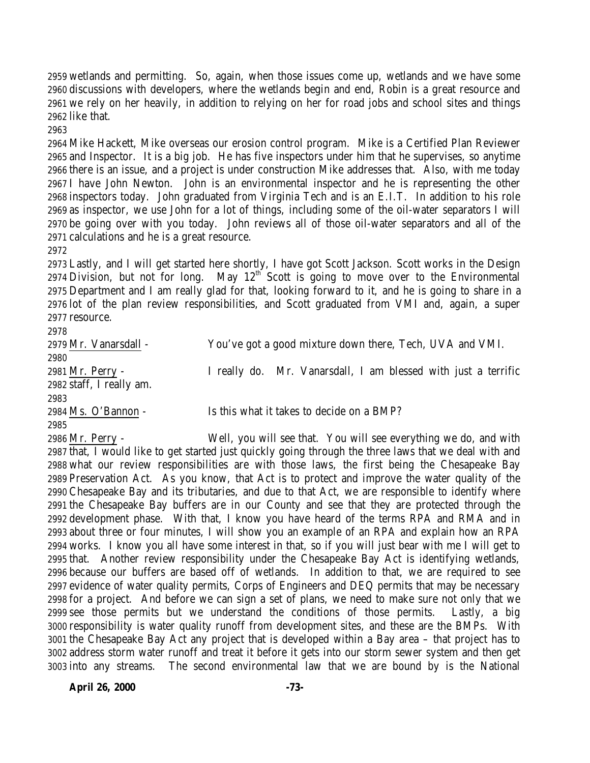wetlands and permitting. So, again, when those issues come up, wetlands and we have some discussions with developers, where the wetlands begin and end, Robin is a great resource and we rely on her heavily, in addition to relying on her for road jobs and school sites and things like that.

 Mike Hackett, Mike overseas our erosion control program. Mike is a Certified Plan Reviewer and Inspector. It is a big job. He has five inspectors under him that he supervises, so anytime there is an issue, and a project is under construction Mike addresses that. Also, with me today I have John Newton. John is an environmental inspector and he is representing the other inspectors today. John graduated from Virginia Tech and is an E.I.T. In addition to his role as inspector, we use John for a lot of things, including some of the oil-water separators I will be going over with you today. John reviews all of those oil-water separators and all of the calculations and he is a great resource.

 Lastly, and I will get started here shortly, I have got Scott Jackson. Scott works in the Design 2974 Division, but not for long. May  $12<sup>th</sup>$  Scott is going to move over to the Environmental Department and I am really glad for that, looking forward to it, and he is going to share in a lot of the plan review responsibilities, and Scott graduated from VMI and, again, a super resource. 

| 27 I O                   |                                                                |  |  |  |  |  |  |  |  |  |
|--------------------------|----------------------------------------------------------------|--|--|--|--|--|--|--|--|--|
| 2979 Mr. Vanarsdall -    | You've got a good mixture down there, Tech, UVA and VMI.       |  |  |  |  |  |  |  |  |  |
| 2980                     |                                                                |  |  |  |  |  |  |  |  |  |
| 2981 Mr. Perry -         | I really do. Mr. Vanarsdall, I am blessed with just a terrific |  |  |  |  |  |  |  |  |  |
| 2982 staff, I really am. |                                                                |  |  |  |  |  |  |  |  |  |
| 2983                     |                                                                |  |  |  |  |  |  |  |  |  |
| 2984 Ms. O'Bannon -      | Is this what it takes to decide on a BMP?                      |  |  |  |  |  |  |  |  |  |
| 2985                     |                                                                |  |  |  |  |  |  |  |  |  |

 Mr. Perry - Well, you will see that. You will see everything we do, and with that, I would like to get started just quickly going through the three laws that we deal with and what our review responsibilities are with those laws, the first being the Chesapeake Bay Preservation Act. As you know, that Act is to protect and improve the water quality of the Chesapeake Bay and its tributaries, and due to that Act, we are responsible to identify where the Chesapeake Bay buffers are in our County and see that they are protected through the development phase. With that, I know you have heard of the terms RPA and RMA and in about three or four minutes, I will show you an example of an RPA and explain how an RPA works. I know you all have some interest in that, so if you will just bear with me I will get to that. Another review responsibility under the Chesapeake Bay Act is identifying wetlands, because our buffers are based off of wetlands. In addition to that, we are required to see evidence of water quality permits, Corps of Engineers and DEQ permits that may be necessary for a project. And before we can sign a set of plans, we need to make sure not only that we see those permits but we understand the conditions of those permits. Lastly, a big responsibility is water quality runoff from development sites, and these are the BMPs. With the Chesapeake Bay Act any project that is developed within a Bay area – that project has to address storm water runoff and treat it before it gets into our storm sewer system and then get into any streams. The second environmental law that we are bound by is the National

**April 26, 2000 -73-**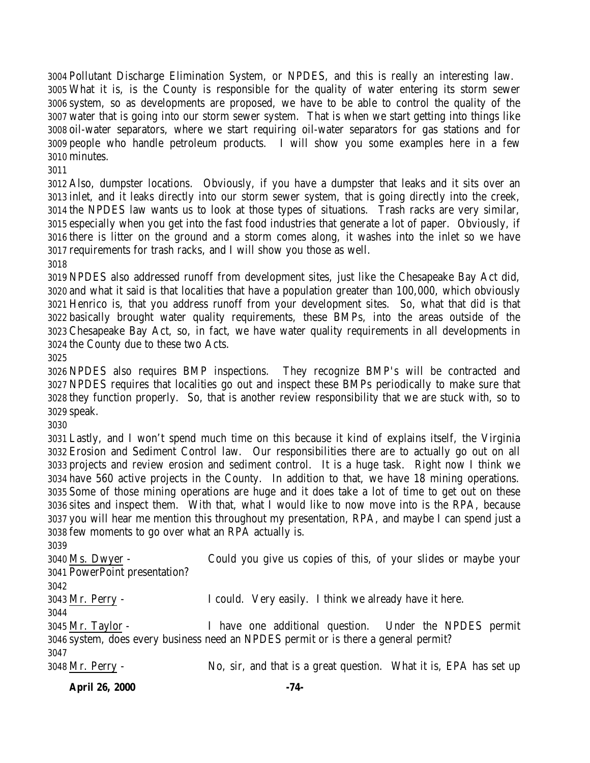Pollutant Discharge Elimination System, or NPDES, and this is really an interesting law. What it is, is the County is responsible for the quality of water entering its storm sewer system, so as developments are proposed, we have to be able to control the quality of the water that is going into our storm sewer system. That is when we start getting into things like oil-water separators, where we start requiring oil-water separators for gas stations and for people who handle petroleum products. I will show you some examples here in a few minutes.

 Also, dumpster locations. Obviously, if you have a dumpster that leaks and it sits over an inlet, and it leaks directly into our storm sewer system, that is going directly into the creek, the NPDES law wants us to look at those types of situations. Trash racks are very similar, especially when you get into the fast food industries that generate a lot of paper. Obviously, if there is litter on the ground and a storm comes along, it washes into the inlet so we have requirements for trash racks, and I will show you those as well.

 NPDES also addressed runoff from development sites, just like the Chesapeake Bay Act did, and what it said is that localities that have a population greater than 100,000, which obviously Henrico is, that you address runoff from your development sites. So, what that did is that basically brought water quality requirements, these BMPs, into the areas outside of the Chesapeake Bay Act, so, in fact, we have water quality requirements in all developments in the County due to these two Acts.

 NPDES also requires BMP inspections. They recognize BMP's will be contracted and NPDES requires that localities go out and inspect these BMPs periodically to make sure that they function properly. So, that is another review responsibility that we are stuck with, so to speak.

 Lastly, and I won't spend much time on this because it kind of explains itself, the Virginia Erosion and Sediment Control law. Our responsibilities there are to actually go out on all projects and review erosion and sediment control. It is a huge task. Right now I think we have 560 active projects in the County. In addition to that, we have 18 mining operations. Some of those mining operations are huge and it does take a lot of time to get out on these sites and inspect them. With that, what I would like to now move into is the RPA, because you will hear me mention this throughout my presentation, RPA, and maybe I can spend just a few moments to go over what an RPA actually is.

 Ms. Dwyer - Could you give us copies of this, of your slides or maybe your PowerPoint presentation? Mr. Perry - I could. Very easily. I think we already have it here. Mr. Taylor - I have one additional question. Under the NPDES permit system, does every business need an NPDES permit or is there a general permit? Mr. Perry - No, sir, and that is a great question. What it is, EPA has set up

**April 26, 2000 -74-**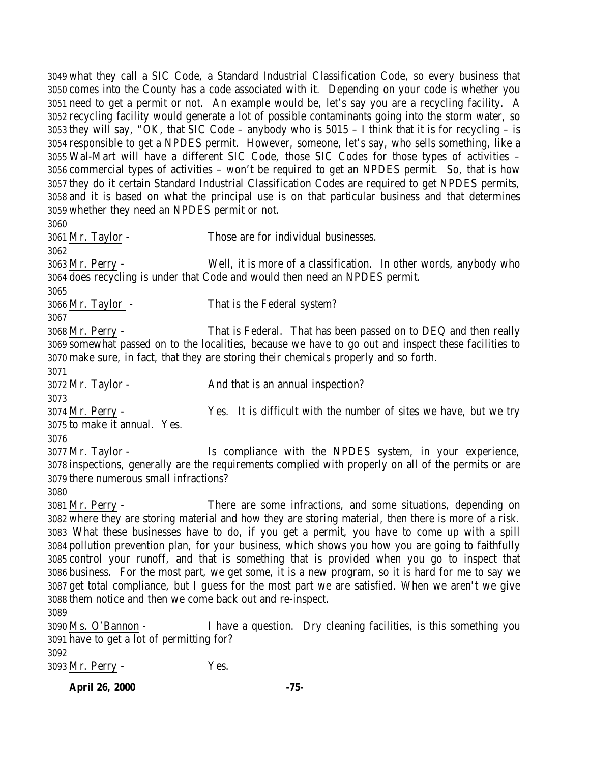what they call a SIC Code, a Standard Industrial Classification Code, so every business that comes into the County has a code associated with it. Depending on your code is whether you need to get a permit or not. An example would be, let's say you are a recycling facility. A recycling facility would generate a lot of possible contaminants going into the storm water, so they will say, "OK, that SIC Code – anybody who is 5015 – I think that it is for recycling – is responsible to get a NPDES permit. However, someone, let's say, who sells something, like a Wal-Mart will have a different SIC Code, those SIC Codes for those types of activities – commercial types of activities – won't be required to get an NPDES permit. So, that is how they do it certain Standard Industrial Classification Codes are required to get NPDES permits, and it is based on what the principal use is on that particular business and that determines whether they need an NPDES permit or not. Mr. Taylor - Those are for individual businesses. Mr. Perry - Well, it is more of a classification. In other words, anybody who does recycling is under that Code and would then need an NPDES permit. Mr. Taylor - That is the Federal system? Mr. Perry - That is Federal. That has been passed on to DEQ and then really somewhat passed on to the localities, because we have to go out and inspect these facilities to make sure, in fact, that they are storing their chemicals properly and so forth. Mr. Taylor - And that is an annual inspection? Mr. Perry - Yes. It is difficult with the number of sites we have, but we try to make it annual. Yes. Mr. Taylor - Is compliance with the NPDES system, in your experience, inspections, generally are the requirements complied with properly on all of the permits or are there numerous small infractions? Mr. Perry - There are some infractions, and some situations, depending on where they are storing material and how they are storing material, then there is more of a risk. What these businesses have to do, if you get a permit, you have to come up with a spill pollution prevention plan, for your business, which shows you how you are going to faithfully control your runoff, and that is something that is provided when you go to inspect that business. For the most part, we get some, it is a new program, so it is hard for me to say we get total compliance, but I guess for the most part we are satisfied. When we aren't we give them notice and then we come back out and re-inspect. Ms. O'Bannon - I have a question. Dry cleaning facilities, is this something you have to get a lot of permitting for? Mr. Perry - Yes.

**April 26, 2000 -75-**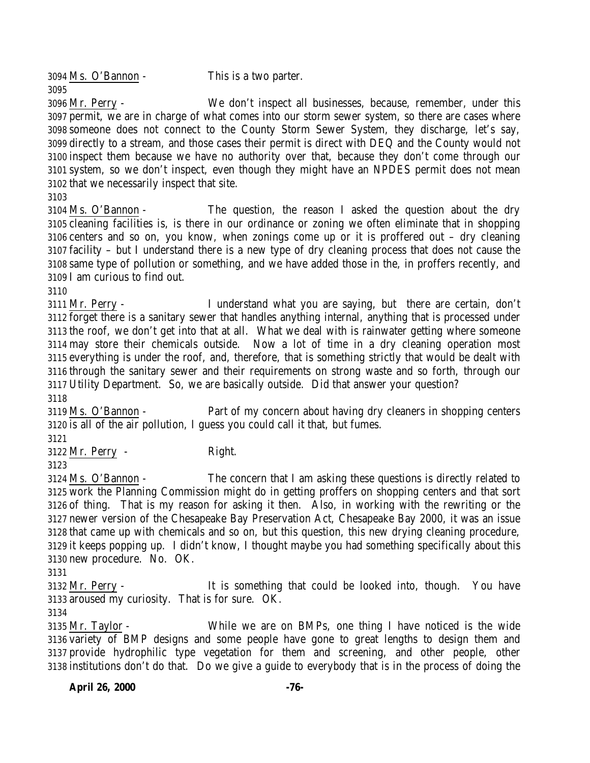Ms. O'Bannon - This is a two parter. 

 Mr. Perry - We don't inspect all businesses, because, remember, under this permit, we are in charge of what comes into our storm sewer system, so there are cases where someone does not connect to the County Storm Sewer System, they discharge, let's say, directly to a stream, and those cases their permit is direct with DEQ and the County would not inspect them because we have no authority over that, because they don't come through our system, so we don't inspect, even though they might have an NPDES permit does not mean that we necessarily inspect that site.

 Ms. O'Bannon - The question, the reason I asked the question about the dry cleaning facilities is, is there in our ordinance or zoning we often eliminate that in shopping centers and so on, you know, when zonings come up or it is proffered out – dry cleaning facility – but I understand there is a new type of dry cleaning process that does not cause the same type of pollution or something, and we have added those in the, in proffers recently, and I am curious to find out.

 Mr. Perry - I understand what you are saying, but there are certain, don't forget there is a sanitary sewer that handles anything internal, anything that is processed under the roof, we don't get into that at all. What we deal with is rainwater getting where someone may store their chemicals outside. Now a lot of time in a dry cleaning operation most everything is under the roof, and, therefore, that is something strictly that would be dealt with through the sanitary sewer and their requirements on strong waste and so forth, through our Utility Department. So, we are basically outside. Did that answer your question? 

 Ms. O'Bannon - Part of my concern about having dry cleaners in shopping centers is all of the air pollution, I guess you could call it that, but fumes.

Mr. Perry - Right.

 Ms. O'Bannon - The concern that I am asking these questions is directly related to work the Planning Commission might do in getting proffers on shopping centers and that sort of thing. That is my reason for asking it then. Also, in working with the rewriting or the newer version of the Chesapeake Bay Preservation Act, Chesapeake Bay 2000, it was an issue that came up with chemicals and so on, but this question, this new drying cleaning procedure, it keeps popping up. I didn't know, I thought maybe you had something specifically about this new procedure. No. OK.

 Mr. Perry - It is something that could be looked into, though. You have aroused my curiosity. That is for sure. OK.

 Mr. Taylor - While we are on BMPs, one thing I have noticed is the wide variety of BMP designs and some people have gone to great lengths to design them and provide hydrophilic type vegetation for them and screening, and other people, other institutions don't do that. Do we give a guide to everybody that is in the process of doing the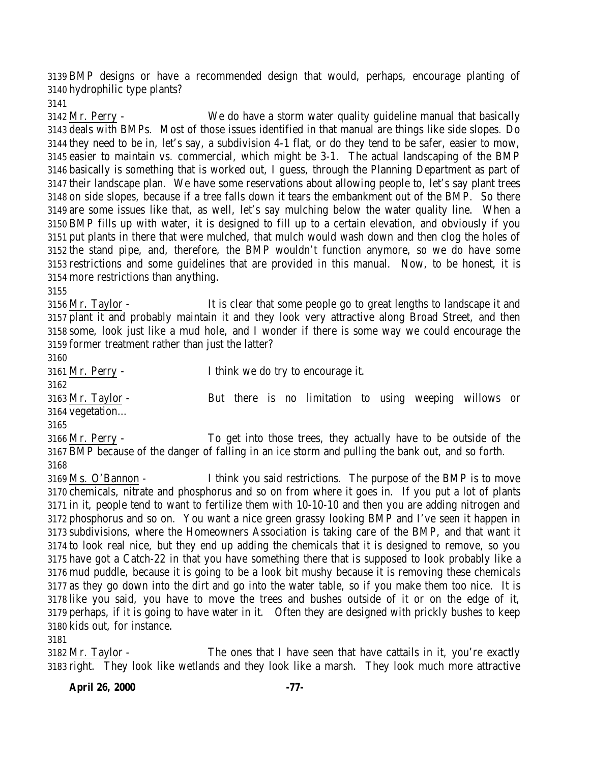BMP designs or have a recommended design that would, perhaps, encourage planting of hydrophilic type plants?

 Mr. Perry - We do have a storm water quality guideline manual that basically deals with BMPs. Most of those issues identified in that manual are things like side slopes. Do they need to be in, let's say, a subdivision 4-1 flat, or do they tend to be safer, easier to mow, easier to maintain vs. commercial, which might be 3-1. The actual landscaping of the BMP basically is something that is worked out, I guess, through the Planning Department as part of their landscape plan. We have some reservations about allowing people to, let's say plant trees on side slopes, because if a tree falls down it tears the embankment out of the BMP. So there are some issues like that, as well, let's say mulching below the water quality line. When a BMP fills up with water, it is designed to fill up to a certain elevation, and obviously if you put plants in there that were mulched, that mulch would wash down and then clog the holes of the stand pipe, and, therefore, the BMP wouldn't function anymore, so we do have some restrictions and some guidelines that are provided in this manual. Now, to be honest, it is more restrictions than anything.

 Mr. Taylor - It is clear that some people go to great lengths to landscape it and plant it and probably maintain it and they look very attractive along Broad Street, and then some, look just like a mud hole, and I wonder if there is some way we could encourage the former treatment rather than just the latter?

 Mr. Perry - I think we do try to encourage it. 

 Mr. Taylor - But there is no limitation to using weeping willows or vegetation…

 Mr. Perry - To get into those trees, they actually have to be outside of the BMP because of the danger of falling in an ice storm and pulling the bank out, and so forth. 

 Ms. O'Bannon - I think you said restrictions. The purpose of the BMP is to move chemicals, nitrate and phosphorus and so on from where it goes in. If you put a lot of plants in it, people tend to want to fertilize them with 10-10-10 and then you are adding nitrogen and phosphorus and so on. You want a nice green grassy looking BMP and I've seen it happen in subdivisions, where the Homeowners Association is taking care of the BMP, and that want it to look real nice, but they end up adding the chemicals that it is designed to remove, so you have got a Catch-22 in that you have something there that is supposed to look probably like a mud puddle, because it is going to be a look bit mushy because it is removing these chemicals as they go down into the dirt and go into the water table, so if you make them too nice. It is like you said, you have to move the trees and bushes outside of it or on the edge of it, perhaps, if it is going to have water in it. Often they are designed with prickly bushes to keep kids out, for instance.

 Mr. Taylor - The ones that I have seen that have cattails in it, you're exactly right. They look like wetlands and they look like a marsh. They look much more attractive

**April 26, 2000 -77-**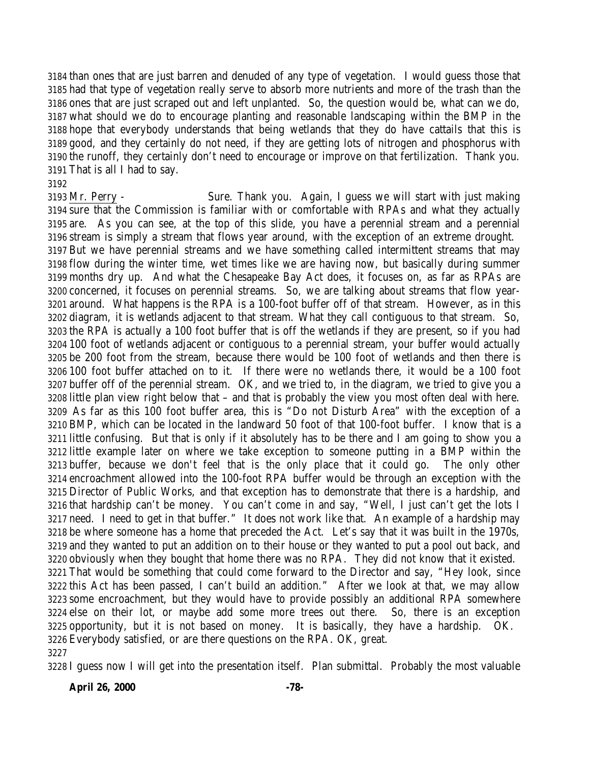than ones that are just barren and denuded of any type of vegetation. I would guess those that had that type of vegetation really serve to absorb more nutrients and more of the trash than the ones that are just scraped out and left unplanted. So, the question would be, what can we do, what should we do to encourage planting and reasonable landscaping within the BMP in the hope that everybody understands that being wetlands that they do have cattails that this is good, and they certainly do not need, if they are getting lots of nitrogen and phosphorus with the runoff, they certainly don't need to encourage or improve on that fertilization. Thank you. That is all I had to say.

## 

 Mr. Perry - Sure. Thank you. Again, I guess we will start with just making sure that the Commission is familiar with or comfortable with RPAs and what they actually are. As you can see, at the top of this slide, you have a perennial stream and a perennial stream is simply a stream that flows year around, with the exception of an extreme drought. But we have perennial streams and we have something called intermittent streams that may flow during the winter time, wet times like we are having now, but basically during summer months dry up. And what the Chesapeake Bay Act does, it focuses on, as far as RPAs are concerned, it focuses on perennial streams. So, we are talking about streams that flow year- around. What happens is the RPA is a 100-foot buffer off of that stream. However, as in this diagram, it is wetlands adjacent to that stream. What they call contiguous to that stream. So, the RPA is actually a 100 foot buffer that is off the wetlands if they are present, so if you had 100 foot of wetlands adjacent or contiguous to a perennial stream, your buffer would actually be 200 foot from the stream, because there would be 100 foot of wetlands and then there is 100 foot buffer attached on to it. If there were no wetlands there, it would be a 100 foot buffer off of the perennial stream. OK, and we tried to, in the diagram, we tried to give you a little plan view right below that – and that is probably the view you most often deal with here. As far as this 100 foot buffer area, this is "Do not Disturb Area" with the exception of a BMP, which can be located in the landward 50 foot of that 100-foot buffer. I know that is a little confusing. But that is only if it absolutely has to be there and I am going to show you a little example later on where we take exception to someone putting in a BMP within the buffer, because we don't feel that is the only place that it could go. The only other encroachment allowed into the 100-foot RPA buffer would be through an exception with the Director of Public Works, and that exception has to demonstrate that there is a hardship, and that hardship can't be money. You can't come in and say, "Well, I just can't get the lots I need. I need to get in that buffer." It does not work like that. An example of a hardship may be where someone has a home that preceded the Act. Let's say that it was built in the 1970s, and they wanted to put an addition on to their house or they wanted to put a pool out back, and obviously when they bought that home there was no RPA. They did not know that it existed. That would be something that could come forward to the Director and say, "Hey look, since this Act has been passed, I can't build an addition." After we look at that, we may allow some encroachment, but they would have to provide possibly an additional RPA somewhere else on their lot, or maybe add some more trees out there. So, there is an exception opportunity, but it is not based on money. It is basically, they have a hardship. OK. Everybody satisfied, or are there questions on the RPA. OK, great. 

I guess now I will get into the presentation itself. Plan submittal. Probably the most valuable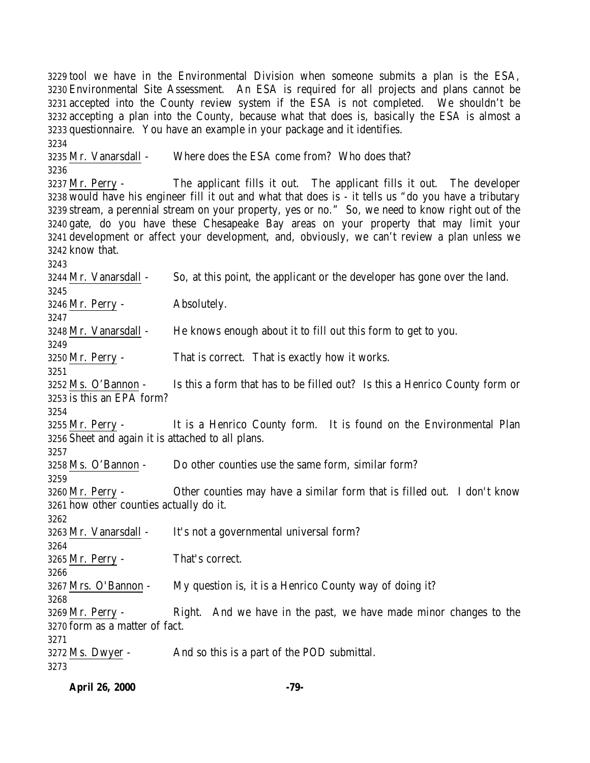tool we have in the Environmental Division when someone submits a plan is the ESA, Environmental Site Assessment. An ESA is required for all projects and plans cannot be accepted into the County review system if the ESA is not completed. We shouldn't be accepting a plan into the County, because what that does is, basically the ESA is almost a questionnaire. You have an example in your package and it identifies. Mr. Vanarsdall - Where does the ESA come from? Who does that? Mr. Perry - The applicant fills it out. The applicant fills it out. The developer would have his engineer fill it out and what that does is - it tells us "do you have a tributary stream, a perennial stream on your property, yes or no." So, we need to know right out of the gate, do you have these Chesapeake Bay areas on your property that may limit your development or affect your development, and, obviously, we can't review a plan unless we know that. Mr. Vanarsdall - So, at this point, the applicant or the developer has gone over the land. Mr. Perry - Absolutely. Mr. Vanarsdall - He knows enough about it to fill out this form to get to you. Mr. Perry - That is correct. That is exactly how it works. Ms. O'Bannon - Is this a form that has to be filled out? Is this a Henrico County form or is this an EPA form? Mr. Perry - It is a Henrico County form. It is found on the Environmental Plan Sheet and again it is attached to all plans. Ms. O'Bannon - Do other counties use the same form, similar form? Mr. Perry - Other counties may have a similar form that is filled out. I don't know how other counties actually do it. 3263 Mr. Vanarsdall - It's not a governmental universal form? Mr. Perry - That's correct. Mrs. O'Bannon - My question is, it is a Henrico County way of doing it? Mr. Perry - Right. And we have in the past, we have made minor changes to the form as a matter of fact. Ms. Dwyer - And so this is a part of the POD submittal.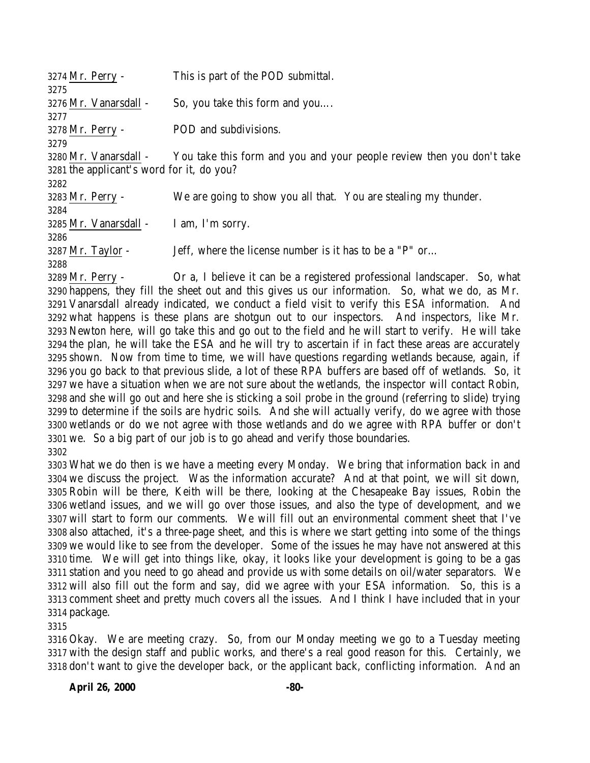| 3274 Mr. Perry -                          | This is part of the POD submittal.                                    |
|-------------------------------------------|-----------------------------------------------------------------------|
| 3275                                      |                                                                       |
| 3276 Mr. Vanarsdall -                     | So, you take this form and you                                        |
| 3277                                      |                                                                       |
| 3278 Mr. Perry -                          | POD and subdivisions.                                                 |
| 3279                                      |                                                                       |
| 3280 Mr. Vanarsdall -                     | You take this form and you and your people review then you don't take |
| 3281 the applicant's word for it, do you? |                                                                       |
| 3282                                      |                                                                       |
| 3283 Mr. Perry -                          | We are going to show you all that. You are stealing my thunder.       |
| 3284                                      |                                                                       |
| 3285 Mr. Vanarsdall -                     | I am, I'm sorry.                                                      |
| 3286                                      |                                                                       |
| $3287$ Mr. Taylor -                       | Jeff, where the license number is it has to be a "P" or               |
| 3288                                      |                                                                       |
| $\sim$ $\sim$ $\sim$ $\sim$ $\sim$ $\sim$ | $\cap$ ille a lead in the independent of $\cap$                       |

 Mr. Perry - Or a, I believe it can be a registered professional landscaper. So, what happens, they fill the sheet out and this gives us our information. So, what we do, as Mr. Vanarsdall already indicated, we conduct a field visit to verify this ESA information. And what happens is these plans are shotgun out to our inspectors. And inspectors, like Mr. Newton here, will go take this and go out to the field and he will start to verify. He will take the plan, he will take the ESA and he will try to ascertain if in fact these areas are accurately shown. Now from time to time, we will have questions regarding wetlands because, again, if you go back to that previous slide, a lot of these RPA buffers are based off of wetlands. So, it we have a situation when we are not sure about the wetlands, the inspector will contact Robin, and she will go out and here she is sticking a soil probe in the ground (referring to slide) trying to determine if the soils are hydric soils. And she will actually verify, do we agree with those wetlands or do we not agree with those wetlands and do we agree with RPA buffer or don't we. So a big part of our job is to go ahead and verify those boundaries. 

 What we do then is we have a meeting every Monday. We bring that information back in and we discuss the project. Was the information accurate? And at that point, we will sit down, Robin will be there, Keith will be there, looking at the Chesapeake Bay issues, Robin the wetland issues, and we will go over those issues, and also the type of development, and we will start to form our comments. We will fill out an environmental comment sheet that I've also attached, it's a three-page sheet, and this is where we start getting into some of the things we would like to see from the developer. Some of the issues he may have not answered at this time. We will get into things like, okay, it looks like your development is going to be a gas station and you need to go ahead and provide us with some details on oil/water separators. We will also fill out the form and say, did we agree with your ESA information. So, this is a comment sheet and pretty much covers all the issues. And I think I have included that in your package.

 Okay. We are meeting crazy. So, from our Monday meeting we go to a Tuesday meeting with the design staff and public works, and there's a real good reason for this. Certainly, we don't want to give the developer back, or the applicant back, conflicting information. And an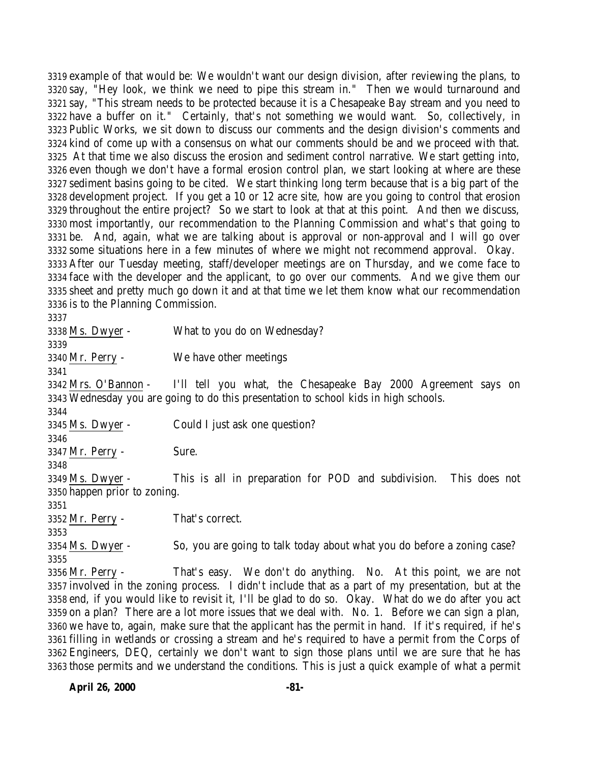example of that would be: We wouldn't want our design division, after reviewing the plans, to say, "Hey look, we think we need to pipe this stream in." Then we would turnaround and say, "This stream needs to be protected because it is a Chesapeake Bay stream and you need to have a buffer on it." Certainly, that's not something we would want. So, collectively, in Public Works, we sit down to discuss our comments and the design division's comments and kind of come up with a consensus on what our comments should be and we proceed with that. At that time we also discuss the erosion and sediment control narrative. We start getting into, even though we don't have a formal erosion control plan, we start looking at where are these sediment basins going to be cited. We start thinking long term because that is a big part of the development project. If you get a 10 or 12 acre site, how are you going to control that erosion throughout the entire project? So we start to look at that at this point. And then we discuss, most importantly, our recommendation to the Planning Commission and what's that going to be. And, again, what we are talking about is approval or non-approval and I will go over some situations here in a few minutes of where we might not recommend approval. Okay. After our Tuesday meeting, staff/developer meetings are on Thursday, and we come face to face with the developer and the applicant, to go over our comments. And we give them our sheet and pretty much go down it and at that time we let them know what our recommendation is to the Planning Commission.

 Ms. Dwyer - What to you do on Wednesday? Mr. Perry - We have other meetings Mrs. O'Bannon - I'll tell you what, the Chesapeake Bay 2000 Agreement says on Wednesday you are going to do this presentation to school kids in high schools. Ms. Dwyer - Could I just ask one question? Mr. Perry - Sure. Ms. Dwyer - This is all in preparation for POD and subdivision. This does not happen prior to zoning. Mr. Perry - That's correct. Ms. Dwyer - So, you are going to talk today about what you do before a zoning case? Mr. Perry - That's easy. We don't do anything. No. At this point, we are not involved in the zoning process. I didn't include that as a part of my presentation, but at the end, if you would like to revisit it, I'll be glad to do so. Okay. What do we do after you act on a plan? There are a lot more issues that we deal with. No. 1. Before we can sign a plan, we have to, again, make sure that the applicant has the permit in hand. If it's required, if he's filling in wetlands or crossing a stream and he's required to have a permit from the Corps of Engineers, DEQ, certainly we don't want to sign those plans until we are sure that he has those permits and we understand the conditions. This is just a quick example of what a permit

**April 26, 2000 -81-**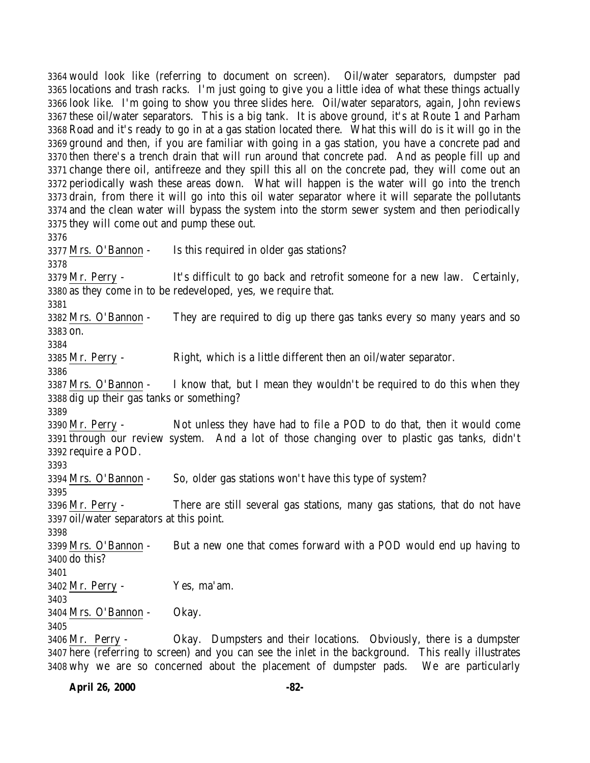would look like (referring to document on screen). Oil/water separators, dumpster pad locations and trash racks. I'm just going to give you a little idea of what these things actually look like. I'm going to show you three slides here. Oil/water separators, again, John reviews these oil/water separators. This is a big tank. It is above ground, it's at Route 1 and Parham Road and it's ready to go in at a gas station located there. What this will do is it will go in the ground and then, if you are familiar with going in a gas station, you have a concrete pad and then there's a trench drain that will run around that concrete pad. And as people fill up and change there oil, antifreeze and they spill this all on the concrete pad, they will come out an 3372 periodically wash these areas down. What will happen is the water will go into the trench drain, from there it will go into this oil water separator where it will separate the pollutants and the clean water will bypass the system into the storm sewer system and then periodically they will come out and pump these out. Mrs. O'Bannon - Is this required in older gas stations? Mr. Perry - It's difficult to go back and retrofit someone for a new law. Certainly, as they come in to be redeveloped, yes, we require that. Mrs. O'Bannon - They are required to dig up there gas tanks every so many years and so on. Mr. Perry - Right, which is a little different then an oil/water separator. Mrs. O'Bannon - I know that, but I mean they wouldn't be required to do this when they dig up their gas tanks or something? Mr. Perry - Not unless they have had to file a POD to do that, then it would come through our review system. And a lot of those changing over to plastic gas tanks, didn't require a POD. Mrs. O'Bannon - So, older gas stations won't have this type of system? Mr. Perry - There are still several gas stations, many gas stations, that do not have oil/water separators at this point. Mrs. O'Bannon - But a new one that comes forward with a POD would end up having to do this? Mr. Perry - Yes, ma'am. 

Mrs. O'Bannon - Okay.

 Mr. Perry - Okay. Dumpsters and their locations. Obviously, there is a dumpster here (referring to screen) and you can see the inlet in the background. This really illustrates why we are so concerned about the placement of dumpster pads. We are particularly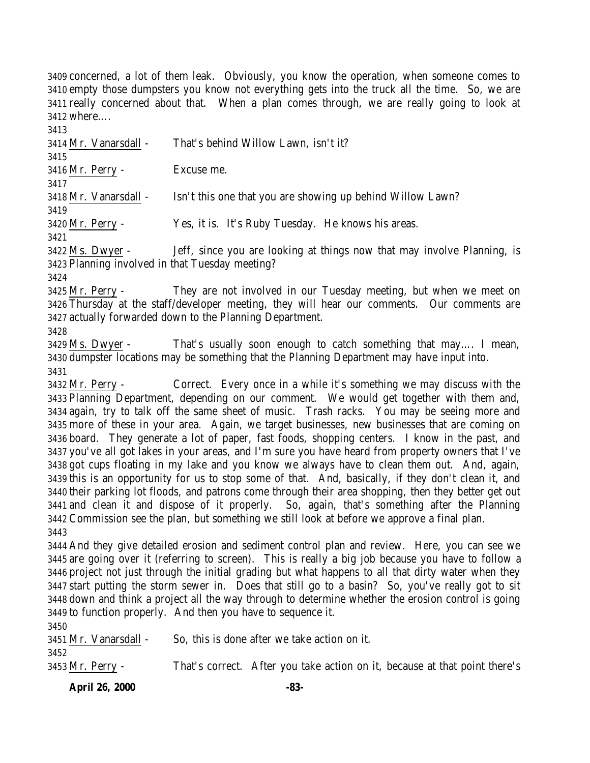concerned, a lot of them leak. Obviously, you know the operation, when someone comes to empty those dumpsters you know not everything gets into the truck all the time. So, we are really concerned about that. When a plan comes through, we are really going to look at where….

 Mr. Vanarsdall - That's behind Willow Lawn, isn't it? Mr. Perry - Excuse me. Mr. Vanarsdall - Isn't this one that you are showing up behind Willow Lawn? Mr. Perry - Yes, it is. It's Ruby Tuesday. He knows his areas. Ms. Dwyer - Jeff, since you are looking at things now that may involve Planning, is

 Planning involved in that Tuesday meeting? 

 Mr. Perry - They are not involved in our Tuesday meeting, but when we meet on Thursday at the staff/developer meeting, they will hear our comments. Our comments are actually forwarded down to the Planning Department.

 Ms. Dwyer - That's usually soon enough to catch something that may…. I mean, dumpster locations may be something that the Planning Department may have input into. 

 Mr. Perry - Correct. Every once in a while it's something we may discuss with the Planning Department, depending on our comment. We would get together with them and, again, try to talk off the same sheet of music. Trash racks. You may be seeing more and more of these in your area. Again, we target businesses, new businesses that are coming on board. They generate a lot of paper, fast foods, shopping centers. I know in the past, and you've all got lakes in your areas, and I'm sure you have heard from property owners that I've got cups floating in my lake and you know we always have to clean them out. And, again, this is an opportunity for us to stop some of that. And, basically, if they don't clean it, and their parking lot floods, and patrons come through their area shopping, then they better get out and clean it and dispose of it properly. So, again, that's something after the Planning Commission see the plan, but something we still look at before we approve a final plan. 

 And they give detailed erosion and sediment control plan and review. Here, you can see we are going over it (referring to screen). This is really a big job because you have to follow a project not just through the initial grading but what happens to all that dirty water when they start putting the storm sewer in. Does that still go to a basin? So, you've really got to sit down and think a project all the way through to determine whether the erosion control is going to function properly. And then you have to sequence it. 

| 3451 Mr. Vanarsdall -    | So, this is done after we take action on it.                               |
|--------------------------|----------------------------------------------------------------------------|
| 3452<br>3453 Mr. Perry - | That's correct. After you take action on it, because at that point there's |

**April 26, 2000 -83-**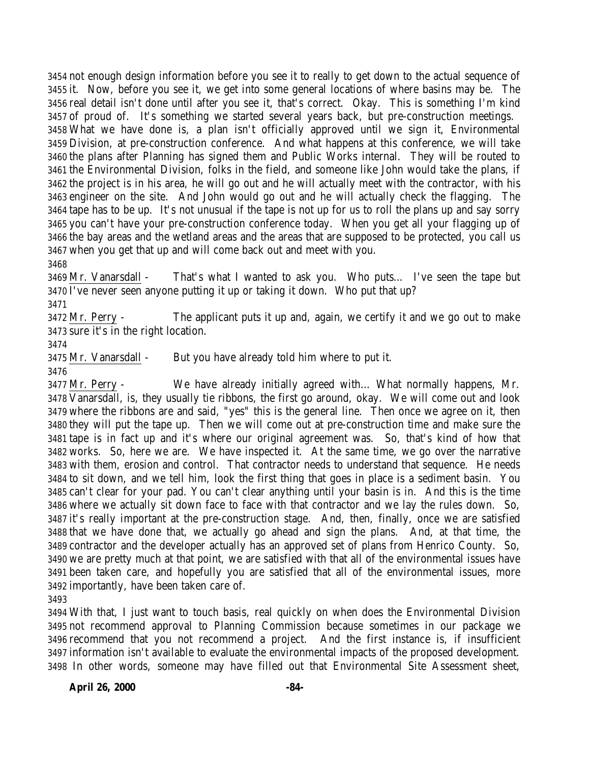not enough design information before you see it to really to get down to the actual sequence of it. Now, before you see it, we get into some general locations of where basins may be. The real detail isn't done until after you see it, that's correct. Okay. This is something I'm kind of proud of. It's something we started several years back, but pre-construction meetings. What we have done is, a plan isn't officially approved until we sign it, Environmental Division, at pre-construction conference. And what happens at this conference, we will take the plans after Planning has signed them and Public Works internal. They will be routed to the Environmental Division, folks in the field, and someone like John would take the plans, if the project is in his area, he will go out and he will actually meet with the contractor, with his engineer on the site. And John would go out and he will actually check the flagging. The tape has to be up. It's not unusual if the tape is not up for us to roll the plans up and say sorry you can't have your pre-construction conference today. When you get all your flagging up of the bay areas and the wetland areas and the areas that are supposed to be protected, you call us when you get that up and will come back out and meet with you.

 Mr. Vanarsdall - That's what I wanted to ask you. Who puts… I've seen the tape but I've never seen anyone putting it up or taking it down. Who put that up?

 Mr. Perry - The applicant puts it up and, again, we certify it and we go out to make sure it's in the right location.

Mr. Vanarsdall - But you have already told him where to put it.

 Mr. Perry - We have already initially agreed with… What normally happens, Mr. Vanarsdall, is, they usually tie ribbons, the first go around, okay. We will come out and look where the ribbons are and said, "yes" this is the general line. Then once we agree on it, then they will put the tape up. Then we will come out at pre-construction time and make sure the tape is in fact up and it's where our original agreement was. So, that's kind of how that works. So, here we are. We have inspected it. At the same time, we go over the narrative with them, erosion and control. That contractor needs to understand that sequence. He needs to sit down, and we tell him, look the first thing that goes in place is a sediment basin. You can't clear for your pad. You can't clear anything until your basin is in. And this is the time where we actually sit down face to face with that contractor and we lay the rules down. So, it's really important at the pre-construction stage. And, then, finally, once we are satisfied that we have done that, we actually go ahead and sign the plans. And, at that time, the contractor and the developer actually has an approved set of plans from Henrico County. So, we are pretty much at that point, we are satisfied with that all of the environmental issues have been taken care, and hopefully you are satisfied that all of the environmental issues, more importantly, have been taken care of.

 With that, I just want to touch basis, real quickly on when does the Environmental Division not recommend approval to Planning Commission because sometimes in our package we recommend that you not recommend a project. And the first instance is, if insufficient information isn't available to evaluate the environmental impacts of the proposed development. In other words, someone may have filled out that Environmental Site Assessment sheet,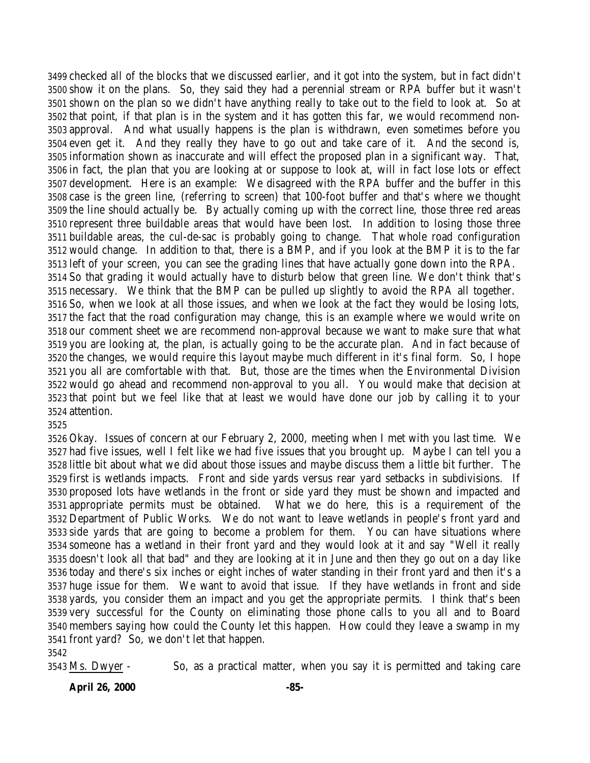checked all of the blocks that we discussed earlier, and it got into the system, but in fact didn't show it on the plans. So, they said they had a perennial stream or RPA buffer but it wasn't shown on the plan so we didn't have anything really to take out to the field to look at. So at that point, if that plan is in the system and it has gotten this far, we would recommend non- approval. And what usually happens is the plan is withdrawn, even sometimes before you even get it. And they really they have to go out and take care of it. And the second is, information shown as inaccurate and will effect the proposed plan in a significant way. That, in fact, the plan that you are looking at or suppose to look at, will in fact lose lots or effect development. Here is an example: We disagreed with the RPA buffer and the buffer in this case is the green line, (referring to screen) that 100-foot buffer and that's where we thought the line should actually be. By actually coming up with the correct line, those three red areas represent three buildable areas that would have been lost. In addition to losing those three buildable areas, the cul-de-sac is probably going to change. That whole road configuration would change. In addition to that, there is a BMP, and if you look at the BMP it is to the far left of your screen, you can see the grading lines that have actually gone down into the RPA. So that grading it would actually have to disturb below that green line. We don't think that's necessary. We think that the BMP can be pulled up slightly to avoid the RPA all together. So, when we look at all those issues, and when we look at the fact they would be losing lots, the fact that the road configuration may change, this is an example where we would write on our comment sheet we are recommend non-approval because we want to make sure that what you are looking at, the plan, is actually going to be the accurate plan. And in fact because of the changes, we would require this layout maybe much different in it's final form. So, I hope you all are comfortable with that. But, those are the times when the Environmental Division would go ahead and recommend non-approval to you all. You would make that decision at that point but we feel like that at least we would have done our job by calling it to your attention.

 Okay. Issues of concern at our February 2, 2000, meeting when I met with you last time. We had five issues, well I felt like we had five issues that you brought up. Maybe I can tell you a little bit about what we did about those issues and maybe discuss them a little bit further. The first is wetlands impacts. Front and side yards versus rear yard setbacks in subdivisions. If proposed lots have wetlands in the front or side yard they must be shown and impacted and appropriate permits must be obtained. What we do here, this is a requirement of the Department of Public Works. We do not want to leave wetlands in people's front yard and side yards that are going to become a problem for them. You can have situations where someone has a wetland in their front yard and they would look at it and say "Well it really doesn't look all that bad" and they are looking at it in June and then they go out on a day like today and there's six inches or eight inches of water standing in their front yard and then it's a huge issue for them. We want to avoid that issue. If they have wetlands in front and side yards, you consider them an impact and you get the appropriate permits. I think that's been very successful for the County on eliminating those phone calls to you all and to Board members saying how could the County let this happen. How could they leave a swamp in my front yard? So, we don't let that happen. 

Ms. Dwyer - So, as a practical matter, when you say it is permitted and taking care

**April 26, 2000 -85-**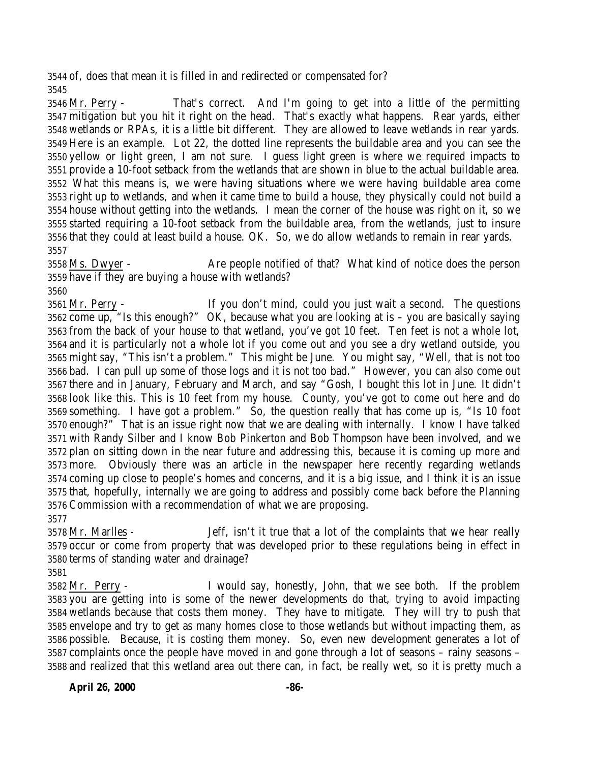of, does that mean it is filled in and redirected or compensated for? 

 Mr. Perry - That's correct. And I'm going to get into a little of the permitting mitigation but you hit it right on the head. That's exactly what happens. Rear yards, either wetlands or RPAs, it is a little bit different. They are allowed to leave wetlands in rear yards. Here is an example. Lot 22, the dotted line represents the buildable area and you can see the yellow or light green, I am not sure. I guess light green is where we required impacts to provide a 10-foot setback from the wetlands that are shown in blue to the actual buildable area. What this means is, we were having situations where we were having buildable area come right up to wetlands, and when it came time to build a house, they physically could not build a house without getting into the wetlands. I mean the corner of the house was right on it, so we started requiring a 10-foot setback from the buildable area, from the wetlands, just to insure that they could at least build a house. OK. So, we do allow wetlands to remain in rear yards. 

 Ms. Dwyer - Are people notified of that? What kind of notice does the person have if they are buying a house with wetlands?

 Mr. Perry - If you don't mind, could you just wait a second. The questions come up, "Is this enough?" OK, because what you are looking at is – you are basically saying from the back of your house to that wetland, you've got 10 feet. Ten feet is not a whole lot, and it is particularly not a whole lot if you come out and you see a dry wetland outside, you might say, "This isn't a problem." This might be June. You might say, "Well, that is not too bad. I can pull up some of those logs and it is not too bad." However, you can also come out there and in January, February and March, and say "Gosh, I bought this lot in June. It didn't look like this. This is 10 feet from my house. County, you've got to come out here and do something. I have got a problem." So, the question really that has come up is, "Is 10 foot enough?" That is an issue right now that we are dealing with internally. I know I have talked with Randy Silber and I know Bob Pinkerton and Bob Thompson have been involved, and we plan on sitting down in the near future and addressing this, because it is coming up more and more. Obviously there was an article in the newspaper here recently regarding wetlands coming up close to people's homes and concerns, and it is a big issue, and I think it is an issue that, hopefully, internally we are going to address and possibly come back before the Planning Commission with a recommendation of what we are proposing. 

 Mr. Marlles - Jeff, isn't it true that a lot of the complaints that we hear really occur or come from property that was developed prior to these regulations being in effect in terms of standing water and drainage?

 Mr. Perry - I would say, honestly, John, that we see both. If the problem you are getting into is some of the newer developments do that, trying to avoid impacting wetlands because that costs them money. They have to mitigate. They will try to push that envelope and try to get as many homes close to those wetlands but without impacting them, as possible. Because, it is costing them money. So, even new development generates a lot of complaints once the people have moved in and gone through a lot of seasons – rainy seasons – and realized that this wetland area out there can, in fact, be really wet, so it is pretty much a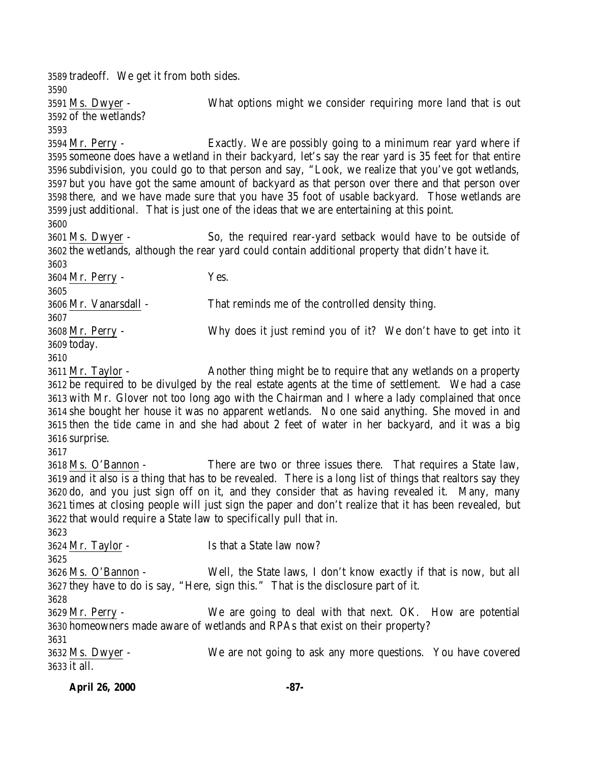tradeoff. We get it from both sides. Ms. Dwyer - What options might we consider requiring more land that is out of the wetlands? Mr. Perry - Exactly. We are possibly going to a minimum rear yard where if someone does have a wetland in their backyard, let's say the rear yard is 35 feet for that entire subdivision, you could go to that person and say, "Look, we realize that you've got wetlands, but you have got the same amount of backyard as that person over there and that person over there, and we have made sure that you have 35 foot of usable backyard. Those wetlands are just additional. That is just one of the ideas that we are entertaining at this point. Ms. Dwyer - So, the required rear-yard setback would have to be outside of the wetlands, although the rear yard could contain additional property that didn't have it. Mr. Perry - Yes. Mr. Vanarsdall - That reminds me of the controlled density thing. Mr. Perry - Why does it just remind you of it? We don't have to get into it today. Mr. Taylor - Another thing might be to require that any wetlands on a property be required to be divulged by the real estate agents at the time of settlement. We had a case with Mr. Glover not too long ago with the Chairman and I where a lady complained that once she bought her house it was no apparent wetlands. No one said anything. She moved in and then the tide came in and she had about 2 feet of water in her backyard, and it was a big surprise. Ms. O'Bannon - There are two or three issues there. That requires a State law, and it also is a thing that has to be revealed. There is a long list of things that realtors say they do, and you just sign off on it, and they consider that as having revealed it. Many, many times at closing people will just sign the paper and don't realize that it has been revealed, but that would require a State law to specifically pull that in. Mr. Taylor - Is that a State law now? Ms. O'Bannon - Well, the State laws, I don't know exactly if that is now, but all they have to do is say, "Here, sign this." That is the disclosure part of it. Mr. Perry - We are going to deal with that next. OK. How are potential homeowners made aware of wetlands and RPAs that exist on their property? Ms. Dwyer - We are not going to ask any more questions. You have covered it all.

**April 26, 2000 -87-**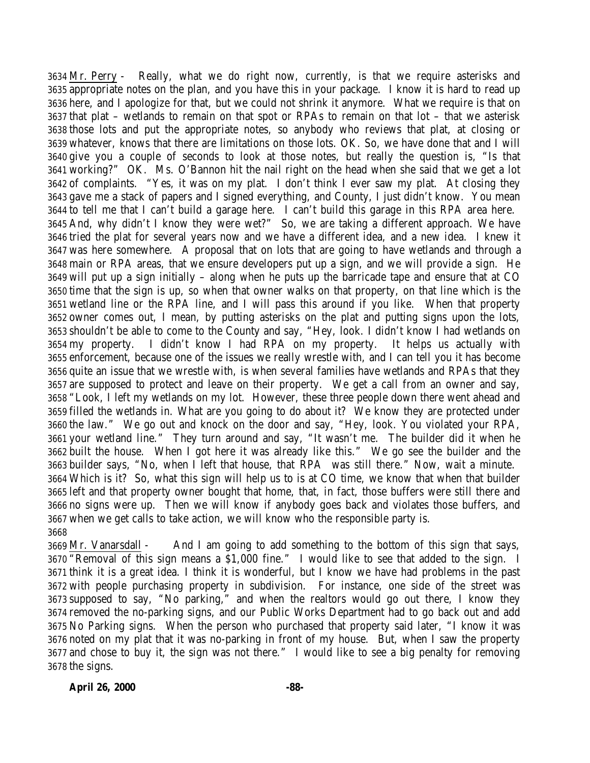Mr. Perry - Really, what we do right now, currently, is that we require asterisks and appropriate notes on the plan, and you have this in your package. I know it is hard to read up here, and I apologize for that, but we could not shrink it anymore. What we require is that on that plat – wetlands to remain on that spot or RPAs to remain on that lot – that we asterisk those lots and put the appropriate notes, so anybody who reviews that plat, at closing or whatever, knows that there are limitations on those lots. OK. So, we have done that and I will give you a couple of seconds to look at those notes, but really the question is, "Is that working?" OK. Ms. O'Bannon hit the nail right on the head when she said that we get a lot of complaints. "Yes, it was on my plat. I don't think I ever saw my plat. At closing they gave me a stack of papers and I signed everything, and County, I just didn't know. You mean to tell me that I can't build a garage here. I can't build this garage in this RPA area here. And, why didn't I know they were wet?" So, we are taking a different approach. We have tried the plat for several years now and we have a different idea, and a new idea. I knew it was here somewhere. A proposal that on lots that are going to have wetlands and through a main or RPA areas, that we ensure developers put up a sign, and we will provide a sign. He will put up a sign initially – along when he puts up the barricade tape and ensure that at CO time that the sign is up, so when that owner walks on that property, on that line which is the wetland line or the RPA line, and I will pass this around if you like. When that property owner comes out, I mean, by putting asterisks on the plat and putting signs upon the lots, shouldn't be able to come to the County and say, "Hey, look. I didn't know I had wetlands on my property. I didn't know I had RPA on my property. It helps us actually with enforcement, because one of the issues we really wrestle with, and I can tell you it has become quite an issue that we wrestle with, is when several families have wetlands and RPAs that they are supposed to protect and leave on their property. We get a call from an owner and say, "Look, I left my wetlands on my lot. However, these three people down there went ahead and filled the wetlands in. What are you going to do about it? We know they are protected under the law." We go out and knock on the door and say, "Hey, look. You violated your RPA, your wetland line." They turn around and say, "It wasn't me. The builder did it when he built the house. When I got here it was already like this." We go see the builder and the builder says, "No, when I left that house, that RPA was still there." Now, wait a minute. Which is it? So, what this sign will help us to is at CO time, we know that when that builder left and that property owner bought that home, that, in fact, those buffers were still there and no signs were up. Then we will know if anybody goes back and violates those buffers, and when we get calls to take action, we will know who the responsible party is. 

 Mr. Vanarsdall - And I am going to add something to the bottom of this sign that says, "Removal of this sign means a \$1,000 fine." I would like to see that added to the sign. I think it is a great idea. I think it is wonderful, but I know we have had problems in the past with people purchasing property in subdivision. For instance, one side of the street was supposed to say, "No parking," and when the realtors would go out there, I know they removed the no-parking signs, and our Public Works Department had to go back out and add No Parking signs. When the person who purchased that property said later, "I know it was noted on my plat that it was no-parking in front of my house. But, when I saw the property and chose to buy it, the sign was not there." I would like to see a big penalty for removing the signs.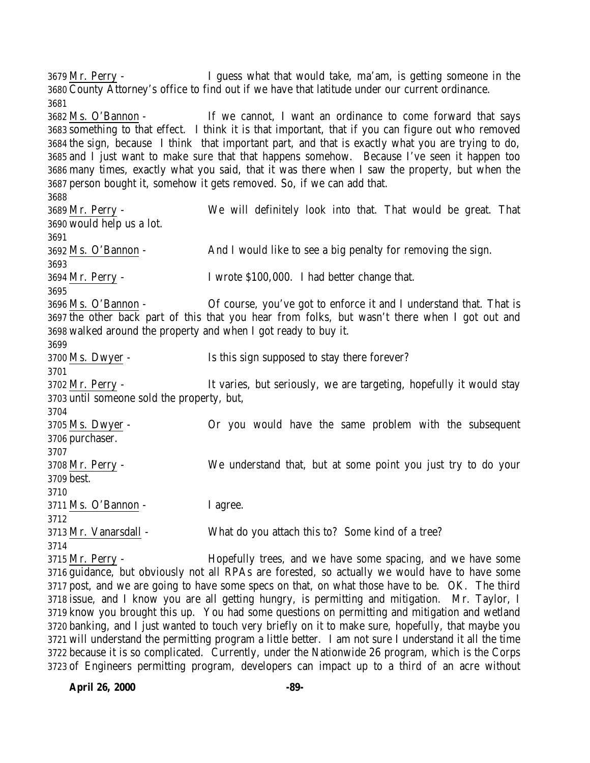Mr. Perry - I guess what that would take, ma'am, is getting someone in the County Attorney's office to find out if we have that latitude under our current ordinance. Ms. O'Bannon - If we cannot, I want an ordinance to come forward that says something to that effect. I think it is that important, that if you can figure out who removed the sign, because I think that important part, and that is exactly what you are trying to do, and I just want to make sure that that happens somehow. Because I've seen it happen too many times, exactly what you said, that it was there when I saw the property, but when the person bought it, somehow it gets removed. So, if we can add that. Mr. Perry - We will definitely look into that. That would be great. That would help us a lot. Ms. O'Bannon - And I would like to see a big penalty for removing the sign. Mr. Perry - I wrote \$100,000. I had better change that. Ms. O'Bannon - Of course, you've got to enforce it and I understand that. That is the other back part of this that you hear from folks, but wasn't there when I got out and walked around the property and when I got ready to buy it. Ms. Dwyer - Is this sign supposed to stay there forever? 3702 Mr. Perry - It varies, but seriously, we are targeting, hopefully it would stay until someone sold the property, but, Ms. Dwyer - Or you would have the same problem with the subsequent purchaser. Mr. Perry - We understand that, but at some point you just try to do your best. Ms. O'Bannon - I agree. Mr. Vanarsdall - What do you attach this to? Some kind of a tree? Mr. Perry - Hopefully trees, and we have some spacing, and we have some guidance, but obviously not all RPAs are forested, so actually we would have to have some post, and we are going to have some specs on that, on what those have to be. OK. The third issue, and I know you are all getting hungry, is permitting and mitigation. Mr. Taylor, I

 know you brought this up. You had some questions on permitting and mitigation and wetland banking, and I just wanted to touch very briefly on it to make sure, hopefully, that maybe you will understand the permitting program a little better. I am not sure I understand it all the time because it is so complicated. Currently, under the Nationwide 26 program, which is the Corps of Engineers permitting program, developers can impact up to a third of an acre without

**April 26, 2000 -89-**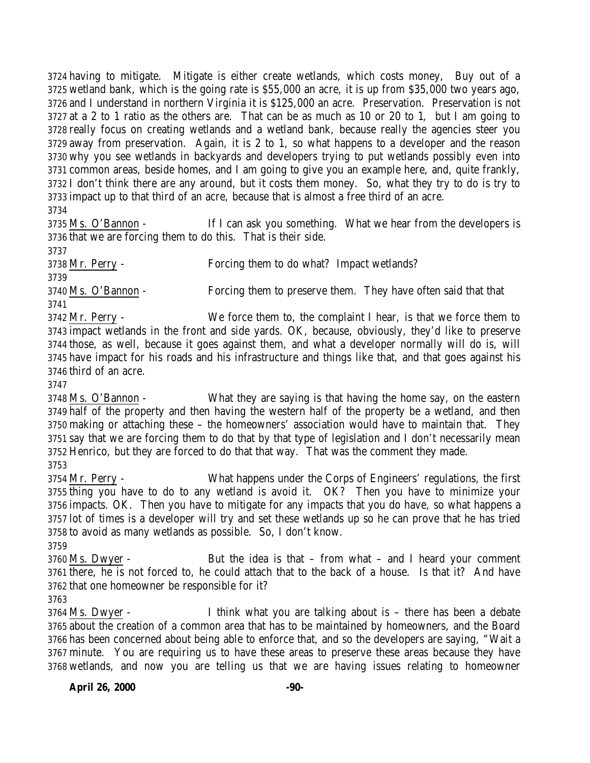having to mitigate. Mitigate is either create wetlands, which costs money, Buy out of a wetland bank, which is the going rate is \$55,000 an acre, it is up from \$35,000 two years ago, and I understand in northern Virginia it is \$125,000 an acre. Preservation. Preservation is not at a 2 to 1 ratio as the others are. That can be as much as 10 or 20 to 1, but I am going to really focus on creating wetlands and a wetland bank, because really the agencies steer you away from preservation. Again, it is 2 to 1, so what happens to a developer and the reason why you see wetlands in backyards and developers trying to put wetlands possibly even into common areas, beside homes, and I am going to give you an example here, and, quite frankly, I don't think there are any around, but it costs them money. So, what they try to do is try to impact up to that third of an acre, because that is almost a free third of an acre.

 Ms. O'Bannon - If I can ask you something. What we hear from the developers is that we are forcing them to do this. That is their side.

 Mr. Perry - Forcing them to do what? Impact wetlands? Ms. O'Bannon - Forcing them to preserve them. They have often said that that 

 Mr. Perry - We force them to, the complaint I hear, is that we force them to impact wetlands in the front and side yards. OK, because, obviously, they'd like to preserve those, as well, because it goes against them, and what a developer normally will do is, will have impact for his roads and his infrastructure and things like that, and that goes against his third of an acre.

 Ms. O'Bannon - What they are saying is that having the home say, on the eastern half of the property and then having the western half of the property be a wetland, and then making or attaching these – the homeowners' association would have to maintain that. They say that we are forcing them to do that by that type of legislation and I don't necessarily mean Henrico, but they are forced to do that that way. That was the comment they made. 

 Mr. Perry - What happens under the Corps of Engineers' regulations, the first thing you have to do to any wetland is avoid it. OK? Then you have to minimize your impacts. OK. Then you have to mitigate for any impacts that you do have, so what happens a lot of times is a developer will try and set these wetlands up so he can prove that he has tried to avoid as many wetlands as possible. So, I don't know. 

3760 Ms. Dwyer - But the idea is that – from what – and I heard your comment there, he is not forced to, he could attach that to the back of a house. Is that it? And have that one homeowner be responsible for it? 

 Ms. Dwyer - I think what you are talking about is – there has been a debate about the creation of a common area that has to be maintained by homeowners, and the Board has been concerned about being able to enforce that, and so the developers are saying, "Wait a minute. You are requiring us to have these areas to preserve these areas because they have wetlands, and now you are telling us that we are having issues relating to homeowner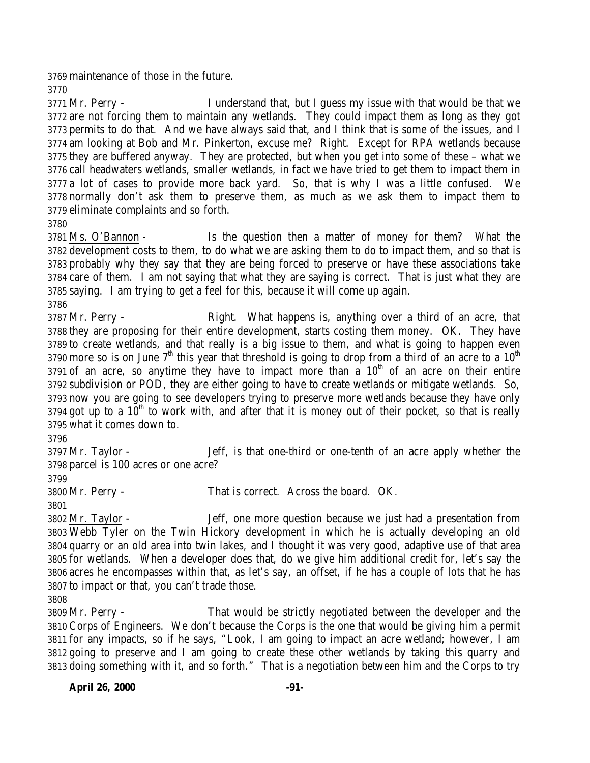maintenance of those in the future.

 Mr. Perry - I understand that, but I guess my issue with that would be that we are not forcing them to maintain any wetlands. They could impact them as long as they got permits to do that. And we have always said that, and I think that is some of the issues, and I am looking at Bob and Mr. Pinkerton, excuse me? Right. Except for RPA wetlands because they are buffered anyway. They are protected, but when you get into some of these – what we call headwaters wetlands, smaller wetlands, in fact we have tried to get them to impact them in a lot of cases to provide more back yard. So, that is why I was a little confused. We normally don't ask them to preserve them, as much as we ask them to impact them to eliminate complaints and so forth.

 Ms. O'Bannon - Is the question then a matter of money for them? What the development costs to them, to do what we are asking them to do to impact them, and so that is probably why they say that they are being forced to preserve or have these associations take care of them. I am not saying that what they are saying is correct. That is just what they are saying. I am trying to get a feel for this, because it will come up again. 

 Mr. Perry - Right. What happens is, anything over a third of an acre, that they are proposing for their entire development, starts costing them money. OK. They have to create wetlands, and that really is a big issue to them, and what is going to happen even 3790 more so is on June  $7<sup>th</sup>$  this year that threshold is going to drop from a third of an acre to a  $10<sup>th</sup>$ 3791 of an acre, so anytime they have to impact more than a  $10<sup>th</sup>$  of an acre on their entire subdivision or POD, they are either going to have to create wetlands or mitigate wetlands. So, now you are going to see developers trying to preserve more wetlands because they have only 3794 got up to a  $10<sup>th</sup>$  to work with, and after that it is money out of their pocket, so that is really what it comes down to.

 Mr. Taylor - Jeff, is that one-third or one-tenth of an acre apply whether the parcel is 100 acres or one acre?

Mr. Perry - That is correct. Across the board. OK.

 Mr. Taylor - Jeff, one more question because we just had a presentation from Webb Tyler on the Twin Hickory development in which he is actually developing an old quarry or an old area into twin lakes, and I thought it was very good, adaptive use of that area for wetlands. When a developer does that, do we give him additional credit for, let's say the acres he encompasses within that, as let's say, an offset, if he has a couple of lots that he has to impact or that, you can't trade those.

 Mr. Perry - That would be strictly negotiated between the developer and the Corps of Engineers. We don't because the Corps is the one that would be giving him a permit for any impacts, so if he says, "Look, I am going to impact an acre wetland; however, I am going to preserve and I am going to create these other wetlands by taking this quarry and doing something with it, and so forth." That is a negotiation between him and the Corps to try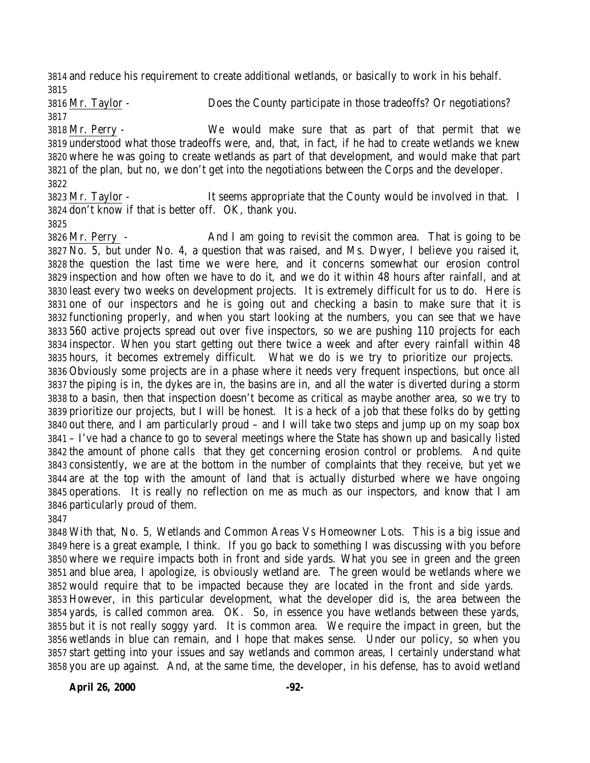and reduce his requirement to create additional wetlands, or basically to work in his behalf. 

 Mr. Taylor - Does the County participate in those tradeoffs? Or negotiations? 

 Mr. Perry - We would make sure that as part of that permit that we understood what those tradeoffs were, and, that, in fact, if he had to create wetlands we knew where he was going to create wetlands as part of that development, and would make that part of the plan, but no, we don't get into the negotiations between the Corps and the developer. 

 Mr. Taylor - It seems appropriate that the County would be involved in that. I don't know if that is better off. OK, thank you.

 Mr. Perry - And I am going to revisit the common area. That is going to be No. 5, but under No. 4, a question that was raised, and Ms. Dwyer, I believe you raised it, the question the last time we were here, and it concerns somewhat our erosion control inspection and how often we have to do it, and we do it within 48 hours after rainfall, and at least every two weeks on development projects. It is extremely difficult for us to do. Here is one of our inspectors and he is going out and checking a basin to make sure that it is functioning properly, and when you start looking at the numbers, you can see that we have 560 active projects spread out over five inspectors, so we are pushing 110 projects for each inspector. When you start getting out there twice a week and after every rainfall within 48 hours, it becomes extremely difficult. What we do is we try to prioritize our projects. Obviously some projects are in a phase where it needs very frequent inspections, but once all the piping is in, the dykes are in, the basins are in, and all the water is diverted during a storm to a basin, then that inspection doesn't become as critical as maybe another area, so we try to prioritize our projects, but I will be honest. It is a heck of a job that these folks do by getting out there, and I am particularly proud – and I will take two steps and jump up on my soap box – I've had a chance to go to several meetings where the State has shown up and basically listed the amount of phone calls that they get concerning erosion control or problems. And quite consistently, we are at the bottom in the number of complaints that they receive, but yet we are at the top with the amount of land that is actually disturbed where we have ongoing operations. It is really no reflection on me as much as our inspectors, and know that I am particularly proud of them.

 With that, No. 5, Wetlands and Common Areas Vs Homeowner Lots. This is a big issue and here is a great example, I think. If you go back to something I was discussing with you before where we require impacts both in front and side yards. What you see in green and the green and blue area, I apologize, is obviously wetland are. The green would be wetlands where we would require that to be impacted because they are located in the front and side yards. However, in this particular development, what the developer did is, the area between the yards, is called common area. OK. So, in essence you have wetlands between these yards, but it is not really soggy yard. It is common area. We require the impact in green, but the wetlands in blue can remain, and I hope that makes sense. Under our policy, so when you start getting into your issues and say wetlands and common areas, I certainly understand what you are up against. And, at the same time, the developer, in his defense, has to avoid wetland

**April 26, 2000 -92-**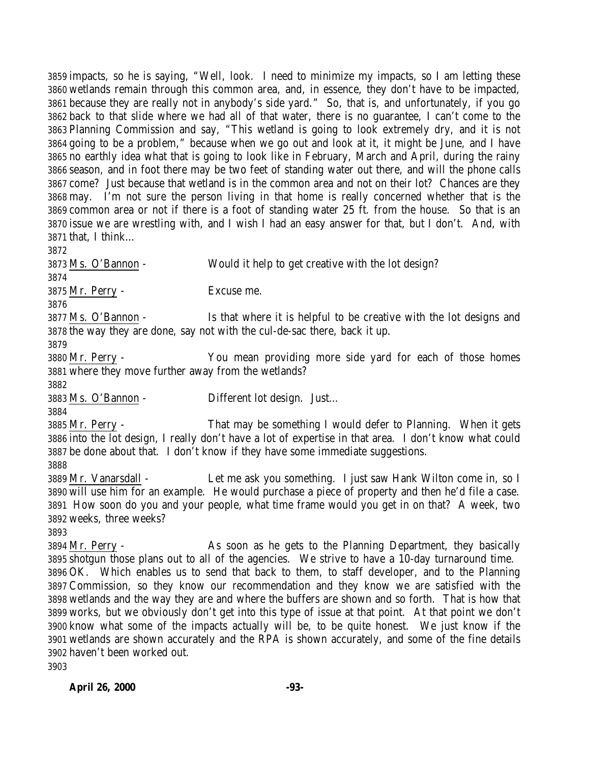impacts, so he is saying, "Well, look. I need to minimize my impacts, so I am letting these wetlands remain through this common area, and, in essence, they don't have to be impacted, because they are really not in anybody's side yard." So, that is, and unfortunately, if you go back to that slide where we had all of that water, there is no guarantee, I can't come to the Planning Commission and say, "This wetland is going to look extremely dry, and it is not going to be a problem," because when we go out and look at it, it might be June, and I have no earthly idea what that is going to look like in February, March and April, during the rainy season, and in foot there may be two feet of standing water out there, and will the phone calls come? Just because that wetland is in the common area and not on their lot? Chances are they may. I'm not sure the person living in that home is really concerned whether that is the common area or not if there is a foot of standing water 25 ft. from the house. So that is an issue we are wrestling with, and I wish I had an easy answer for that, but I don't. And, with that, I think…

 Ms. O'Bannon - Would it help to get creative with the lot design? Mr. Perry - Excuse me. Ms. O'Bannon - Is that where it is helpful to be creative with the lot designs and the way they are done, say not with the cul-de-sac there, back it up. Mr. Perry - You mean providing more side yard for each of those homes where they move further away from the wetlands? Ms. O'Bannon - Different lot design. Just… Mr. Perry - That may be something I would defer to Planning. When it gets into the lot design, I really don't have a lot of expertise in that area. I don't know what could be done about that. I don't know if they have some immediate suggestions. Mr. Vanarsdall - Let me ask you something. I just saw Hank Wilton come in, so I will use him for an example. He would purchase a piece of property and then he'd file a case. How soon do you and your people, what time frame would you get in on that? A week, two weeks, three weeks? Mr. Perry - As soon as he gets to the Planning Department, they basically shotgun those plans out to all of the agencies. We strive to have a 10-day turnaround time. OK. Which enables us to send that back to them, to staff developer, and to the Planning Commission, so they know our recommendation and they know we are satisfied with the wetlands and the way they are and where the buffers are shown and so forth. That is how that works, but we obviously don't get into this type of issue at that point. At that point we don't know what some of the impacts actually will be, to be quite honest. We just know if the wetlands are shown accurately and the RPA is shown accurately, and some of the fine details haven't been worked out. 

**April 26, 2000 -93-**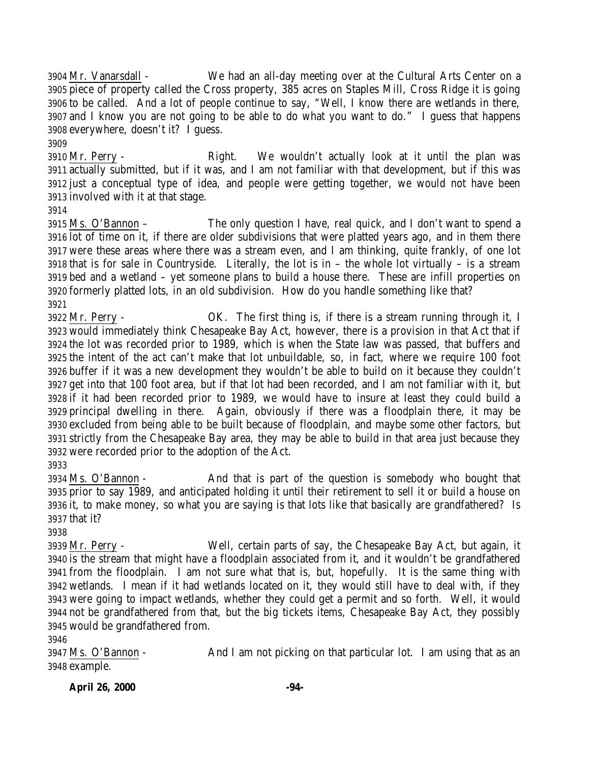Mr. Vanarsdall - We had an all-day meeting over at the Cultural Arts Center on a piece of property called the Cross property, 385 acres on Staples Mill, Cross Ridge it is going to be called. And a lot of people continue to say, "Well, I know there are wetlands in there, and I know you are not going to be able to do what you want to do." I guess that happens everywhere, doesn't it? I guess.

 Mr. Perry - Right. We wouldn't actually look at it until the plan was actually submitted, but if it was, and I am not familiar with that development, but if this was just a conceptual type of idea, and people were getting together, we would not have been involved with it at that stage.

 Ms. O'Bannon – The only question I have, real quick, and I don't want to spend a lot of time on it, if there are older subdivisions that were platted years ago, and in them there were these areas where there was a stream even, and I am thinking, quite frankly, of one lot that is for sale in Countryside. Literally, the lot is in – the whole lot virtually – is a stream bed and a wetland – yet someone plans to build a house there. These are infill properties on formerly platted lots, in an old subdivision. How do you handle something like that? 

 Mr. Perry - OK. The first thing is, if there is a stream running through it, I would immediately think Chesapeake Bay Act, however, there is a provision in that Act that if the lot was recorded prior to 1989, which is when the State law was passed, that buffers and the intent of the act can't make that lot unbuildable, so, in fact, where we require 100 foot buffer if it was a new development they wouldn't be able to build on it because they couldn't get into that 100 foot area, but if that lot had been recorded, and I am not familiar with it, but if it had been recorded prior to 1989, we would have to insure at least they could build a principal dwelling in there. Again, obviously if there was a floodplain there, it may be excluded from being able to be built because of floodplain, and maybe some other factors, but strictly from the Chesapeake Bay area, they may be able to build in that area just because they were recorded prior to the adoption of the Act.

 Ms. O'Bannon - And that is part of the question is somebody who bought that prior to say 1989, and anticipated holding it until their retirement to sell it or build a house on it, to make money, so what you are saying is that lots like that basically are grandfathered? Is that it?

 Mr. Perry - Well, certain parts of say, the Chesapeake Bay Act, but again, it is the stream that might have a floodplain associated from it, and it wouldn't be grandfathered from the floodplain. I am not sure what that is, but, hopefully. It is the same thing with wetlands. I mean if it had wetlands located on it, they would still have to deal with, if they were going to impact wetlands, whether they could get a permit and so forth. Well, it would not be grandfathered from that, but the big tickets items, Chesapeake Bay Act, they possibly would be grandfathered from.

 Ms. O'Bannon - And I am not picking on that particular lot. I am using that as an example.

**April 26, 2000 -94-**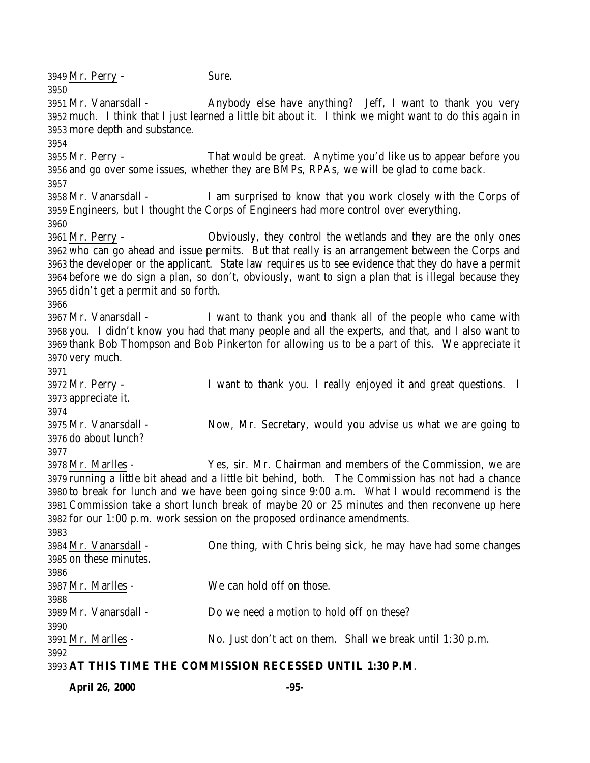**April 26, 2000 -95-** Mr. Perry - Sure. Mr. Vanarsdall - Anybody else have anything? Jeff, I want to thank you very much. I think that I just learned a little bit about it. I think we might want to do this again in more depth and substance. Mr. Perry - That would be great. Anytime you'd like us to appear before you and go over some issues, whether they are BMPs, RPAs, we will be glad to come back. Mr. Vanarsdall - I am surprised to know that you work closely with the Corps of Engineers, but I thought the Corps of Engineers had more control over everything. Mr. Perry - Obviously, they control the wetlands and they are the only ones who can go ahead and issue permits. But that really is an arrangement between the Corps and the developer or the applicant. State law requires us to see evidence that they do have a permit before we do sign a plan, so don't, obviously, want to sign a plan that is illegal because they didn't get a permit and so forth. Mr. Vanarsdall - I want to thank you and thank all of the people who came with you. I didn't know you had that many people and all the experts, and that, and I also want to thank Bob Thompson and Bob Pinkerton for allowing us to be a part of this. We appreciate it very much. Mr. Perry - I want to thank you. I really enjoyed it and great questions. I appreciate it. Mr. Vanarsdall - Now, Mr. Secretary, would you advise us what we are going to do about lunch? Mr. Marlles - Yes, sir. Mr. Chairman and members of the Commission, we are running a little bit ahead and a little bit behind, both. The Commission has not had a chance to break for lunch and we have been going since 9:00 a.m. What I would recommend is the Commission take a short lunch break of maybe 20 or 25 minutes and then reconvene up here for our 1:00 p.m. work session on the proposed ordinance amendments. Mr. Vanarsdall - One thing, with Chris being sick, he may have had some changes on these minutes. Mr. Marlles - We can hold off on those. Mr. Vanarsdall - Do we need a motion to hold off on these? Mr. Marlles - No. Just don't act on them. Shall we break until 1:30 p.m. **AT THIS TIME THE COMMISSION RECESSED UNTIL 1:30 P.M**.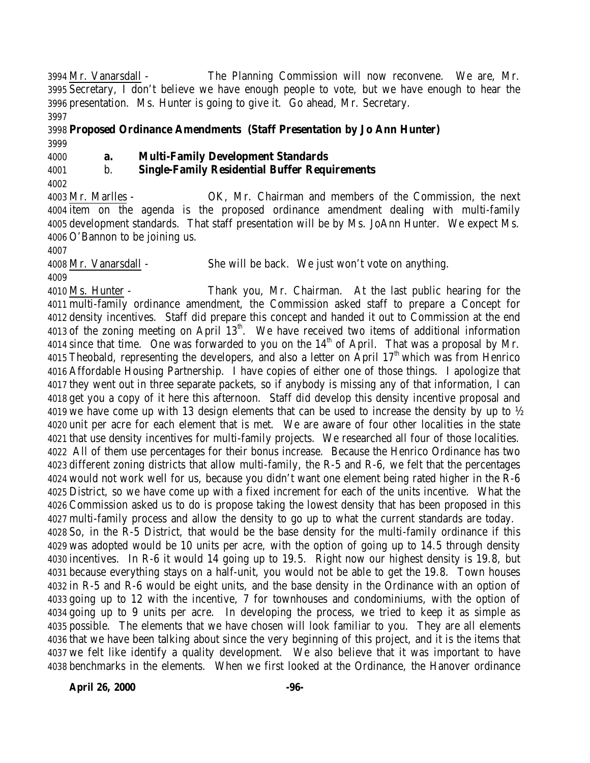Mr. Vanarsdall - The Planning Commission will now reconvene. We are, Mr. Secretary, I don't believe we have enough people to vote, but we have enough to hear the presentation. Ms. Hunter is going to give it. Go ahead, Mr. Secretary. 

 **Proposed Ordinance Amendments (Staff Presentation by Jo Ann Hunter)** 

## **a. Multi-Family Development Standards**

## b. **Single-Family Residential Buffer Requirements**

 Mr. Marlles - OK, Mr. Chairman and members of the Commission, the next item on the agenda is the proposed ordinance amendment dealing with multi-family development standards. That staff presentation will be by Ms. JoAnn Hunter. We expect Ms. O'Bannon to be joining us.

 Mr. Vanarsdall - She will be back. We just won't vote on anything. 

 Ms. Hunter - Thank you, Mr. Chairman. At the last public hearing for the multi-family ordinance amendment, the Commission asked staff to prepare a Concept for density incentives. Staff did prepare this concept and handed it out to Commission at the end 4013 of the zoning meeting on April  $13<sup>th</sup>$ . We have received two items of additional information 4014 since that time. One was forwarded to you on the  $14<sup>th</sup>$  of April. That was a proposal by Mr. 4015 Theobald, representing the developers, and also a letter on April  $17<sup>th</sup>$  which was from Henrico Affordable Housing Partnership. I have copies of either one of those things. I apologize that they went out in three separate packets, so if anybody is missing any of that information, I can get you a copy of it here this afternoon. Staff did develop this density incentive proposal and we have come up with 13 design elements that can be used to increase the density by up to ½ unit per acre for each element that is met. We are aware of four other localities in the state that use density incentives for multi-family projects. We researched all four of those localities. All of them use percentages for their bonus increase. Because the Henrico Ordinance has two different zoning districts that allow multi-family, the R-5 and R-6, we felt that the percentages would not work well for us, because you didn't want one element being rated higher in the R-6 District, so we have come up with a fixed increment for each of the units incentive. What the Commission asked us to do is propose taking the lowest density that has been proposed in this multi-family process and allow the density to go up to what the current standards are today. So, in the R-5 District, that would be the base density for the multi-family ordinance if this was adopted would be 10 units per acre, with the option of going up to 14.5 through density incentives. In R-6 it would 14 going up to 19.5. Right now our highest density is 19.8, but because everything stays on a half-unit, you would not be able to get the 19.8. Town houses in R-5 and R-6 would be eight units, and the base density in the Ordinance with an option of going up to 12 with the incentive, 7 for townhouses and condominiums, with the option of going up to 9 units per acre. In developing the process, we tried to keep it as simple as possible. The elements that we have chosen will look familiar to you. They are all elements that we have been talking about since the very beginning of this project, and it is the items that we felt like identify a quality development. We also believe that it was important to have

**April 26, 2000 -96-**

benchmarks in the elements. When we first looked at the Ordinance, the Hanover ordinance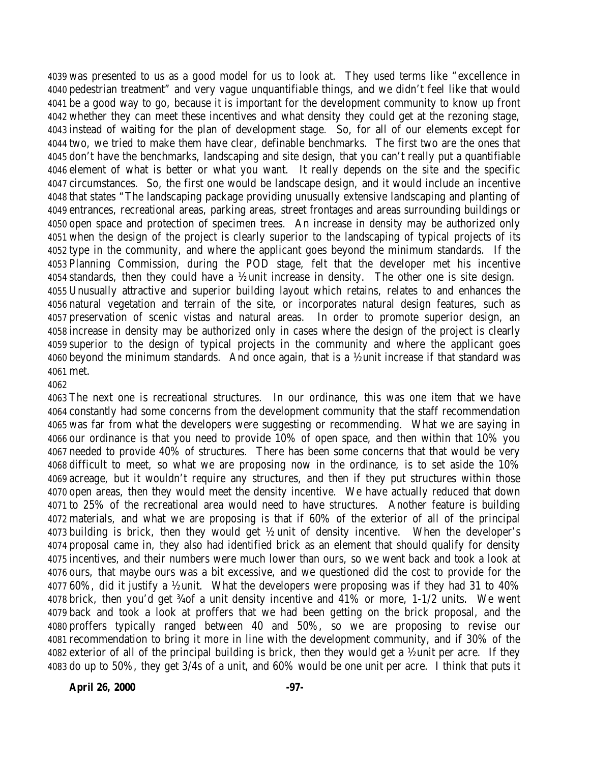was presented to us as a good model for us to look at. They used terms like "excellence in pedestrian treatment" and very vague unquantifiable things, and we didn't feel like that would be a good way to go, because it is important for the development community to know up front whether they can meet these incentives and what density they could get at the rezoning stage, instead of waiting for the plan of development stage. So, for all of our elements except for two, we tried to make them have clear, definable benchmarks. The first two are the ones that don't have the benchmarks, landscaping and site design, that you can't really put a quantifiable element of what is better or what you want. It really depends on the site and the specific circumstances. So, the first one would be landscape design, and it would include an incentive that states "The landscaping package providing unusually extensive landscaping and planting of entrances, recreational areas, parking areas, street frontages and areas surrounding buildings or open space and protection of specimen trees. An increase in density may be authorized only when the design of the project is clearly superior to the landscaping of typical projects of its type in the community, and where the applicant goes beyond the minimum standards. If the Planning Commission, during the POD stage, felt that the developer met his incentive 4054 standards, then they could have a  $\frac{1}{2}$  unit increase in density. The other one is site design. Unusually attractive and superior building layout which retains, relates to and enhances the natural vegetation and terrain of the site, or incorporates natural design features, such as preservation of scenic vistas and natural areas. In order to promote superior design, an increase in density may be authorized only in cases where the design of the project is clearly superior to the design of typical projects in the community and where the applicant goes beyond the minimum standards. And once again, that is a ½ unit increase if that standard was met.

 The next one is recreational structures. In our ordinance, this was one item that we have constantly had some concerns from the development community that the staff recommendation was far from what the developers were suggesting or recommending. What we are saying in our ordinance is that you need to provide 10% of open space, and then within that 10% you needed to provide 40% of structures. There has been some concerns that that would be very difficult to meet, so what we are proposing now in the ordinance, is to set aside the 10% acreage, but it wouldn't require any structures, and then if they put structures within those open areas, then they would meet the density incentive. We have actually reduced that down to 25% of the recreational area would need to have structures. Another feature is building materials, and what we are proposing is that if 60% of the exterior of all of the principal building is brick, then they would get ½ unit of density incentive. When the developer's proposal came in, they also had identified brick as an element that should qualify for density incentives, and their numbers were much lower than ours, so we went back and took a look at ours, that maybe ours was a bit excessive, and we questioned did the cost to provide for the 60%, did it justify a ½ unit. What the developers were proposing was if they had 31 to 40% brick, then you'd get ¾ of a unit density incentive and 41% or more, 1-1/2 units. We went back and took a look at proffers that we had been getting on the brick proposal, and the proffers typically ranged between 40 and 50%, so we are proposing to revise our recommendation to bring it more in line with the development community, and if 30% of the exterior of all of the principal building is brick, then they would get a ½ unit per acre. If they do up to 50%, they get 3/4s of a unit, and 60% would be one unit per acre. I think that puts it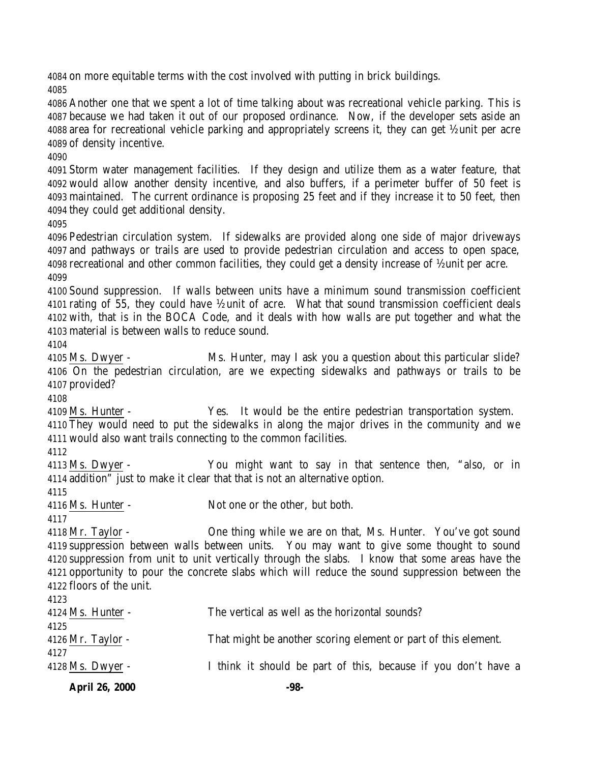on more equitable terms with the cost involved with putting in brick buildings.

 Another one that we spent a lot of time talking about was recreational vehicle parking. This is because we had taken it out of our proposed ordinance. Now, if the developer sets aside an area for recreational vehicle parking and appropriately screens it, they can get ½ unit per acre of density incentive.

 Storm water management facilities. If they design and utilize them as a water feature, that would allow another density incentive, and also buffers, if a perimeter buffer of 50 feet is maintained. The current ordinance is proposing 25 feet and if they increase it to 50 feet, then they could get additional density.

 Pedestrian circulation system. If sidewalks are provided along one side of major driveways and pathways or trails are used to provide pedestrian circulation and access to open space, recreational and other common facilities, they could get a density increase of ½ unit per acre. 

 Sound suppression. If walls between units have a minimum sound transmission coefficient rating of 55, they could have ½ unit of acre. What that sound transmission coefficient deals with, that is in the BOCA Code, and it deals with how walls are put together and what the material is between walls to reduce sound.

 Ms. Dwyer - Ms. Hunter, may I ask you a question about this particular slide? On the pedestrian circulation, are we expecting sidewalks and pathways or trails to be provided?

 Ms. Hunter - Yes. It would be the entire pedestrian transportation system. They would need to put the sidewalks in along the major drives in the community and we

would also want trails connecting to the common facilities.

 Ms. Dwyer - You might want to say in that sentence then, "also, or in addition" just to make it clear that that is not an alternative option.

4116 Ms. Hunter - Not one or the other, but both.

 Mr. Taylor - One thing while we are on that, Ms. Hunter. You've got sound suppression between walls between units. You may want to give some thought to sound suppression from unit to unit vertically through the slabs. I know that some areas have the opportunity to pour the concrete slabs which will reduce the sound suppression between the floors of the unit.

| 4123                |                                                                |
|---------------------|----------------------------------------------------------------|
| $4124$ Ms. Hunter - | The vertical as well as the horizontal sounds?                 |
| 4125                |                                                                |
| $4126$ Mr. Taylor - | That might be another scoring element or part of this element. |

| $4128$ Ms. Dwyer - |  |  |  |  |  |  |  |  | I think it should be part of this, because if you don't have a |  |  |  |  |  |
|--------------------|--|--|--|--|--|--|--|--|----------------------------------------------------------------|--|--|--|--|--|
|--------------------|--|--|--|--|--|--|--|--|----------------------------------------------------------------|--|--|--|--|--|

**April 26, 2000 -98-**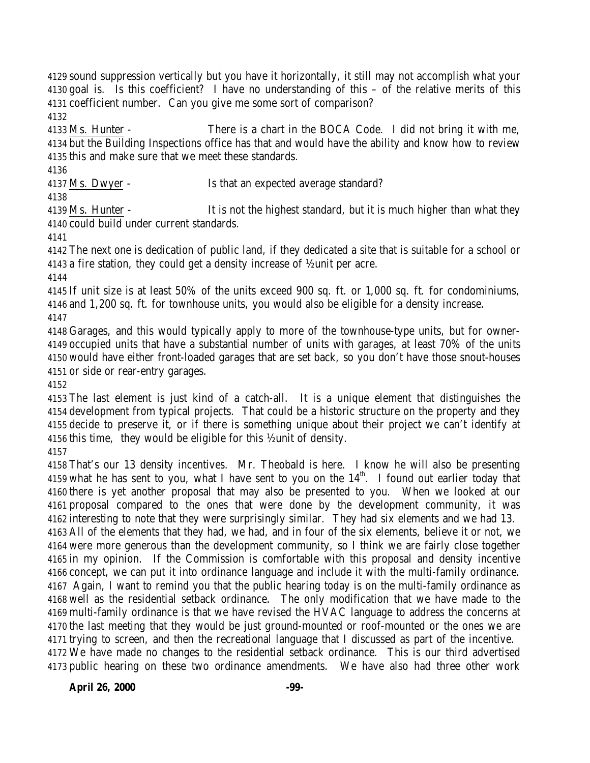sound suppression vertically but you have it horizontally, it still may not accomplish what your goal is. Is this coefficient? I have no understanding of this – of the relative merits of this coefficient number. Can you give me some sort of comparison? 

 Ms. Hunter - There is a chart in the BOCA Code. I did not bring it with me, but the Building Inspections office has that and would have the ability and know how to review this and make sure that we meet these standards.

Ms. Dwyer - Is that an expected average standard?

 Ms. Hunter - It is not the highest standard, but it is much higher than what they could build under current standards.

 The next one is dedication of public land, if they dedicated a site that is suitable for a school or 4143 a fire station, they could get a density increase of  $\frac{1}{2}$  unit per acre.

 If unit size is at least 50% of the units exceed 900 sq. ft. or 1,000 sq. ft. for condominiums, and 1,200 sq. ft. for townhouse units, you would also be eligible for a density increase. 

 Garages, and this would typically apply to more of the townhouse-type units, but for owner- occupied units that have a substantial number of units with garages, at least 70% of the units would have either front-loaded garages that are set back, so you don't have those snout-houses or side or rear-entry garages.

 The last element is just kind of a catch-all. It is a unique element that distinguishes the development from typical projects. That could be a historic structure on the property and they decide to preserve it, or if there is something unique about their project we can't identify at this time, they would be eligible for this ½ unit of density.

 That's our 13 density incentives. Mr. Theobald is here. I know he will also be presenting 4159 what he has sent to you, what I have sent to you on the  $14<sup>th</sup>$ . I found out earlier today that there is yet another proposal that may also be presented to you. When we looked at our proposal compared to the ones that were done by the development community, it was interesting to note that they were surprisingly similar. They had six elements and we had 13. All of the elements that they had, we had, and in four of the six elements, believe it or not, we were more generous than the development community, so I think we are fairly close together in my opinion. If the Commission is comfortable with this proposal and density incentive concept, we can put it into ordinance language and include it with the multi-family ordinance. Again, I want to remind you that the public hearing today is on the multi-family ordinance as well as the residential setback ordinance. The only modification that we have made to the multi-family ordinance is that we have revised the HVAC language to address the concerns at the last meeting that they would be just ground-mounted or roof-mounted or the ones we are trying to screen, and then the recreational language that I discussed as part of the incentive. We have made no changes to the residential setback ordinance. This is our third advertised public hearing on these two ordinance amendments. We have also had three other work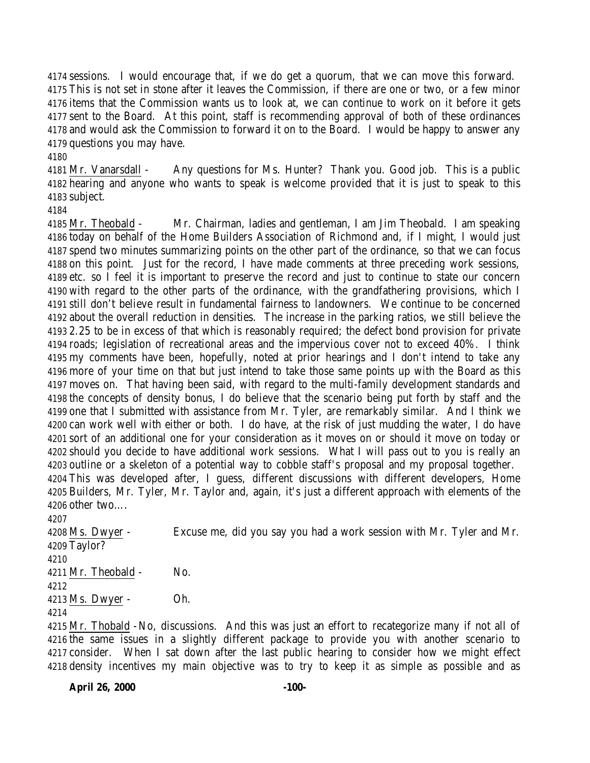sessions. I would encourage that, if we do get a quorum, that we can move this forward. This is not set in stone after it leaves the Commission, if there are one or two, or a few minor items that the Commission wants us to look at, we can continue to work on it before it gets sent to the Board. At this point, staff is recommending approval of both of these ordinances and would ask the Commission to forward it on to the Board. I would be happy to answer any questions you may have.

 Mr. Vanarsdall - Any questions for Ms. Hunter? Thank you. Good job. This is a public hearing and anyone who wants to speak is welcome provided that it is just to speak to this subject.

 Mr. Theobald - Mr. Chairman, ladies and gentleman, I am Jim Theobald. I am speaking today on behalf of the Home Builders Association of Richmond and, if I might, I would just spend two minutes summarizing points on the other part of the ordinance, so that we can focus on this point. Just for the record, I have made comments at three preceding work sessions, etc. so I feel it is important to preserve the record and just to continue to state our concern with regard to the other parts of the ordinance, with the grandfathering provisions, which I still don't believe result in fundamental fairness to landowners. We continue to be concerned about the overall reduction in densities. The increase in the parking ratios, we still believe the 2.25 to be in excess of that which is reasonably required; the defect bond provision for private roads; legislation of recreational areas and the impervious cover not to exceed 40%. I think my comments have been, hopefully, noted at prior hearings and I don't intend to take any more of your time on that but just intend to take those same points up with the Board as this moves on. That having been said, with regard to the multi-family development standards and the concepts of density bonus, I do believe that the scenario being put forth by staff and the one that I submitted with assistance from Mr. Tyler, are remarkably similar. And I think we can work well with either or both. I do have, at the risk of just mudding the water, I do have sort of an additional one for your consideration as it moves on or should it move on today or should you decide to have additional work sessions. What I will pass out to you is really an outline or a skeleton of a potential way to cobble staff's proposal and my proposal together. This was developed after, I guess, different discussions with different developers, Home Builders, Mr. Tyler, Mr. Taylor and, again, it's just a different approach with elements of the other two….

 Ms. Dwyer - Excuse me, did you say you had a work session with Mr. Tyler and Mr. Taylor? Mr. Theobald - No. Ms. Dwyer - Oh. 

 Mr. Thobald -No, discussions. And this was just an effort to recategorize many if not all of the same issues in a slightly different package to provide you with another scenario to consider. When I sat down after the last public hearing to consider how we might effect density incentives my main objective was to try to keep it as simple as possible and as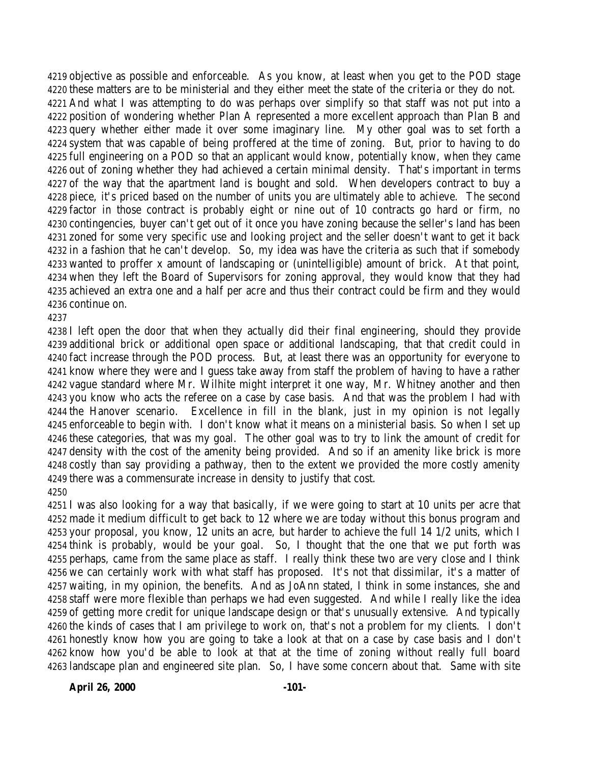objective as possible and enforceable. As you know, at least when you get to the POD stage these matters are to be ministerial and they either meet the state of the criteria or they do not. And what I was attempting to do was perhaps over simplify so that staff was not put into a position of wondering whether Plan A represented a more excellent approach than Plan B and query whether either made it over some imaginary line. My other goal was to set forth a system that was capable of being proffered at the time of zoning. But, prior to having to do full engineering on a POD so that an applicant would know, potentially know, when they came out of zoning whether they had achieved a certain minimal density. That's important in terms of the way that the apartment land is bought and sold. When developers contract to buy a piece, it's priced based on the number of units you are ultimately able to achieve. The second factor in those contract is probably eight or nine out of 10 contracts go hard or firm, no contingencies, buyer can't get out of it once you have zoning because the seller's land has been zoned for some very specific use and looking project and the seller doesn't want to get it back in a fashion that he can't develop. So, my idea was have the criteria as such that if somebody wanted to proffer x amount of landscaping or (unintelligible) amount of brick. At that point, when they left the Board of Supervisors for zoning approval, they would know that they had achieved an extra one and a half per acre and thus their contract could be firm and they would continue on.

 I left open the door that when they actually did their final engineering, should they provide additional brick or additional open space or additional landscaping, that that credit could in fact increase through the POD process. But, at least there was an opportunity for everyone to know where they were and I guess take away from staff the problem of having to have a rather vague standard where Mr. Wilhite might interpret it one way, Mr. Whitney another and then you know who acts the referee on a case by case basis. And that was the problem I had with the Hanover scenario. Excellence in fill in the blank, just in my opinion is not legally enforceable to begin with. I don't know what it means on a ministerial basis. So when I set up these categories, that was my goal. The other goal was to try to link the amount of credit for density with the cost of the amenity being provided. And so if an amenity like brick is more costly than say providing a pathway, then to the extent we provided the more costly amenity there was a commensurate increase in density to justify that cost. 

 I was also looking for a way that basically, if we were going to start at 10 units per acre that made it medium difficult to get back to 12 where we are today without this bonus program and your proposal, you know, 12 units an acre, but harder to achieve the full 14 1/2 units, which I think is probably, would be your goal. So, I thought that the one that we put forth was perhaps, came from the same place as staff. I really think these two are very close and I think we can certainly work with what staff has proposed. It's not that dissimilar, it's a matter of waiting, in my opinion, the benefits. And as JoAnn stated, I think in some instances, she and staff were more flexible than perhaps we had even suggested. And while I really like the idea of getting more credit for unique landscape design or that's unusually extensive. And typically the kinds of cases that I am privilege to work on, that's not a problem for my clients. I don't honestly know how you are going to take a look at that on a case by case basis and I don't know how you'd be able to look at that at the time of zoning without really full board landscape plan and engineered site plan. So, I have some concern about that. Same with site

**April 26, 2000 -101-**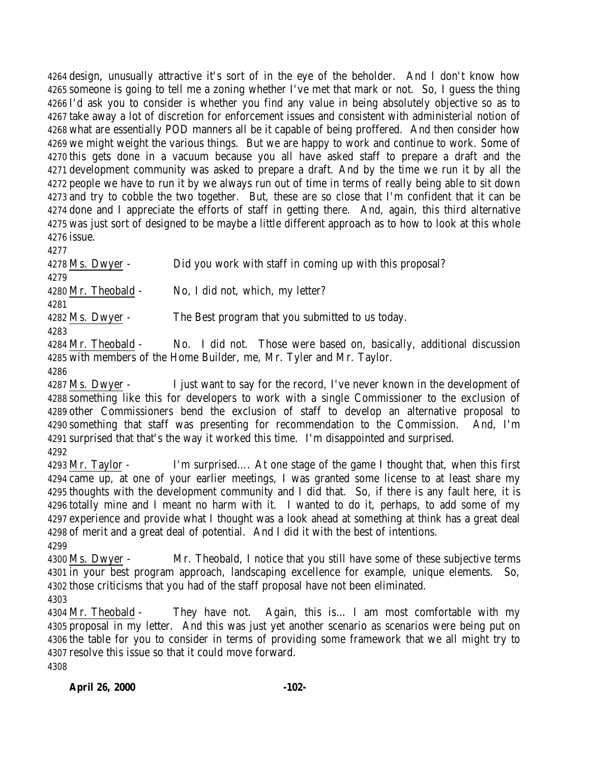design, unusually attractive it's sort of in the eye of the beholder. And I don't know how someone is going to tell me a zoning whether I've met that mark or not. So, I guess the thing I'd ask you to consider is whether you find any value in being absolutely objective so as to take away a lot of discretion for enforcement issues and consistent with administerial notion of what are essentially POD manners all be it capable of being proffered. And then consider how we might weight the various things. But we are happy to work and continue to work. Some of this gets done in a vacuum because you all have asked staff to prepare a draft and the development community was asked to prepare a draft. And by the time we run it by all the people we have to run it by we always run out of time in terms of really being able to sit down and try to cobble the two together. But, these are so close that I'm confident that it can be done and I appreciate the efforts of staff in getting there. And, again, this third alternative was just sort of designed to be maybe a little different approach as to how to look at this whole issue.

4278 Ms. Dwyer - Did you work with staff in coming up with this proposal? Mr. Theobald - No, I did not, which, my letter? Ms. Dwyer - The Best program that you submitted to us today. 

 Mr. Theobald - No. I did not. Those were based on, basically, additional discussion with members of the Home Builder, me, Mr. Tyler and Mr. Taylor.

 Ms. Dwyer - I just want to say for the record, I've never known in the development of something like this for developers to work with a single Commissioner to the exclusion of other Commissioners bend the exclusion of staff to develop an alternative proposal to something that staff was presenting for recommendation to the Commission. And, I'm surprised that that's the way it worked this time. I'm disappointed and surprised. 

 Mr. Taylor - I'm surprised…. At one stage of the game I thought that, when this first came up, at one of your earlier meetings, I was granted some license to at least share my thoughts with the development community and I did that. So, if there is any fault here, it is totally mine and I meant no harm with it. I wanted to do it, perhaps, to add some of my experience and provide what I thought was a look ahead at something at think has a great deal of merit and a great deal of potential. And I did it with the best of intentions. 

 Ms. Dwyer - Mr. Theobald, I notice that you still have some of these subjective terms in your best program approach, landscaping excellence for example, unique elements. So, those criticisms that you had of the staff proposal have not been eliminated.

 Mr. Theobald - They have not. Again, this is… I am most comfortable with my proposal in my letter. And this was just yet another scenario as scenarios were being put on the table for you to consider in terms of providing some framework that we all might try to resolve this issue so that it could move forward.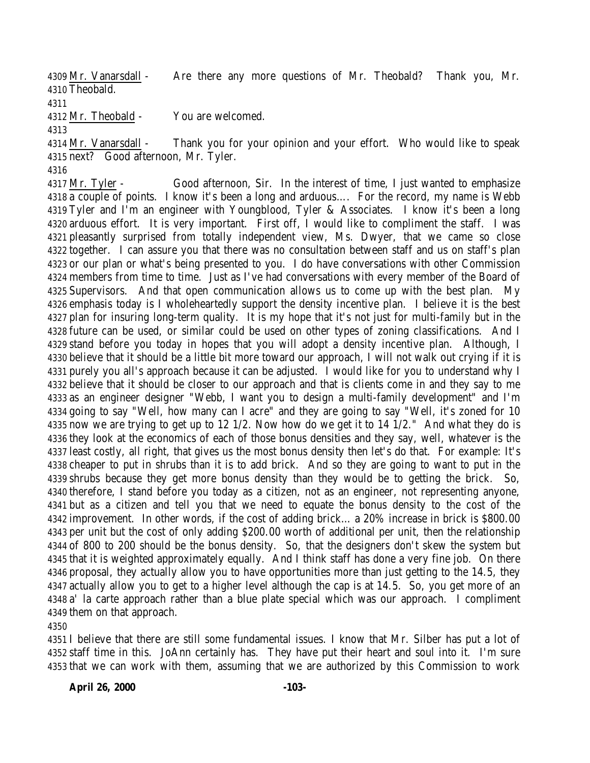Mr. Vanarsdall - Are there any more questions of Mr. Theobald? Thank you, Mr. Theobald. 

Mr. Theobald - You are welcomed.

 Mr. Vanarsdall - Thank you for your opinion and your effort. Who would like to speak next? Good afternoon, Mr. Tyler.

 Mr. Tyler - Good afternoon, Sir. In the interest of time, I just wanted to emphasize a couple of points. I know it's been a long and arduous…. For the record, my name is Webb Tyler and I'm an engineer with Youngblood, Tyler & Associates. I know it's been a long arduous effort. It is very important. First off, I would like to compliment the staff. I was pleasantly surprised from totally independent view, Ms. Dwyer, that we came so close together. I can assure you that there was no consultation between staff and us on staff's plan or our plan or what's being presented to you. I do have conversations with other Commission members from time to time. Just as I've had conversations with every member of the Board of Supervisors. And that open communication allows us to come up with the best plan. My emphasis today is I wholeheartedly support the density incentive plan. I believe it is the best plan for insuring long-term quality. It is my hope that it's not just for multi-family but in the future can be used, or similar could be used on other types of zoning classifications. And I stand before you today in hopes that you will adopt a density incentive plan. Although, I believe that it should be a little bit more toward our approach, I will not walk out crying if it is purely you all's approach because it can be adjusted. I would like for you to understand why I believe that it should be closer to our approach and that is clients come in and they say to me as an engineer designer "Webb, I want you to design a multi-family development" and I'm going to say "Well, how many can I acre" and they are going to say "Well, it's zoned for 10 now we are trying to get up to 12 1/2. Now how do we get it to 14 1/2." And what they do is they look at the economics of each of those bonus densities and they say, well, whatever is the least costly, all right, that gives us the most bonus density then let's do that. For example: It's cheaper to put in shrubs than it is to add brick. And so they are going to want to put in the shrubs because they get more bonus density than they would be to getting the brick. So, therefore, I stand before you today as a citizen, not as an engineer, not representing anyone, but as a citizen and tell you that we need to equate the bonus density to the cost of the improvement. In other words, if the cost of adding brick… a 20% increase in brick is \$800.00 per unit but the cost of only adding \$200.00 worth of additional per unit, then the relationship of 800 to 200 should be the bonus density. So, that the designers don't skew the system but that it is weighted approximately equally. And I think staff has done a very fine job. On there proposal, they actually allow you to have opportunities more than just getting to the 14.5, they actually allow you to get to a higher level although the cap is at 14.5. So, you get more of an a' la carte approach rather than a blue plate special which was our approach. I compliment them on that approach.

 I believe that there are still some fundamental issues. I know that Mr. Silber has put a lot of staff time in this. JoAnn certainly has. They have put their heart and soul into it. I'm sure that we can work with them, assuming that we are authorized by this Commission to work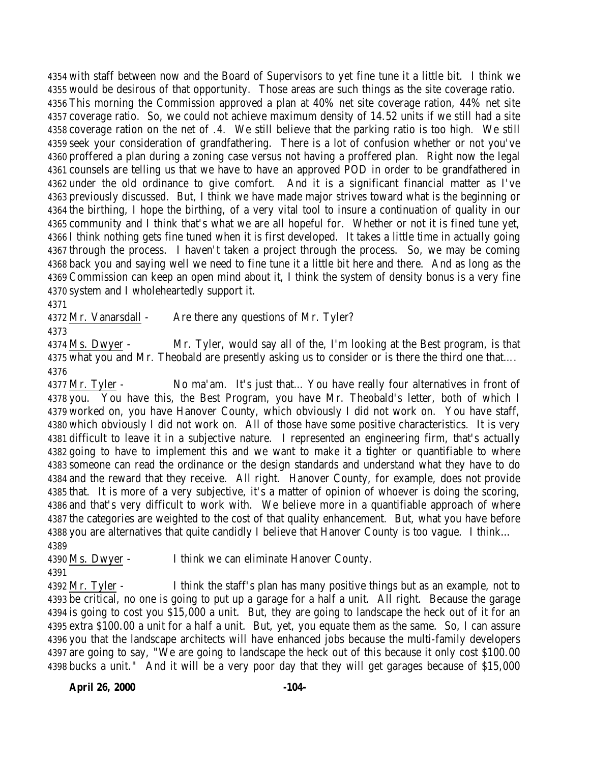with staff between now and the Board of Supervisors to yet fine tune it a little bit. I think we would be desirous of that opportunity. Those areas are such things as the site coverage ratio. This morning the Commission approved a plan at 40% net site coverage ration, 44% net site coverage ratio. So, we could not achieve maximum density of 14.52 units if we still had a site coverage ration on the net of .4. We still believe that the parking ratio is too high. We still seek your consideration of grandfathering. There is a lot of confusion whether or not you've proffered a plan during a zoning case versus not having a proffered plan. Right now the legal counsels are telling us that we have to have an approved POD in order to be grandfathered in under the old ordinance to give comfort. And it is a significant financial matter as I've previously discussed. But, I think we have made major strives toward what is the beginning or the birthing, I hope the birthing, of a very vital tool to insure a continuation of quality in our community and I think that's what we are all hopeful for. Whether or not it is fined tune yet, I think nothing gets fine tuned when it is first developed. It takes a little time in actually going through the process. I haven't taken a project through the process. So, we may be coming back you and saying well we need to fine tune it a little bit here and there. And as long as the Commission can keep an open mind about it, I think the system of density bonus is a very fine system and I wholeheartedly support it.

4372 Mr. Vanarsdall - Are there any questions of Mr. Tyler?

 Ms. Dwyer - Mr. Tyler, would say all of the, I'm looking at the Best program, is that what you and Mr. Theobald are presently asking us to consider or is there the third one that…. 

 Mr. Tyler - No ma'am. It's just that… You have really four alternatives in front of you. You have this, the Best Program, you have Mr. Theobald's letter, both of which I worked on, you have Hanover County, which obviously I did not work on. You have staff, which obviously I did not work on. All of those have some positive characteristics. It is very difficult to leave it in a subjective nature. I represented an engineering firm, that's actually going to have to implement this and we want to make it a tighter or quantifiable to where someone can read the ordinance or the design standards and understand what they have to do and the reward that they receive. All right. Hanover County, for example, does not provide that. It is more of a very subjective, it's a matter of opinion of whoever is doing the scoring, and that's very difficult to work with. We believe more in a quantifiable approach of where the categories are weighted to the cost of that quality enhancement. But, what you have before you are alternatives that quite candidly I believe that Hanover County is too vague. I think… 

Ms. Dwyer - I think we can eliminate Hanover County.

 Mr. Tyler - I think the staff's plan has many positive things but as an example, not to be critical, no one is going to put up a garage for a half a unit. All right. Because the garage is going to cost you \$15,000 a unit. But, they are going to landscape the heck out of it for an extra \$100.00 a unit for a half a unit. But, yet, you equate them as the same. So, I can assure you that the landscape architects will have enhanced jobs because the multi-family developers are going to say, "We are going to landscape the heck out of this because it only cost \$100.00 bucks a unit." And it will be a very poor day that they will get garages because of \$15,000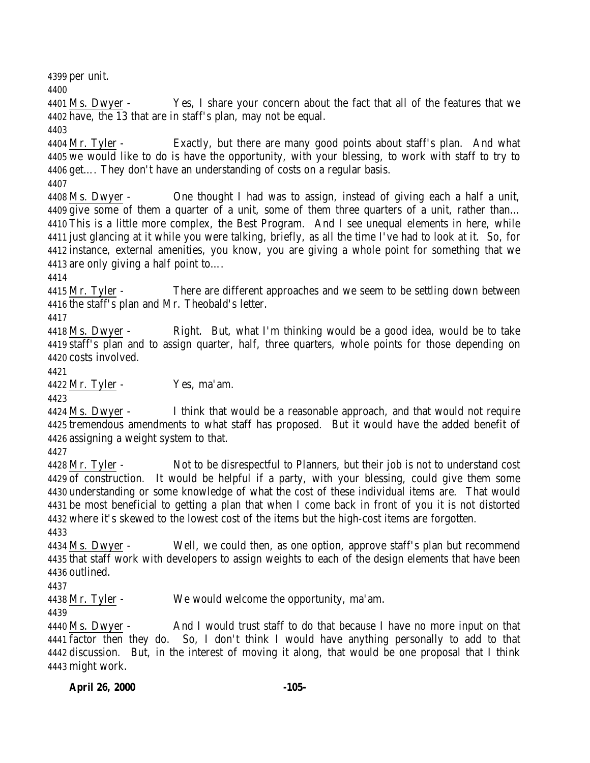per unit.

 Ms. Dwyer - Yes, I share your concern about the fact that all of the features that we have, the 13 that are in staff's plan, may not be equal.

 Mr. Tyler - Exactly, but there are many good points about staff's plan. And what we would like to do is have the opportunity, with your blessing, to work with staff to try to get…. They don't have an understanding of costs on a regular basis.

 Ms. Dwyer - One thought I had was to assign, instead of giving each a half a unit, give some of them a quarter of a unit, some of them three quarters of a unit, rather than… This is a little more complex, the Best Program. And I see unequal elements in here, while just glancing at it while you were talking, briefly, as all the time I've had to look at it. So, for instance, external amenities, you know, you are giving a whole point for something that we are only giving a half point to….

4415 Mr. Tyler - There are different approaches and we seem to be settling down between the staff's plan and Mr. Theobald's letter.

 Ms. Dwyer - Right. But, what I'm thinking would be a good idea, would be to take staff's plan and to assign quarter, half, three quarters, whole points for those depending on costs involved.

Mr. Tyler - Yes, ma'am.

 Ms. Dwyer - I think that would be a reasonable approach, and that would not require tremendous amendments to what staff has proposed. But it would have the added benefit of assigning a weight system to that.

 Mr. Tyler - Not to be disrespectful to Planners, but their job is not to understand cost of construction. It would be helpful if a party, with your blessing, could give them some understanding or some knowledge of what the cost of these individual items are. That would be most beneficial to getting a plan that when I come back in front of you it is not distorted where it's skewed to the lowest cost of the items but the high-cost items are forgotten.

 Ms. Dwyer - Well, we could then, as one option, approve staff's plan but recommend that staff work with developers to assign weights to each of the design elements that have been outlined.

Mr. Tyler - We would welcome the opportunity, ma'am.

 Ms. Dwyer - And I would trust staff to do that because I have no more input on that factor then they do. So, I don't think I would have anything personally to add to that discussion. But, in the interest of moving it along, that would be one proposal that I think might work.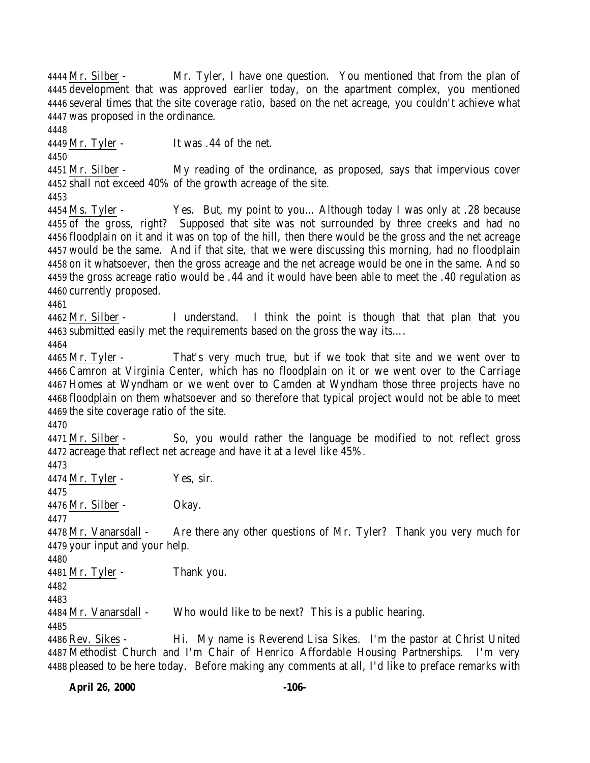**April 26, 2000 -106-** Mr. Silber - Mr. Tyler, I have one question. You mentioned that from the plan of development that was approved earlier today, on the apartment complex, you mentioned several times that the site coverage ratio, based on the net acreage, you couldn't achieve what was proposed in the ordinance. Mr. Tyler - It was .44 of the net. Mr. Silber - My reading of the ordinance, as proposed, says that impervious cover shall not exceed 40% of the growth acreage of the site. Ms. Tyler - Yes. But, my point to you… Although today I was only at .28 because of the gross, right? Supposed that site was not surrounded by three creeks and had no floodplain on it and it was on top of the hill, then there would be the gross and the net acreage would be the same. And if that site, that we were discussing this morning, had no floodplain on it whatsoever, then the gross acreage and the net acreage would be one in the same. And so the gross acreage ratio would be .44 and it would have been able to meet the .40 regulation as currently proposed. Mr. Silber - I understand. I think the point is though that that plan that you submitted easily met the requirements based on the gross the way its…. Mr. Tyler - That's very much true, but if we took that site and we went over to Camron at Virginia Center, which has no floodplain on it or we went over to the Carriage Homes at Wyndham or we went over to Camden at Wyndham those three projects have no floodplain on them whatsoever and so therefore that typical project would not be able to meet the site coverage ratio of the site. Mr. Silber - So, you would rather the language be modified to not reflect gross acreage that reflect net acreage and have it at a level like 45%. Mr. Tyler - Yes, sir. Mr. Silber - Okay. Mr. Vanarsdall - Are there any other questions of Mr. Tyler? Thank you very much for your input and your help. Mr. Tyler - Thank you. Mr. Vanarsdall - Who would like to be next? This is a public hearing. Rev. Sikes - Hi. My name is Reverend Lisa Sikes. I'm the pastor at Christ United Methodist Church and I'm Chair of Henrico Affordable Housing Partnerships. I'm very pleased to be here today. Before making any comments at all, I'd like to preface remarks with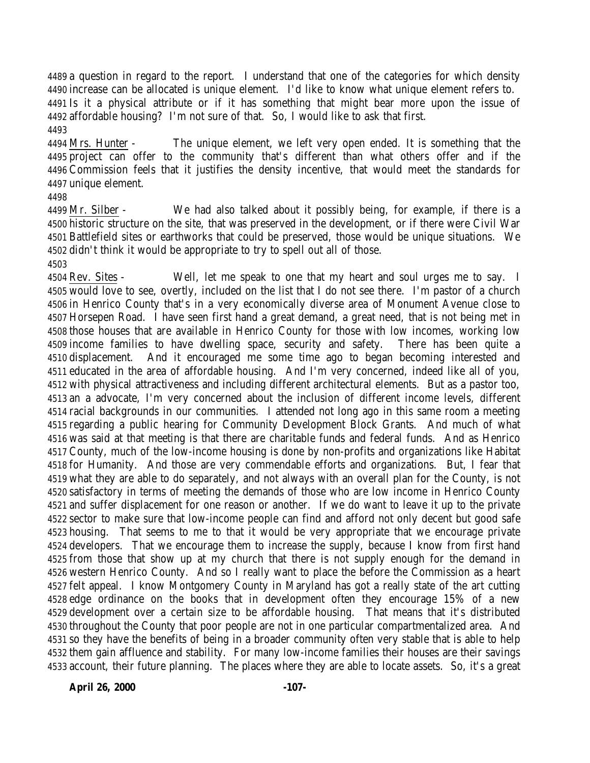a question in regard to the report. I understand that one of the categories for which density increase can be allocated is unique element. I'd like to know what unique element refers to. Is it a physical attribute or if it has something that might bear more upon the issue of affordable housing? I'm not sure of that. So, I would like to ask that first. 

 Mrs. Hunter - The unique element, we left very open ended. It is something that the project can offer to the community that's different than what others offer and if the Commission feels that it justifies the density incentive, that would meet the standards for unique element.

 Mr. Silber - We had also talked about it possibly being, for example, if there is a historic structure on the site, that was preserved in the development, or if there were Civil War Battlefield sites or earthworks that could be preserved, those would be unique situations. We didn't think it would be appropriate to try to spell out all of those.

 Rev. Sites - Well, let me speak to one that my heart and soul urges me to say. I would love to see, overtly, included on the list that I do not see there. I'm pastor of a church in Henrico County that's in a very economically diverse area of Monument Avenue close to Horsepen Road. I have seen first hand a great demand, a great need, that is not being met in those houses that are available in Henrico County for those with low incomes, working low income families to have dwelling space, security and safety. There has been quite a displacement. And it encouraged me some time ago to began becoming interested and educated in the area of affordable housing. And I'm very concerned, indeed like all of you, with physical attractiveness and including different architectural elements. But as a pastor too, an a advocate, I'm very concerned about the inclusion of different income levels, different racial backgrounds in our communities. I attended not long ago in this same room a meeting regarding a public hearing for Community Development Block Grants. And much of what was said at that meeting is that there are charitable funds and federal funds. And as Henrico County, much of the low-income housing is done by non-profits and organizations like Habitat for Humanity. And those are very commendable efforts and organizations. But, I fear that what they are able to do separately, and not always with an overall plan for the County, is not satisfactory in terms of meeting the demands of those who are low income in Henrico County and suffer displacement for one reason or another. If we do want to leave it up to the private sector to make sure that low-income people can find and afford not only decent but good safe housing. That seems to me to that it would be very appropriate that we encourage private developers. That we encourage them to increase the supply, because I know from first hand from those that show up at my church that there is not supply enough for the demand in western Henrico County. And so I really want to place the before the Commission as a heart felt appeal. I know Montgomery County in Maryland has got a really state of the art cutting edge ordinance on the books that in development often they encourage 15% of a new development over a certain size to be affordable housing. That means that it's distributed throughout the County that poor people are not in one particular compartmentalized area. And so they have the benefits of being in a broader community often very stable that is able to help them gain affluence and stability. For many low-income families their houses are their savings account, their future planning. The places where they are able to locate assets. So, it's a great

**April 26, 2000 -107-**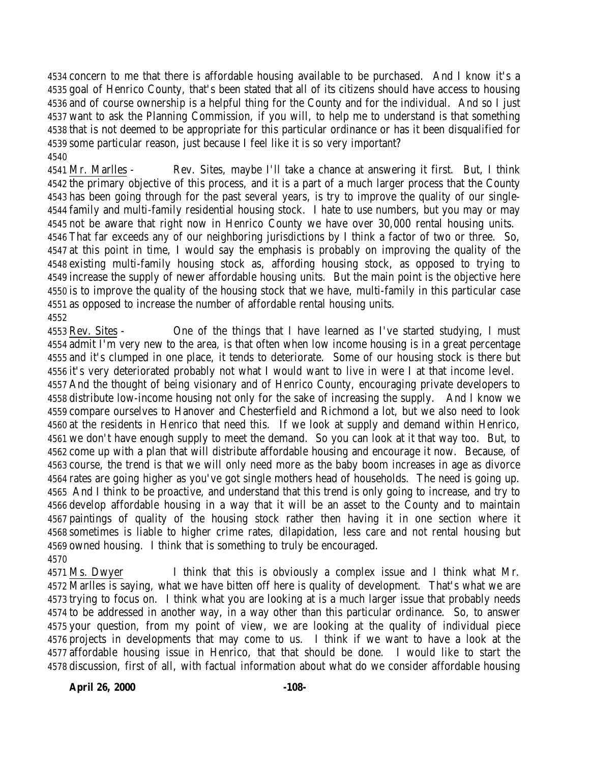concern to me that there is affordable housing available to be purchased. And I know it's a goal of Henrico County, that's been stated that all of its citizens should have access to housing and of course ownership is a helpful thing for the County and for the individual. And so I just want to ask the Planning Commission, if you will, to help me to understand is that something that is not deemed to be appropriate for this particular ordinance or has it been disqualified for some particular reason, just because I feel like it is so very important? 

 Mr. Marlles - Rev. Sites, maybe I'll take a chance at answering it first. But, I think the primary objective of this process, and it is a part of a much larger process that the County has been going through for the past several years, is try to improve the quality of our single- family and multi-family residential housing stock. I hate to use numbers, but you may or may not be aware that right now in Henrico County we have over 30,000 rental housing units. That far exceeds any of our neighboring jurisdictions by I think a factor of two or three. So, at this point in time, I would say the emphasis is probably on improving the quality of the existing multi-family housing stock as, affording housing stock, as opposed to trying to increase the supply of newer affordable housing units. But the main point is the objective here is to improve the quality of the housing stock that we have, multi-family in this particular case as opposed to increase the number of affordable rental housing units. 

 Rev. Sites - One of the things that I have learned as I've started studying, I must admit I'm very new to the area, is that often when low income housing is in a great percentage and it's clumped in one place, it tends to deteriorate. Some of our housing stock is there but it's very deteriorated probably not what I would want to live in were I at that income level. And the thought of being visionary and of Henrico County, encouraging private developers to distribute low-income housing not only for the sake of increasing the supply. And I know we compare ourselves to Hanover and Chesterfield and Richmond a lot, but we also need to look at the residents in Henrico that need this. If we look at supply and demand within Henrico, we don't have enough supply to meet the demand. So you can look at it that way too. But, to come up with a plan that will distribute affordable housing and encourage it now. Because, of course, the trend is that we will only need more as the baby boom increases in age as divorce rates are going higher as you've got single mothers head of households. The need is going up. And I think to be proactive, and understand that this trend is only going to increase, and try to develop affordable housing in a way that it will be an asset to the County and to maintain paintings of quality of the housing stock rather then having it in one section where it sometimes is liable to higher crime rates, dilapidation, less care and not rental housing but owned housing. I think that is something to truly be encouraged. 

 Ms. Dwyer I think that this is obviously a complex issue and I think what Mr. Marlles is saying, what we have bitten off here is quality of development. That's what we are trying to focus on. I think what you are looking at is a much larger issue that probably needs to be addressed in another way, in a way other than this particular ordinance. So, to answer your question, from my point of view, we are looking at the quality of individual piece projects in developments that may come to us. I think if we want to have a look at the affordable housing issue in Henrico, that that should be done. I would like to start the discussion, first of all, with factual information about what do we consider affordable housing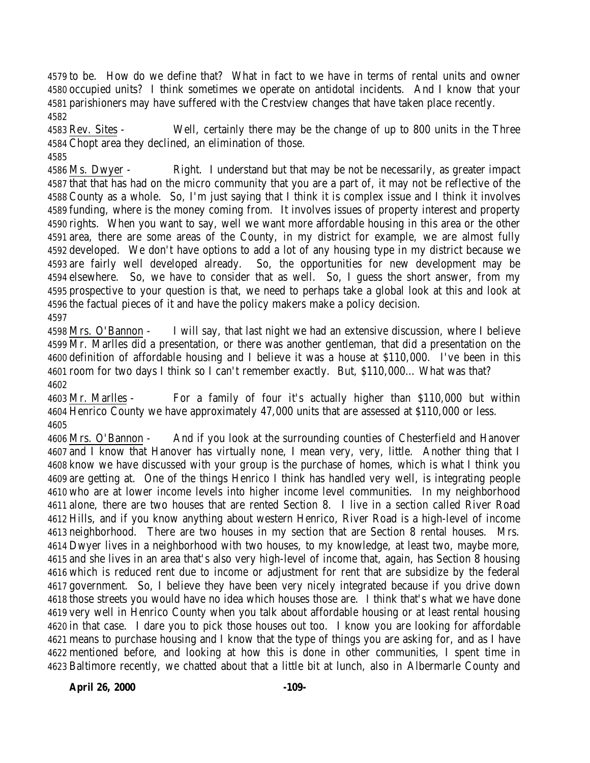to be. How do we define that? What in fact to we have in terms of rental units and owner occupied units? I think sometimes we operate on antidotal incidents. And I know that your parishioners may have suffered with the Crestview changes that have taken place recently. 

 Rev. Sites - Well, certainly there may be the change of up to 800 units in the Three Chopt area they declined, an elimination of those. 

 Ms. Dwyer - Right. I understand but that may be not be necessarily, as greater impact that that has had on the micro community that you are a part of, it may not be reflective of the County as a whole. So, I'm just saying that I think it is complex issue and I think it involves funding, where is the money coming from. It involves issues of property interest and property rights. When you want to say, well we want more affordable housing in this area or the other area, there are some areas of the County, in my district for example, we are almost fully developed. We don't have options to add a lot of any housing type in my district because we are fairly well developed already. So, the opportunities for new development may be elsewhere. So, we have to consider that as well. So, I guess the short answer, from my prospective to your question is that, we need to perhaps take a global look at this and look at the factual pieces of it and have the policy makers make a policy decision. 

 Mrs. O'Bannon - I will say, that last night we had an extensive discussion, where I believe Mr. Marlles did a presentation, or there was another gentleman, that did a presentation on the definition of affordable housing and I believe it was a house at \$110,000. I've been in this room for two days I think so I can't remember exactly. But, \$110,000… What was that? 

 Mr. Marlles - For a family of four it's actually higher than \$110,000 but within Henrico County we have approximately 47,000 units that are assessed at \$110,000 or less. 

 Mrs. O'Bannon - And if you look at the surrounding counties of Chesterfield and Hanover and I know that Hanover has virtually none, I mean very, very, little. Another thing that I know we have discussed with your group is the purchase of homes, which is what I think you are getting at. One of the things Henrico I think has handled very well, is integrating people who are at lower income levels into higher income level communities. In my neighborhood alone, there are two houses that are rented Section 8. I live in a section called River Road Hills, and if you know anything about western Henrico, River Road is a high-level of income neighborhood. There are two houses in my section that are Section 8 rental houses. Mrs. Dwyer lives in a neighborhood with two houses, to my knowledge, at least two, maybe more, and she lives in an area that's also very high-level of income that, again, has Section 8 housing which is reduced rent due to income or adjustment for rent that are subsidize by the federal government. So, I believe they have been very nicely integrated because if you drive down those streets you would have no idea which houses those are. I think that's what we have done very well in Henrico County when you talk about affordable housing or at least rental housing in that case. I dare you to pick those houses out too. I know you are looking for affordable means to purchase housing and I know that the type of things you are asking for, and as I have mentioned before, and looking at how this is done in other communities, I spent time in Baltimore recently, we chatted about that a little bit at lunch, also in Albermarle County and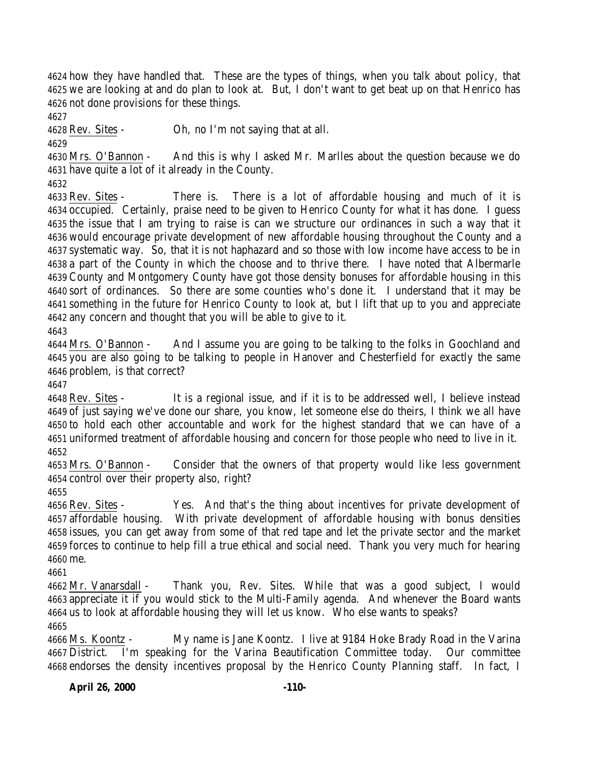how they have handled that. These are the types of things, when you talk about policy, that we are looking at and do plan to look at. But, I don't want to get beat up on that Henrico has not done provisions for these things.

Rev. Sites - Oh, no I'm not saying that at all.

 Mrs. O'Bannon - And this is why I asked Mr. Marlles about the question because we do have quite a lot of it already in the County.

 Rev. Sites - There is. There is a lot of affordable housing and much of it is occupied. Certainly, praise need to be given to Henrico County for what it has done. I guess the issue that I am trying to raise is can we structure our ordinances in such a way that it would encourage private development of new affordable housing throughout the County and a systematic way. So, that it is not haphazard and so those with low income have access to be in a part of the County in which the choose and to thrive there. I have noted that Albermarle County and Montgomery County have got those density bonuses for affordable housing in this sort of ordinances. So there are some counties who's done it. I understand that it may be something in the future for Henrico County to look at, but I lift that up to you and appreciate any concern and thought that you will be able to give to it. 

 Mrs. O'Bannon - And I assume you are going to be talking to the folks in Goochland and you are also going to be talking to people in Hanover and Chesterfield for exactly the same problem, is that correct?

 Rev. Sites - It is a regional issue, and if it is to be addressed well, I believe instead of just saying we've done our share, you know, let someone else do theirs, I think we all have to hold each other accountable and work for the highest standard that we can have of a uniformed treatment of affordable housing and concern for those people who need to live in it. 

 Mrs. O'Bannon - Consider that the owners of that property would like less government control over their property also, right?

 Rev. Sites - Yes. And that's the thing about incentives for private development of affordable housing. With private development of affordable housing with bonus densities issues, you can get away from some of that red tape and let the private sector and the market forces to continue to help fill a true ethical and social need. Thank you very much for hearing me.

 Mr. Vanarsdall - Thank you, Rev. Sites. While that was a good subject, I would appreciate it if you would stick to the Multi-Family agenda. And whenever the Board wants us to look at affordable housing they will let us know. Who else wants to speaks? 

 Ms. Koontz - My name is Jane Koontz. I live at 9184 Hoke Brady Road in the Varina District. I'm speaking for the Varina Beautification Committee today. Our committee endorses the density incentives proposal by the Henrico County Planning staff. In fact, I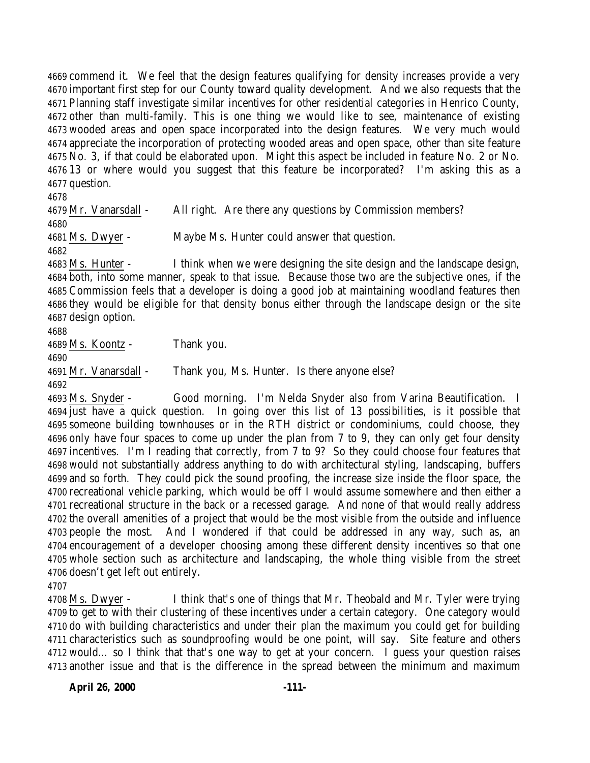commend it. We feel that the design features qualifying for density increases provide a very important first step for our County toward quality development. And we also requests that the Planning staff investigate similar incentives for other residential categories in Henrico County, other than multi-family. This is one thing we would like to see, maintenance of existing wooded areas and open space incorporated into the design features. We very much would appreciate the incorporation of protecting wooded areas and open space, other than site feature No. 3, if that could be elaborated upon. Might this aspect be included in feature No. 2 or No. 13 or where would you suggest that this feature be incorporated? I'm asking this as a question.

 Mr. Vanarsdall - All right. Are there any questions by Commission members? Ms. Dwyer - Maybe Ms. Hunter could answer that question. Ms. Hunter - I think when we were designing the site design and the landscape design,

 both, into some manner, speak to that issue. Because those two are the subjective ones, if the Commission feels that a developer is doing a good job at maintaining woodland features then they would be eligible for that density bonus either through the landscape design or the site design option.

Ms. Koontz - Thank you.

Mr. Vanarsdall - Thank you, Ms. Hunter. Is there anyone else?

 Ms. Snyder - Good morning. I'm Nelda Snyder also from Varina Beautification. I just have a quick question. In going over this list of 13 possibilities, is it possible that someone building townhouses or in the RTH district or condominiums, could choose, they only have four spaces to come up under the plan from 7 to 9, they can only get four density incentives. I'm I reading that correctly, from 7 to 9? So they could choose four features that would not substantially address anything to do with architectural styling, landscaping, buffers and so forth. They could pick the sound proofing, the increase size inside the floor space, the recreational vehicle parking, which would be off I would assume somewhere and then either a recreational structure in the back or a recessed garage. And none of that would really address the overall amenities of a project that would be the most visible from the outside and influence people the most. And I wondered if that could be addressed in any way, such as, an encouragement of a developer choosing among these different density incentives so that one whole section such as architecture and landscaping, the whole thing visible from the street doesn't get left out entirely.

 Ms. Dwyer - I think that's one of things that Mr. Theobald and Mr. Tyler were trying to get to with their clustering of these incentives under a certain category. One category would do with building characteristics and under their plan the maximum you could get for building characteristics such as soundproofing would be one point, will say. Site feature and others would… so I think that that's one way to get at your concern. I guess your question raises another issue and that is the difference in the spread between the minimum and maximum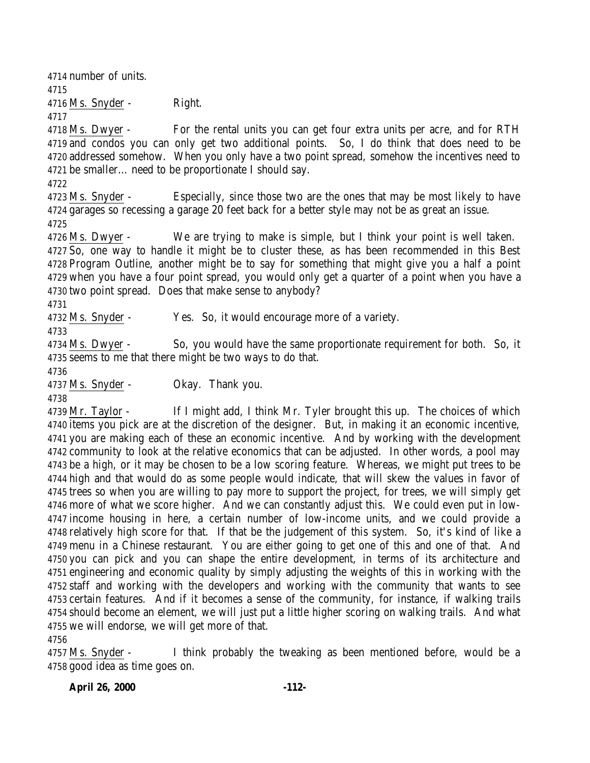number of units. Ms. Snyder - Right. 4718 Ms. Dwyer - For the rental units you can get four extra units per acre, and for RTH and condos you can only get two additional points. So, I do think that does need to be addressed somehow. When you only have a two point spread, somehow the incentives need to be smaller… need to be proportionate I should say. Ms. Snyder - Especially, since those two are the ones that may be most likely to have garages so recessing a garage 20 feet back for a better style may not be as great an issue. Ms. Dwyer - We are trying to make is simple, but I think your point is well taken. So, one way to handle it might be to cluster these, as has been recommended in this Best Program Outline, another might be to say for something that might give you a half a point when you have a four point spread, you would only get a quarter of a point when you have a two point spread. Does that make sense to anybody? Ms. Snyder - Yes. So, it would encourage more of a variety. Ms. Dwyer - So, you would have the same proportionate requirement for both. So, it seems to me that there might be two ways to do that. Ms. Snyder - Okay. Thank you. Mr. Taylor - If I might add, I think Mr. Tyler brought this up. The choices of which items you pick are at the discretion of the designer. But, in making it an economic incentive, you are making each of these an economic incentive. And by working with the development community to look at the relative economics that can be adjusted. In other words, a pool may be a high, or it may be chosen to be a low scoring feature. Whereas, we might put trees to be high and that would do as some people would indicate, that will skew the values in favor of trees so when you are willing to pay more to support the project, for trees, we will simply get more of what we score higher. And we can constantly adjust this. We could even put in low- income housing in here, a certain number of low-income units, and we could provide a relatively high score for that. If that be the judgement of this system. So, it's kind of like a menu in a Chinese restaurant. You are either going to get one of this and one of that. And you can pick and you can shape the entire development, in terms of its architecture and engineering and economic quality by simply adjusting the weights of this in working with the staff and working with the developers and working with the community that wants to see certain features. And if it becomes a sense of the community, for instance, if walking trails should become an element, we will just put a little higher scoring on walking trails. And what

 Ms. Snyder - I think probably the tweaking as been mentioned before, would be a good idea as time goes on.

we will endorse, we will get more of that.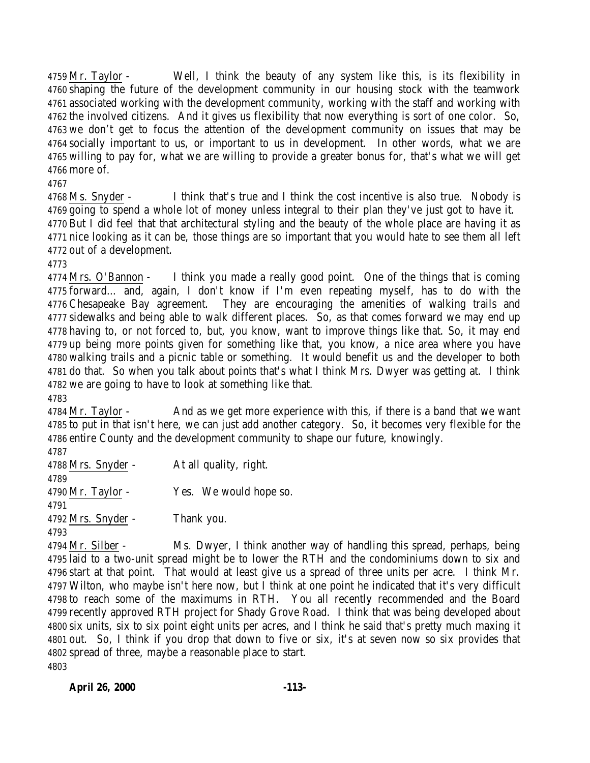Mr. Taylor - Well, I think the beauty of any system like this, is its flexibility in shaping the future of the development community in our housing stock with the teamwork associated working with the development community, working with the staff and working with the involved citizens. And it gives us flexibility that now everything is sort of one color. So, we don't get to focus the attention of the development community on issues that may be socially important to us, or important to us in development. In other words, what we are willing to pay for, what we are willing to provide a greater bonus for, that's what we will get more of.

 Ms. Snyder - I think that's true and I think the cost incentive is also true. Nobody is going to spend a whole lot of money unless integral to their plan they've just got to have it. But I did feel that that architectural styling and the beauty of the whole place are having it as nice looking as it can be, those things are so important that you would hate to see them all left out of a development.

 Mrs. O'Bannon - I think you made a really good point. One of the things that is coming forward… and, again, I don't know if I'm even repeating myself, has to do with the Chesapeake Bay agreement. They are encouraging the amenities of walking trails and sidewalks and being able to walk different places. So, as that comes forward we may end up having to, or not forced to, but, you know, want to improve things like that. So, it may end up being more points given for something like that, you know, a nice area where you have walking trails and a picnic table or something. It would benefit us and the developer to both do that. So when you talk about points that's what I think Mrs. Dwyer was getting at. I think we are going to have to look at something like that.

 Mr. Taylor - And as we get more experience with this, if there is a band that we want to put in that isn't here, we can just add another category. So, it becomes very flexible for the entire County and the development community to shape our future, knowingly.

 Mrs. Snyder - At all quality, right. Mr. Taylor - Yes. We would hope so. Mrs. Snyder - Thank you. 

 Mr. Silber - Ms. Dwyer, I think another way of handling this spread, perhaps, being laid to a two-unit spread might be to lower the RTH and the condominiums down to six and start at that point. That would at least give us a spread of three units per acre. I think Mr. Wilton, who maybe isn't here now, but I think at one point he indicated that it's very difficult to reach some of the maximums in RTH. You all recently recommended and the Board recently approved RTH project for Shady Grove Road. I think that was being developed about six units, six to six point eight units per acres, and I think he said that's pretty much maxing it out. So, I think if you drop that down to five or six, it's at seven now so six provides that spread of three, maybe a reasonable place to start.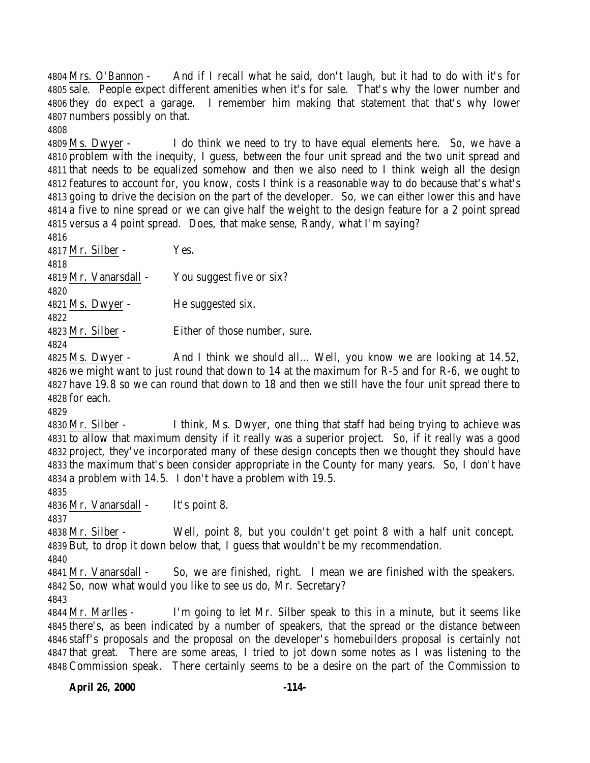Mrs. O'Bannon - And if I recall what he said, don't laugh, but it had to do with it's for sale. People expect different amenities when it's for sale. That's why the lower number and they do expect a garage. I remember him making that statement that that's why lower numbers possibly on that.

 Ms. Dwyer - I do think we need to try to have equal elements here. So, we have a problem with the inequity, I guess, between the four unit spread and the two unit spread and that needs to be equalized somehow and then we also need to I think weigh all the design features to account for, you know, costs I think is a reasonable way to do because that's what's going to drive the decision on the part of the developer. So, we can either lower this and have a five to nine spread or we can give half the weight to the design feature for a 2 point spread versus a 4 point spread. Does, that make sense, Randy, what I'm saying?

| 4816                  |                               |
|-----------------------|-------------------------------|
| 4817 Mr. Silber -     | Yes.                          |
| 4818                  |                               |
| 4819 Mr. Vanarsdall - | You suggest five or six?      |
| 4820                  |                               |
| 4821 Ms. Dwyer -      | He suggested six.             |
| 4822                  |                               |
| 4823 Mr. Silber -     | Either of those number, sure. |
| 4824                  |                               |

 Ms. Dwyer - And I think we should all… Well, you know we are looking at 14.52, we might want to just round that down to 14 at the maximum for R-5 and for R-6, we ought to have 19.8 so we can round that down to 18 and then we still have the four unit spread there to for each.

 Mr. Silber - I think, Ms. Dwyer, one thing that staff had being trying to achieve was to allow that maximum density if it really was a superior project. So, if it really was a good project, they've incorporated many of these design concepts then we thought they should have the maximum that's been consider appropriate in the County for many years. So, I don't have a problem with 14.5. I don't have a problem with 19.5.

Mr. Vanarsdall - It's point 8.

 Mr. Silber - Well, point 8, but you couldn't get point 8 with a half unit concept. But, to drop it down below that, I guess that wouldn't be my recommendation.

 Mr. Vanarsdall - So, we are finished, right. I mean we are finished with the speakers. So, now what would you like to see us do, Mr. Secretary?

 Mr. Marlles - I'm going to let Mr. Silber speak to this in a minute, but it seems like there's, as been indicated by a number of speakers, that the spread or the distance between staff's proposals and the proposal on the developer's homebuilders proposal is certainly not that great. There are some areas, I tried to jot down some notes as I was listening to the Commission speak. There certainly seems to be a desire on the part of the Commission to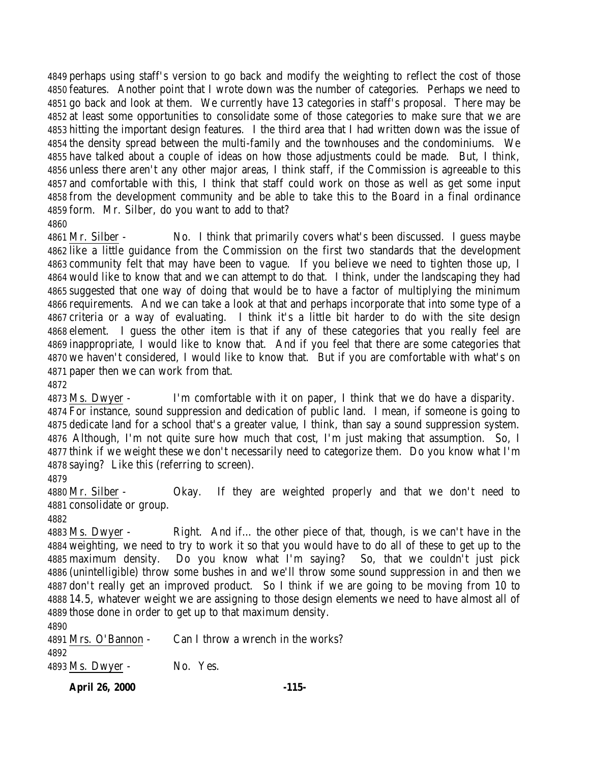perhaps using staff's version to go back and modify the weighting to reflect the cost of those features. Another point that I wrote down was the number of categories. Perhaps we need to go back and look at them. We currently have 13 categories in staff's proposal. There may be at least some opportunities to consolidate some of those categories to make sure that we are hitting the important design features. I the third area that I had written down was the issue of the density spread between the multi-family and the townhouses and the condominiums. We have talked about a couple of ideas on how those adjustments could be made. But, I think, unless there aren't any other major areas, I think staff, if the Commission is agreeable to this and comfortable with this, I think that staff could work on those as well as get some input from the development community and be able to take this to the Board in a final ordinance form. Mr. Silber, do you want to add to that? 

 Mr. Silber - No. I think that primarily covers what's been discussed. I guess maybe like a little guidance from the Commission on the first two standards that the development community felt that may have been to vague. If you believe we need to tighten those up, I would like to know that and we can attempt to do that. I think, under the landscaping they had suggested that one way of doing that would be to have a factor of multiplying the minimum requirements. And we can take a look at that and perhaps incorporate that into some type of a criteria or a way of evaluating. I think it's a little bit harder to do with the site design element. I guess the other item is that if any of these categories that you really feel are inappropriate, I would like to know that. And if you feel that there are some categories that we haven't considered, I would like to know that. But if you are comfortable with what's on paper then we can work from that.

Ms. Dwyer - I'm comfortable with it on paper, I think that we do have a disparity.

 For instance, sound suppression and dedication of public land. I mean, if someone is going to dedicate land for a school that's a greater value, I think, than say a sound suppression system. Although, I'm not quite sure how much that cost, I'm just making that assumption. So, I think if we weight these we don't necessarily need to categorize them. Do you know what I'm saying? Like this (referring to screen).

 Mr. Silber - Okay. If they are weighted properly and that we don't need to consolidate or group.

 Ms. Dwyer - Right. And if… the other piece of that, though, is we can't have in the weighting, we need to try to work it so that you would have to do all of these to get up to the maximum density. Do you know what I'm saying? So, that we couldn't just pick (unintelligible) throw some bushes in and we'll throw some sound suppression in and then we don't really get an improved product. So I think if we are going to be moving from 10 to 14.5, whatever weight we are assigning to those design elements we need to have almost all of those done in order to get up to that maximum density.

 Mrs. O'Bannon - Can I throw a wrench in the works? Ms. Dwyer - No. Yes.

**April 26, 2000 -115-**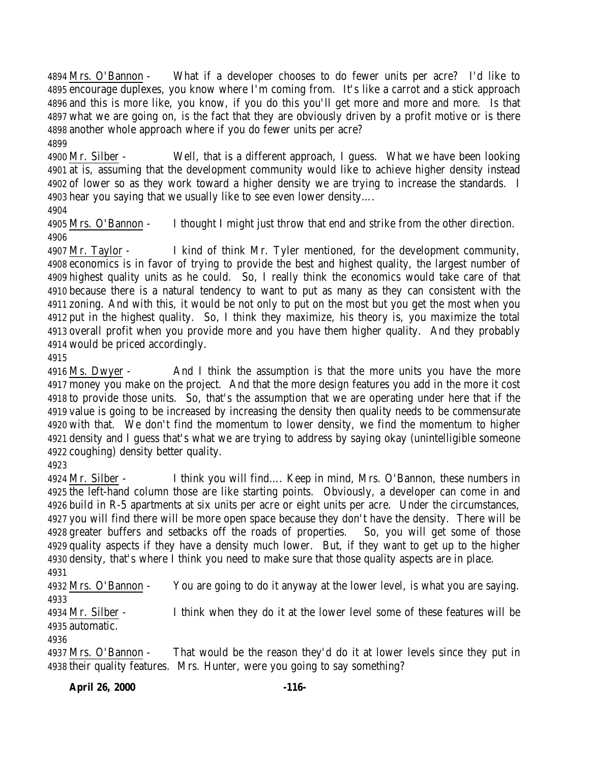Mrs. O'Bannon - What if a developer chooses to do fewer units per acre? I'd like to encourage duplexes, you know where I'm coming from. It's like a carrot and a stick approach and this is more like, you know, if you do this you'll get more and more and more. Is that what we are going on, is the fact that they are obviously driven by a profit motive or is there another whole approach where if you do fewer units per acre?

 Mr. Silber - Well, that is a different approach, I guess. What we have been looking at is, assuming that the development community would like to achieve higher density instead of lower so as they work toward a higher density we are trying to increase the standards. I hear you saying that we usually like to see even lower density….

 Mrs. O'Bannon - I thought I might just throw that end and strike from the other direction. 

 Mr. Taylor - I kind of think Mr. Tyler mentioned, for the development community, economics is in favor of trying to provide the best and highest quality, the largest number of highest quality units as he could. So, I really think the economics would take care of that because there is a natural tendency to want to put as many as they can consistent with the zoning. And with this, it would be not only to put on the most but you get the most when you put in the highest quality. So, I think they maximize, his theory is, you maximize the total overall profit when you provide more and you have them higher quality. And they probably would be priced accordingly.

 Ms. Dwyer - And I think the assumption is that the more units you have the more money you make on the project. And that the more design features you add in the more it cost to provide those units. So, that's the assumption that we are operating under here that if the value is going to be increased by increasing the density then quality needs to be commensurate with that. We don't find the momentum to lower density, we find the momentum to higher density and I guess that's what we are trying to address by saying okay (unintelligible someone coughing) density better quality.

 Mr. Silber - I think you will find…. Keep in mind, Mrs. O'Bannon, these numbers in the left-hand column those are like starting points. Obviously, a developer can come in and build in R-5 apartments at six units per acre or eight units per acre. Under the circumstances, you will find there will be more open space because they don't have the density. There will be greater buffers and setbacks off the roads of properties. So, you will get some of those quality aspects if they have a density much lower. But, if they want to get up to the higher density, that's where I think you need to make sure that those quality aspects are in place. 

 Mrs. O'Bannon - You are going to do it anyway at the lower level, is what you are saying. 

 Mr. Silber - I think when they do it at the lower level some of these features will be automatic.

 Mrs. O'Bannon - That would be the reason they'd do it at lower levels since they put in their quality features. Mrs. Hunter, were you going to say something?

**April 26, 2000 -116-**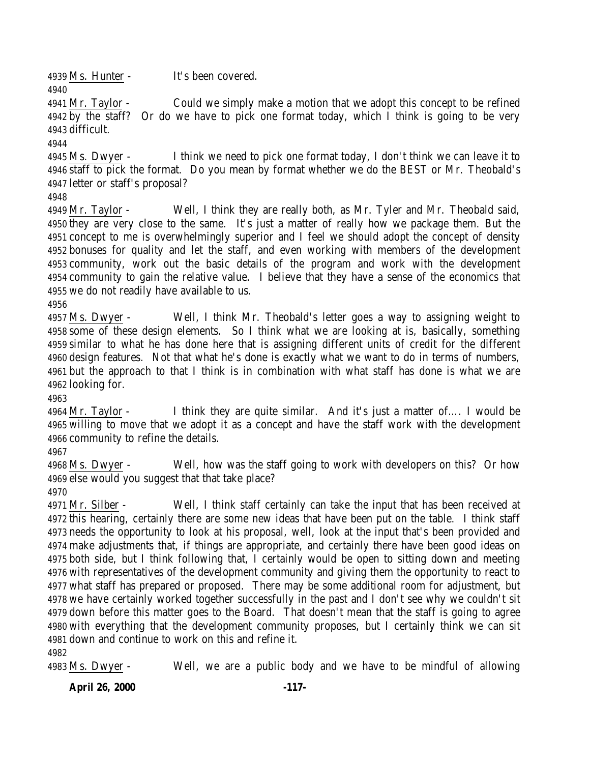Ms. Hunter - It's been covered. 

 Mr. Taylor - Could we simply make a motion that we adopt this concept to be refined by the staff? Or do we have to pick one format today, which I think is going to be very difficult.

 Ms. Dwyer - I think we need to pick one format today, I don't think we can leave it to staff to pick the format. Do you mean by format whether we do the BEST or Mr. Theobald's letter or staff's proposal?

 Mr. Taylor - Well, I think they are really both, as Mr. Tyler and Mr. Theobald said, they are very close to the same. It's just a matter of really how we package them. But the concept to me is overwhelmingly superior and I feel we should adopt the concept of density bonuses for quality and let the staff, and even working with members of the development community, work out the basic details of the program and work with the development community to gain the relative value. I believe that they have a sense of the economics that we do not readily have available to us.

 Ms. Dwyer - Well, I think Mr. Theobald's letter goes a way to assigning weight to some of these design elements. So I think what we are looking at is, basically, something similar to what he has done here that is assigning different units of credit for the different design features. Not that what he's done is exactly what we want to do in terms of numbers, but the approach to that I think is in combination with what staff has done is what we are looking for.

 Mr. Taylor - I think they are quite similar. And it's just a matter of…. I would be willing to move that we adopt it as a concept and have the staff work with the development community to refine the details.

 Ms. Dwyer - Well, how was the staff going to work with developers on this? Or how else would you suggest that that take place?

 Mr. Silber - Well, I think staff certainly can take the input that has been received at this hearing, certainly there are some new ideas that have been put on the table. I think staff needs the opportunity to look at his proposal, well, look at the input that's been provided and make adjustments that, if things are appropriate, and certainly there have been good ideas on both side, but I think following that, I certainly would be open to sitting down and meeting with representatives of the development community and giving them the opportunity to react to what staff has prepared or proposed. There may be some additional room for adjustment, but we have certainly worked together successfully in the past and I don't see why we couldn't sit down before this matter goes to the Board. That doesn't mean that the staff is going to agree with everything that the development community proposes, but I certainly think we can sit down and continue to work on this and refine it.

Ms. Dwyer - Well, we are a public body and we have to be mindful of allowing

**April 26, 2000 -117-**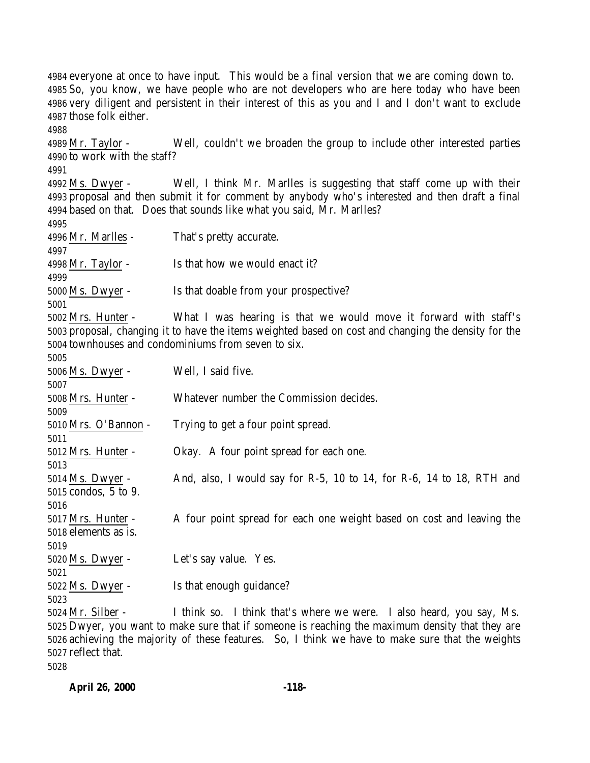everyone at once to have input. This would be a final version that we are coming down to. So, you know, we have people who are not developers who are here today who have been very diligent and persistent in their interest of this as you and I and I don't want to exclude those folk either. Mr. Taylor - Well, couldn't we broaden the group to include other interested parties to work with the staff? Ms. Dwyer - Well, I think Mr. Marlles is suggesting that staff come up with their proposal and then submit it for comment by anybody who's interested and then draft a final based on that. Does that sounds like what you said, Mr. Marlles? Mr. Marlles - That's pretty accurate. Mr. Taylor - Is that how we would enact it? Ms. Dwyer - Is that doable from your prospective? Mrs. Hunter - What I was hearing is that we would move it forward with staff's proposal, changing it to have the items weighted based on cost and changing the density for the townhouses and condominiums from seven to six. Ms. Dwyer - Well, I said five. Mrs. Hunter - Whatever number the Commission decides. Mrs. O'Bannon - Trying to get a four point spread. Mrs. Hunter - Okay. A four point spread for each one. Ms. Dwyer - And, also, I would say for R-5, 10 to 14, for R-6, 14 to 18, RTH and condos, 5 to 9. Mrs. Hunter - A four point spread for each one weight based on cost and leaving the elements as is. Ms. Dwyer - Let's say value. Yes. Ms. Dwyer - Is that enough guidance? Mr. Silber - I think so. I think that's where we were. I also heard, you say, Ms. Dwyer, you want to make sure that if someone is reaching the maximum density that they are achieving the majority of these features. So, I think we have to make sure that the weights

reflect that.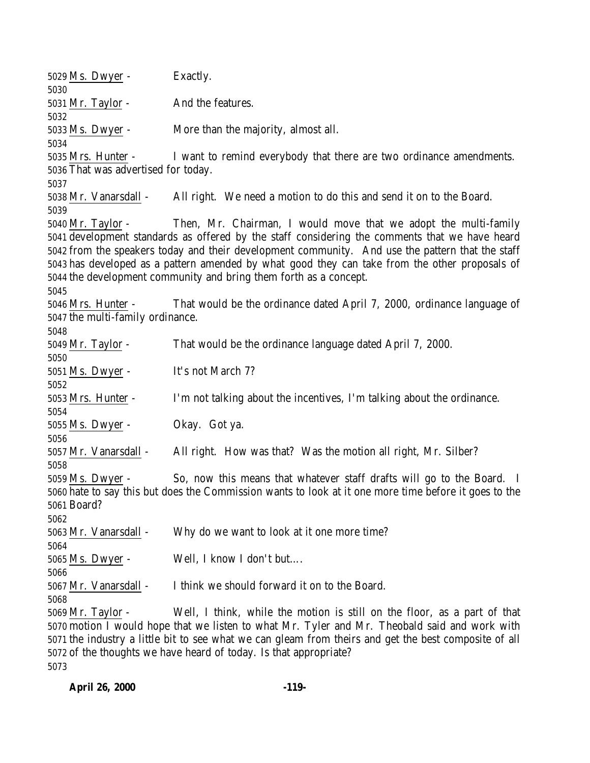Ms. Dwyer - Exactly. Mr. Taylor - And the features. Ms. Dwyer - More than the majority, almost all. Mrs. Hunter - I want to remind everybody that there are two ordinance amendments. That was advertised for today. Mr. Vanarsdall - All right. We need a motion to do this and send it on to the Board. Mr. Taylor - Then, Mr. Chairman, I would move that we adopt the multi-family development standards as offered by the staff considering the comments that we have heard from the speakers today and their development community. And use the pattern that the staff has developed as a pattern amended by what good they can take from the other proposals of the development community and bring them forth as a concept. Mrs. Hunter - That would be the ordinance dated April 7, 2000, ordinance language of the multi-family ordinance. Mr. Taylor - That would be the ordinance language dated April 7, 2000. Ms. Dwyer - It's not March 7? Mrs. Hunter - I'm not talking about the incentives, I'm talking about the ordinance. Ms. Dwyer - Okay. Got ya. Mr. Vanarsdall - All right. How was that? Was the motion all right, Mr. Silber? Ms. Dwyer - So, now this means that whatever staff drafts will go to the Board. I hate to say this but does the Commission wants to look at it one more time before it goes to the Board? 5063 Mr. Vanarsdall - Why do we want to look at it one more time? Ms. Dwyer - Well, I know I don't but…. Mr. Vanarsdall - I think we should forward it on to the Board. Mr. Taylor - Well, I think, while the motion is still on the floor, as a part of that motion I would hope that we listen to what Mr. Tyler and Mr. Theobald said and work with the industry a little bit to see what we can gleam from theirs and get the best composite of all of the thoughts we have heard of today. Is that appropriate?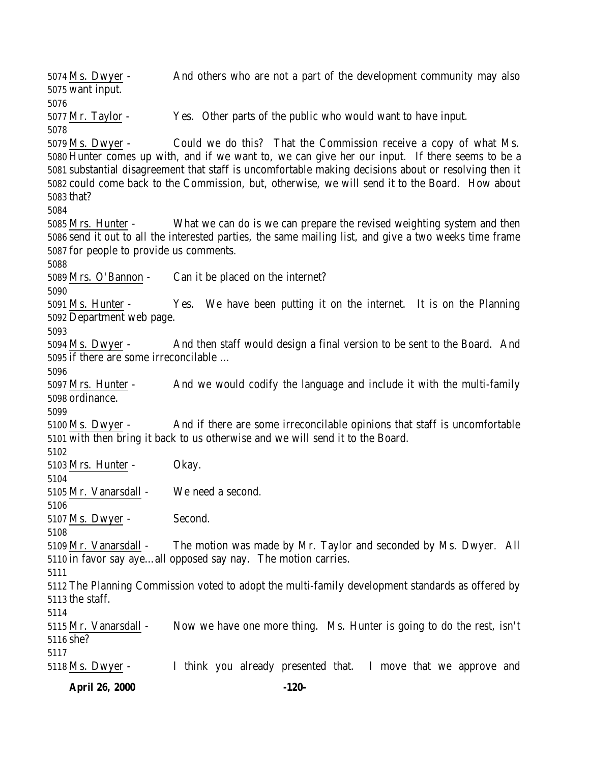Ms. Dwyer - And others who are not a part of the development community may also want input. Mr. Taylor - Yes. Other parts of the public who would want to have input. Ms. Dwyer - Could we do this? That the Commission receive a copy of what Ms. Hunter comes up with, and if we want to, we can give her our input. If there seems to be a substantial disagreement that staff is uncomfortable making decisions about or resolving then it could come back to the Commission, but, otherwise, we will send it to the Board. How about that? Mrs. Hunter - What we can do is we can prepare the revised weighting system and then send it out to all the interested parties, the same mailing list, and give a two weeks time frame for people to provide us comments. Mrs. O'Bannon - Can it be placed on the internet? Ms. Hunter - Yes. We have been putting it on the internet. It is on the Planning Department web page. Ms. Dwyer - And then staff would design a final version to be sent to the Board. And if there are some irreconcilable … Mrs. Hunter - And we would codify the language and include it with the multi-family ordinance. Ms. Dwyer - And if there are some irreconcilable opinions that staff is uncomfortable with then bring it back to us otherwise and we will send it to the Board. Mrs. Hunter - Okay. Mr. Vanarsdall - We need a second. Ms. Dwyer - Second. Mr. Vanarsdall - The motion was made by Mr. Taylor and seconded by Ms. Dwyer. All in favor say aye…all opposed say nay. The motion carries. The Planning Commission voted to adopt the multi-family development standards as offered by the staff. Mr. Vanarsdall - Now we have one more thing. Ms. Hunter is going to do the rest, isn't she? Ms. Dwyer - I think you already presented that. I move that we approve and

**April 26, 2000 -120-**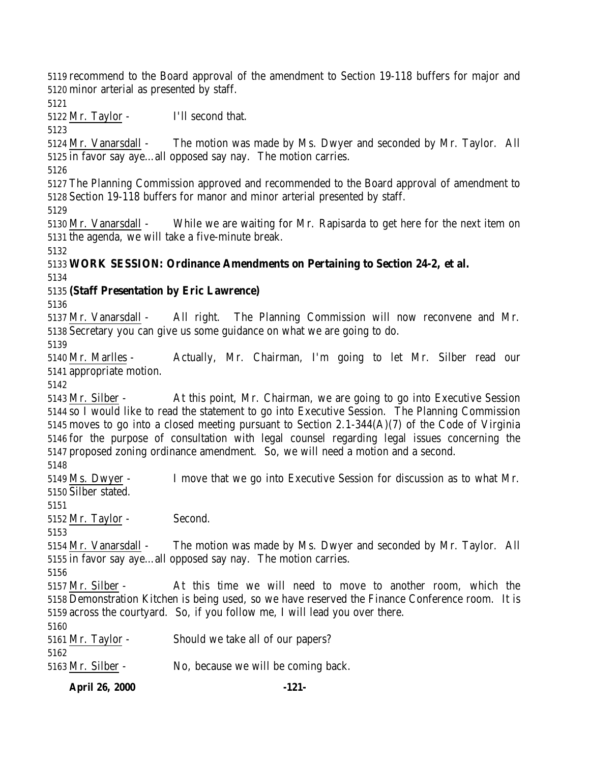recommend to the Board approval of the amendment to Section 19-118 buffers for major and minor arterial as presented by staff.

Mr. Taylor - I'll second that.

 Mr. Vanarsdall - The motion was made by Ms. Dwyer and seconded by Mr. Taylor. All in favor say aye…all opposed say nay. The motion carries.

 The Planning Commission approved and recommended to the Board approval of amendment to Section 19-118 buffers for manor and minor arterial presented by staff.

 Mr. Vanarsdall - While we are waiting for Mr. Rapisarda to get here for the next item on the agenda, we will take a five-minute break.

## **WORK SESSION: Ordinance Amendments on Pertaining to Section 24-2, et al.**

## **(Staff Presentation by Eric Lawrence)**

 Mr. Vanarsdall - All right. The Planning Commission will now reconvene and Mr. Secretary you can give us some guidance on what we are going to do.

 Mr. Marlles - Actually, Mr. Chairman, I'm going to let Mr. Silber read our appropriate motion.

 Mr. Silber - At this point, Mr. Chairman, we are going to go into Executive Session so I would like to read the statement to go into Executive Session. The Planning Commission moves to go into a closed meeting pursuant to Section 2.1-344(A)(7) of the Code of Virginia for the purpose of consultation with legal counsel regarding legal issues concerning the proposed zoning ordinance amendment. So, we will need a motion and a second.

 Ms. Dwyer - I move that we go into Executive Session for discussion as to what Mr. Silber stated.

Mr. Taylor - Second.

 Mr. Vanarsdall - The motion was made by Ms. Dwyer and seconded by Mr. Taylor. All in favor say aye…all opposed say nay. The motion carries.

 Mr. Silber - At this time we will need to move to another room, which the Demonstration Kitchen is being used, so we have reserved the Finance Conference room. It is across the courtyard. So, if you follow me, I will lead you over there.

 Mr. Taylor - Should we take all of our papers? 

Mr. Silber - No, because we will be coming back.

**April 26, 2000 -121-**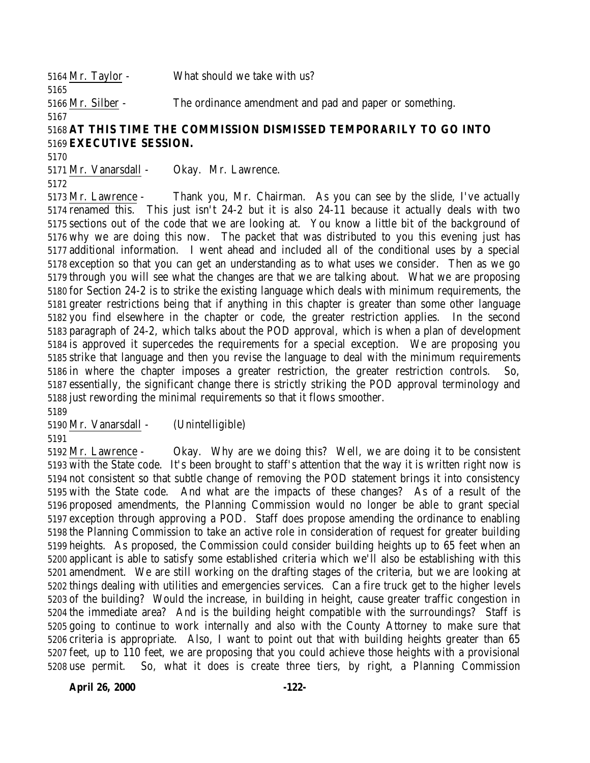Mr. Taylor - What should we take with us? Mr. Silber - The ordinance amendment and pad and paper or something. 

## **AT THIS TIME THE COMMISSION DISMISSED TEMPORARILY TO GO INTO EXECUTIVE SESSION.**

Mr. Vanarsdall - Okay. Mr. Lawrence.

 Mr. Lawrence - Thank you, Mr. Chairman. As you can see by the slide, I've actually renamed this. This just isn't 24-2 but it is also 24-11 because it actually deals with two sections out of the code that we are looking at. You know a little bit of the background of why we are doing this now. The packet that was distributed to you this evening just has additional information. I went ahead and included all of the conditional uses by a special exception so that you can get an understanding as to what uses we consider. Then as we go through you will see what the changes are that we are talking about. What we are proposing for Section 24-2 is to strike the existing language which deals with minimum requirements, the greater restrictions being that if anything in this chapter is greater than some other language you find elsewhere in the chapter or code, the greater restriction applies. In the second paragraph of 24-2, which talks about the POD approval, which is when a plan of development is approved it supercedes the requirements for a special exception. We are proposing you strike that language and then you revise the language to deal with the minimum requirements in where the chapter imposes a greater restriction, the greater restriction controls. So, essentially, the significant change there is strictly striking the POD approval terminology and just rewording the minimal requirements so that it flows smoother. 

Mr. Vanarsdall - (Unintelligible)

 Mr. Lawrence - Okay. Why are we doing this? Well, we are doing it to be consistent with the State code. It's been brought to staff's attention that the way it is written right now is not consistent so that subtle change of removing the POD statement brings it into consistency with the State code. And what are the impacts of these changes? As of a result of the proposed amendments, the Planning Commission would no longer be able to grant special exception through approving a POD. Staff does propose amending the ordinance to enabling the Planning Commission to take an active role in consideration of request for greater building heights. As proposed, the Commission could consider building heights up to 65 feet when an applicant is able to satisfy some established criteria which we'll also be establishing with this amendment. We are still working on the drafting stages of the criteria, but we are looking at things dealing with utilities and emergencies services. Can a fire truck get to the higher levels of the building? Would the increase, in building in height, cause greater traffic congestion in the immediate area? And is the building height compatible with the surroundings? Staff is going to continue to work internally and also with the County Attorney to make sure that criteria is appropriate. Also, I want to point out that with building heights greater than 65 feet, up to 110 feet, we are proposing that you could achieve those heights with a provisional use permit. So, what it does is create three tiers, by right, a Planning Commission

**April 26, 2000 -122-**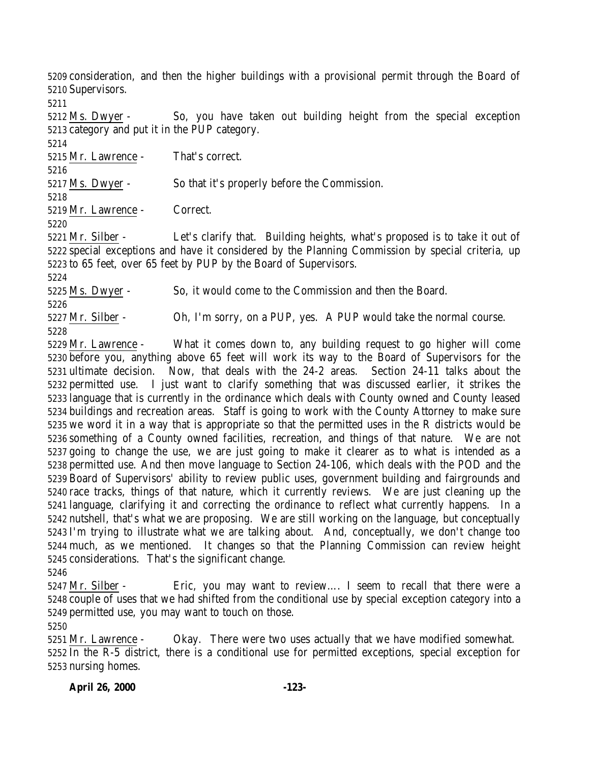consideration, and then the higher buildings with a provisional permit through the Board of Supervisors.

 Ms. Dwyer - So, you have taken out building height from the special exception category and put it in the PUP category.

Mr. Lawrence - That's correct.

 Ms. Dwyer - So that it's properly before the Commission.

Mr. Lawrence - Correct.

 Mr. Silber - Let's clarify that. Building heights, what's proposed is to take it out of special exceptions and have it considered by the Planning Commission by special criteria, up to 65 feet, over 65 feet by PUP by the Board of Supervisors.

 Ms. Dwyer - So, it would come to the Commission and then the Board. 

 Mr. Silber - Oh, I'm sorry, on a PUP, yes. A PUP would take the normal course. 

 Mr. Lawrence - What it comes down to, any building request to go higher will come before you, anything above 65 feet will work its way to the Board of Supervisors for the ultimate decision. Now, that deals with the 24-2 areas. Section 24-11 talks about the permitted use. I just want to clarify something that was discussed earlier, it strikes the language that is currently in the ordinance which deals with County owned and County leased buildings and recreation areas. Staff is going to work with the County Attorney to make sure we word it in a way that is appropriate so that the permitted uses in the R districts would be something of a County owned facilities, recreation, and things of that nature. We are not going to change the use, we are just going to make it clearer as to what is intended as a permitted use. And then move language to Section 24-106, which deals with the POD and the Board of Supervisors' ability to review public uses, government building and fairgrounds and race tracks, things of that nature, which it currently reviews. We are just cleaning up the language, clarifying it and correcting the ordinance to reflect what currently happens. In a nutshell, that's what we are proposing. We are still working on the language, but conceptually I'm trying to illustrate what we are talking about. And, conceptually, we don't change too much, as we mentioned. It changes so that the Planning Commission can review height considerations. That's the significant change.

 Mr. Silber - Eric, you may want to review…. I seem to recall that there were a couple of uses that we had shifted from the conditional use by special exception category into a permitted use, you may want to touch on those.

 Mr. Lawrence - Okay. There were two uses actually that we have modified somewhat. In the R-5 district, there is a conditional use for permitted exceptions, special exception for nursing homes.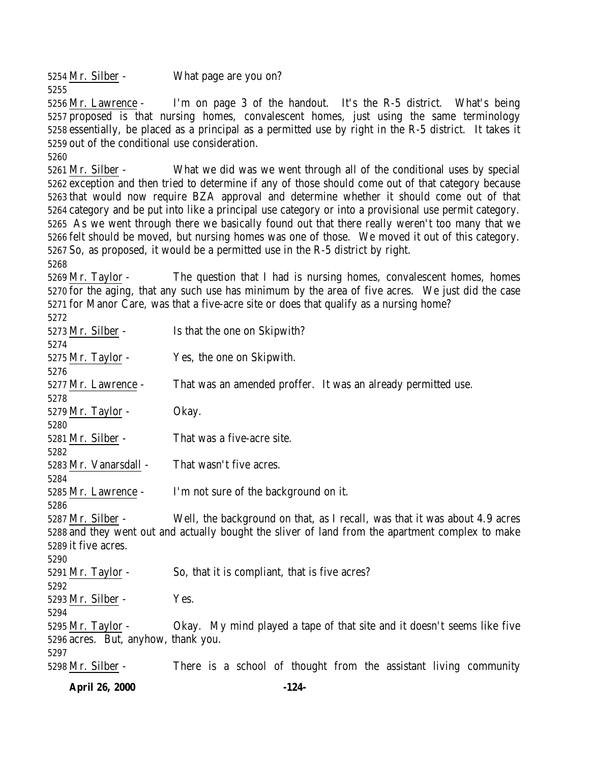Mr. Silber - What page are you on? 

 Mr. Lawrence - I'm on page 3 of the handout. It's the R-5 district. What's being proposed is that nursing homes, convalescent homes, just using the same terminology essentially, be placed as a principal as a permitted use by right in the R-5 district. It takes it out of the conditional use consideration.

 Mr. Silber - What we did was we went through all of the conditional uses by special exception and then tried to determine if any of those should come out of that category because that would now require BZA approval and determine whether it should come out of that category and be put into like a principal use category or into a provisional use permit category. As we went through there we basically found out that there really weren't too many that we felt should be moved, but nursing homes was one of those. We moved it out of this category. So, as proposed, it would be a permitted use in the R-5 district by right.

 Mr. Taylor - The question that I had is nursing homes, convalescent homes, homes for the aging, that any such use has minimum by the area of five acres. We just did the case for Manor Care, was that a five-acre site or does that qualify as a nursing home? 

| 36 I L                              |                                                                                                  |
|-------------------------------------|--------------------------------------------------------------------------------------------------|
| 5273 Mr. Silber -                   | Is that the one on Skipwith?                                                                     |
| 5274                                |                                                                                                  |
| 5275 Mr. Taylor -                   | Yes, the one on Skipwith.                                                                        |
| 5276                                |                                                                                                  |
| 5277 Mr. Lawrence -                 | That was an amended proffer. It was an already permitted use.                                    |
| 5278                                |                                                                                                  |
| $5279$ Mr. Taylor -                 | Okay.                                                                                            |
| 5280                                |                                                                                                  |
| 5281 Mr. Silber -                   | That was a five-acre site.                                                                       |
| 5282                                |                                                                                                  |
| 5283 Mr. Vanarsdall -               | That wasn't five acres.                                                                          |
| 5284                                |                                                                                                  |
| 5285 Mr. Lawrence -                 | I'm not sure of the background on it.                                                            |
| 5286                                |                                                                                                  |
| 5287 Mr. Silber -                   | Well, the background on that, as I recall, was that it was about 4.9 acres                       |
|                                     | 5288 and they went out and actually bought the sliver of land from the apartment complex to make |
| 5289 it five acres.                 |                                                                                                  |
| 5290                                |                                                                                                  |
| 5291 Mr. Taylor -                   | So, that it is compliant, that is five acres?                                                    |
| 5292                                |                                                                                                  |
| 5293 Mr. Silber -                   | Yes.                                                                                             |
| 5294                                |                                                                                                  |
| 5295 Mr. Taylor -                   | Okay. My mind played a tape of that site and it doesn't seems like five                          |
| 5296 acres. But, anyhow, thank you. |                                                                                                  |
| 5297                                |                                                                                                  |
| 5298 Mr. Silber -                   | There is a school of thought from the assistant living community                                 |
|                                     |                                                                                                  |

**April 26, 2000 -124-**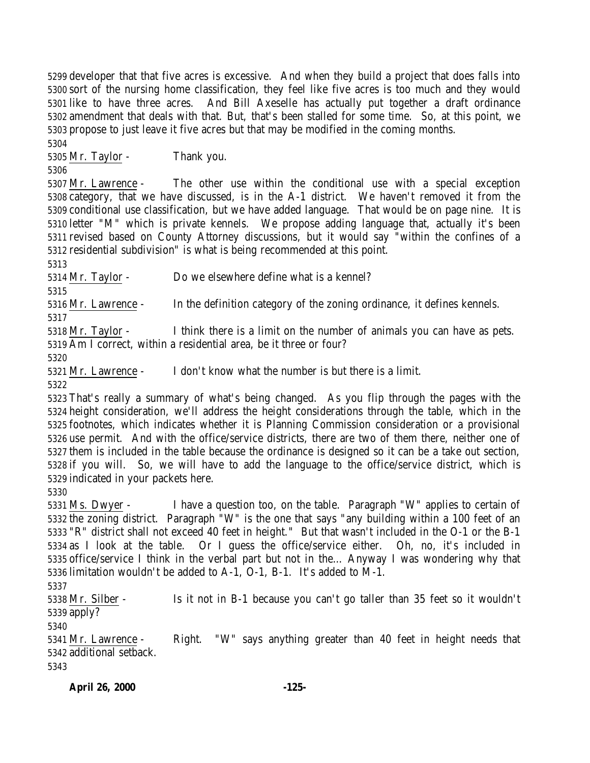developer that that five acres is excessive. And when they build a project that does falls into sort of the nursing home classification, they feel like five acres is too much and they would like to have three acres. And Bill Axeselle has actually put together a draft ordinance amendment that deals with that. But, that's been stalled for some time. So, at this point, we propose to just leave it five acres but that may be modified in the coming months.

Mr. Taylor - Thank you.

 Mr. Lawrence - The other use within the conditional use with a special exception category, that we have discussed, is in the A-1 district. We haven't removed it from the conditional use classification, but we have added language. That would be on page nine. It is letter "M" which is private kennels. We propose adding language that, actually it's been revised based on County Attorney discussions, but it would say "within the confines of a residential subdivision" is what is being recommended at this point.

Mr. Taylor - Do we elsewhere define what is a kennel?

Mr. Lawrence - In the definition category of the zoning ordinance, it defines kennels.

 Mr. Taylor - I think there is a limit on the number of animals you can have as pets. Am I correct, within a residential area, be it three or four?

Mr. Lawrence - I don't know what the number is but there is a limit.

 That's really a summary of what's being changed. As you flip through the pages with the height consideration, we'll address the height considerations through the table, which in the footnotes, which indicates whether it is Planning Commission consideration or a provisional use permit. And with the office/service districts, there are two of them there, neither one of them is included in the table because the ordinance is designed so it can be a take out section, if you will. So, we will have to add the language to the office/service district, which is indicated in your packets here.

 Ms. Dwyer - I have a question too, on the table. Paragraph "W" applies to certain of the zoning district. Paragraph "W" is the one that says "any building within a 100 feet of an "R" district shall not exceed 40 feet in height." But that wasn't included in the O-1 or the B-1 as I look at the table. Or I guess the office/service either. Oh, no, it's included in office/service I think in the verbal part but not in the… Anyway I was wondering why that limitation wouldn't be added to A-1, O-1, B-1. It's added to M-1.

 Mr. Silber - Is it not in B-1 because you can't go taller than 35 feet so it wouldn't apply?

 Mr. Lawrence - Right. "W" says anything greater than 40 feet in height needs that additional setback.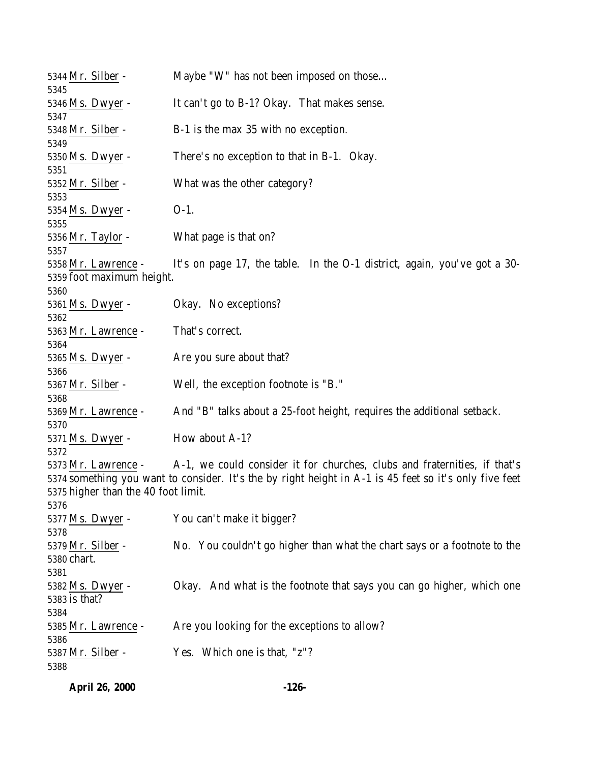| 5344 Mr. Silber -                   | Maybe "W" has not been imposed on those                                                                |
|-------------------------------------|--------------------------------------------------------------------------------------------------------|
| 5345<br>5346 Ms. Dwyer -            | It can't go to B-1? Okay. That makes sense.                                                            |
| 5347                                |                                                                                                        |
| 5348 Mr. Silber -<br>5349           | B-1 is the max 35 with no exception.                                                                   |
| 5350 Ms. Dwyer -                    | There's no exception to that in B-1. Okay.                                                             |
| 5351                                |                                                                                                        |
| 5352 Mr. Silber -                   | What was the other category?                                                                           |
| 5353<br>5354 Ms. Dwyer -            | $O-1$ .                                                                                                |
| 5355                                |                                                                                                        |
| 5356 Mr. Taylor -                   | What page is that on?                                                                                  |
| 5357                                |                                                                                                        |
| 5358 Mr. Lawrence -                 | It's on page 17, the table. In the O-1 district, again, you've got a 30-                               |
| 5359 foot maximum height.           |                                                                                                        |
| 5360<br>5361 Ms. Dwyer -            | Okay. No exceptions?                                                                                   |
| 5362                                |                                                                                                        |
| 5363 Mr. Lawrence -                 | That's correct.                                                                                        |
| 5364                                |                                                                                                        |
| 5365 Ms. Dwyer -                    | Are you sure about that?                                                                               |
| 5366                                |                                                                                                        |
| 5367 Mr. Silber -<br>5368           | Well, the exception footnote is "B."                                                                   |
| 5369 Mr. Lawrence -                 | And "B" talks about a 25-foot height, requires the additional setback.                                 |
| 5370                                |                                                                                                        |
| 5371 Ms. Dwyer -                    | How about A-1?                                                                                         |
| 5372                                |                                                                                                        |
| 5373 Mr. Lawrence -                 | A-1, we could consider it for churches, clubs and fraternities, if that's                              |
|                                     | 5374 something you want to consider. It's the by right height in A-1 is 45 feet so it's only five feet |
| 5375 higher than the 40 foot limit. |                                                                                                        |
| 5376                                |                                                                                                        |
| 5377 Ms. Dwyer -<br>5378            | You can't make it bigger?                                                                              |
| 5379 Mr. Silber -                   | No. You couldn't go higher than what the chart says or a footnote to the                               |
| 5380 chart.                         |                                                                                                        |
| 5381                                |                                                                                                        |
| 5382 Ms. Dwyer -                    | Okay. And what is the footnote that says you can go higher, which one                                  |
| 5383 is that?                       |                                                                                                        |
| 5384                                |                                                                                                        |
| 5385 Mr. Lawrence -                 | Are you looking for the exceptions to allow?                                                           |
| 5386                                |                                                                                                        |
| 5387 Mr. Silber -                   | Yes. Which one is that, "z"?                                                                           |
| 5388                                |                                                                                                        |

**April 26, 2000 -126-**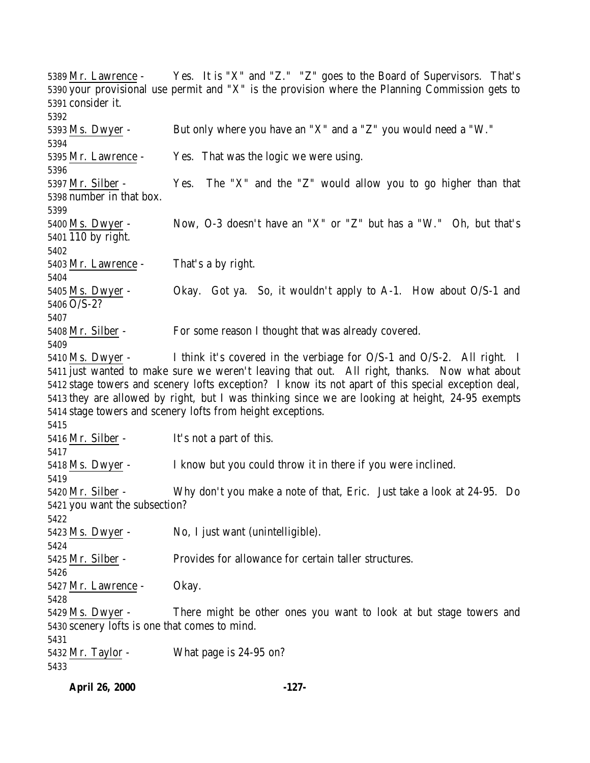Mr. Lawrence - Yes. It is "X" and "Z." "Z" goes to the Board of Supervisors. That's your provisional use permit and "X" is the provision where the Planning Commission gets to consider it. Ms. Dwyer - But only where you have an "X" and a "Z" you would need a "W." Mr. Lawrence - Yes. That was the logic we were using. Mr. Silber - Yes. The "X" and the "Z" would allow you to go higher than that number in that box. Ms. Dwyer - Now, O-3 doesn't have an "X" or "Z" but has a "W." Oh, but that's 110 by right. 5403 Mr. Lawrence - That's a by right. Ms. Dwyer - Okay. Got ya. So, it wouldn't apply to A-1. How about O/S-1 and O/S-2? Mr. Silber - For some reason I thought that was already covered. Ms. Dwyer - I think it's covered in the verbiage for O/S-1 and O/S-2. All right. I just wanted to make sure we weren't leaving that out. All right, thanks. Now what about stage towers and scenery lofts exception? I know its not apart of this special exception deal, they are allowed by right, but I was thinking since we are looking at height, 24-95 exempts stage towers and scenery lofts from height exceptions. Mr. Silber - It's not a part of this. Ms. Dwyer - I know but you could throw it in there if you were inclined. Mr. Silber - Why don't you make a note of that, Eric. Just take a look at 24-95. Do you want the subsection? Ms. Dwyer - No, I just want (unintelligible). Mr. Silber - Provides for allowance for certain taller structures. Mr. Lawrence - Okay. Ms. Dwyer - There might be other ones you want to look at but stage towers and scenery lofts is one that comes to mind. Mr. Taylor - What page is 24-95 on?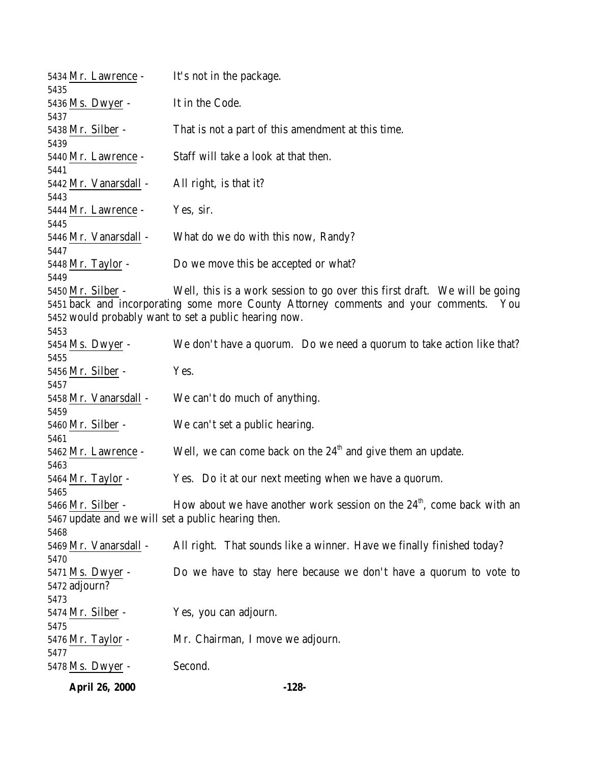|                                                    | <b>April 26, 2000</b>   | $-128-$                                                                                                                                        |  |  |
|----------------------------------------------------|-------------------------|------------------------------------------------------------------------------------------------------------------------------------------------|--|--|
|                                                    | 5478 <u>Ms. Dwyer</u> - | Second.                                                                                                                                        |  |  |
| 5477                                               | 5476 Mr. Taylor -       | Mr. Chairman, I move we adjourn.                                                                                                               |  |  |
| 5475                                               |                         |                                                                                                                                                |  |  |
|                                                    | 5474 Mr. Silber -       | Yes, you can adjourn.                                                                                                                          |  |  |
| 5473                                               |                         |                                                                                                                                                |  |  |
|                                                    | 5472 adjourn?           |                                                                                                                                                |  |  |
| 5470                                               | 5471 Ms. Dwyer -        | Do we have to stay here because we don't have a quorum to vote to                                                                              |  |  |
|                                                    | 5469 Mr. Vanarsdall -   | All right. That sounds like a winner. Have we finally finished today?                                                                          |  |  |
| 5468                                               |                         |                                                                                                                                                |  |  |
| 5467 update and we will set a public hearing then. |                         |                                                                                                                                                |  |  |
|                                                    | 5466 Mr. Silber -       | How about we have another work session on the $24th$ , come back with an                                                                       |  |  |
| 5465                                               |                         |                                                                                                                                                |  |  |
|                                                    | 5464 Mr. Taylor -       | Yes. Do it at our next meeting when we have a quorum.                                                                                          |  |  |
| 5463                                               |                         |                                                                                                                                                |  |  |
|                                                    | 5462 Mr. Lawrence -     | Well, we can come back on the $24th$ and give them an update.                                                                                  |  |  |
| 5461                                               | 5460 Mr. Silber -       | We can't set a public hearing.                                                                                                                 |  |  |
| 5459                                               |                         |                                                                                                                                                |  |  |
|                                                    | 5458 Mr. Vanarsdall -   | We can't do much of anything.                                                                                                                  |  |  |
| 5457                                               |                         |                                                                                                                                                |  |  |
|                                                    | 5456 Mr. Silber -       | Yes.                                                                                                                                           |  |  |
| 5455                                               |                         |                                                                                                                                                |  |  |
|                                                    | 5454 Ms. Dwyer -        | We don't have a quorum. Do we need a quorum to take action like that?                                                                          |  |  |
| 5453                                               |                         |                                                                                                                                                |  |  |
|                                                    |                         | 5451 back and incorporating some more County Attorney comments and your comments. You<br>5452 would probably want to set a public hearing now. |  |  |
|                                                    | 5450 Mr. Silber -       | Well, this is a work session to go over this first draft. We will be going                                                                     |  |  |
| 5449                                               |                         |                                                                                                                                                |  |  |
|                                                    | 5448 Mr. Taylor -       | Do we move this be accepted or what?                                                                                                           |  |  |
| 5447                                               |                         |                                                                                                                                                |  |  |
|                                                    | 5446 Mr. Vanarsdall -   | What do we do with this now, Randy?                                                                                                            |  |  |
| 5445                                               | 5444 Mr. Lawrence -     | Yes, sir.                                                                                                                                      |  |  |
| 5443                                               |                         |                                                                                                                                                |  |  |
|                                                    | 5442 Mr. Vanarsdall -   | All right, is that it?                                                                                                                         |  |  |
| 5441                                               |                         |                                                                                                                                                |  |  |
|                                                    | 5440 Mr. Lawrence -     | Staff will take a look at that then.                                                                                                           |  |  |
| 5439                                               |                         |                                                                                                                                                |  |  |
|                                                    | 5438 Mr. Silber -       | That is not a part of this amendment at this time.                                                                                             |  |  |
| 5437                                               | 5436 Ms. Dwyer -        |                                                                                                                                                |  |  |
| 5435                                               |                         | It in the Code.                                                                                                                                |  |  |
|                                                    | 5434 Mr. Lawrence -     | It's not in the package.                                                                                                                       |  |  |